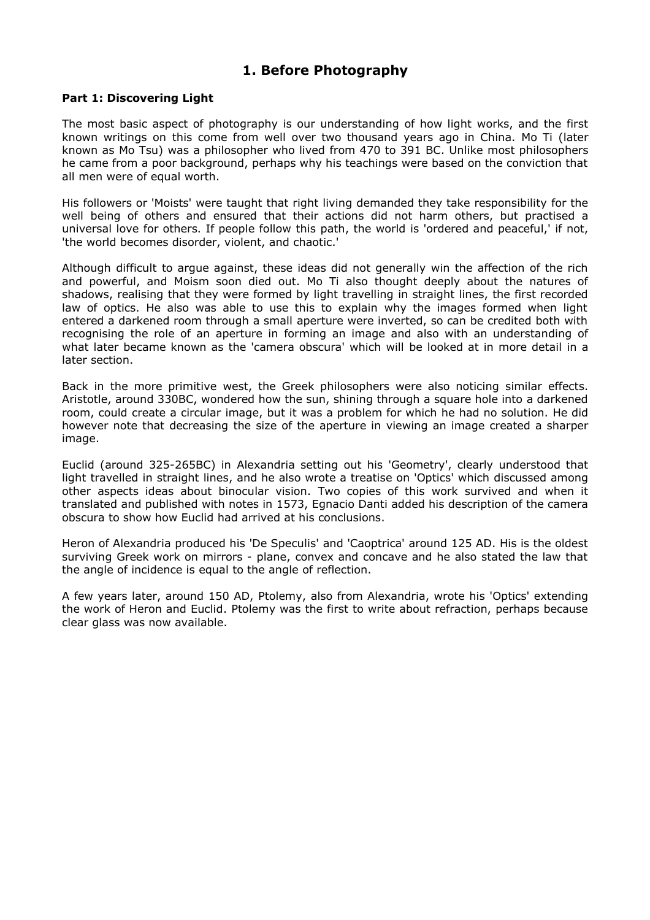# **1. Before Photography**

## **Part 1: Discovering Light**

The most basic aspect of photography is our understanding of how light works, and the first known writings on this come from well over two thousand years ago in China. Mo Ti (later known as Mo Tsu) was a philosopher who lived from 470 to 391 BC. Unlike most philosophers he came from a poor background, perhaps why his teachings were based on the conviction that all men were of equal worth.

His followers or 'Moists' were taught that right living demanded they take responsibility for the well being of others and ensured that their actions did not harm others, but practised a universal love for others. If people follow this path, the world is 'ordered and peaceful,' if not, 'the world becomes disorder, violent, and chaotic.'

Although difficult to argue against, these ideas did not generally win the affection of the rich and powerful, and Moism soon died out. Mo Ti also thought deeply about the natures of shadows, realising that they were formed by light travelling in straight lines, the first recorded law of optics. He also was able to use this to explain why the images formed when light entered a darkened room through a small aperture were inverted, so can be credited both with recognising the role of an aperture in forming an image and also with an understanding of what later became known as the 'camera obscura' which will be looked at in more detail in a later section.

Back in the more primitive west, the Greek philosophers were also noticing similar effects. Aristotle, around 330BC, wondered how the sun, shining through a square hole into a darkened room, could create a circular image, but it was a problem for which he had no solution. He did however note that decreasing the size of the aperture in viewing an image created a sharper image.

Euclid (around 325-265BC) in Alexandria setting out his 'Geometry', clearly understood that light travelled in straight lines, and he also wrote a treatise on 'Optics' which discussed among other aspects ideas about binocular vision. Two copies of this work survived and when it translated and published with notes in 1573, Egnacio Danti added his description of the camera obscura to show how Euclid had arrived at his conclusions.

Heron of Alexandria produced his 'De Speculis' and 'Caoptrica' around 125 AD. His is the oldest surviving Greek work on mirrors - plane, convex and concave and he also stated the law that the angle of incidence is equal to the angle of reflection.

A few years later, around 150 AD, Ptolemy, also from Alexandria, wrote his 'Optics' extending the work of Heron and Euclid. Ptolemy was the first to write about refraction, perhaps because clear glass was now available.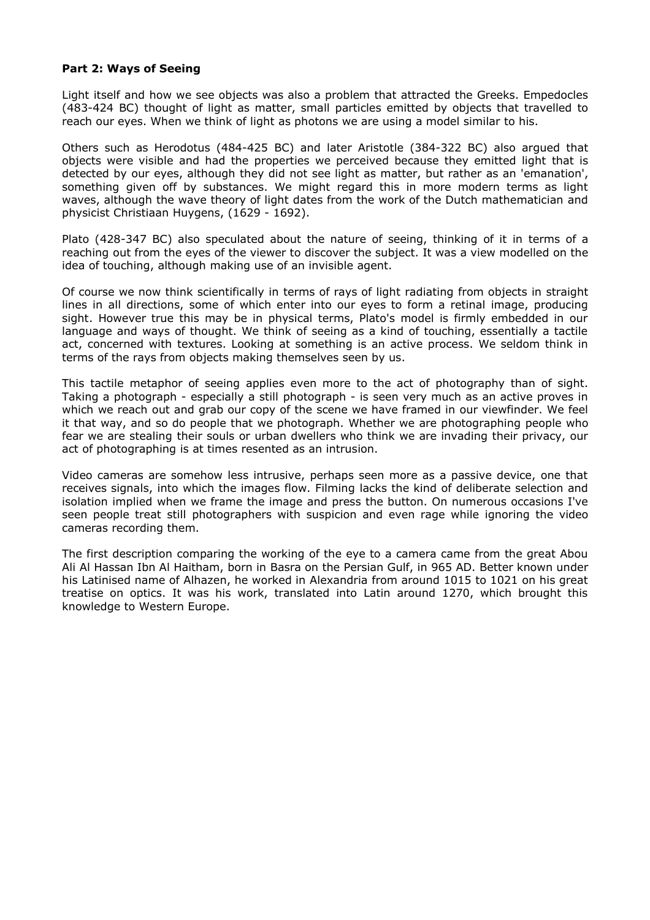#### **Part 2: Ways of Seeing**

Light itself and how we see objects was also a problem that attracted the Greeks. Empedocles (483-424 BC) thought of light as matter, small particles emitted by objects that travelled to reach our eyes. When we think of light as photons we are using a model similar to his.

Others such as Herodotus (484-425 BC) and later Aristotle (384-322 BC) also argued that objects were visible and had the properties we perceived because they emitted light that is detected by our eyes, although they did not see light as matter, but rather as an 'emanation', something given off by substances. We might regard this in more modern terms as light waves, although the wave theory of light dates from the work of the Dutch mathematician and physicist Christiaan Huygens, (1629 - 1692).

Plato (428-347 BC) also speculated about the nature of seeing, thinking of it in terms of a reaching out from the eyes of the viewer to discover the subject. It was a view modelled on the idea of touching, although making use of an invisible agent.

Of course we now think scientifically in terms of rays of light radiating from objects in straight lines in all directions, some of which enter into our eyes to form a retinal image, producing sight. However true this may be in physical terms, Plato's model is firmly embedded in our language and ways of thought. We think of seeing as a kind of touching, essentially a tactile act, concerned with textures. Looking at something is an active process. We seldom think in terms of the rays from objects making themselves seen by us.

This tactile metaphor of seeing applies even more to the act of photography than of sight. Taking a photograph - especially a still photograph - is seen very much as an active proves in which we reach out and grab our copy of the scene we have framed in our viewfinder. We feel it that way, and so do people that we photograph. Whether we are photographing people who fear we are stealing their souls or urban dwellers who think we are invading their privacy, our act of photographing is at times resented as an intrusion.

Video cameras are somehow less intrusive, perhaps seen more as a passive device, one that receives signals, into which the images flow. Filming lacks the kind of deliberate selection and isolation implied when we frame the image and press the button. On numerous occasions I've seen people treat still photographers with suspicion and even rage while ignoring the video cameras recording them.

The first description comparing the working of the eye to a camera came from the great Abou Ali Al Hassan Ibn Al Haitham, born in Basra on the Persian Gulf, in 965 AD. Better known under his Latinised name of Alhazen, he worked in Alexandria from around 1015 to 1021 on his great treatise on optics. It was his work, translated into Latin around 1270, which brought this knowledge to Western Europe.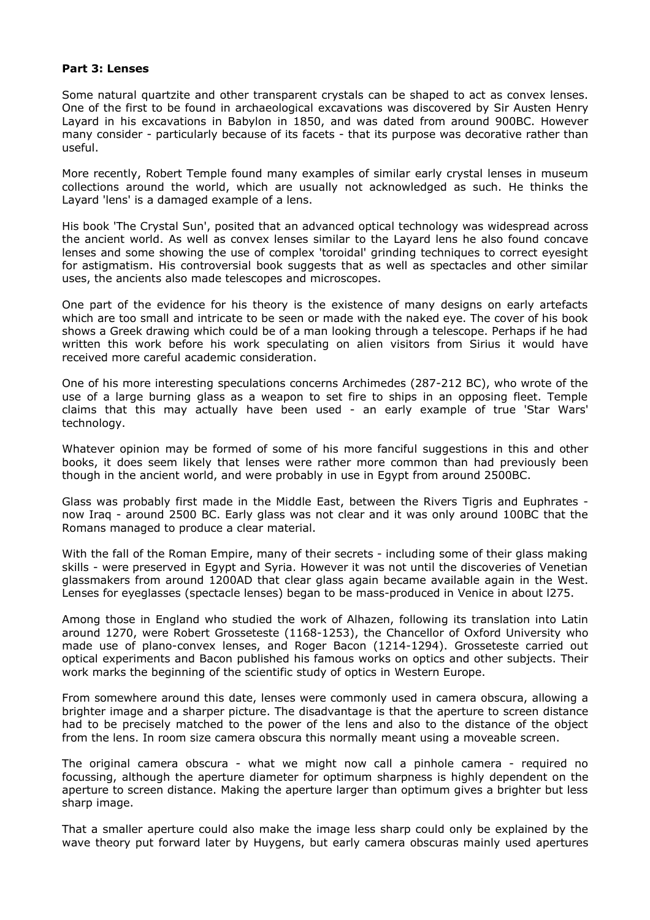#### **Part 3: Lenses**

Some natural quartzite and other transparent crystals can be shaped to act as convex lenses. One of the first to be found in archaeological excavations was discovered by Sir Austen Henry Layard in his excavations in Babylon in 1850, and was dated from around 900BC. However many consider - particularly because of its facets - that its purpose was decorative rather than useful.

More recently, Robert Temple found many examples of similar early crystal lenses in museum collections around the world, which are usually not acknowledged as such. He thinks the Layard 'lens' is a damaged example of a lens.

His book 'The Crystal Sun', posited that an advanced optical technology was widespread across the ancient world. As well as convex lenses similar to the Layard lens he also found concave lenses and some showing the use of complex 'toroidal' grinding techniques to correct eyesight for astigmatism. His controversial book suggests that as well as spectacles and other similar uses, the ancients also made telescopes and microscopes.

One part of the evidence for his theory is the existence of many designs on early artefacts which are too small and intricate to be seen or made with the naked eye. The cover of his book shows a Greek drawing which could be of a man looking through a telescope. Perhaps if he had written this work before his work speculating on alien visitors from Sirius it would have received more careful academic consideration.

One of his more interesting speculations concerns Archimedes (287-212 BC), who wrote of the use of a large burning glass as a weapon to set fire to ships in an opposing fleet. Temple claims that this may actually have been used - an early example of true 'Star Wars' technology.

Whatever opinion may be formed of some of his more fanciful suggestions in this and other books, it does seem likely that lenses were rather more common than had previously been though in the ancient world, and were probably in use in Egypt from around 2500BC.

Glass was probably first made in the Middle East, between the Rivers Tigris and Euphrates now Iraq - around 2500 BC. Early glass was not clear and it was only around 100BC that the Romans managed to produce a clear material.

With the fall of the Roman Empire, many of their secrets - including some of their glass making skills - were preserved in Egypt and Syria. However it was not until the discoveries of Venetian glassmakers from around 1200AD that clear glass again became available again in the West. Lenses for eyeglasses (spectacle lenses) began to be mass-produced in Venice in about l275.

Among those in England who studied the work of Alhazen, following its translation into Latin around 1270, were Robert Grosseteste (1168-1253), the Chancellor of Oxford University who made use of plano-convex lenses, and Roger Bacon (1214-1294). Grosseteste carried out optical experiments and Bacon published his famous works on optics and other subjects. Their work marks the beginning of the scientific study of optics in Western Europe.

From somewhere around this date, lenses were commonly used in camera obscura, allowing a brighter image and a sharper picture. The disadvantage is that the aperture to screen distance had to be precisely matched to the power of the lens and also to the distance of the object from the lens. In room size camera obscura this normally meant using a moveable screen.

The original camera obscura - what we might now call a pinhole camera - required no focussing, although the aperture diameter for optimum sharpness is highly dependent on the aperture to screen distance. Making the aperture larger than optimum gives a brighter but less sharp image.

That a smaller aperture could also make the image less sharp could only be explained by the wave theory put forward later by Huygens, but early camera obscuras mainly used apertures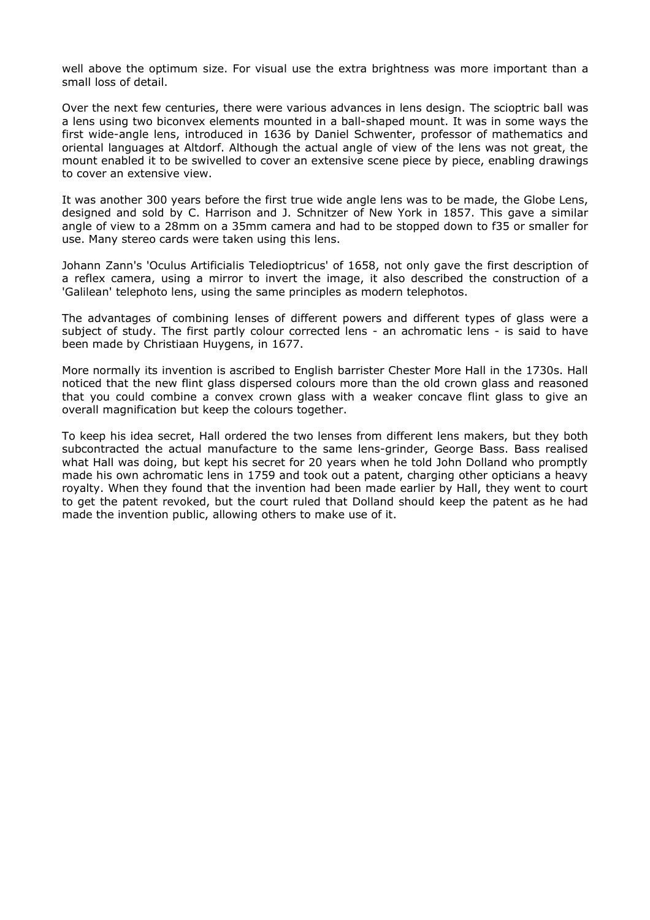well above the optimum size. For visual use the extra brightness was more important than a small loss of detail.

Over the next few centuries, there were various advances in lens design. The scioptric ball was a lens using two biconvex elements mounted in a ball-shaped mount. It was in some ways the first wide-angle lens, introduced in 1636 by Daniel Schwenter, professor of mathematics and oriental languages at Altdorf. Although the actual angle of view of the lens was not great, the mount enabled it to be swivelled to cover an extensive scene piece by piece, enabling drawings to cover an extensive view.

It was another 300 years before the first true wide angle lens was to be made, the Globe Lens, designed and sold by C. Harrison and J. Schnitzer of New York in 1857. This gave a similar angle of view to a 28mm on a 35mm camera and had to be stopped down to f35 or smaller for use. Many stereo cards were taken using this lens.

Johann Zann's 'Oculus Artificialis Teledioptricus' of 1658, not only gave the first description of a reflex camera, using a mirror to invert the image, it also described the construction of a 'Galilean' telephoto lens, using the same principles as modern telephotos.

The advantages of combining lenses of different powers and different types of glass were a subject of study. The first partly colour corrected lens - an achromatic lens - is said to have been made by Christiaan Huygens, in 1677.

More normally its invention is ascribed to English barrister Chester More Hall in the 1730s. Hall noticed that the new flint glass dispersed colours more than the old crown glass and reasoned that you could combine a convex crown glass with a weaker concave flint glass to give an overall magnification but keep the colours together.

To keep his idea secret, Hall ordered the two lenses from different lens makers, but they both subcontracted the actual manufacture to the same lens-grinder, George Bass. Bass realised what Hall was doing, but kept his secret for 20 years when he told John Dolland who promptly made his own achromatic lens in 1759 and took out a patent, charging other opticians a heavy royalty. When they found that the invention had been made earlier by Hall, they went to court to get the patent revoked, but the court ruled that Dolland should keep the patent as he had made the invention public, allowing others to make use of it.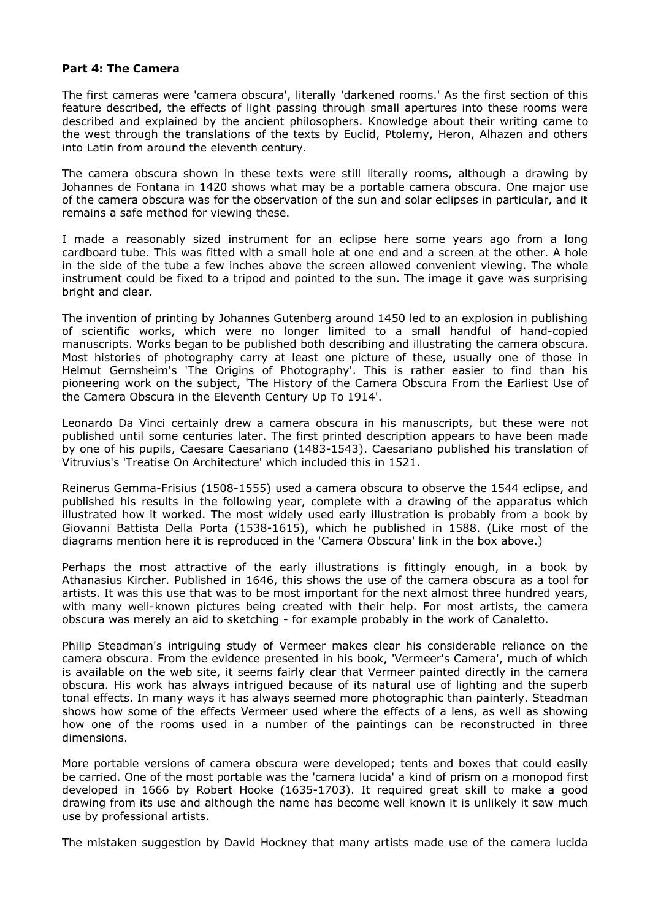#### **Part 4: The Camera**

The first cameras were 'camera obscura', literally 'darkened rooms.' As the first section of this feature described, the effects of light passing through small apertures into these rooms were described and explained by the ancient philosophers. Knowledge about their writing came to the west through the translations of the texts by Euclid, Ptolemy, Heron, Alhazen and others into Latin from around the eleventh century.

The camera obscura shown in these texts were still literally rooms, although a drawing by Johannes de Fontana in 1420 shows what may be a portable camera obscura. One major use of the camera obscura was for the observation of the sun and solar eclipses in particular, and it remains a safe method for viewing these.

I made a reasonably sized instrument for an eclipse here some years ago from a long cardboard tube. This was fitted with a small hole at one end and a screen at the other. A hole in the side of the tube a few inches above the screen allowed convenient viewing. The whole instrument could be fixed to a tripod and pointed to the sun. The image it gave was surprising bright and clear.

The invention of printing by Johannes Gutenberg around 1450 led to an explosion in publishing of scientific works, which were no longer limited to a small handful of hand-copied manuscripts. Works began to be published both describing and illustrating the camera obscura. Most histories of photography carry at least one picture of these, usually one of those in Helmut Gernsheim's 'The Origins of Photography'. This is rather easier to find than his pioneering work on the subject, 'The History of the Camera Obscura From the Earliest Use of the Camera Obscura in the Eleventh Century Up To 1914'.

Leonardo Da Vinci certainly drew a camera obscura in his manuscripts, but these were not published until some centuries later. The first printed description appears to have been made by one of his pupils, Caesare Caesariano (1483-1543). Caesariano published his translation of Vitruvius's 'Treatise On Architecture' which included this in 1521.

Reinerus Gemma-Frisius (1508-1555) used a camera obscura to observe the 1544 eclipse, and published his results in the following year, complete with a drawing of the apparatus which illustrated how it worked. The most widely used early illustration is probably from a book by Giovanni Battista Della Porta (1538-1615), which he published in 1588. (Like most of the diagrams mention here it is reproduced in the 'Camera Obscura' link in the box above.)

Perhaps the most attractive of the early illustrations is fittingly enough, in a book by Athanasius Kircher. Published in 1646, this shows the use of the camera obscura as a tool for artists. It was this use that was to be most important for the next almost three hundred years, with many well-known pictures being created with their help. For most artists, the camera obscura was merely an aid to sketching - for example probably in the work of Canaletto.

Philip Steadman's intriguing study of Vermeer makes clear his considerable reliance on the camera obscura. From the evidence presented in his book, 'Vermeer's Camera', much of which is available on the web site, it seems fairly clear that Vermeer painted directly in the camera obscura. His work has always intrigued because of its natural use of lighting and the superb tonal effects. In many ways it has always seemed more photographic than painterly. Steadman shows how some of the effects Vermeer used where the effects of a lens, as well as showing how one of the rooms used in a number of the paintings can be reconstructed in three dimensions.

More portable versions of camera obscura were developed; tents and boxes that could easily be carried. One of the most portable was the 'camera lucida' a kind of prism on a monopod first developed in 1666 by Robert Hooke (1635-1703). It required great skill to make a good drawing from its use and although the name has become well known it is unlikely it saw much use by professional artists.

The mistaken suggestion by David Hockney that many artists made use of the camera lucida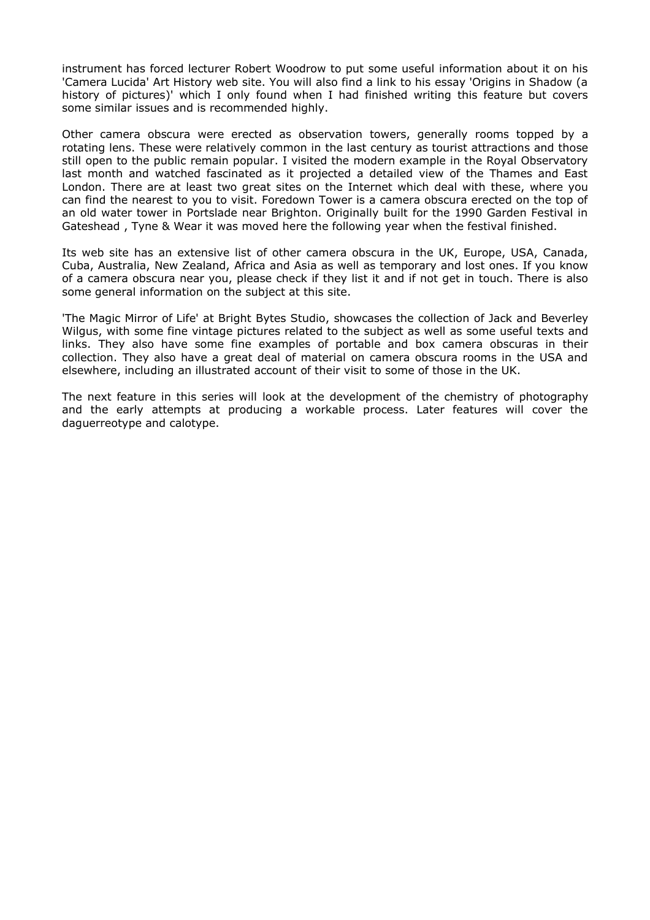instrument has forced lecturer Robert Woodrow to put some useful information about it on his 'Camera Lucida' Art History web site. You will also find a link to his essay 'Origins in Shadow (a history of pictures)' which I only found when I had finished writing this feature but covers some similar issues and is recommended highly.

Other camera obscura were erected as observation towers, generally rooms topped by a rotating lens. These were relatively common in the last century as tourist attractions and those still open to the public remain popular. I visited the modern example in the Royal Observatory last month and watched fascinated as it projected a detailed view of the Thames and East London. There are at least two great sites on the Internet which deal with these, where you can find the nearest to you to visit. Foredown Tower is a camera obscura erected on the top of an old water tower in Portslade near Brighton. Originally built for the 1990 Garden Festival in Gateshead , Tyne & Wear it was moved here the following year when the festival finished.

Its web site has an extensive list of other camera obscura in the UK, Europe, USA, Canada, Cuba, Australia, New Zealand, Africa and Asia as well as temporary and lost ones. If you know of a camera obscura near you, please check if they list it and if not get in touch. There is also some general information on the subject at this site.

'The Magic Mirror of Life' at Bright Bytes Studio, showcases the collection of Jack and Beverley Wilgus, with some fine vintage pictures related to the subject as well as some useful texts and links. They also have some fine examples of portable and box camera obscuras in their collection. They also have a great deal of material on camera obscura rooms in the USA and elsewhere, including an illustrated account of their visit to some of those in the UK.

The next feature in this series will look at the development of the chemistry of photography and the early attempts at producing a workable process. Later features will cover the daguerreotype and calotype.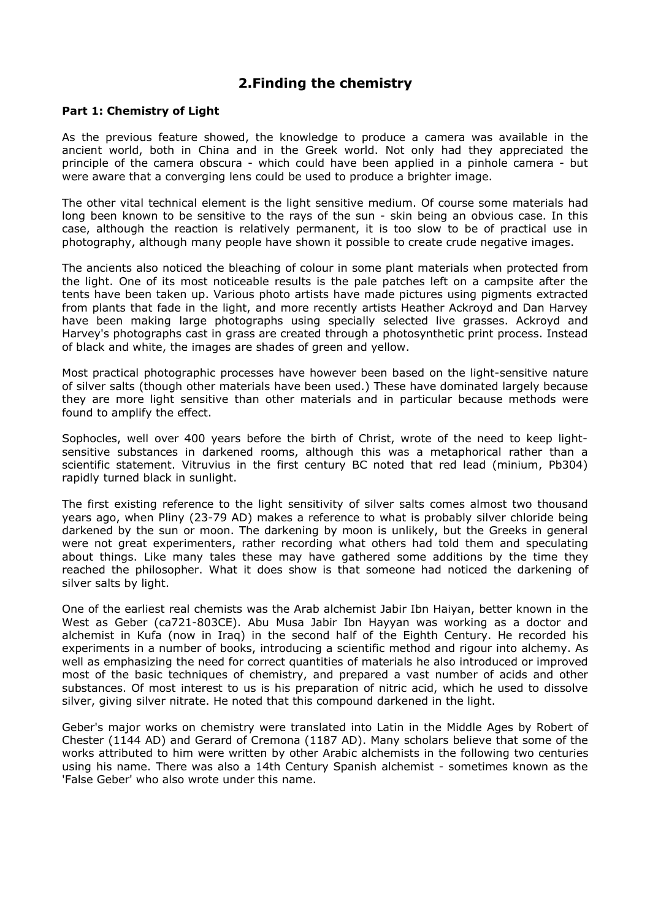# **2.Finding the chemistry**

### **Part 1: Chemistry of Light**

As the previous feature showed, the knowledge to produce a camera was available in the ancient world, both in China and in the Greek world. Not only had they appreciated the principle of the camera obscura - which could have been applied in a pinhole camera - but were aware that a converging lens could be used to produce a brighter image.

The other vital technical element is the light sensitive medium. Of course some materials had long been known to be sensitive to the rays of the sun - skin being an obvious case. In this case, although the reaction is relatively permanent, it is too slow to be of practical use in photography, although many people have shown it possible to create crude negative images.

The ancients also noticed the bleaching of colour in some plant materials when protected from the light. One of its most noticeable results is the pale patches left on a campsite after the tents have been taken up. Various photo artists have made pictures using pigments extracted from plants that fade in the light, and more recently artists Heather Ackroyd and Dan Harvey have been making large photographs using specially selected live grasses. Ackroyd and Harvey's photographs cast in grass are created through a photosynthetic print process. Instead of black and white, the images are shades of green and yellow.

Most practical photographic processes have however been based on the light-sensitive nature of silver salts (though other materials have been used.) These have dominated largely because they are more light sensitive than other materials and in particular because methods were found to amplify the effect.

Sophocles, well over 400 years before the birth of Christ, wrote of the need to keep lightsensitive substances in darkened rooms, although this was a metaphorical rather than a scientific statement. Vitruvius in the first century BC noted that red lead (minium, Pb304) rapidly turned black in sunlight.

The first existing reference to the light sensitivity of silver salts comes almost two thousand years ago, when Pliny (23-79 AD) makes a reference to what is probably silver chloride being darkened by the sun or moon. The darkening by moon is unlikely, but the Greeks in general were not great experimenters, rather recording what others had told them and speculating about things. Like many tales these may have gathered some additions by the time they reached the philosopher. What it does show is that someone had noticed the darkening of silver salts by light.

One of the earliest real chemists was the Arab alchemist Jabir Ibn Haiyan, better known in the West as Geber (ca721-803CE). Abu Musa Jabir Ibn Hayyan was working as a doctor and alchemist in Kufa (now in Iraq) in the second half of the Eighth Century. He recorded his experiments in a number of books, introducing a scientific method and rigour into alchemy. As well as emphasizing the need for correct quantities of materials he also introduced or improved most of the basic techniques of chemistry, and prepared a vast number of acids and other substances. Of most interest to us is his preparation of nitric acid, which he used to dissolve silver, giving silver nitrate. He noted that this compound darkened in the light.

Geber's major works on chemistry were translated into Latin in the Middle Ages by Robert of Chester (1144 AD) and Gerard of Cremona (1187 AD). Many scholars believe that some of the works attributed to him were written by other Arabic alchemists in the following two centuries using his name. There was also a 14th Century Spanish alchemist - sometimes known as the 'False Geber' who also wrote under this name.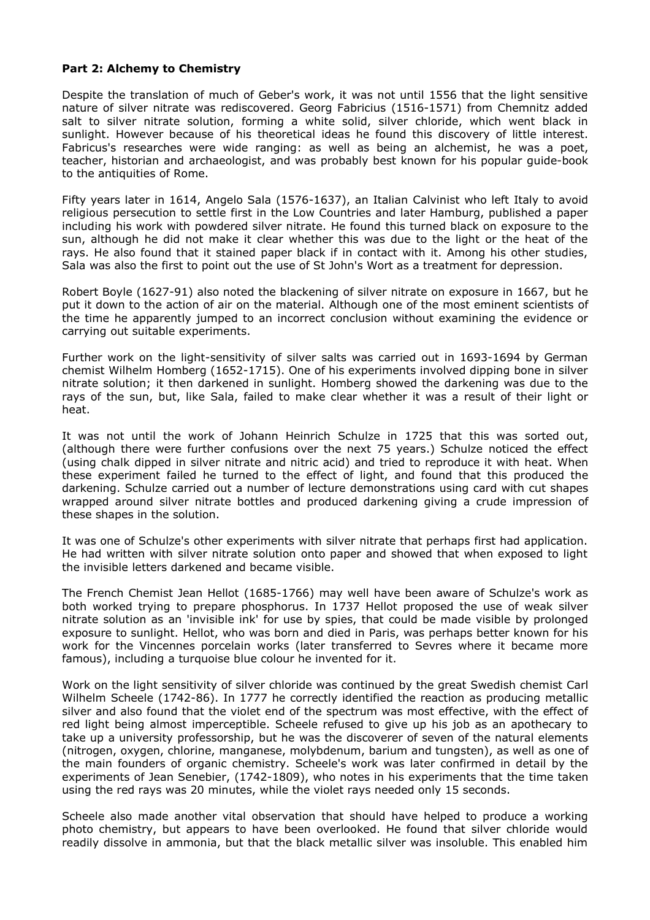#### **Part 2: Alchemy to Chemistry**

Despite the translation of much of Geber's work, it was not until 1556 that the light sensitive nature of silver nitrate was rediscovered. Georg Fabricius (1516-1571) from Chemnitz added salt to silver nitrate solution, forming a white solid, silver chloride, which went black in sunlight. However because of his theoretical ideas he found this discovery of little interest. Fabricus's researches were wide ranging: as well as being an alchemist, he was a poet, teacher, historian and archaeologist, and was probably best known for his popular guide-book to the antiquities of Rome.

Fifty years later in 1614, Angelo Sala (1576-1637), an Italian Calvinist who left Italy to avoid religious persecution to settle first in the Low Countries and later Hamburg, published a paper including his work with powdered silver nitrate. He found this turned black on exposure to the sun, although he did not make it clear whether this was due to the light or the heat of the rays. He also found that it stained paper black if in contact with it. Among his other studies, Sala was also the first to point out the use of St John's Wort as a treatment for depression.

Robert Boyle (1627-91) also noted the blackening of silver nitrate on exposure in 1667, but he put it down to the action of air on the material. Although one of the most eminent scientists of the time he apparently jumped to an incorrect conclusion without examining the evidence or carrying out suitable experiments.

Further work on the light-sensitivity of silver salts was carried out in 1693-1694 by German chemist Wilhelm Homberg (1652-1715). One of his experiments involved dipping bone in silver nitrate solution; it then darkened in sunlight. Homberg showed the darkening was due to the rays of the sun, but, like Sala, failed to make clear whether it was a result of their light or heat.

It was not until the work of Johann Heinrich Schulze in 1725 that this was sorted out, (although there were further confusions over the next 75 years.) Schulze noticed the effect (using chalk dipped in silver nitrate and nitric acid) and tried to reproduce it with heat. When these experiment failed he turned to the effect of light, and found that this produced the darkening. Schulze carried out a number of lecture demonstrations using card with cut shapes wrapped around silver nitrate bottles and produced darkening giving a crude impression of these shapes in the solution.

It was one of Schulze's other experiments with silver nitrate that perhaps first had application. He had written with silver nitrate solution onto paper and showed that when exposed to light the invisible letters darkened and became visible.

The French Chemist Jean Hellot (1685-1766) may well have been aware of Schulze's work as both worked trying to prepare phosphorus. In 1737 Hellot proposed the use of weak silver nitrate solution as an 'invisible ink' for use by spies, that could be made visible by prolonged exposure to sunlight. Hellot, who was born and died in Paris, was perhaps better known for his work for the Vincennes porcelain works (later transferred to Sevres where it became more famous), including a turquoise blue colour he invented for it.

Work on the light sensitivity of silver chloride was continued by the great Swedish chemist Carl Wilhelm Scheele (1742-86). In 1777 he correctly identified the reaction as producing metallic silver and also found that the violet end of the spectrum was most effective, with the effect of red light being almost imperceptible. Scheele refused to give up his job as an apothecary to take up a university professorship, but he was the discoverer of seven of the natural elements (nitrogen, oxygen, chlorine, manganese, molybdenum, barium and tungsten), as well as one of the main founders of organic chemistry. Scheele's work was later confirmed in detail by the experiments of Jean Senebier, (1742-1809), who notes in his experiments that the time taken using the red rays was 20 minutes, while the violet rays needed only 15 seconds.

Scheele also made another vital observation that should have helped to produce a working photo chemistry, but appears to have been overlooked. He found that silver chloride would readily dissolve in ammonia, but that the black metallic silver was insoluble. This enabled him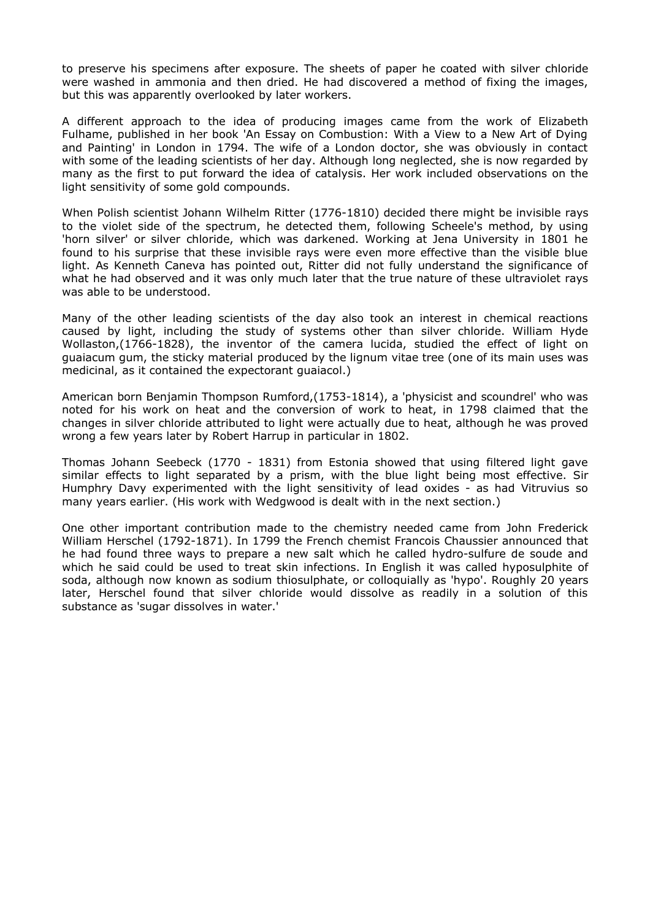to preserve his specimens after exposure. The sheets of paper he coated with silver chloride were washed in ammonia and then dried. He had discovered a method of fixing the images, but this was apparently overlooked by later workers.

A different approach to the idea of producing images came from the work of Elizabeth Fulhame, published in her book 'An Essay on Combustion: With a View to a New Art of Dying and Painting' in London in 1794. The wife of a London doctor, she was obviously in contact with some of the leading scientists of her day. Although long neglected, she is now regarded by many as the first to put forward the idea of catalysis. Her work included observations on the light sensitivity of some gold compounds.

When Polish scientist Johann Wilhelm Ritter (1776-1810) decided there might be invisible rays to the violet side of the spectrum, he detected them, following Scheele's method, by using 'horn silver' or silver chloride, which was darkened. Working at Jena University in 1801 he found to his surprise that these invisible rays were even more effective than the visible blue light. As Kenneth Caneva has pointed out, Ritter did not fully understand the significance of what he had observed and it was only much later that the true nature of these ultraviolet rays was able to be understood.

Many of the other leading scientists of the day also took an interest in chemical reactions caused by light, including the study of systems other than silver chloride. William Hyde Wollaston,(1766-1828), the inventor of the camera lucida, studied the effect of light on guaiacum gum, the sticky material produced by the lignum vitae tree (one of its main uses was medicinal, as it contained the expectorant guaiacol.)

American born Benjamin Thompson Rumford,(1753-1814), a 'physicist and scoundrel' who was noted for his work on heat and the conversion of work to heat, in 1798 claimed that the changes in silver chloride attributed to light were actually due to heat, although he was proved wrong a few years later by Robert Harrup in particular in 1802.

Thomas Johann Seebeck (1770 - 1831) from Estonia showed that using filtered light gave similar effects to light separated by a prism, with the blue light being most effective. Sir Humphry Davy experimented with the light sensitivity of lead oxides - as had Vitruvius so many years earlier. (His work with Wedgwood is dealt with in the next section.)

One other important contribution made to the chemistry needed came from John Frederick William Herschel (1792-1871). In 1799 the French chemist Francois Chaussier announced that he had found three ways to prepare a new salt which he called hydro-sulfure de soude and which he said could be used to treat skin infections. In English it was called hyposulphite of soda, although now known as sodium thiosulphate, or colloquially as 'hypo'. Roughly 20 years later, Herschel found that silver chloride would dissolve as readily in a solution of this substance as 'sugar dissolves in water.'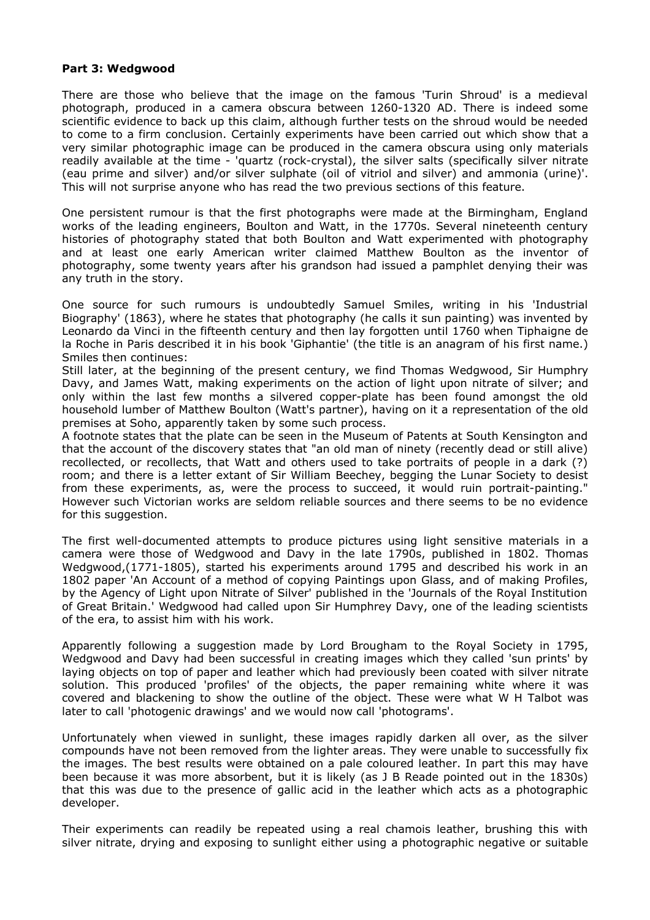#### **Part 3: Wedgwood**

There are those who believe that the image on the famous 'Turin Shroud' is a medieval photograph, produced in a camera obscura between 1260-1320 AD. There is indeed some scientific evidence to back up this claim, although further tests on the shroud would be needed to come to a firm conclusion. Certainly experiments have been carried out which show that a very similar photographic image can be produced in the camera obscura using only materials readily available at the time - 'quartz (rock-crystal), the silver salts (specifically silver nitrate (eau prime and silver) and/or silver sulphate (oil of vitriol and silver) and ammonia (urine)'. This will not surprise anyone who has read the two previous sections of this feature.

One persistent rumour is that the first photographs were made at the Birmingham, England works of the leading engineers, Boulton and Watt, in the 1770s. Several nineteenth century histories of photography stated that both Boulton and Watt experimented with photography and at least one early American writer claimed Matthew Boulton as the inventor of photography, some twenty years after his grandson had issued a pamphlet denying their was any truth in the story.

One source for such rumours is undoubtedly Samuel Smiles, writing in his 'Industrial Biography' (1863), where he states that photography (he calls it sun painting) was invented by Leonardo da Vinci in the fifteenth century and then lay forgotten until 1760 when Tiphaigne de la Roche in Paris described it in his book 'Giphantie' (the title is an anagram of his first name.) Smiles then continues:

Still later, at the beginning of the present century, we find Thomas Wedgwood, Sir Humphry Davy, and James Watt, making experiments on the action of light upon nitrate of silver; and only within the last few months a silvered copper-plate has been found amongst the old household lumber of Matthew Boulton (Watt's partner), having on it a representation of the old premises at Soho, apparently taken by some such process.

A footnote states that the plate can be seen in the Museum of Patents at South Kensington and that the account of the discovery states that "an old man of ninety (recently dead or still alive) recollected, or recollects, that Watt and others used to take portraits of people in a dark (?) room; and there is a letter extant of Sir William Beechey, begging the Lunar Society to desist from these experiments, as, were the process to succeed, it would ruin portrait-painting." However such Victorian works are seldom reliable sources and there seems to be no evidence for this suggestion.

The first well-documented attempts to produce pictures using light sensitive materials in a camera were those of Wedgwood and Davy in the late 1790s, published in 1802. Thomas Wedgwood,(1771-1805), started his experiments around 1795 and described his work in an 1802 paper 'An Account of a method of copying Paintings upon Glass, and of making Profiles, by the Agency of Light upon Nitrate of Silver' published in the 'Journals of the Royal Institution of Great Britain.' Wedgwood had called upon Sir Humphrey Davy, one of the leading scientists of the era, to assist him with his work.

Apparently following a suggestion made by Lord Brougham to the Royal Society in 1795, Wedgwood and Davy had been successful in creating images which they called 'sun prints' by laying objects on top of paper and leather which had previously been coated with silver nitrate solution. This produced 'profiles' of the objects, the paper remaining white where it was covered and blackening to show the outline of the object. These were what W H Talbot was later to call 'photogenic drawings' and we would now call 'photograms'.

Unfortunately when viewed in sunlight, these images rapidly darken all over, as the silver compounds have not been removed from the lighter areas. They were unable to successfully fix the images. The best results were obtained on a pale coloured leather. In part this may have been because it was more absorbent, but it is likely (as J B Reade pointed out in the 1830s) that this was due to the presence of gallic acid in the leather which acts as a photographic developer.

Their experiments can readily be repeated using a real chamois leather, brushing this with silver nitrate, drying and exposing to sunlight either using a photographic negative or suitable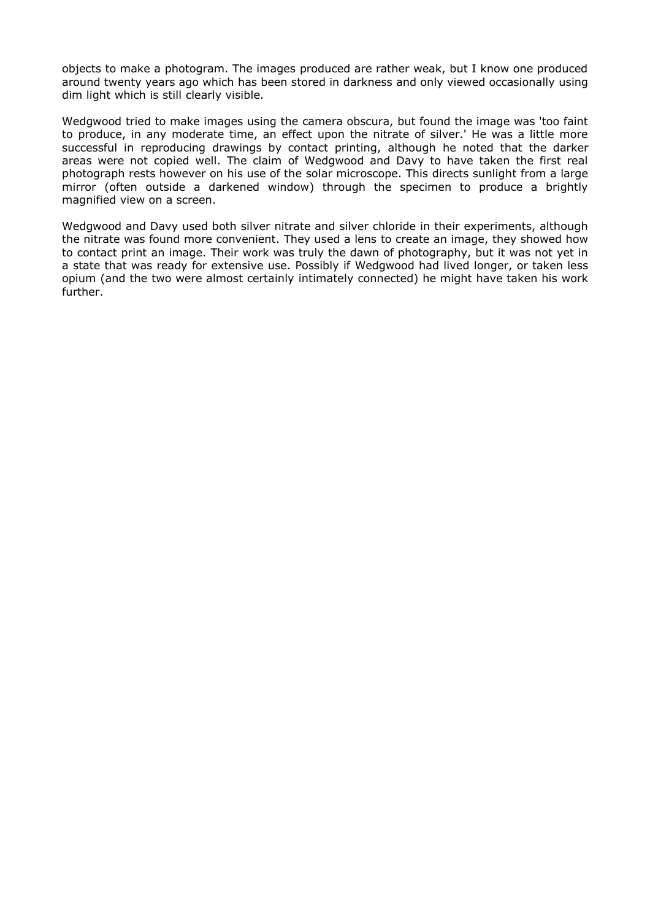objects to make a photogram. The images produced are rather weak, but I know one produced around twenty years ago which has been stored in darkness and only viewed occasionally using dim light which is still clearly visible.

Wedgwood tried to make images using the camera obscura, but found the image was 'too faint to produce, in any moderate time, an effect upon the nitrate of silver.' He was a little more successful in reproducing drawings by contact printing, although he noted that the darker areas were not copied well. The claim of Wedgwood and Davy to have taken the first real photograph rests however on his use of the solar microscope. This directs sunlight from a large mirror (often outside a darkened window) through the specimen to produce a brightly magnified view on a screen.

Wedgwood and Davy used both silver nitrate and silver chloride in their experiments, although the nitrate was found more convenient. They used a lens to create an image, they showed how to contact print an image. Their work was truly the dawn of photography, but it was not yet in a state that was ready for extensive use. Possibly if Wedgwood had lived longer, or taken less opium (and the two were almost certainly intimately connected) he might have taken his work further.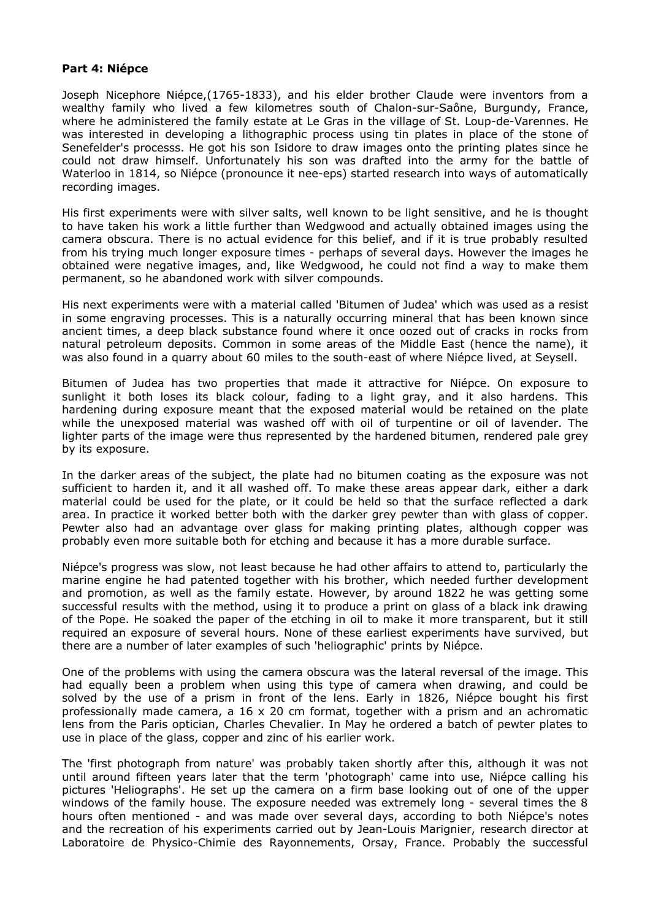### **Part 4: Niépce**

Joseph Nicephore Niépce,(1765-1833), and his elder brother Claude were inventors from a wealthy family who lived a few kilometres south of Chalon-sur-Saône, Burgundy, France, where he administered the family estate at Le Gras in the village of St. Loup-de-Varennes. He was interested in developing a lithographic process using tin plates in place of the stone of Senefelder's processs. He got his son Isidore to draw images onto the printing plates since he could not draw himself. Unfortunately his son was drafted into the army for the battle of Waterloo in 1814, so Niépce (pronounce it nee-eps) started research into ways of automatically recording images.

His first experiments were with silver salts, well known to be light sensitive, and he is thought to have taken his work a little further than Wedgwood and actually obtained images using the camera obscura. There is no actual evidence for this belief, and if it is true probably resulted from his trying much longer exposure times - perhaps of several days. However the images he obtained were negative images, and, like Wedgwood, he could not find a way to make them permanent, so he abandoned work with silver compounds.

His next experiments were with a material called 'Bitumen of Judea' which was used as a resist in some engraving processes. This is a naturally occurring mineral that has been known since ancient times, a deep black substance found where it once oozed out of cracks in rocks from natural petroleum deposits. Common in some areas of the Middle East (hence the name), it was also found in a quarry about 60 miles to the south-east of where Niépce lived, at Seysell.

Bitumen of Judea has two properties that made it attractive for Niépce. On exposure to sunlight it both loses its black colour, fading to a light gray, and it also hardens. This hardening during exposure meant that the exposed material would be retained on the plate while the unexposed material was washed off with oil of turpentine or oil of lavender. The lighter parts of the image were thus represented by the hardened bitumen, rendered pale grey by its exposure.

In the darker areas of the subject, the plate had no bitumen coating as the exposure was not sufficient to harden it, and it all washed off. To make these areas appear dark, either a dark material could be used for the plate, or it could be held so that the surface reflected a dark area. In practice it worked better both with the darker grey pewter than with glass of copper. Pewter also had an advantage over glass for making printing plates, although copper was probably even more suitable both for etching and because it has a more durable surface.

Niépce's progress was slow, not least because he had other affairs to attend to, particularly the marine engine he had patented together with his brother, which needed further development and promotion, as well as the family estate. However, by around 1822 he was getting some successful results with the method, using it to produce a print on glass of a black ink drawing of the Pope. He soaked the paper of the etching in oil to make it more transparent, but it still required an exposure of several hours. None of these earliest experiments have survived, but there are a number of later examples of such 'heliographic' prints by Niépce.

One of the problems with using the camera obscura was the lateral reversal of the image. This had equally been a problem when using this type of camera when drawing, and could be solved by the use of a prism in front of the lens. Early in 1826, Niépce bought his first professionally made camera, a 16 x 20 cm format, together with a prism and an achromatic lens from the Paris optician, Charles Chevalier. In May he ordered a batch of pewter plates to use in place of the glass, copper and zinc of his earlier work.

The 'first photograph from nature' was probably taken shortly after this, although it was not until around fifteen years later that the term 'photograph' came into use, Niépce calling his pictures 'Heliographs'. He set up the camera on a firm base looking out of one of the upper windows of the family house. The exposure needed was extremely long - several times the 8 hours often mentioned - and was made over several days, according to both Niépce's notes and the recreation of his experiments carried out by Jean-Louis Marignier, research director at Laboratoire de Physico-Chimie des Rayonnements, Orsay, France. Probably the successful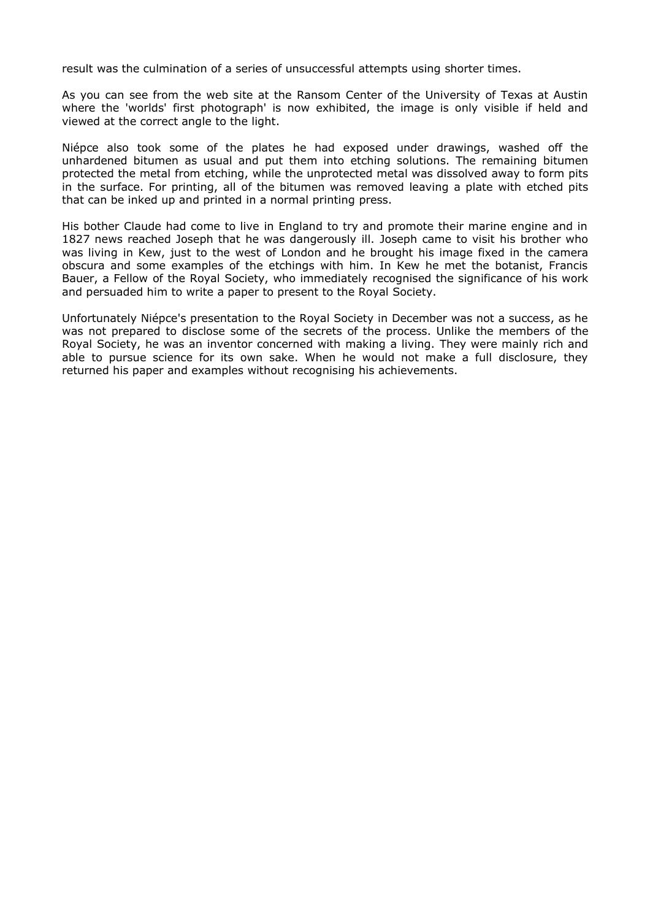result was the culmination of a series of unsuccessful attempts using shorter times.

As you can see from the web site at the Ransom Center of the University of Texas at Austin where the 'worlds' first photograph' is now exhibited, the image is only visible if held and viewed at the correct angle to the light.

Niépce also took some of the plates he had exposed under drawings, washed off the unhardened bitumen as usual and put them into etching solutions. The remaining bitumen protected the metal from etching, while the unprotected metal was dissolved away to form pits in the surface. For printing, all of the bitumen was removed leaving a plate with etched pits that can be inked up and printed in a normal printing press.

His bother Claude had come to live in England to try and promote their marine engine and in 1827 news reached Joseph that he was dangerously ill. Joseph came to visit his brother who was living in Kew, just to the west of London and he brought his image fixed in the camera obscura and some examples of the etchings with him. In Kew he met the botanist, Francis Bauer, a Fellow of the Royal Society, who immediately recognised the significance of his work and persuaded him to write a paper to present to the Royal Society.

Unfortunately Niépce's presentation to the Royal Society in December was not a success, as he was not prepared to disclose some of the secrets of the process. Unlike the members of the Royal Society, he was an inventor concerned with making a living. They were mainly rich and able to pursue science for its own sake. When he would not make a full disclosure, they returned his paper and examples without recognising his achievements.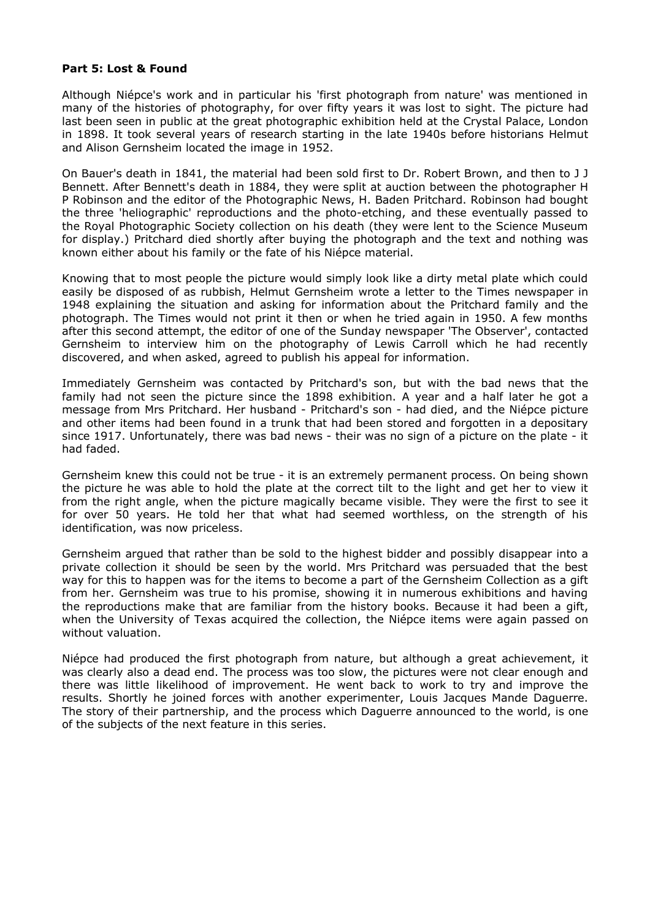#### **Part 5: Lost & Found**

Although Niépce's work and in particular his 'first photograph from nature' was mentioned in many of the histories of photography, for over fifty years it was lost to sight. The picture had last been seen in public at the great photographic exhibition held at the Crystal Palace, London in 1898. It took several years of research starting in the late 1940s before historians Helmut and Alison Gernsheim located the image in 1952.

On Bauer's death in 1841, the material had been sold first to Dr. Robert Brown, and then to J J Bennett. After Bennett's death in 1884, they were split at auction between the photographer H P Robinson and the editor of the Photographic News, H. Baden Pritchard. Robinson had bought the three 'heliographic' reproductions and the photo-etching, and these eventually passed to the Royal Photographic Society collection on his death (they were lent to the Science Museum for display.) Pritchard died shortly after buying the photograph and the text and nothing was known either about his family or the fate of his Niépce material.

Knowing that to most people the picture would simply look like a dirty metal plate which could easily be disposed of as rubbish, Helmut Gernsheim wrote a letter to the Times newspaper in 1948 explaining the situation and asking for information about the Pritchard family and the photograph. The Times would not print it then or when he tried again in 1950. A few months after this second attempt, the editor of one of the Sunday newspaper 'The Observer', contacted Gernsheim to interview him on the photography of Lewis Carroll which he had recently discovered, and when asked, agreed to publish his appeal for information.

Immediately Gernsheim was contacted by Pritchard's son, but with the bad news that the family had not seen the picture since the 1898 exhibition. A year and a half later he got a message from Mrs Pritchard. Her husband - Pritchard's son - had died, and the Niépce picture and other items had been found in a trunk that had been stored and forgotten in a depositary since 1917. Unfortunately, there was bad news - their was no sign of a picture on the plate - it had faded.

Gernsheim knew this could not be true - it is an extremely permanent process. On being shown the picture he was able to hold the plate at the correct tilt to the light and get her to view it from the right angle, when the picture magically became visible. They were the first to see it for over 50 years. He told her that what had seemed worthless, on the strength of his identification, was now priceless.

Gernsheim argued that rather than be sold to the highest bidder and possibly disappear into a private collection it should be seen by the world. Mrs Pritchard was persuaded that the best way for this to happen was for the items to become a part of the Gernsheim Collection as a gift from her. Gernsheim was true to his promise, showing it in numerous exhibitions and having the reproductions make that are familiar from the history books. Because it had been a gift, when the University of Texas acquired the collection, the Niépce items were again passed on without valuation.

Niépce had produced the first photograph from nature, but although a great achievement, it was clearly also a dead end. The process was too slow, the pictures were not clear enough and there was little likelihood of improvement. He went back to work to try and improve the results. Shortly he joined forces with another experimenter, Louis Jacques Mande Daguerre. The story of their partnership, and the process which Daguerre announced to the world, is one of the subjects of the next feature in this series.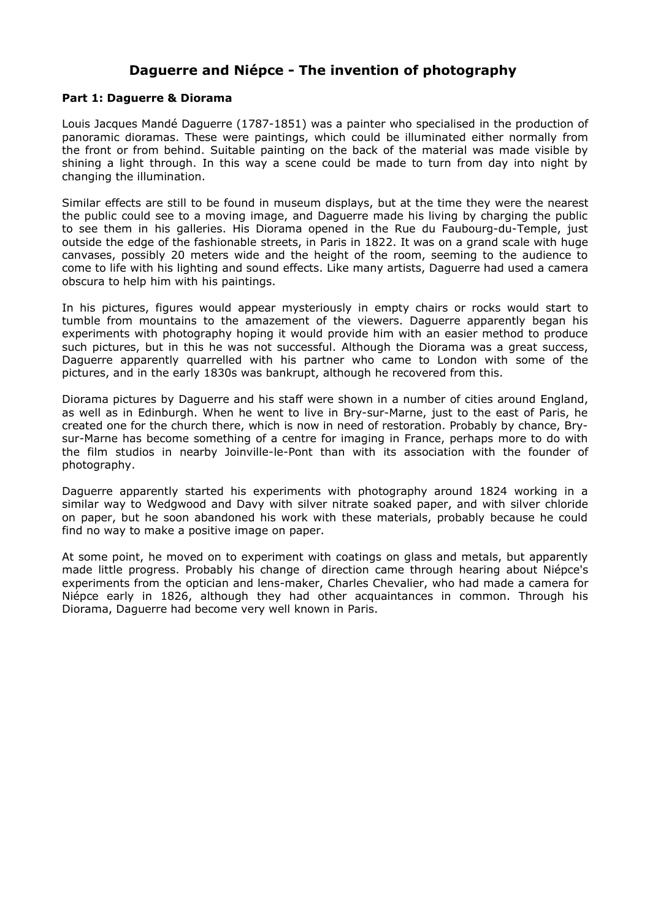## **Daguerre and Niépce - The invention of photography**

### **Part 1: Daguerre & Diorama**

Louis Jacques Mandé Daguerre (1787-1851) was a painter who specialised in the production of panoramic dioramas. These were paintings, which could be illuminated either normally from the front or from behind. Suitable painting on the back of the material was made visible by shining a light through. In this way a scene could be made to turn from day into night by changing the illumination.

Similar effects are still to be found in museum displays, but at the time they were the nearest the public could see to a moving image, and Daguerre made his living by charging the public to see them in his galleries. His Diorama opened in the Rue du Faubourg-du-Temple, just outside the edge of the fashionable streets, in Paris in 1822. It was on a grand scale with huge canvases, possibly 20 meters wide and the height of the room, seeming to the audience to come to life with his lighting and sound effects. Like many artists, Daguerre had used a camera obscura to help him with his paintings.

In his pictures, figures would appear mysteriously in empty chairs or rocks would start to tumble from mountains to the amazement of the viewers. Daguerre apparently began his experiments with photography hoping it would provide him with an easier method to produce such pictures, but in this he was not successful. Although the Diorama was a great success, Daguerre apparently quarrelled with his partner who came to London with some of the pictures, and in the early 1830s was bankrupt, although he recovered from this.

Diorama pictures by Daguerre and his staff were shown in a number of cities around England, as well as in Edinburgh. When he went to live in Bry-sur-Marne, just to the east of Paris, he created one for the church there, which is now in need of restoration. Probably by chance, Brysur-Marne has become something of a centre for imaging in France, perhaps more to do with the film studios in nearby Joinville-le-Pont than with its association with the founder of photography.

Daguerre apparently started his experiments with photography around 1824 working in a similar way to Wedgwood and Davy with silver nitrate soaked paper, and with silver chloride on paper, but he soon abandoned his work with these materials, probably because he could find no way to make a positive image on paper.

At some point, he moved on to experiment with coatings on glass and metals, but apparently made little progress. Probably his change of direction came through hearing about Niépce's experiments from the optician and lens-maker, Charles Chevalier, who had made a camera for Niépce early in 1826, although they had other acquaintances in common. Through his Diorama, Daguerre had become very well known in Paris.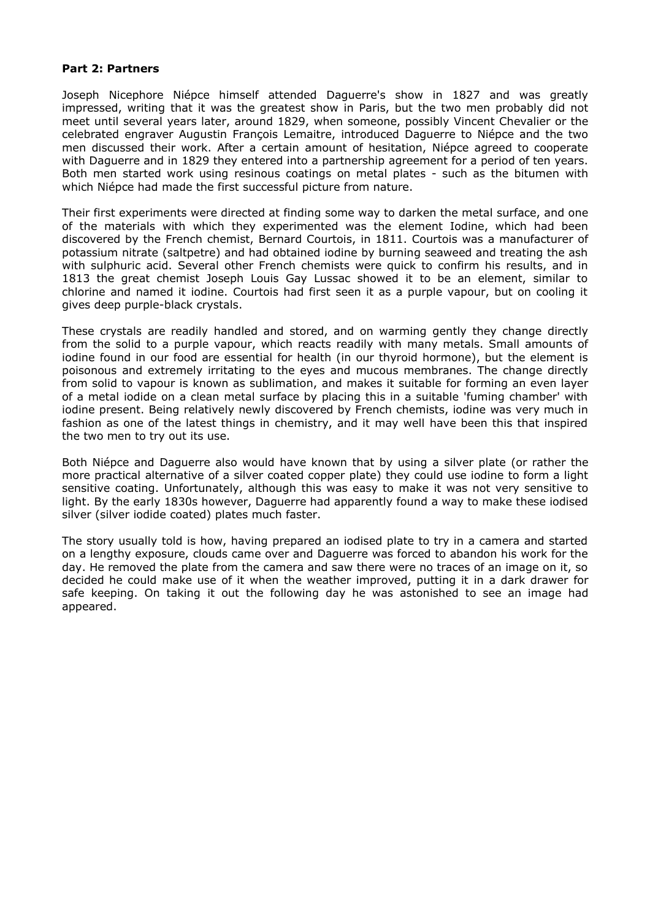#### **Part 2: Partners**

Joseph Nicephore Niépce himself attended Daguerre's show in 1827 and was greatly impressed, writing that it was the greatest show in Paris, but the two men probably did not meet until several years later, around 1829, when someone, possibly Vincent Chevalier or the celebrated engraver Augustin François Lemaitre, introduced Daguerre to Niépce and the two men discussed their work. After a certain amount of hesitation, Niépce agreed to cooperate with Daguerre and in 1829 they entered into a partnership agreement for a period of ten years. Both men started work using resinous coatings on metal plates - such as the bitumen with which Niépce had made the first successful picture from nature.

Their first experiments were directed at finding some way to darken the metal surface, and one of the materials with which they experimented was the element Iodine, which had been discovered by the French chemist, Bernard Courtois, in 1811. Courtois was a manufacturer of potassium nitrate (saltpetre) and had obtained iodine by burning seaweed and treating the ash with sulphuric acid. Several other French chemists were quick to confirm his results, and in 1813 the great chemist Joseph Louis Gay Lussac showed it to be an element, similar to chlorine and named it iodine. Courtois had first seen it as a purple vapour, but on cooling it gives deep purple-black crystals.

These crystals are readily handled and stored, and on warming gently they change directly from the solid to a purple vapour, which reacts readily with many metals. Small amounts of iodine found in our food are essential for health (in our thyroid hormone), but the element is poisonous and extremely irritating to the eyes and mucous membranes. The change directly from solid to vapour is known as sublimation, and makes it suitable for forming an even layer of a metal iodide on a clean metal surface by placing this in a suitable 'fuming chamber' with iodine present. Being relatively newly discovered by French chemists, iodine was very much in fashion as one of the latest things in chemistry, and it may well have been this that inspired the two men to try out its use.

Both Niépce and Daguerre also would have known that by using a silver plate (or rather the more practical alternative of a silver coated copper plate) they could use iodine to form a light sensitive coating. Unfortunately, although this was easy to make it was not very sensitive to light. By the early 1830s however, Daguerre had apparently found a way to make these iodised silver (silver iodide coated) plates much faster.

The story usually told is how, having prepared an iodised plate to try in a camera and started on a lengthy exposure, clouds came over and Daguerre was forced to abandon his work for the day. He removed the plate from the camera and saw there were no traces of an image on it, so decided he could make use of it when the weather improved, putting it in a dark drawer for safe keeping. On taking it out the following day he was astonished to see an image had appeared.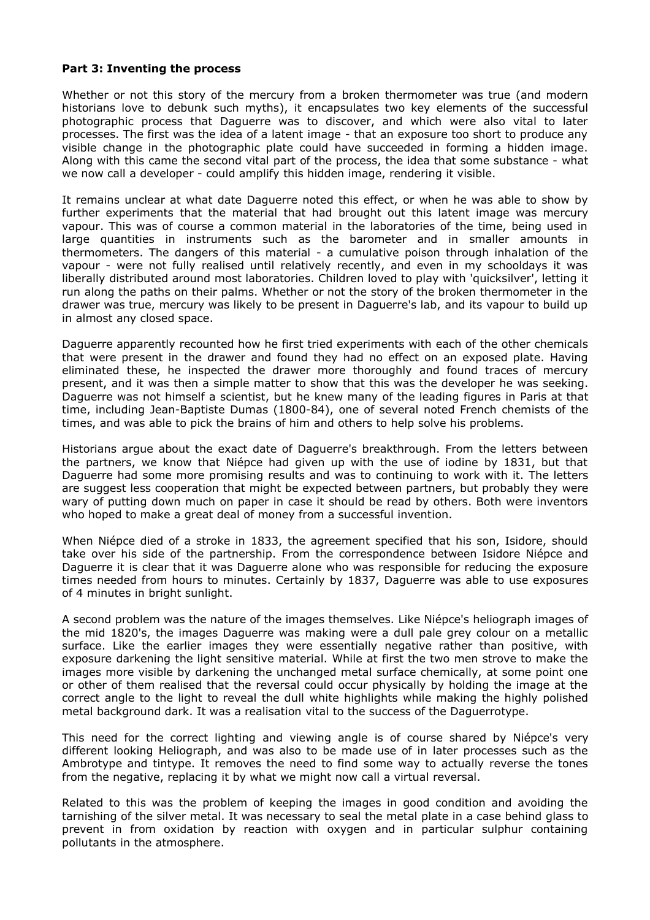### **Part 3: Inventing the process**

Whether or not this story of the mercury from a broken thermometer was true (and modern historians love to debunk such myths), it encapsulates two key elements of the successful photographic process that Daguerre was to discover, and which were also vital to later processes. The first was the idea of a latent image - that an exposure too short to produce any visible change in the photographic plate could have succeeded in forming a hidden image. Along with this came the second vital part of the process, the idea that some substance - what we now call a developer - could amplify this hidden image, rendering it visible.

It remains unclear at what date Daguerre noted this effect, or when he was able to show by further experiments that the material that had brought out this latent image was mercury vapour. This was of course a common material in the laboratories of the time, being used in large quantities in instruments such as the barometer and in smaller amounts in thermometers. The dangers of this material - a cumulative poison through inhalation of the vapour - were not fully realised until relatively recently, and even in my schooldays it was liberally distributed around most laboratories. Children loved to play with 'quicksilver', letting it run along the paths on their palms. Whether or not the story of the broken thermometer in the drawer was true, mercury was likely to be present in Daguerre's lab, and its vapour to build up in almost any closed space.

Daguerre apparently recounted how he first tried experiments with each of the other chemicals that were present in the drawer and found they had no effect on an exposed plate. Having eliminated these, he inspected the drawer more thoroughly and found traces of mercury present, and it was then a simple matter to show that this was the developer he was seeking. Daguerre was not himself a scientist, but he knew many of the leading figures in Paris at that time, including Jean-Baptiste Dumas (1800-84), one of several noted French chemists of the times, and was able to pick the brains of him and others to help solve his problems.

Historians argue about the exact date of Daguerre's breakthrough. From the letters between the partners, we know that Niépce had given up with the use of iodine by 1831, but that Daguerre had some more promising results and was to continuing to work with it. The letters are suggest less cooperation that might be expected between partners, but probably they were wary of putting down much on paper in case it should be read by others. Both were inventors who hoped to make a great deal of money from a successful invention.

When Niépce died of a stroke in 1833, the agreement specified that his son, Isidore, should take over his side of the partnership. From the correspondence between Isidore Niépce and Daguerre it is clear that it was Daguerre alone who was responsible for reducing the exposure times needed from hours to minutes. Certainly by 1837, Daguerre was able to use exposures of 4 minutes in bright sunlight.

A second problem was the nature of the images themselves. Like Niépce's heliograph images of the mid 1820's, the images Daguerre was making were a dull pale grey colour on a metallic surface. Like the earlier images they were essentially negative rather than positive, with exposure darkening the light sensitive material. While at first the two men strove to make the images more visible by darkening the unchanged metal surface chemically, at some point one or other of them realised that the reversal could occur physically by holding the image at the correct angle to the light to reveal the dull white highlights while making the highly polished metal background dark. It was a realisation vital to the success of the Daguerrotype.

This need for the correct lighting and viewing angle is of course shared by Niépce's very different looking Heliograph, and was also to be made use of in later processes such as the Ambrotype and tintype. It removes the need to find some way to actually reverse the tones from the negative, replacing it by what we might now call a virtual reversal.

Related to this was the problem of keeping the images in good condition and avoiding the tarnishing of the silver metal. It was necessary to seal the metal plate in a case behind glass to prevent in from oxidation by reaction with oxygen and in particular sulphur containing pollutants in the atmosphere.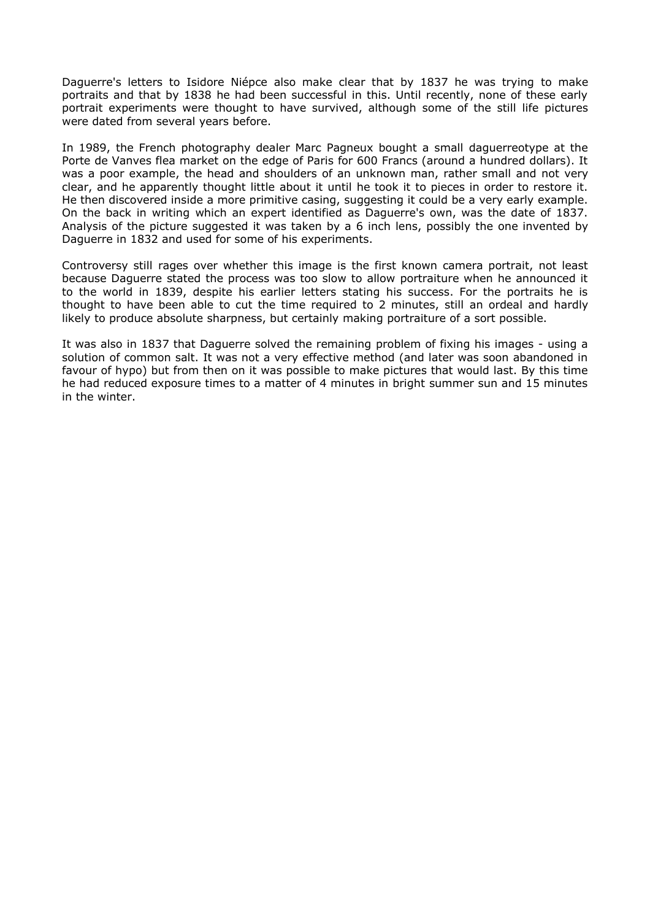Daguerre's letters to Isidore Niépce also make clear that by 1837 he was trying to make portraits and that by 1838 he had been successful in this. Until recently, none of these early portrait experiments were thought to have survived, although some of the still life pictures were dated from several years before.

In 1989, the French photography dealer Marc Pagneux bought a small daguerreotype at the Porte de Vanves flea market on the edge of Paris for 600 Francs (around a hundred dollars). It was a poor example, the head and shoulders of an unknown man, rather small and not very clear, and he apparently thought little about it until he took it to pieces in order to restore it. He then discovered inside a more primitive casing, suggesting it could be a very early example. On the back in writing which an expert identified as Daguerre's own, was the date of 1837. Analysis of the picture suggested it was taken by a 6 inch lens, possibly the one invented by Daguerre in 1832 and used for some of his experiments.

Controversy still rages over whether this image is the first known camera portrait, not least because Daguerre stated the process was too slow to allow portraiture when he announced it to the world in 1839, despite his earlier letters stating his success. For the portraits he is thought to have been able to cut the time required to 2 minutes, still an ordeal and hardly likely to produce absolute sharpness, but certainly making portraiture of a sort possible.

It was also in 1837 that Daguerre solved the remaining problem of fixing his images - using a solution of common salt. It was not a very effective method (and later was soon abandoned in favour of hypo) but from then on it was possible to make pictures that would last. By this time he had reduced exposure times to a matter of 4 minutes in bright summer sun and 15 minutes in the winter.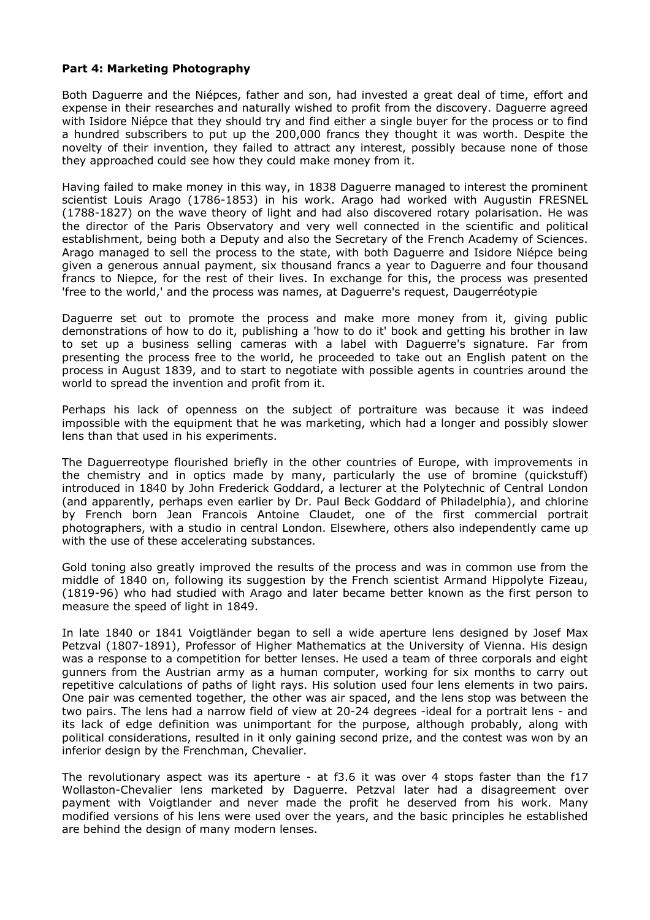### **Part 4: Marketing Photography**

Both Daguerre and the Niépces, father and son, had invested a great deal of time, effort and expense in their researches and naturally wished to profit from the discovery. Daguerre agreed with Isidore Niépce that they should try and find either a single buyer for the process or to find a hundred subscribers to put up the 200,000 francs they thought it was worth. Despite the novelty of their invention, they failed to attract any interest, possibly because none of those they approached could see how they could make money from it.

Having failed to make money in this way, in 1838 Daguerre managed to interest the prominent scientist Louis Arago (1786-1853) in his work. Arago had worked with Augustin FRESNEL (1788-1827) on the wave theory of light and had also discovered rotary polarisation. He was the director of the Paris Observatory and very well connected in the scientific and political establishment, being both a Deputy and also the Secretary of the French Academy of Sciences. Arago managed to sell the process to the state, with both Daguerre and Isidore Niépce being given a generous annual payment, six thousand francs a year to Daguerre and four thousand francs to Niepce, for the rest of their lives. In exchange for this, the process was presented 'free to the world,' and the process was names, at Daguerre's request, Daugerréotypie

Daguerre set out to promote the process and make more money from it, giving public demonstrations of how to do it, publishing a 'how to do it' book and getting his brother in law to set up a business selling cameras with a label with Daguerre's signature. Far from presenting the process free to the world, he proceeded to take out an English patent on the process in August 1839, and to start to negotiate with possible agents in countries around the world to spread the invention and profit from it.

Perhaps his lack of openness on the subject of portraiture was because it was indeed impossible with the equipment that he was marketing, which had a longer and possibly slower lens than that used in his experiments.

The Daguerreotype flourished briefly in the other countries of Europe, with improvements in the chemistry and in optics made by many, particularly the use of bromine (quickstuff) introduced in 1840 by John Frederick Goddard, a lecturer at the Polytechnic of Central London (and apparently, perhaps even earlier by Dr. Paul Beck Goddard of Philadelphia), and chlorine by French born Jean Francois Antoine Claudet, one of the first commercial portrait photographers, with a studio in central London. Elsewhere, others also independently came up with the use of these accelerating substances.

Gold toning also greatly improved the results of the process and was in common use from the middle of 1840 on, following its suggestion by the French scientist Armand Hippolyte Fizeau, (1819-96) who had studied with Arago and later became better known as the first person to measure the speed of light in 1849.

In late 1840 or 1841 Voigtländer began to sell a wide aperture lens designed by Josef Max Petzval (1807-1891), Professor of Higher Mathematics at the University of Vienna. His design was a response to a competition for better lenses. He used a team of three corporals and eight gunners from the Austrian army as a human computer, working for six months to carry out repetitive calculations of paths of light rays. His solution used four lens elements in two pairs. One pair was cemented together, the other was air spaced, and the lens stop was between the two pairs. The lens had a narrow field of view at 20-24 degrees -ideal for a portrait lens - and its lack of edge definition was unimportant for the purpose, although probably, along with political considerations, resulted in it only gaining second prize, and the contest was won by an inferior design by the Frenchman, Chevalier.

The revolutionary aspect was its aperture - at f3.6 it was over 4 stops faster than the f17 Wollaston-Chevalier lens marketed by Daguerre. Petzval later had a disagreement over payment with Voigtlander and never made the profit he deserved from his work. Many modified versions of his lens were used over the years, and the basic principles he established are behind the design of many modern lenses.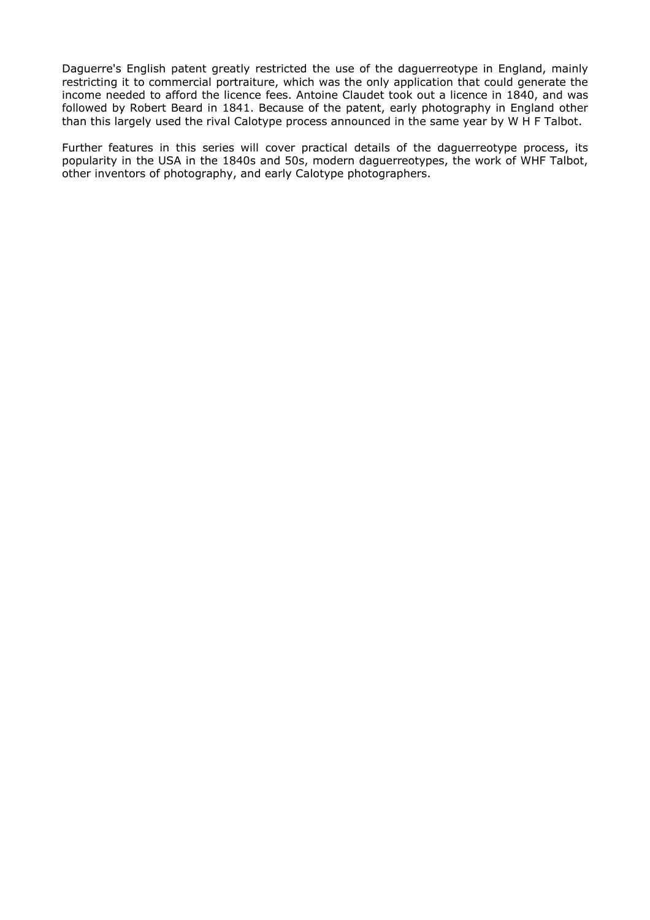Daguerre's English patent greatly restricted the use of the daguerreotype in England, mainly restricting it to commercial portraiture, which was the only application that could generate the income needed to afford the licence fees. Antoine Claudet took out a licence in 1840, and was followed by Robert Beard in 1841. Because of the patent, early photography in England other than this largely used the rival Calotype process announced in the same year by W H F Talbot.

Further features in this series will cover practical details of the daguerreotype process, its popularity in the USA in the 1840s and 50s, modern daguerreotypes, the work of WHF Talbot, other inventors of photography, and early Calotype photographers.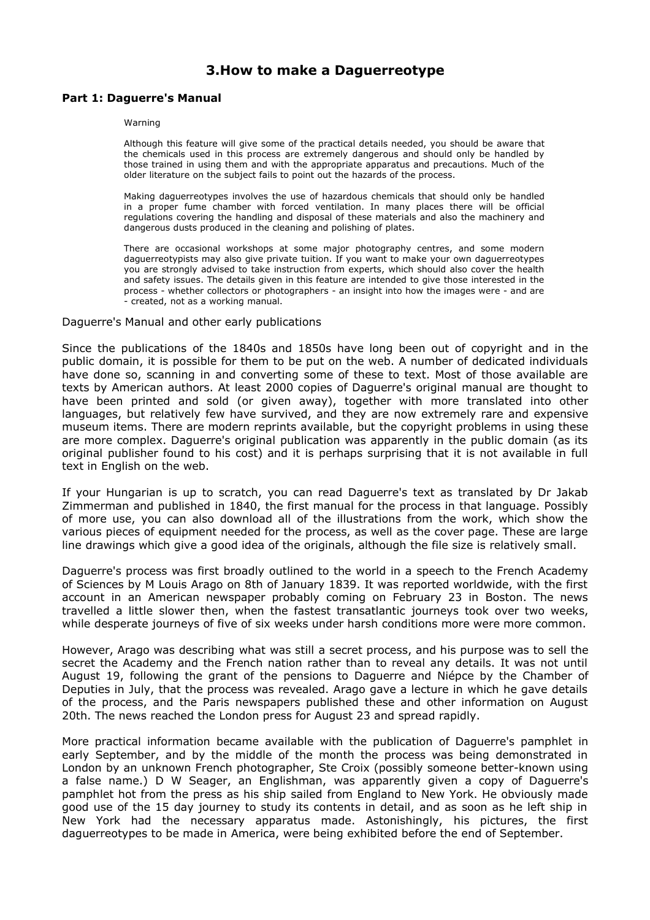## **3.How to make a Daguerreotype**

#### **Part 1: Daguerre's Manual**

#### Warning

Although this feature will give some of the practical details needed, you should be aware that the chemicals used in this process are extremely dangerous and should only be handled by those trained in using them and with the appropriate apparatus and precautions. Much of the older literature on the subject fails to point out the hazards of the process.

Making daguerreotypes involves the use of hazardous chemicals that should only be handled in a proper fume chamber with forced ventilation. In many places there will be official regulations covering the handling and disposal of these materials and also the machinery and dangerous dusts produced in the cleaning and polishing of plates.

There are occasional workshops at some major photography centres, and some modern daguerreotypists may also give private tuition. If you want to make your own daguerreotypes you are strongly advised to take instruction from experts, which should also cover the health and safety issues. The details given in this feature are intended to give those interested in the process - whether collectors or photographers - an insight into how the images were - and are - created, not as a working manual.

#### Daguerre's Manual and other early publications

Since the publications of the 1840s and 1850s have long been out of copyright and in the public domain, it is possible for them to be put on the web. A number of dedicated individuals have done so, scanning in and converting some of these to text. Most of those available are texts by American authors. At least 2000 copies of Daguerre's original manual are thought to have been printed and sold (or given away), together with more translated into other languages, but relatively few have survived, and they are now extremely rare and expensive museum items. There are modern reprints available, but the copyright problems in using these are more complex. Daguerre's original publication was apparently in the public domain (as its original publisher found to his cost) and it is perhaps surprising that it is not available in full text in English on the web.

If your Hungarian is up to scratch, you can read Daguerre's text as translated by Dr Jakab Zimmerman and published in 1840, the first manual for the process in that language. Possibly of more use, you can also download all of the illustrations from the work, which show the various pieces of equipment needed for the process, as well as the cover page. These are large line drawings which give a good idea of the originals, although the file size is relatively small.

Daguerre's process was first broadly outlined to the world in a speech to the French Academy of Sciences by M Louis Arago on 8th of January 1839. It was reported worldwide, with the first account in an American newspaper probably coming on February 23 in Boston. The news travelled a little slower then, when the fastest transatlantic journeys took over two weeks, while desperate journeys of five of six weeks under harsh conditions more were more common.

However, Arago was describing what was still a secret process, and his purpose was to sell the secret the Academy and the French nation rather than to reveal any details. It was not until August 19, following the grant of the pensions to Daguerre and Niépce by the Chamber of Deputies in July, that the process was revealed. Arago gave a lecture in which he gave details of the process, and the Paris newspapers published these and other information on August 20th. The news reached the London press for August 23 and spread rapidly.

More practical information became available with the publication of Daguerre's pamphlet in early September, and by the middle of the month the process was being demonstrated in London by an unknown French photographer, Ste Croix (possibly someone better-known using a false name.) D W Seager, an Englishman, was apparently given a copy of Daguerre's pamphlet hot from the press as his ship sailed from England to New York. He obviously made good use of the 15 day journey to study its contents in detail, and as soon as he left ship in New York had the necessary apparatus made. Astonishingly, his pictures, the first daguerreotypes to be made in America, were being exhibited before the end of September.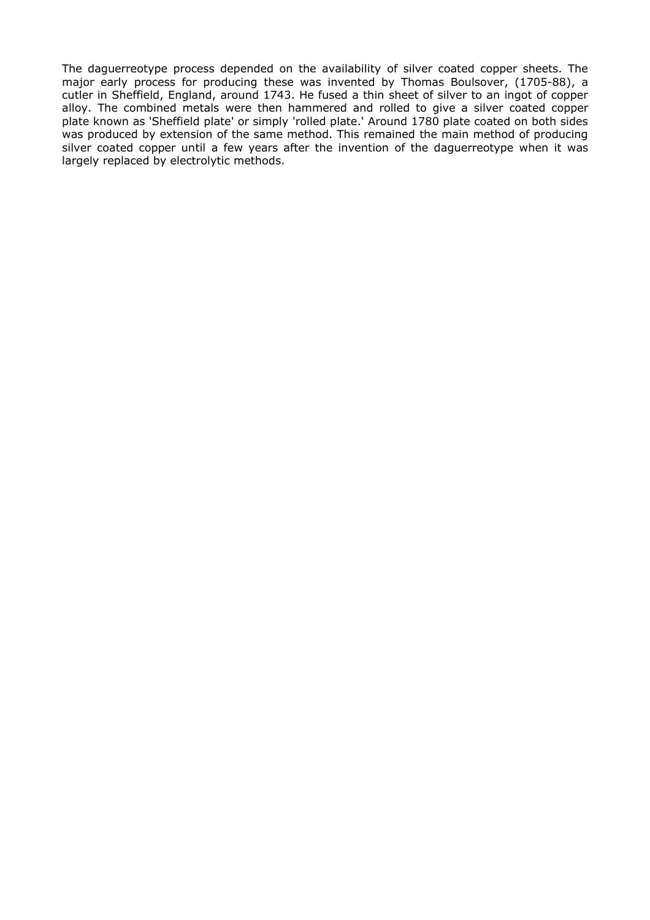The daguerreotype process depended on the availability of silver coated copper sheets. The major early process for producing these was invented by Thomas Boulsover, (1705-88), a cutler in Sheffield, England, around 1743. He fused a thin sheet of silver to an ingot of copper alloy. The combined metals were then hammered and rolled to give a silver coated copper plate known as 'Sheffield plate' or simply 'rolled plate.' Around 1780 plate coated on both sides was produced by extension of the same method. This remained the main method of producing silver coated copper until a few years after the invention of the daguerreotype when it was largely replaced by electrolytic methods.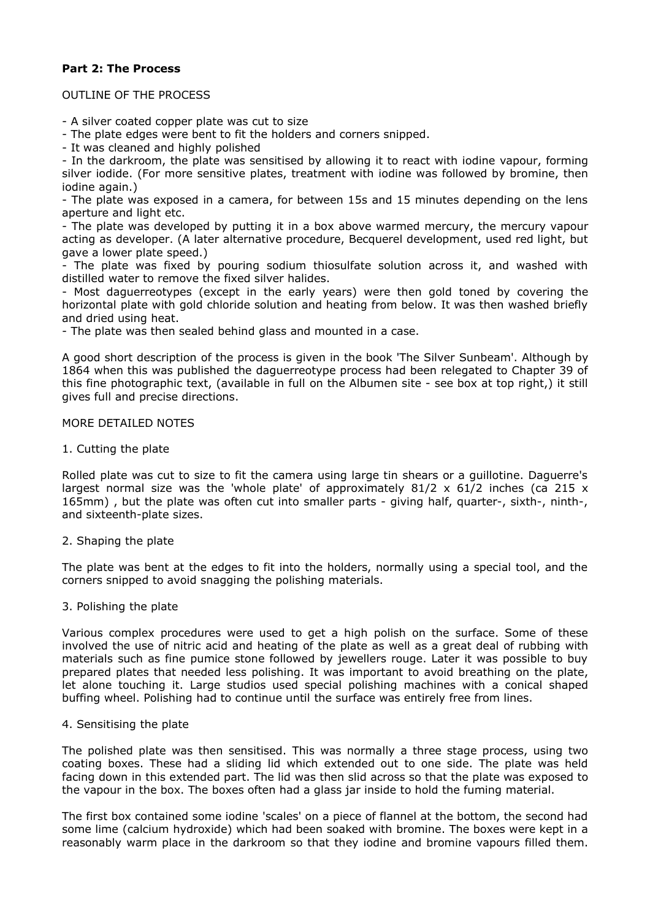### **Part 2: The Process**

#### OUTLINE OF THE PROCESS

- A silver coated copper plate was cut to size

- The plate edges were bent to fit the holders and corners snipped.

- It was cleaned and highly polished

- In the darkroom, the plate was sensitised by allowing it to react with iodine vapour, forming silver iodide. (For more sensitive plates, treatment with iodine was followed by bromine, then iodine again.)

- The plate was exposed in a camera, for between 15s and 15 minutes depending on the lens aperture and light etc.

- The plate was developed by putting it in a box above warmed mercury, the mercury vapour acting as developer. (A later alternative procedure, Becquerel development, used red light, but gave a lower plate speed.)

- The plate was fixed by pouring sodium thiosulfate solution across it, and washed with distilled water to remove the fixed silver halides.

- Most daguerreotypes (except in the early years) were then gold toned by covering the horizontal plate with gold chloride solution and heating from below. It was then washed briefly and dried using heat.

- The plate was then sealed behind glass and mounted in a case.

A good short description of the process is given in the book 'The Silver Sunbeam'. Although by 1864 when this was published the daguerreotype process had been relegated to Chapter 39 of this fine photographic text, (available in full on the Albumen site - see box at top right,) it still gives full and precise directions.

#### MORE DETAILED NOTES

#### 1. Cutting the plate

Rolled plate was cut to size to fit the camera using large tin shears or a guillotine. Daguerre's largest normal size was the 'whole plate' of approximately  $81/2 \times 61/2$  inches (ca 215 x 165mm) , but the plate was often cut into smaller parts - giving half, quarter-, sixth-, ninth-, and sixteenth-plate sizes.

### 2. Shaping the plate

The plate was bent at the edges to fit into the holders, normally using a special tool, and the corners snipped to avoid snagging the polishing materials.

#### 3. Polishing the plate

Various complex procedures were used to get a high polish on the surface. Some of these involved the use of nitric acid and heating of the plate as well as a great deal of rubbing with materials such as fine pumice stone followed by jewellers rouge. Later it was possible to buy prepared plates that needed less polishing. It was important to avoid breathing on the plate, let alone touching it. Large studios used special polishing machines with a conical shaped buffing wheel. Polishing had to continue until the surface was entirely free from lines.

#### 4. Sensitising the plate

The polished plate was then sensitised. This was normally a three stage process, using two coating boxes. These had a sliding lid which extended out to one side. The plate was held facing down in this extended part. The lid was then slid across so that the plate was exposed to the vapour in the box. The boxes often had a glass jar inside to hold the fuming material.

The first box contained some iodine 'scales' on a piece of flannel at the bottom, the second had some lime (calcium hydroxide) which had been soaked with bromine. The boxes were kept in a reasonably warm place in the darkroom so that they iodine and bromine vapours filled them.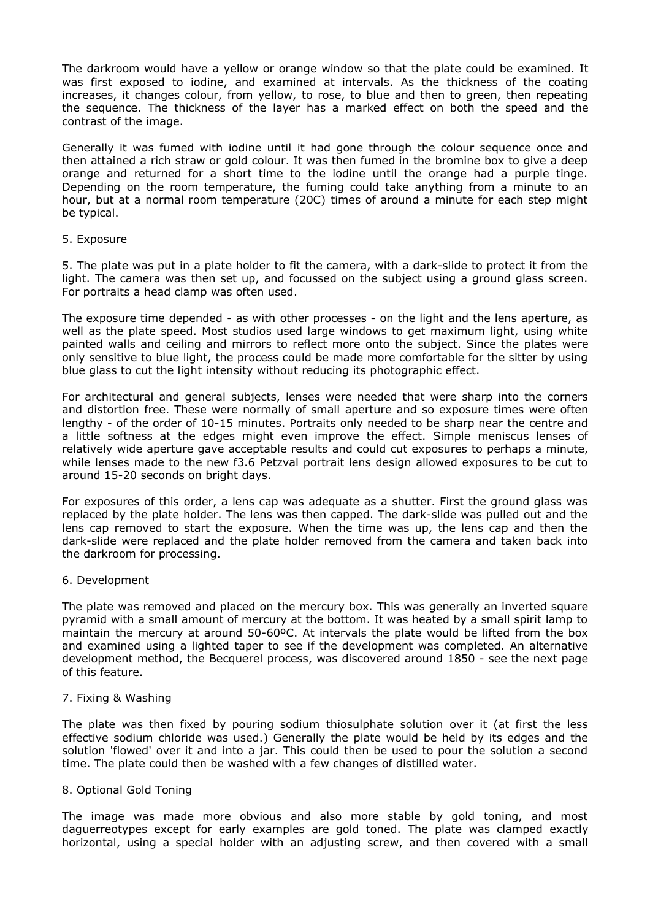The darkroom would have a yellow or orange window so that the plate could be examined. It was first exposed to iodine, and examined at intervals. As the thickness of the coating increases, it changes colour, from yellow, to rose, to blue and then to green, then repeating the sequence. The thickness of the layer has a marked effect on both the speed and the contrast of the image.

Generally it was fumed with iodine until it had gone through the colour sequence once and then attained a rich straw or gold colour. It was then fumed in the bromine box to give a deep orange and returned for a short time to the iodine until the orange had a purple tinge. Depending on the room temperature, the fuming could take anything from a minute to an hour, but at a normal room temperature (20C) times of around a minute for each step might be typical.

#### 5. Exposure

5. The plate was put in a plate holder to fit the camera, with a dark-slide to protect it from the light. The camera was then set up, and focussed on the subject using a ground glass screen. For portraits a head clamp was often used.

The exposure time depended - as with other processes - on the light and the lens aperture, as well as the plate speed. Most studios used large windows to get maximum light, using white painted walls and ceiling and mirrors to reflect more onto the subject. Since the plates were only sensitive to blue light, the process could be made more comfortable for the sitter by using blue glass to cut the light intensity without reducing its photographic effect.

For architectural and general subjects, lenses were needed that were sharp into the corners and distortion free. These were normally of small aperture and so exposure times were often lengthy - of the order of 10-15 minutes. Portraits only needed to be sharp near the centre and a little softness at the edges might even improve the effect. Simple meniscus lenses of relatively wide aperture gave acceptable results and could cut exposures to perhaps a minute, while lenses made to the new f3.6 Petzval portrait lens design allowed exposures to be cut to around 15-20 seconds on bright days.

For exposures of this order, a lens cap was adequate as a shutter. First the ground glass was replaced by the plate holder. The lens was then capped. The dark-slide was pulled out and the lens cap removed to start the exposure. When the time was up, the lens cap and then the dark-slide were replaced and the plate holder removed from the camera and taken back into the darkroom for processing.

### 6. Development

The plate was removed and placed on the mercury box. This was generally an inverted square pyramid with a small amount of mercury at the bottom. It was heated by a small spirit lamp to maintain the mercury at around 50-60ºC. At intervals the plate would be lifted from the box and examined using a lighted taper to see if the development was completed. An alternative development method, the Becquerel process, was discovered around 1850 - see the next page of this feature.

#### 7. Fixing & Washing

The plate was then fixed by pouring sodium thiosulphate solution over it (at first the less effective sodium chloride was used.) Generally the plate would be held by its edges and the solution 'flowed' over it and into a jar. This could then be used to pour the solution a second time. The plate could then be washed with a few changes of distilled water.

### 8. Optional Gold Toning

The image was made more obvious and also more stable by gold toning, and most daguerreotypes except for early examples are gold toned. The plate was clamped exactly horizontal, using a special holder with an adjusting screw, and then covered with a small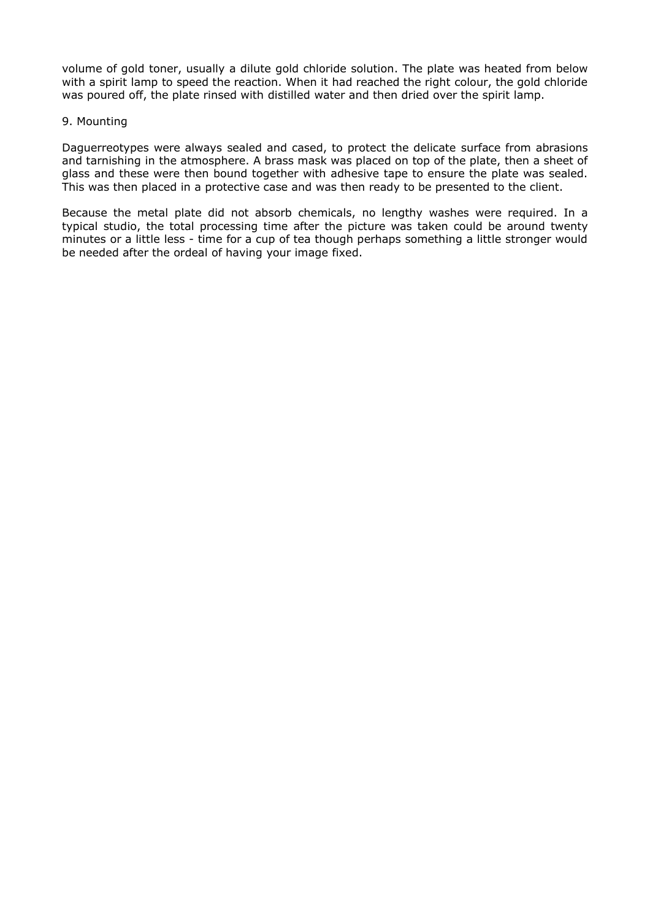volume of gold toner, usually a dilute gold chloride solution. The plate was heated from below with a spirit lamp to speed the reaction. When it had reached the right colour, the gold chloride was poured off, the plate rinsed with distilled water and then dried over the spirit lamp.

### 9. Mounting

Daguerreotypes were always sealed and cased, to protect the delicate surface from abrasions and tarnishing in the atmosphere. A brass mask was placed on top of the plate, then a sheet of glass and these were then bound together with adhesive tape to ensure the plate was sealed. This was then placed in a protective case and was then ready to be presented to the client.

Because the metal plate did not absorb chemicals, no lengthy washes were required. In a typical studio, the total processing time after the picture was taken could be around twenty minutes or a little less - time for a cup of tea though perhaps something a little stronger would be needed after the ordeal of having your image fixed.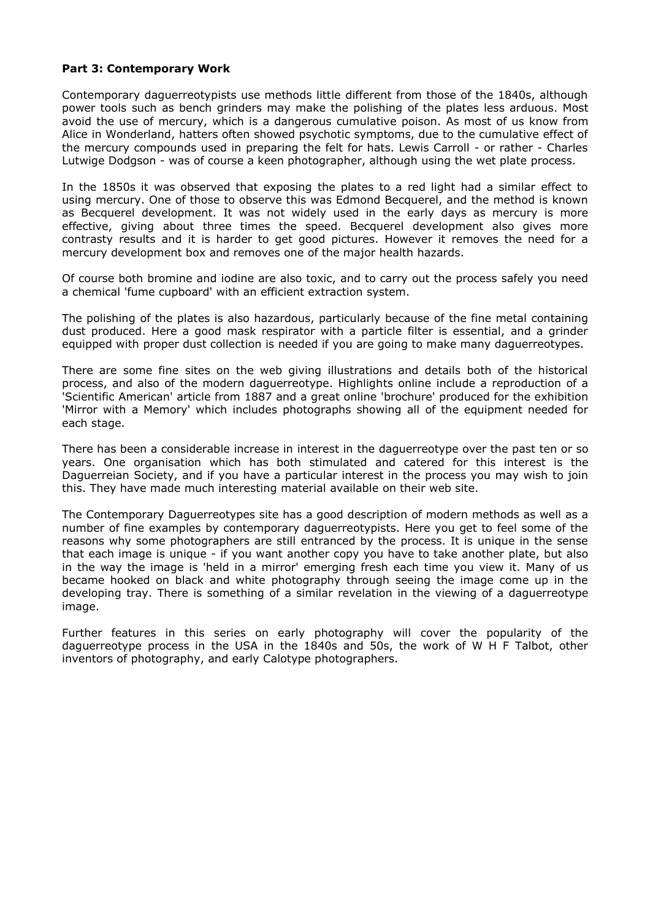### **Part 3: Contemporary Work**

Contemporary daguerreotypists use methods little different from those of the 1840s, although power tools such as bench grinders may make the polishing of the plates less arduous. Most avoid the use of mercury, which is a dangerous cumulative poison. As most of us know from Alice in Wonderland, hatters often showed psychotic symptoms, due to the cumulative effect of the mercury compounds used in preparing the felt for hats. Lewis Carroll - or rather - Charles Lutwige Dodgson - was of course a keen photographer, although using the wet plate process.

In the 1850s it was observed that exposing the plates to a red light had a similar effect to using mercury. One of those to observe this was Edmond Becquerel, and the method is known as Becquerel development. It was not widely used in the early days as mercury is more effective, giving about three times the speed. Becquerel development also gives more contrasty results and it is harder to get good pictures. However it removes the need for a mercury development box and removes one of the major health hazards.

Of course both bromine and iodine are also toxic, and to carry out the process safely you need a chemical 'fume cupboard' with an efficient extraction system.

The polishing of the plates is also hazardous, particularly because of the fine metal containing dust produced. Here a good mask respirator with a particle filter is essential, and a grinder equipped with proper dust collection is needed if you are going to make many daguerreotypes.

There are some fine sites on the web giving illustrations and details both of the historical process, and also of the modern daguerreotype. Highlights online include a reproduction of a 'Scientific American' article from 1887 and a great online 'brochure' produced for the exhibition 'Mirror with a Memory' which includes photographs showing all of the equipment needed for each stage.

There has been a considerable increase in interest in the daguerreotype over the past ten or so years. One organisation which has both stimulated and catered for this interest is the Daguerreian Society, and if you have a particular interest in the process you may wish to join this. They have made much interesting material available on their web site.

The Contemporary Daguerreotypes site has a good description of modern methods as well as a number of fine examples by contemporary daguerreotypists. Here you get to feel some of the reasons why some photographers are still entranced by the process. It is unique in the sense that each image is unique - if you want another copy you have to take another plate, but also in the way the image is 'held in a mirror' emerging fresh each time you view it. Many of us became hooked on black and white photography through seeing the image come up in the developing tray. There is something of a similar revelation in the viewing of a daguerreotype image.

Further features in this series on early photography will cover the popularity of the daguerreotype process in the USA in the 1840s and 50s, the work of W H F Talbot, other inventors of photography, and early Calotype photographers.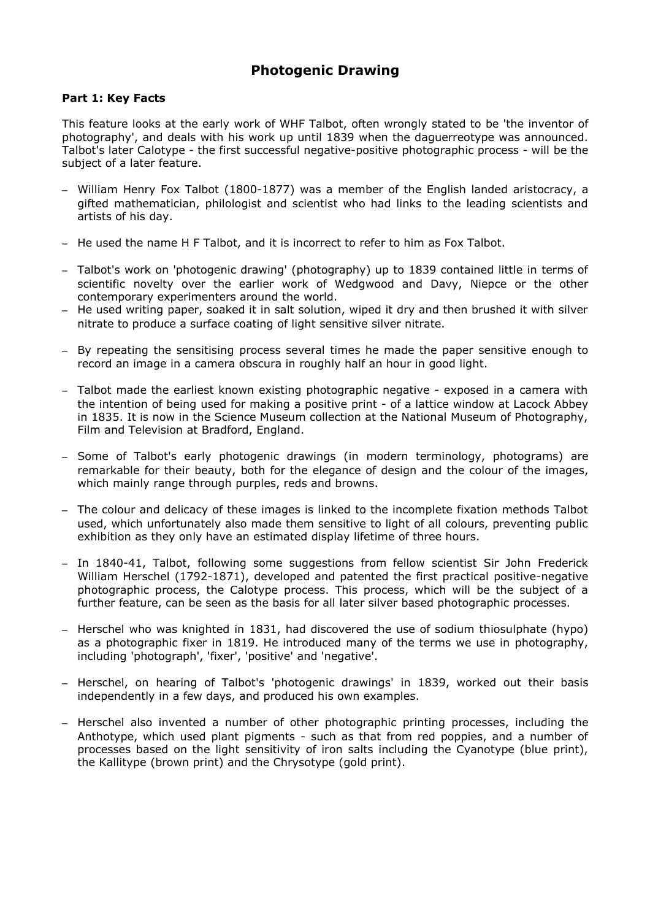# **Photogenic Drawing**

## **Part 1: Key Facts**

This feature looks at the early work of WHF Talbot, often wrongly stated to be 'the inventor of photography', and deals with his work up until 1839 when the daguerreotype was announced. Talbot's later Calotype - the first successful negative-positive photographic process - will be the subject of a later feature.

- William Henry Fox Talbot (1800-1877) was a member of the English landed aristocracy, a gifted mathematician, philologist and scientist who had links to the leading scientists and artists of his day.
- He used the name H F Talbot, and it is incorrect to refer to him as Fox Talbot.
- Talbot's work on 'photogenic drawing' (photography) up to 1839 contained little in terms of scientific novelty over the earlier work of Wedgwood and Davy, Niepce or the other contemporary experimenters around the world.
- He used writing paper, soaked it in salt solution, wiped it dry and then brushed it with silver nitrate to produce a surface coating of light sensitive silver nitrate.
- By repeating the sensitising process several times he made the paper sensitive enough to record an image in a camera obscura in roughly half an hour in good light.
- Talbot made the earliest known existing photographic negative exposed in a camera with the intention of being used for making a positive print - of a lattice window at Lacock Abbey in 1835. It is now in the Science Museum collection at the National Museum of Photography, Film and Television at Bradford, England.
- Some of Talbot's early photogenic drawings (in modern terminology, photograms) are remarkable for their beauty, both for the elegance of design and the colour of the images, which mainly range through purples, reds and browns.
- The colour and delicacy of these images is linked to the incomplete fixation methods Talbot used, which unfortunately also made them sensitive to light of all colours, preventing public exhibition as they only have an estimated display lifetime of three hours.
- In 1840-41, Talbot, following some suggestions from fellow scientist Sir John Frederick William Herschel (1792-1871), developed and patented the first practical positive-negative photographic process, the Calotype process. This process, which will be the subject of a further feature, can be seen as the basis for all later silver based photographic processes.
- Herschel who was knighted in 1831, had discovered the use of sodium thiosulphate (hypo) as a photographic fixer in 1819. He introduced many of the terms we use in photography, including 'photograph', 'fixer', 'positive' and 'negative'.
- Herschel, on hearing of Talbot's 'photogenic drawings' in 1839, worked out their basis independently in a few days, and produced his own examples.
- Herschel also invented a number of other photographic printing processes, including the Anthotype, which used plant pigments - such as that from red poppies, and a number of processes based on the light sensitivity of iron salts including the Cyanotype (blue print), the Kallitype (brown print) and the Chrysotype (gold print).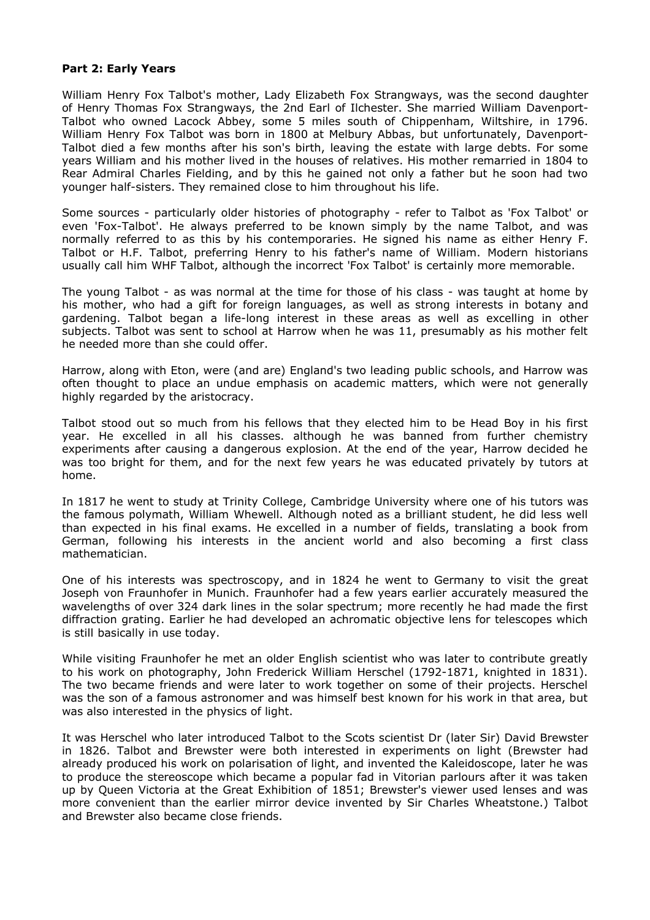#### **Part 2: Early Years**

William Henry Fox Talbot's mother, Lady Elizabeth Fox Strangways, was the second daughter of Henry Thomas Fox Strangways, the 2nd Earl of Ilchester. She married William Davenport-Talbot who owned Lacock Abbey, some 5 miles south of Chippenham, Wiltshire, in 1796. William Henry Fox Talbot was born in 1800 at Melbury Abbas, but unfortunately, Davenport-Talbot died a few months after his son's birth, leaving the estate with large debts. For some years William and his mother lived in the houses of relatives. His mother remarried in 1804 to Rear Admiral Charles Fielding, and by this he gained not only a father but he soon had two younger half-sisters. They remained close to him throughout his life.

Some sources - particularly older histories of photography - refer to Talbot as 'Fox Talbot' or even 'Fox-Talbot'. He always preferred to be known simply by the name Talbot, and was normally referred to as this by his contemporaries. He signed his name as either Henry F. Talbot or H.F. Talbot, preferring Henry to his father's name of William. Modern historians usually call him WHF Talbot, although the incorrect 'Fox Talbot' is certainly more memorable.

The young Talbot - as was normal at the time for those of his class - was taught at home by his mother, who had a gift for foreign languages, as well as strong interests in botany and gardening. Talbot began a life-long interest in these areas as well as excelling in other subjects. Talbot was sent to school at Harrow when he was 11, presumably as his mother felt he needed more than she could offer.

Harrow, along with Eton, were (and are) England's two leading public schools, and Harrow was often thought to place an undue emphasis on academic matters, which were not generally highly regarded by the aristocracy.

Talbot stood out so much from his fellows that they elected him to be Head Boy in his first year. He excelled in all his classes. although he was banned from further chemistry experiments after causing a dangerous explosion. At the end of the year, Harrow decided he was too bright for them, and for the next few years he was educated privately by tutors at home.

In 1817 he went to study at Trinity College, Cambridge University where one of his tutors was the famous polymath, William Whewell. Although noted as a brilliant student, he did less well than expected in his final exams. He excelled in a number of fields, translating a book from German, following his interests in the ancient world and also becoming a first class mathematician.

One of his interests was spectroscopy, and in 1824 he went to Germany to visit the great Joseph von Fraunhofer in Munich. Fraunhofer had a few years earlier accurately measured the wavelengths of over 324 dark lines in the solar spectrum; more recently he had made the first diffraction grating. Earlier he had developed an achromatic objective lens for telescopes which is still basically in use today.

While visiting Fraunhofer he met an older English scientist who was later to contribute greatly to his work on photography, John Frederick William Herschel (1792-1871, knighted in 1831). The two became friends and were later to work together on some of their projects. Herschel was the son of a famous astronomer and was himself best known for his work in that area, but was also interested in the physics of light.

It was Herschel who later introduced Talbot to the Scots scientist Dr (later Sir) David Brewster in 1826. Talbot and Brewster were both interested in experiments on light (Brewster had already produced his work on polarisation of light, and invented the Kaleidoscope, later he was to produce the stereoscope which became a popular fad in Vitorian parlours after it was taken up by Queen Victoria at the Great Exhibition of 1851; Brewster's viewer used lenses and was more convenient than the earlier mirror device invented by Sir Charles Wheatstone.) Talbot and Brewster also became close friends.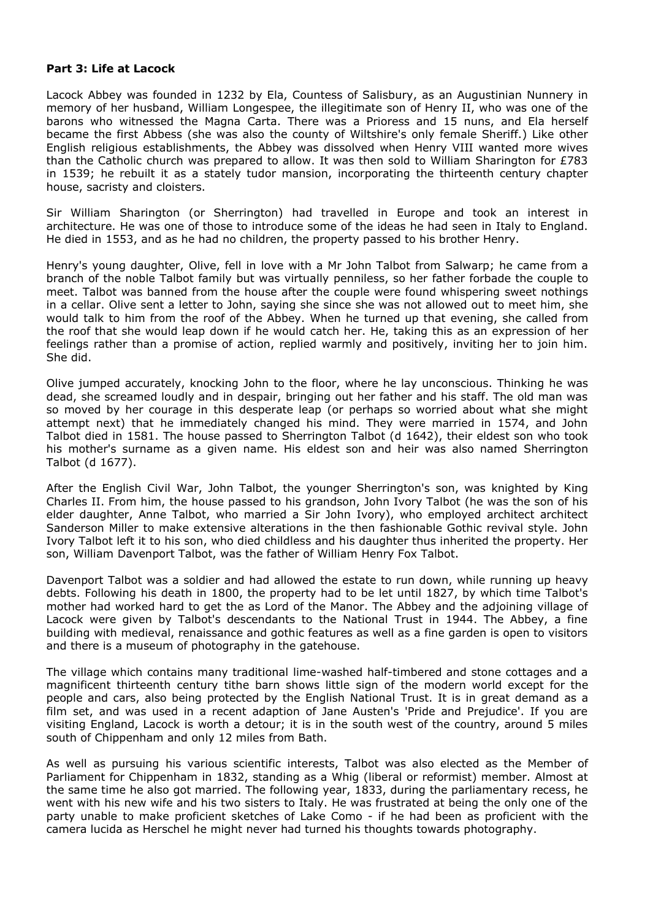#### **Part 3: Life at Lacock**

Lacock Abbey was founded in 1232 by Ela, Countess of Salisbury, as an Augustinian Nunnery in memory of her husband, William Longespee, the illegitimate son of Henry II, who was one of the barons who witnessed the Magna Carta. There was a Prioress and 15 nuns, and Ela herself became the first Abbess (she was also the county of Wiltshire's only female Sheriff.) Like other English religious establishments, the Abbey was dissolved when Henry VIII wanted more wives than the Catholic church was prepared to allow. It was then sold to William Sharington for £783 in 1539; he rebuilt it as a stately tudor mansion, incorporating the thirteenth century chapter house, sacristy and cloisters.

Sir William Sharington (or Sherrington) had travelled in Europe and took an interest in architecture. He was one of those to introduce some of the ideas he had seen in Italy to England. He died in 1553, and as he had no children, the property passed to his brother Henry.

Henry's young daughter, Olive, fell in love with a Mr John Talbot from Salwarp; he came from a branch of the noble Talbot family but was virtually penniless, so her father forbade the couple to meet. Talbot was banned from the house after the couple were found whispering sweet nothings in a cellar. Olive sent a letter to John, saying she since she was not allowed out to meet him, she would talk to him from the roof of the Abbey. When he turned up that evening, she called from the roof that she would leap down if he would catch her. He, taking this as an expression of her feelings rather than a promise of action, replied warmly and positively, inviting her to join him. She did.

Olive jumped accurately, knocking John to the floor, where he lay unconscious. Thinking he was dead, she screamed loudly and in despair, bringing out her father and his staff. The old man was so moved by her courage in this desperate leap (or perhaps so worried about what she might attempt next) that he immediately changed his mind. They were married in 1574, and John Talbot died in 1581. The house passed to Sherrington Talbot (d 1642), their eldest son who took his mother's surname as a given name. His eldest son and heir was also named Sherrington Talbot (d 1677).

After the English Civil War, John Talbot, the younger Sherrington's son, was knighted by King Charles II. From him, the house passed to his grandson, John Ivory Talbot (he was the son of his elder daughter, Anne Talbot, who married a Sir John Ivory), who employed architect architect Sanderson Miller to make extensive alterations in the then fashionable Gothic revival style. John Ivory Talbot left it to his son, who died childless and his daughter thus inherited the property. Her son, William Davenport Talbot, was the father of William Henry Fox Talbot.

Davenport Talbot was a soldier and had allowed the estate to run down, while running up heavy debts. Following his death in 1800, the property had to be let until 1827, by which time Talbot's mother had worked hard to get the as Lord of the Manor. The Abbey and the adjoining village of Lacock were given by Talbot's descendants to the National Trust in 1944. The Abbey, a fine building with medieval, renaissance and gothic features as well as a fine garden is open to visitors and there is a museum of photography in the gatehouse.

The village which contains many traditional lime-washed half-timbered and stone cottages and a magnificent thirteenth century tithe barn shows little sign of the modern world except for the people and cars, also being protected by the English National Trust. It is in great demand as a film set, and was used in a recent adaption of Jane Austen's 'Pride and Prejudice'. If you are visiting England, Lacock is worth a detour; it is in the south west of the country, around 5 miles south of Chippenham and only 12 miles from Bath.

As well as pursuing his various scientific interests, Talbot was also elected as the Member of Parliament for Chippenham in 1832, standing as a Whig (liberal or reformist) member. Almost at the same time he also got married. The following year, 1833, during the parliamentary recess, he went with his new wife and his two sisters to Italy. He was frustrated at being the only one of the party unable to make proficient sketches of Lake Como - if he had been as proficient with the camera lucida as Herschel he might never had turned his thoughts towards photography.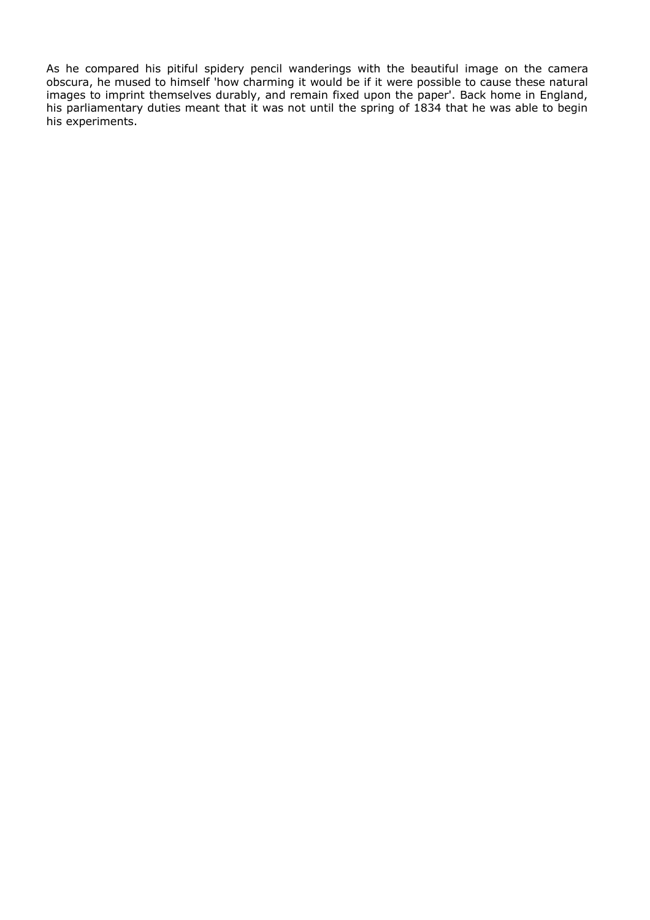As he compared his pitiful spidery pencil wanderings with the beautiful image on the camera obscura, he mused to himself 'how charming it would be if it were possible to cause these natural images to imprint themselves durably, and remain fixed upon the paper'. Back home in England, his parliamentary duties meant that it was not until the spring of 1834 that he was able to begin his experiments.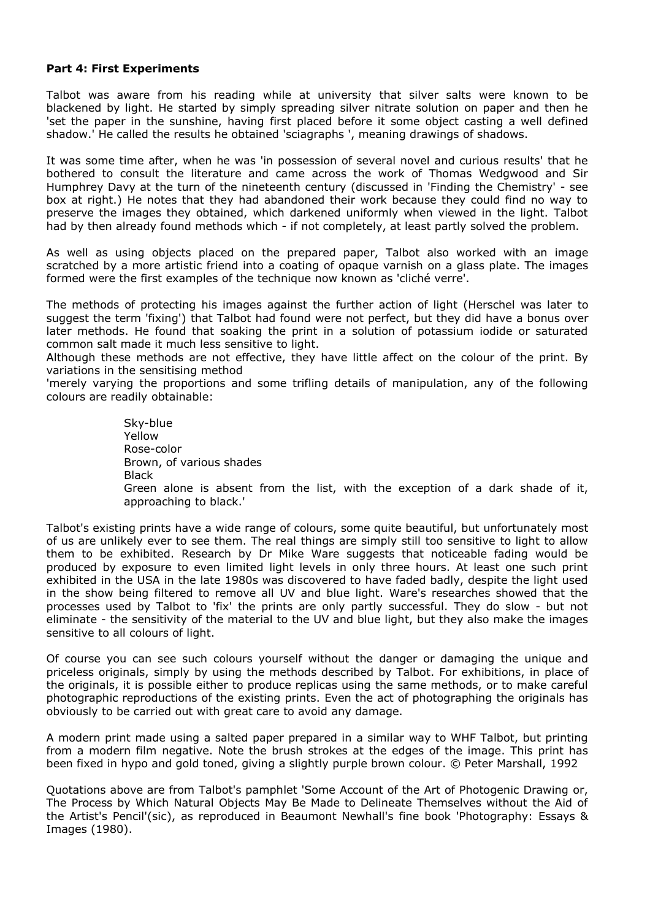#### **Part 4: First Experiments**

Talbot was aware from his reading while at university that silver salts were known to be blackened by light. He started by simply spreading silver nitrate solution on paper and then he 'set the paper in the sunshine, having first placed before it some object casting a well defined shadow.' He called the results he obtained 'sciagraphs ', meaning drawings of shadows.

It was some time after, when he was 'in possession of several novel and curious results' that he bothered to consult the literature and came across the work of Thomas Wedgwood and Sir Humphrey Davy at the turn of the nineteenth century (discussed in 'Finding the Chemistry' - see box at right.) He notes that they had abandoned their work because they could find no way to preserve the images they obtained, which darkened uniformly when viewed in the light. Talbot had by then already found methods which - if not completely, at least partly solved the problem.

As well as using objects placed on the prepared paper, Talbot also worked with an image scratched by a more artistic friend into a coating of opaque varnish on a glass plate. The images formed were the first examples of the technique now known as 'cliché verre'.

The methods of protecting his images against the further action of light (Herschel was later to suggest the term 'fixing') that Talbot had found were not perfect, but they did have a bonus over later methods. He found that soaking the print in a solution of potassium iodide or saturated common salt made it much less sensitive to light.

Although these methods are not effective, they have little affect on the colour of the print. By variations in the sensitising method

'merely varying the proportions and some trifling details of manipulation, any of the following colours are readily obtainable:

> Sky-blue Yellow Rose-color Brown, of various shades **Black** Green alone is absent from the list, with the exception of a dark shade of it, approaching to black.'

Talbot's existing prints have a wide range of colours, some quite beautiful, but unfortunately most of us are unlikely ever to see them. The real things are simply still too sensitive to light to allow them to be exhibited. Research by Dr Mike Ware suggests that noticeable fading would be produced by exposure to even limited light levels in only three hours. At least one such print exhibited in the USA in the late 1980s was discovered to have faded badly, despite the light used in the show being filtered to remove all UV and blue light. Ware's researches showed that the processes used by Talbot to 'fix' the prints are only partly successful. They do slow - but not eliminate - the sensitivity of the material to the UV and blue light, but they also make the images sensitive to all colours of light.

Of course you can see such colours yourself without the danger or damaging the unique and priceless originals, simply by using the methods described by Talbot. For exhibitions, in place of the originals, it is possible either to produce replicas using the same methods, or to make careful photographic reproductions of the existing prints. Even the act of photographing the originals has obviously to be carried out with great care to avoid any damage.

A modern print made using a salted paper prepared in a similar way to WHF Talbot, but printing from a modern film negative. Note the brush strokes at the edges of the image. This print has been fixed in hypo and gold toned, giving a slightly purple brown colour. © Peter Marshall, 1992

Quotations above are from Talbot's pamphlet 'Some Account of the Art of Photogenic Drawing or, The Process by Which Natural Objects May Be Made to Delineate Themselves without the Aid of the Artist's Pencil'(sic), as reproduced in Beaumont Newhall's fine book 'Photography: Essays & Images (1980).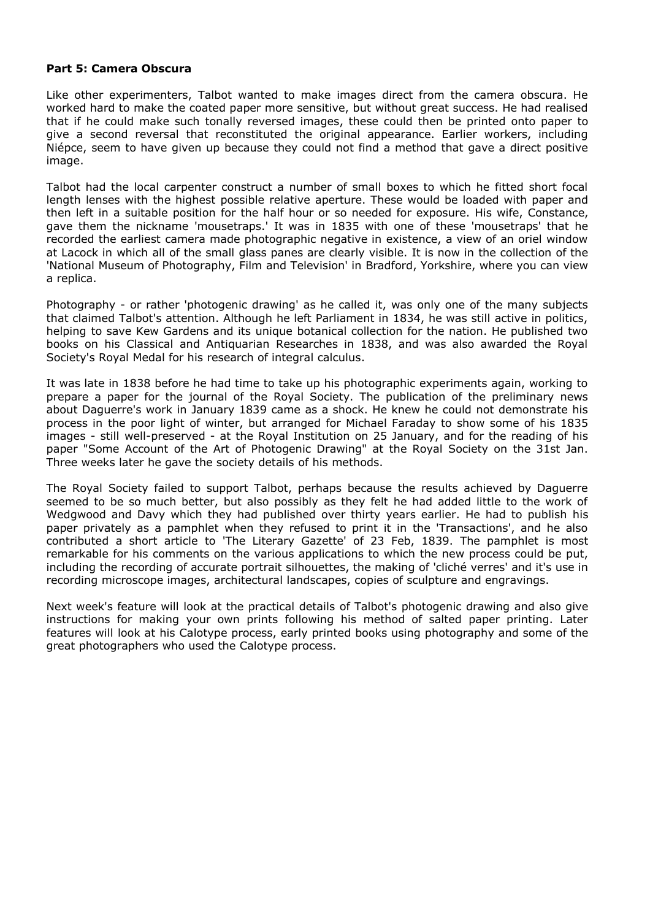#### **Part 5: Camera Obscura**

Like other experimenters, Talbot wanted to make images direct from the camera obscura. He worked hard to make the coated paper more sensitive, but without great success. He had realised that if he could make such tonally reversed images, these could then be printed onto paper to give a second reversal that reconstituted the original appearance. Earlier workers, including Niépce, seem to have given up because they could not find a method that gave a direct positive image.

Talbot had the local carpenter construct a number of small boxes to which he fitted short focal length lenses with the highest possible relative aperture. These would be loaded with paper and then left in a suitable position for the half hour or so needed for exposure. His wife, Constance, gave them the nickname 'mousetraps.' It was in 1835 with one of these 'mousetraps' that he recorded the earliest camera made photographic negative in existence, a view of an oriel window at Lacock in which all of the small glass panes are clearly visible. It is now in the collection of the 'National Museum of Photography, Film and Television' in Bradford, Yorkshire, where you can view a replica.

Photography - or rather 'photogenic drawing' as he called it, was only one of the many subjects that claimed Talbot's attention. Although he left Parliament in 1834, he was still active in politics, helping to save Kew Gardens and its unique botanical collection for the nation. He published two books on his Classical and Antiquarian Researches in 1838, and was also awarded the Royal Society's Royal Medal for his research of integral calculus.

It was late in 1838 before he had time to take up his photographic experiments again, working to prepare a paper for the journal of the Royal Society. The publication of the preliminary news about Daguerre's work in January 1839 came as a shock. He knew he could not demonstrate his process in the poor light of winter, but arranged for Michael Faraday to show some of his 1835 images - still well-preserved - at the Royal Institution on 25 January, and for the reading of his paper "Some Account of the Art of Photogenic Drawing" at the Royal Society on the 31st Jan. Three weeks later he gave the society details of his methods.

The Royal Society failed to support Talbot, perhaps because the results achieved by Daguerre seemed to be so much better, but also possibly as they felt he had added little to the work of Wedgwood and Davy which they had published over thirty years earlier. He had to publish his paper privately as a pamphlet when they refused to print it in the 'Transactions', and he also contributed a short article to 'The Literary Gazette' of 23 Feb, 1839. The pamphlet is most remarkable for his comments on the various applications to which the new process could be put, including the recording of accurate portrait silhouettes, the making of 'cliché verres' and it's use in recording microscope images, architectural landscapes, copies of sculpture and engravings.

Next week's feature will look at the practical details of Talbot's photogenic drawing and also give instructions for making your own prints following his method of salted paper printing. Later features will look at his Calotype process, early printed books using photography and some of the great photographers who used the Calotype process.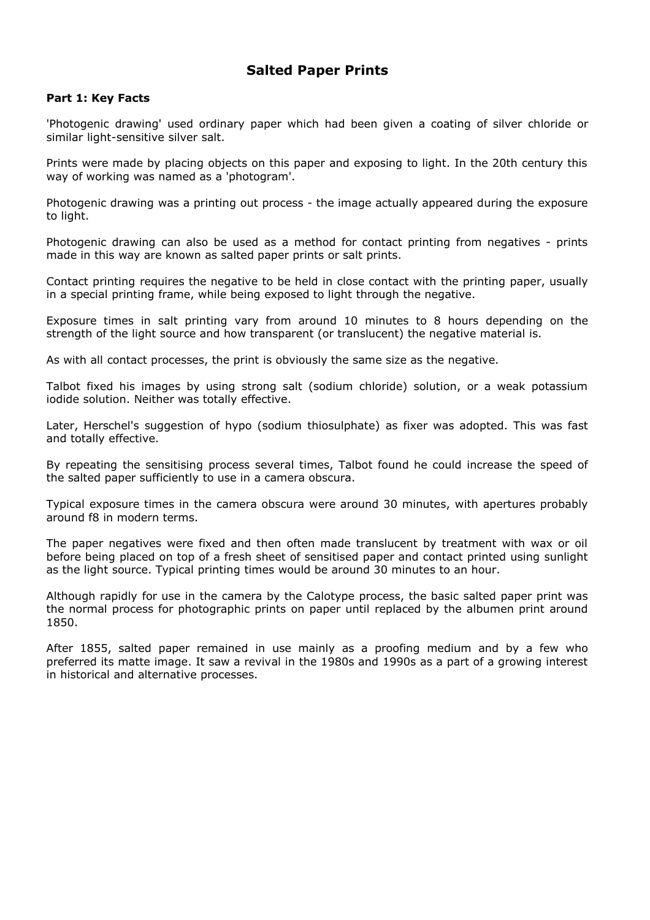# **Salted Paper Prints**

### **Part 1: Key Facts**

'Photogenic drawing' used ordinary paper which had been given a coating of silver chloride or similar light-sensitive silver salt.

Prints were made by placing objects on this paper and exposing to light. In the 20th century this way of working was named as a 'photogram'.

Photogenic drawing was a printing out process - the image actually appeared during the exposure to light.

Photogenic drawing can also be used as a method for contact printing from negatives - prints made in this way are known as salted paper prints or salt prints.

Contact printing requires the negative to be held in close contact with the printing paper, usually in a special printing frame, while being exposed to light through the negative.

Exposure times in salt printing vary from around 10 minutes to 8 hours depending on the strength of the light source and how transparent (or translucent) the negative material is.

As with all contact processes, the print is obviously the same size as the negative.

Talbot fixed his images by using strong salt (sodium chloride) solution, or a weak potassium iodide solution. Neither was totally effective.

Later, Herschel's suggestion of hypo (sodium thiosulphate) as fixer was adopted. This was fast and totally effective.

By repeating the sensitising process several times, Talbot found he could increase the speed of the salted paper sufficiently to use in a camera obscura.

Typical exposure times in the camera obscura were around 30 minutes, with apertures probably around f8 in modern terms.

The paper negatives were fixed and then often made translucent by treatment with wax or oil before being placed on top of a fresh sheet of sensitised paper and contact printed using sunlight as the light source. Typical printing times would be around 30 minutes to an hour.

Although rapidly for use in the camera by the Calotype process, the basic salted paper print was the normal process for photographic prints on paper until replaced by the albumen print around 1850.

After 1855, salted paper remained in use mainly as a proofing medium and by a few who preferred its matte image. It saw a revival in the 1980s and 1990s as a part of a growing interest in historical and alternative processes.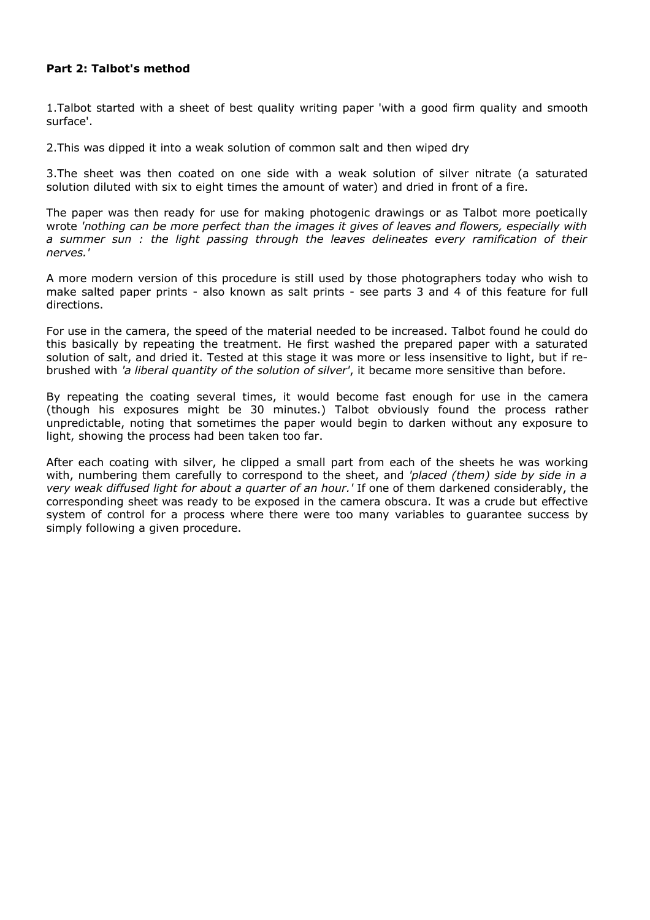## **Part 2: Talbot's method**

1.Talbot started with a sheet of best quality writing paper 'with a good firm quality and smooth surface'.

2.This was dipped it into a weak solution of common salt and then wiped dry

3.The sheet was then coated on one side with a weak solution of silver nitrate (a saturated solution diluted with six to eight times the amount of water) and dried in front of a fire.

The paper was then ready for use for making photogenic drawings or as Talbot more poetically wrote *'nothing can be more perfect than the images it gives of leaves and flowers, especially with a summer sun : the light passing through the leaves delineates every ramification of their nerves.'*

A more modern version of this procedure is still used by those photographers today who wish to make salted paper prints - also known as salt prints - see parts 3 and 4 of this feature for full directions.

For use in the camera, the speed of the material needed to be increased. Talbot found he could do this basically by repeating the treatment. He first washed the prepared paper with a saturated solution of salt, and dried it. Tested at this stage it was more or less insensitive to light, but if rebrushed with *'a liberal quantity of the solution of silver'*, it became more sensitive than before.

By repeating the coating several times, it would become fast enough for use in the camera (though his exposures might be 30 minutes.) Talbot obviously found the process rather unpredictable, noting that sometimes the paper would begin to darken without any exposure to light, showing the process had been taken too far.

After each coating with silver, he clipped a small part from each of the sheets he was working with, numbering them carefully to correspond to the sheet, and *'placed (them) side by side in a very weak diffused light for about a quarter of an hour.'* If one of them darkened considerably, the corresponding sheet was ready to be exposed in the camera obscura. It was a crude but effective system of control for a process where there were too many variables to guarantee success by simply following a given procedure.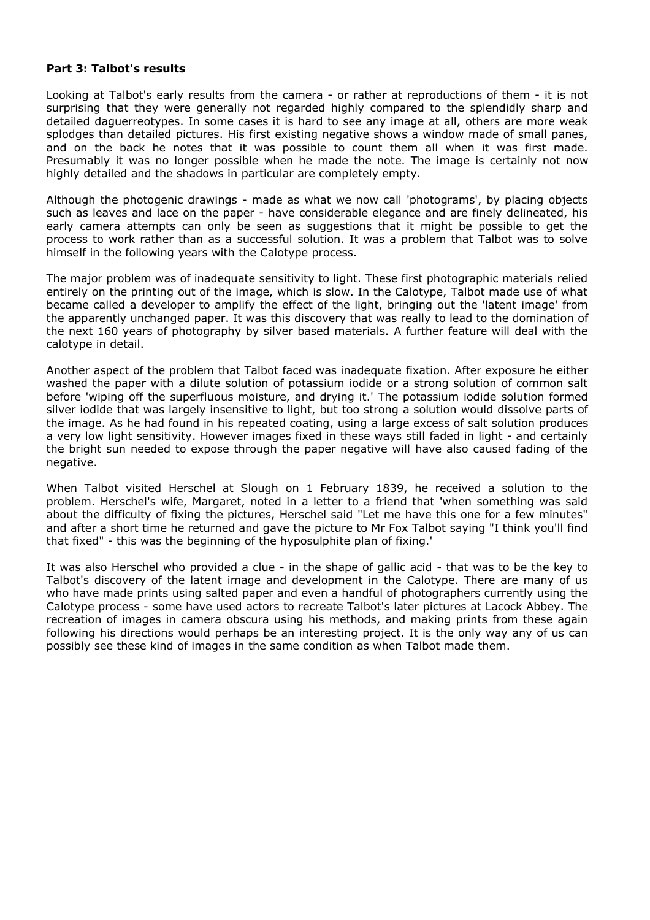#### **Part 3: Talbot's results**

Looking at Talbot's early results from the camera - or rather at reproductions of them - it is not surprising that they were generally not regarded highly compared to the splendidly sharp and detailed daguerreotypes. In some cases it is hard to see any image at all, others are more weak splodges than detailed pictures. His first existing negative shows a window made of small panes, and on the back he notes that it was possible to count them all when it was first made. Presumably it was no longer possible when he made the note. The image is certainly not now highly detailed and the shadows in particular are completely empty.

Although the photogenic drawings - made as what we now call 'photograms', by placing objects such as leaves and lace on the paper - have considerable elegance and are finely delineated, his early camera attempts can only be seen as suggestions that it might be possible to get the process to work rather than as a successful solution. It was a problem that Talbot was to solve himself in the following years with the Calotype process.

The major problem was of inadequate sensitivity to light. These first photographic materials relied entirely on the printing out of the image, which is slow. In the Calotype, Talbot made use of what became called a developer to amplify the effect of the light, bringing out the 'latent image' from the apparently unchanged paper. It was this discovery that was really to lead to the domination of the next 160 years of photography by silver based materials. A further feature will deal with the calotype in detail.

Another aspect of the problem that Talbot faced was inadequate fixation. After exposure he either washed the paper with a dilute solution of potassium iodide or a strong solution of common salt before 'wiping off the superfluous moisture, and drying it.' The potassium iodide solution formed silver iodide that was largely insensitive to light, but too strong a solution would dissolve parts of the image. As he had found in his repeated coating, using a large excess of salt solution produces a very low light sensitivity. However images fixed in these ways still faded in light - and certainly the bright sun needed to expose through the paper negative will have also caused fading of the negative.

When Talbot visited Herschel at Slough on 1 February 1839, he received a solution to the problem. Herschel's wife, Margaret, noted in a letter to a friend that 'when something was said about the difficulty of fixing the pictures, Herschel said "Let me have this one for a few minutes" and after a short time he returned and gave the picture to Mr Fox Talbot saying "I think you'll find that fixed" - this was the beginning of the hyposulphite plan of fixing.'

It was also Herschel who provided a clue - in the shape of gallic acid - that was to be the key to Talbot's discovery of the latent image and development in the Calotype. There are many of us who have made prints using salted paper and even a handful of photographers currently using the Calotype process - some have used actors to recreate Talbot's later pictures at Lacock Abbey. The recreation of images in camera obscura using his methods, and making prints from these again following his directions would perhaps be an interesting project. It is the only way any of us can possibly see these kind of images in the same condition as when Talbot made them.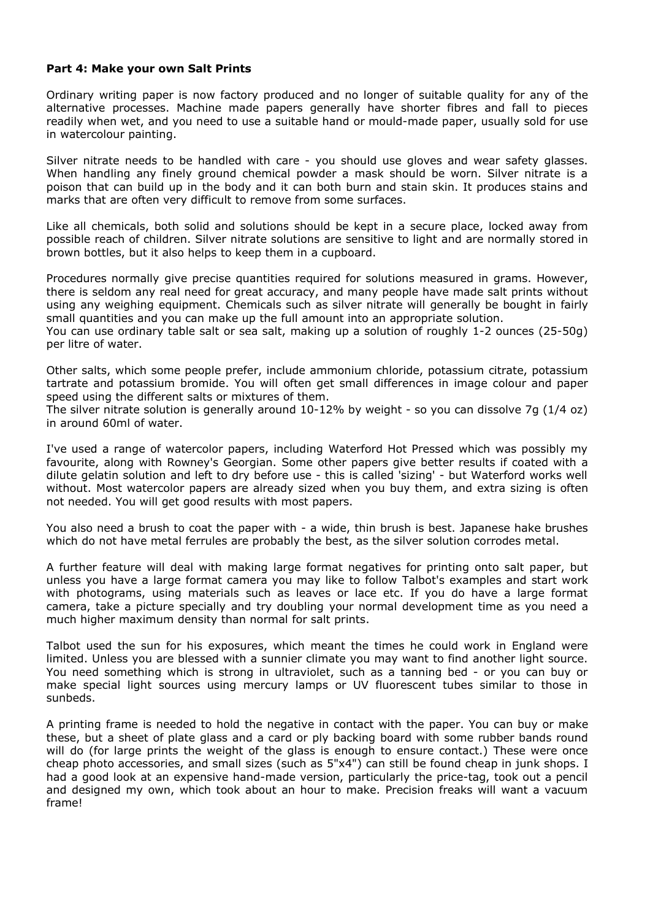#### **Part 4: Make your own Salt Prints**

Ordinary writing paper is now factory produced and no longer of suitable quality for any of the alternative processes. Machine made papers generally have shorter fibres and fall to pieces readily when wet, and you need to use a suitable hand or mould-made paper, usually sold for use in watercolour painting.

Silver nitrate needs to be handled with care - you should use gloves and wear safety glasses. When handling any finely ground chemical powder a mask should be worn. Silver nitrate is a poison that can build up in the body and it can both burn and stain skin. It produces stains and marks that are often very difficult to remove from some surfaces.

Like all chemicals, both solid and solutions should be kept in a secure place, locked away from possible reach of children. Silver nitrate solutions are sensitive to light and are normally stored in brown bottles, but it also helps to keep them in a cupboard.

Procedures normally give precise quantities required for solutions measured in grams. However, there is seldom any real need for great accuracy, and many people have made salt prints without using any weighing equipment. Chemicals such as silver nitrate will generally be bought in fairly small quantities and you can make up the full amount into an appropriate solution.

You can use ordinary table salt or sea salt, making up a solution of roughly 1-2 ounces (25-50g) per litre of water.

Other salts, which some people prefer, include ammonium chloride, potassium citrate, potassium tartrate and potassium bromide. You will often get small differences in image colour and paper speed using the different salts or mixtures of them.

The silver nitrate solution is generally around 10-12% by weight - so you can dissolve 7g (1/4 oz) in around 60ml of water.

I've used a range of watercolor papers, including Waterford Hot Pressed which was possibly my favourite, along with Rowney's Georgian. Some other papers give better results if coated with a dilute gelatin solution and left to dry before use - this is called 'sizing' - but Waterford works well without. Most watercolor papers are already sized when you buy them, and extra sizing is often not needed. You will get good results with most papers.

You also need a brush to coat the paper with - a wide, thin brush is best. Japanese hake brushes which do not have metal ferrules are probably the best, as the silver solution corrodes metal.

A further feature will deal with making large format negatives for printing onto salt paper, but unless you have a large format camera you may like to follow Talbot's examples and start work with photograms, using materials such as leaves or lace etc. If you do have a large format camera, take a picture specially and try doubling your normal development time as you need a much higher maximum density than normal for salt prints.

Talbot used the sun for his exposures, which meant the times he could work in England were limited. Unless you are blessed with a sunnier climate you may want to find another light source. You need something which is strong in ultraviolet, such as a tanning bed - or you can buy or make special light sources using mercury lamps or UV fluorescent tubes similar to those in sunbeds.

A printing frame is needed to hold the negative in contact with the paper. You can buy or make these, but a sheet of plate glass and a card or ply backing board with some rubber bands round will do (for large prints the weight of the glass is enough to ensure contact.) These were once cheap photo accessories, and small sizes (such as 5"x4") can still be found cheap in junk shops. I had a good look at an expensive hand-made version, particularly the price-tag, took out a pencil and designed my own, which took about an hour to make. Precision freaks will want a vacuum frame!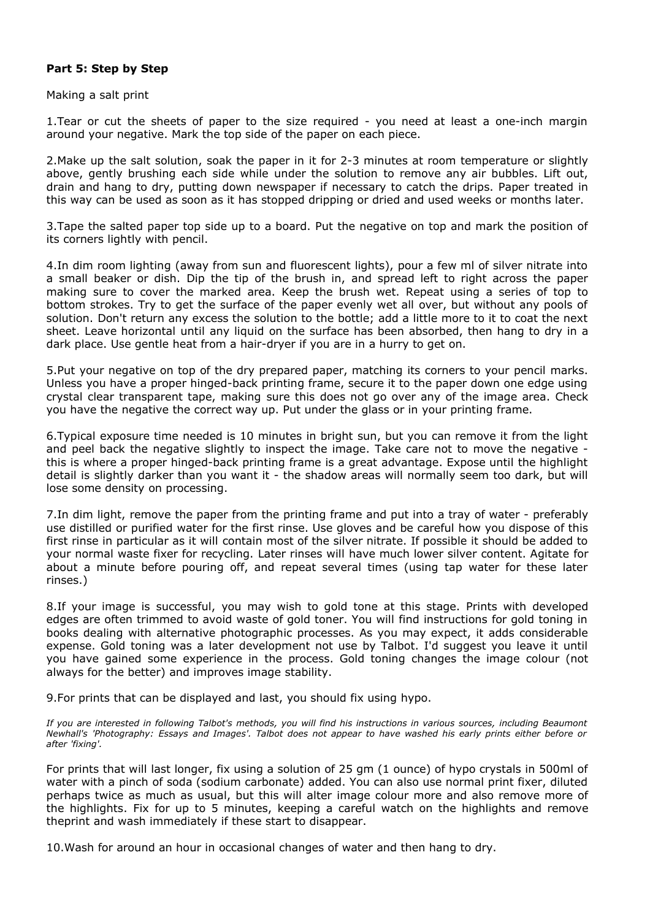## **Part 5: Step by Step**

Making a salt print

1.Tear or cut the sheets of paper to the size required - you need at least a one-inch margin around your negative. Mark the top side of the paper on each piece.

2.Make up the salt solution, soak the paper in it for 2-3 minutes at room temperature or slightly above, gently brushing each side while under the solution to remove any air bubbles. Lift out, drain and hang to dry, putting down newspaper if necessary to catch the drips. Paper treated in this way can be used as soon as it has stopped dripping or dried and used weeks or months later.

3.Tape the salted paper top side up to a board. Put the negative on top and mark the position of its corners lightly with pencil.

4.In dim room lighting (away from sun and fluorescent lights), pour a few ml of silver nitrate into a small beaker or dish. Dip the tip of the brush in, and spread left to right across the paper making sure to cover the marked area. Keep the brush wet. Repeat using a series of top to bottom strokes. Try to get the surface of the paper evenly wet all over, but without any pools of solution. Don't return any excess the solution to the bottle; add a little more to it to coat the next sheet. Leave horizontal until any liquid on the surface has been absorbed, then hang to dry in a dark place. Use gentle heat from a hair-dryer if you are in a hurry to get on.

5.Put your negative on top of the dry prepared paper, matching its corners to your pencil marks. Unless you have a proper hinged-back printing frame, secure it to the paper down one edge using crystal clear transparent tape, making sure this does not go over any of the image area. Check you have the negative the correct way up. Put under the glass or in your printing frame.

6.Typical exposure time needed is 10 minutes in bright sun, but you can remove it from the light and peel back the negative slightly to inspect the image. Take care not to move the negative this is where a proper hinged-back printing frame is a great advantage. Expose until the highlight detail is slightly darker than you want it - the shadow areas will normally seem too dark, but will lose some density on processing.

7.In dim light, remove the paper from the printing frame and put into a tray of water - preferably use distilled or purified water for the first rinse. Use gloves and be careful how you dispose of this first rinse in particular as it will contain most of the silver nitrate. If possible it should be added to your normal waste fixer for recycling. Later rinses will have much lower silver content. Agitate for about a minute before pouring off, and repeat several times (using tap water for these later rinses.)

8.If your image is successful, you may wish to gold tone at this stage. Prints with developed edges are often trimmed to avoid waste of gold toner. You will find instructions for gold toning in books dealing with alternative photographic processes. As you may expect, it adds considerable expense. Gold toning was a later development not use by Talbot. I'd suggest you leave it until you have gained some experience in the process. Gold toning changes the image colour (not always for the better) and improves image stability.

9.For prints that can be displayed and last, you should fix using hypo.

If you are interested in following Talbot's methods, you will find his instructions in various sources, including Beaumont Newhall's 'Photography: Essays and Images'. Talbot does not appear to have washed his early prints either before or *after 'fixing'.*

For prints that will last longer, fix using a solution of 25 gm (1 ounce) of hypo crystals in 500ml of water with a pinch of soda (sodium carbonate) added. You can also use normal print fixer, diluted perhaps twice as much as usual, but this will alter image colour more and also remove more of the highlights. Fix for up to 5 minutes, keeping a careful watch on the highlights and remove theprint and wash immediately if these start to disappear.

10.Wash for around an hour in occasional changes of water and then hang to dry.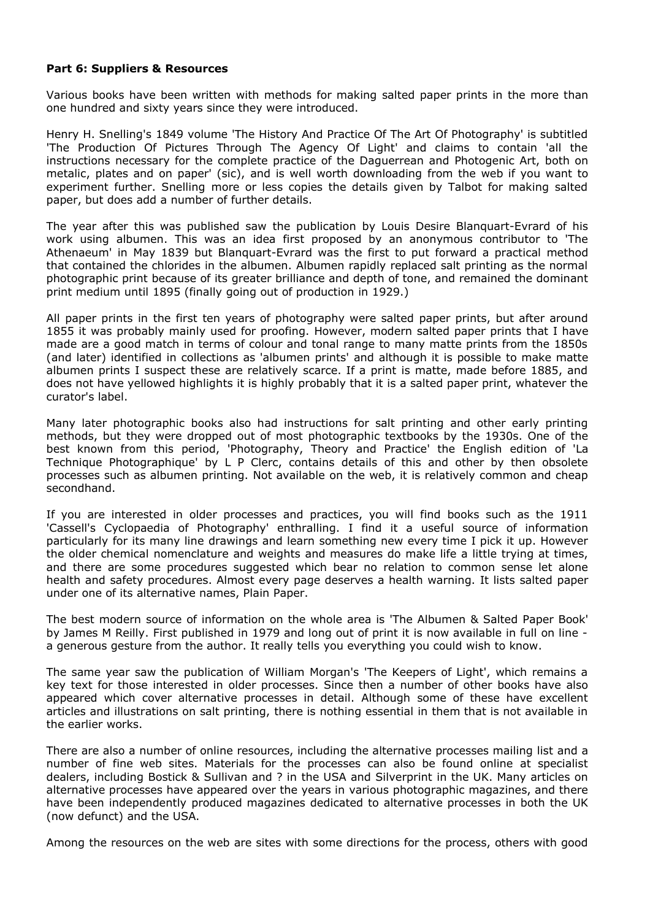## **Part 6: Suppliers & Resources**

Various books have been written with methods for making salted paper prints in the more than one hundred and sixty years since they were introduced.

Henry H. Snelling's 1849 volume 'The History And Practice Of The Art Of Photography' is subtitled 'The Production Of Pictures Through The Agency Of Light' and claims to contain 'all the instructions necessary for the complete practice of the Daguerrean and Photogenic Art, both on metalic, plates and on paper' (sic), and is well worth downloading from the web if you want to experiment further. Snelling more or less copies the details given by Talbot for making salted paper, but does add a number of further details.

The year after this was published saw the publication by Louis Desire Blanquart-Evrard of his work using albumen. This was an idea first proposed by an anonymous contributor to 'The Athenaeum' in May 1839 but Blanquart-Evrard was the first to put forward a practical method that contained the chlorides in the albumen. Albumen rapidly replaced salt printing as the normal photographic print because of its greater brilliance and depth of tone, and remained the dominant print medium until 1895 (finally going out of production in 1929.)

All paper prints in the first ten years of photography were salted paper prints, but after around 1855 it was probably mainly used for proofing. However, modern salted paper prints that I have made are a good match in terms of colour and tonal range to many matte prints from the 1850s (and later) identified in collections as 'albumen prints' and although it is possible to make matte albumen prints I suspect these are relatively scarce. If a print is matte, made before 1885, and does not have yellowed highlights it is highly probably that it is a salted paper print, whatever the curator's label.

Many later photographic books also had instructions for salt printing and other early printing methods, but they were dropped out of most photographic textbooks by the 1930s. One of the best known from this period, 'Photography, Theory and Practice' the English edition of 'La Technique Photographique' by L P Clerc, contains details of this and other by then obsolete processes such as albumen printing. Not available on the web, it is relatively common and cheap secondhand.

If you are interested in older processes and practices, you will find books such as the 1911 'Cassell's Cyclopaedia of Photography' enthralling. I find it a useful source of information particularly for its many line drawings and learn something new every time I pick it up. However the older chemical nomenclature and weights and measures do make life a little trying at times, and there are some procedures suggested which bear no relation to common sense let alone health and safety procedures. Almost every page deserves a health warning. It lists salted paper under one of its alternative names, Plain Paper.

The best modern source of information on the whole area is 'The Albumen & Salted Paper Book' by James M Reilly. First published in 1979 and long out of print it is now available in full on line a generous gesture from the author. It really tells you everything you could wish to know.

The same year saw the publication of William Morgan's 'The Keepers of Light', which remains a key text for those interested in older processes. Since then a number of other books have also appeared which cover alternative processes in detail. Although some of these have excellent articles and illustrations on salt printing, there is nothing essential in them that is not available in the earlier works.

There are also a number of online resources, including the alternative processes mailing list and a number of fine web sites. Materials for the processes can also be found online at specialist dealers, including Bostick & Sullivan and ? in the USA and Silverprint in the UK. Many articles on alternative processes have appeared over the years in various photographic magazines, and there have been independently produced magazines dedicated to alternative processes in both the UK (now defunct) and the USA.

Among the resources on the web are sites with some directions for the process, others with good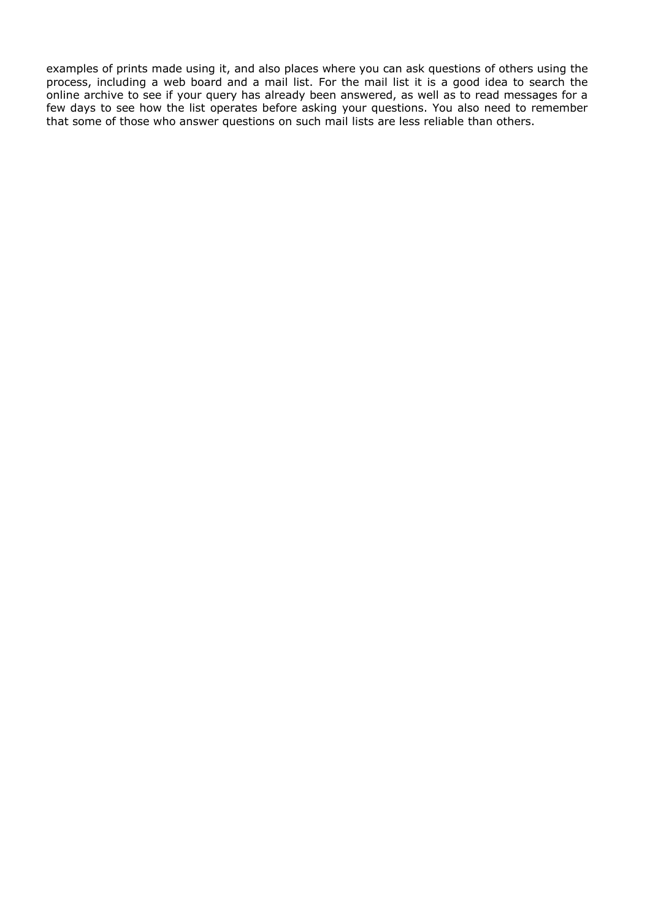examples of prints made using it, and also places where you can ask questions of others using the process, including a web board and a mail list. For the mail list it is a good idea to search the online archive to see if your query has already been answered, as well as to read messages for a few days to see how the list operates before asking your questions. You also need to remember that some of those who answer questions on such mail lists are less reliable than others.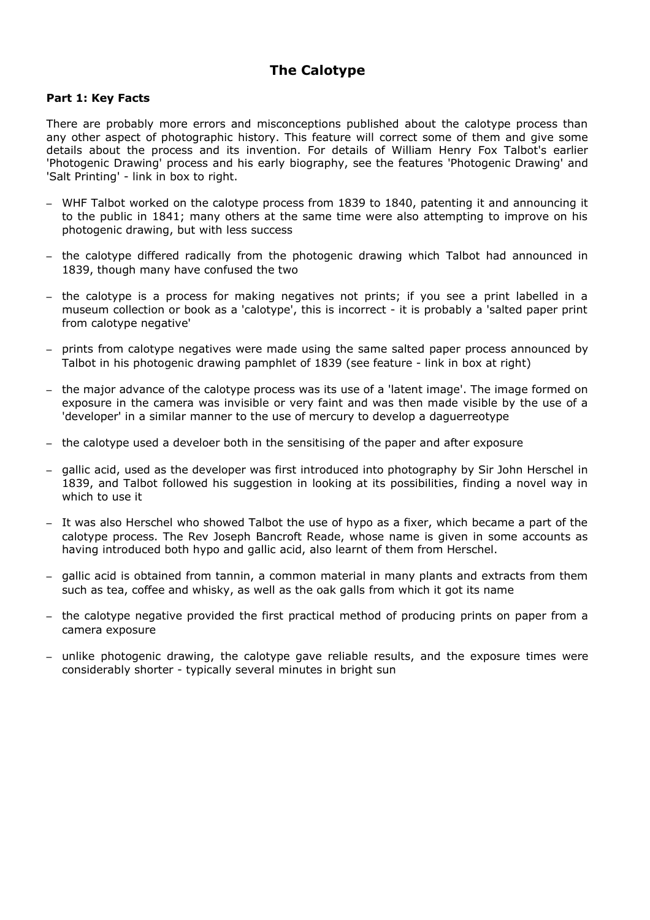# **The Calotype**

## **Part 1: Key Facts**

There are probably more errors and misconceptions published about the calotype process than any other aspect of photographic history. This feature will correct some of them and give some details about the process and its invention. For details of William Henry Fox Talbot's earlier 'Photogenic Drawing' process and his early biography, see the features 'Photogenic Drawing' and 'Salt Printing' - link in box to right.

- WHF Talbot worked on the calotype process from 1839 to 1840, patenting it and announcing it to the public in 1841; many others at the same time were also attempting to improve on his photogenic drawing, but with less success
- the calotype differed radically from the photogenic drawing which Talbot had announced in 1839, though many have confused the two
- the calotype is a process for making negatives not prints; if you see a print labelled in a museum collection or book as a 'calotype', this is incorrect - it is probably a 'salted paper print from calotype negative'
- prints from calotype negatives were made using the same salted paper process announced by Talbot in his photogenic drawing pamphlet of 1839 (see feature - link in box at right)
- the major advance of the calotype process was its use of a 'latent image'. The image formed on exposure in the camera was invisible or very faint and was then made visible by the use of a 'developer' in a similar manner to the use of mercury to develop a daguerreotype
- the calotype used a develoer both in the sensitising of the paper and after exposure
- gallic acid, used as the developer was first introduced into photography by Sir John Herschel in 1839, and Talbot followed his suggestion in looking at its possibilities, finding a novel way in which to use it
- It was also Herschel who showed Talbot the use of hypo as a fixer, which became a part of the calotype process. The Rev Joseph Bancroft Reade, whose name is given in some accounts as having introduced both hypo and gallic acid, also learnt of them from Herschel.
- gallic acid is obtained from tannin, a common material in many plants and extracts from them such as tea, coffee and whisky, as well as the oak galls from which it got its name
- the calotype negative provided the first practical method of producing prints on paper from a camera exposure
- unlike photogenic drawing, the calotype gave reliable results, and the exposure times were considerably shorter - typically several minutes in bright sun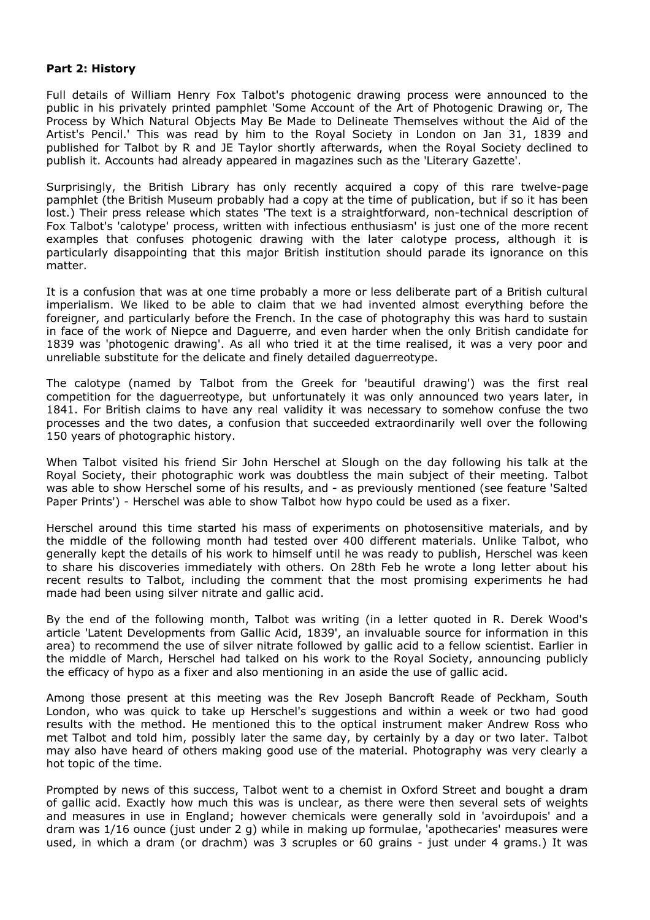## **Part 2: History**

Full details of William Henry Fox Talbot's photogenic drawing process were announced to the public in his privately printed pamphlet 'Some Account of the Art of Photogenic Drawing or, The Process by Which Natural Objects May Be Made to Delineate Themselves without the Aid of the Artist's Pencil.' This was read by him to the Royal Society in London on Jan 31, 1839 and published for Talbot by R and JE Taylor shortly afterwards, when the Royal Society declined to publish it. Accounts had already appeared in magazines such as the 'Literary Gazette'.

Surprisingly, the British Library has only recently acquired a copy of this rare twelve-page pamphlet (the British Museum probably had a copy at the time of publication, but if so it has been lost.) Their press release which states 'The text is a straightforward, non-technical description of Fox Talbot's 'calotype' process, written with infectious enthusiasm' is just one of the more recent examples that confuses photogenic drawing with the later calotype process, although it is particularly disappointing that this major British institution should parade its ignorance on this matter.

It is a confusion that was at one time probably a more or less deliberate part of a British cultural imperialism. We liked to be able to claim that we had invented almost everything before the foreigner, and particularly before the French. In the case of photography this was hard to sustain in face of the work of Niepce and Daguerre, and even harder when the only British candidate for 1839 was 'photogenic drawing'. As all who tried it at the time realised, it was a very poor and unreliable substitute for the delicate and finely detailed daguerreotype.

The calotype (named by Talbot from the Greek for 'beautiful drawing') was the first real competition for the daguerreotype, but unfortunately it was only announced two years later, in 1841. For British claims to have any real validity it was necessary to somehow confuse the two processes and the two dates, a confusion that succeeded extraordinarily well over the following 150 years of photographic history.

When Talbot visited his friend Sir John Herschel at Slough on the day following his talk at the Royal Society, their photographic work was doubtless the main subject of their meeting. Talbot was able to show Herschel some of his results, and - as previously mentioned (see feature 'Salted Paper Prints') - Herschel was able to show Talbot how hypo could be used as a fixer.

Herschel around this time started his mass of experiments on photosensitive materials, and by the middle of the following month had tested over 400 different materials. Unlike Talbot, who generally kept the details of his work to himself until he was ready to publish, Herschel was keen to share his discoveries immediately with others. On 28th Feb he wrote a long letter about his recent results to Talbot, including the comment that the most promising experiments he had made had been using silver nitrate and gallic acid.

By the end of the following month, Talbot was writing (in a letter quoted in R. Derek Wood's article 'Latent Developments from Gallic Acid, 1839', an invaluable source for information in this area) to recommend the use of silver nitrate followed by gallic acid to a fellow scientist. Earlier in the middle of March, Herschel had talked on his work to the Royal Society, announcing publicly the efficacy of hypo as a fixer and also mentioning in an aside the use of gallic acid.

Among those present at this meeting was the Rev Joseph Bancroft Reade of Peckham, South London, who was quick to take up Herschel's suggestions and within a week or two had good results with the method. He mentioned this to the optical instrument maker Andrew Ross who met Talbot and told him, possibly later the same day, by certainly by a day or two later. Talbot may also have heard of others making good use of the material. Photography was very clearly a hot topic of the time.

Prompted by news of this success, Talbot went to a chemist in Oxford Street and bought a dram of gallic acid. Exactly how much this was is unclear, as there were then several sets of weights and measures in use in England; however chemicals were generally sold in 'avoirdupois' and a dram was 1/16 ounce (just under 2 g) while in making up formulae, 'apothecaries' measures were used, in which a dram (or drachm) was 3 scruples or 60 grains - just under 4 grams.) It was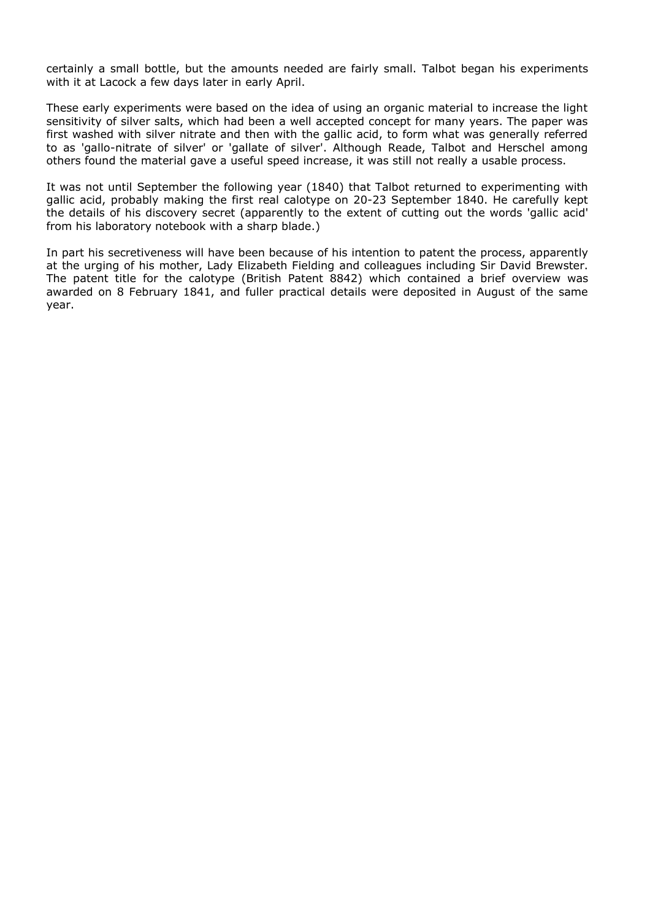certainly a small bottle, but the amounts needed are fairly small. Talbot began his experiments with it at Lacock a few days later in early April.

These early experiments were based on the idea of using an organic material to increase the light sensitivity of silver salts, which had been a well accepted concept for many years. The paper was first washed with silver nitrate and then with the gallic acid, to form what was generally referred to as 'gallo-nitrate of silver' or 'gallate of silver'. Although Reade, Talbot and Herschel among others found the material gave a useful speed increase, it was still not really a usable process.

It was not until September the following year (1840) that Talbot returned to experimenting with gallic acid, probably making the first real calotype on 20-23 September 1840. He carefully kept the details of his discovery secret (apparently to the extent of cutting out the words 'gallic acid' from his laboratory notebook with a sharp blade.)

In part his secretiveness will have been because of his intention to patent the process, apparently at the urging of his mother, Lady Elizabeth Fielding and colleagues including Sir David Brewster. The patent title for the calotype (British Patent 8842) which contained a brief overview was awarded on 8 February 1841, and fuller practical details were deposited in August of the same year.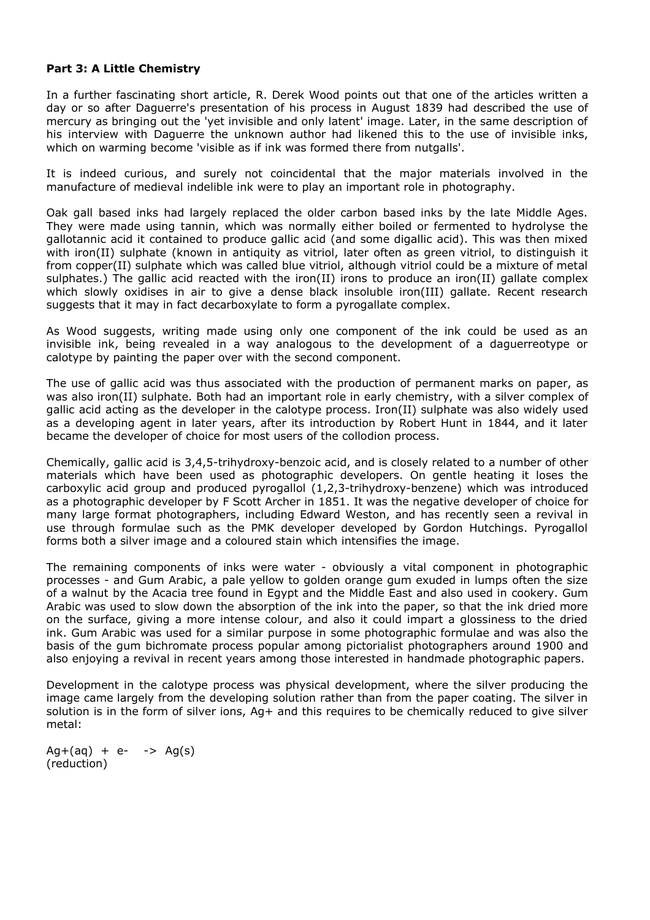## **Part 3: A Little Chemistry**

In a further fascinating short article, R. Derek Wood points out that one of the articles written a day or so after Daguerre's presentation of his process in August 1839 had described the use of mercury as bringing out the 'yet invisible and only latent' image. Later, in the same description of his interview with Daguerre the unknown author had likened this to the use of invisible inks, which on warming become 'visible as if ink was formed there from nutgalls'.

It is indeed curious, and surely not coincidental that the major materials involved in the manufacture of medieval indelible ink were to play an important role in photography.

Oak gall based inks had largely replaced the older carbon based inks by the late Middle Ages. They were made using tannin, which was normally either boiled or fermented to hydrolyse the gallotannic acid it contained to produce gallic acid (and some digallic acid). This was then mixed with iron(II) sulphate (known in antiquity as vitriol, later often as green vitriol, to distinguish it from copper(II) sulphate which was called blue vitriol, although vitriol could be a mixture of metal sulphates.) The gallic acid reacted with the iron(II) irons to produce an iron(II) gallate complex which slowly oxidises in air to give a dense black insoluble iron(III) gallate. Recent research suggests that it may in fact decarboxylate to form a pyrogallate complex.

As Wood suggests, writing made using only one component of the ink could be used as an invisible ink, being revealed in a way analogous to the development of a daguerreotype or calotype by painting the paper over with the second component.

The use of gallic acid was thus associated with the production of permanent marks on paper, as was also iron(II) sulphate. Both had an important role in early chemistry, with a silver complex of gallic acid acting as the developer in the calotype process. Iron(II) sulphate was also widely used as a developing agent in later years, after its introduction by Robert Hunt in 1844, and it later became the developer of choice for most users of the collodion process.

Chemically, gallic acid is 3,4,5-trihydroxy-benzoic acid, and is closely related to a number of other materials which have been used as photographic developers. On gentle heating it loses the carboxylic acid group and produced pyrogallol (1,2,3-trihydroxy-benzene) which was introduced as a photographic developer by F Scott Archer in 1851. It was the negative developer of choice for many large format photographers, including Edward Weston, and has recently seen a revival in use through formulae such as the PMK developer developed by Gordon Hutchings. Pyrogallol forms both a silver image and a coloured stain which intensifies the image.

The remaining components of inks were water - obviously a vital component in photographic processes - and Gum Arabic, a pale yellow to golden orange gum exuded in lumps often the size of a walnut by the Acacia tree found in Egypt and the Middle East and also used in cookery. Gum Arabic was used to slow down the absorption of the ink into the paper, so that the ink dried more on the surface, giving a more intense colour, and also it could impart a glossiness to the dried ink. Gum Arabic was used for a similar purpose in some photographic formulae and was also the basis of the gum bichromate process popular among pictorialist photographers around 1900 and also enjoying a revival in recent years among those interested in handmade photographic papers.

Development in the calotype process was physical development, where the silver producing the image came largely from the developing solution rather than from the paper coating. The silver in solution is in the form of silver ions, Ag+ and this requires to be chemically reduced to give silver metal:

 $Aq+(aq) + e- \rightarrow Aq(s)$ (reduction)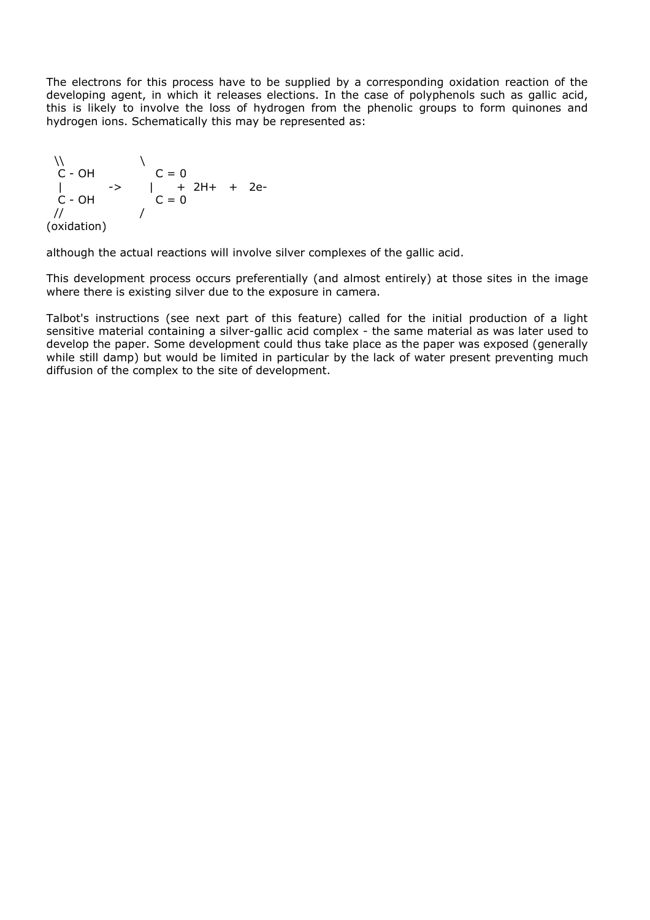The electrons for this process have to be supplied by a corresponding oxidation reaction of the developing agent, in which it releases elections. In the case of polyphenols such as gallic acid, this is likely to involve the loss of hydrogen from the phenolic groups to form quinones and hydrogen ions. Schematically this may be represented as:

$$
\begin{array}{ccc}\n\bigvee & \bigvee & \bigvee & \bigvee \\
C - OH & & C = 0 \\
\bigvee & - & \bigvee_{C = 0} + 2H + + 2e \\
\bigvee & C = 0\n\end{array}
$$
\n(oxidation)

although the actual reactions will involve silver complexes of the gallic acid.

This development process occurs preferentially (and almost entirely) at those sites in the image where there is existing silver due to the exposure in camera.

Talbot's instructions (see next part of this feature) called for the initial production of a light sensitive material containing a silver-gallic acid complex - the same material as was later used to develop the paper. Some development could thus take place as the paper was exposed (generally while still damp) but would be limited in particular by the lack of water present preventing much diffusion of the complex to the site of development.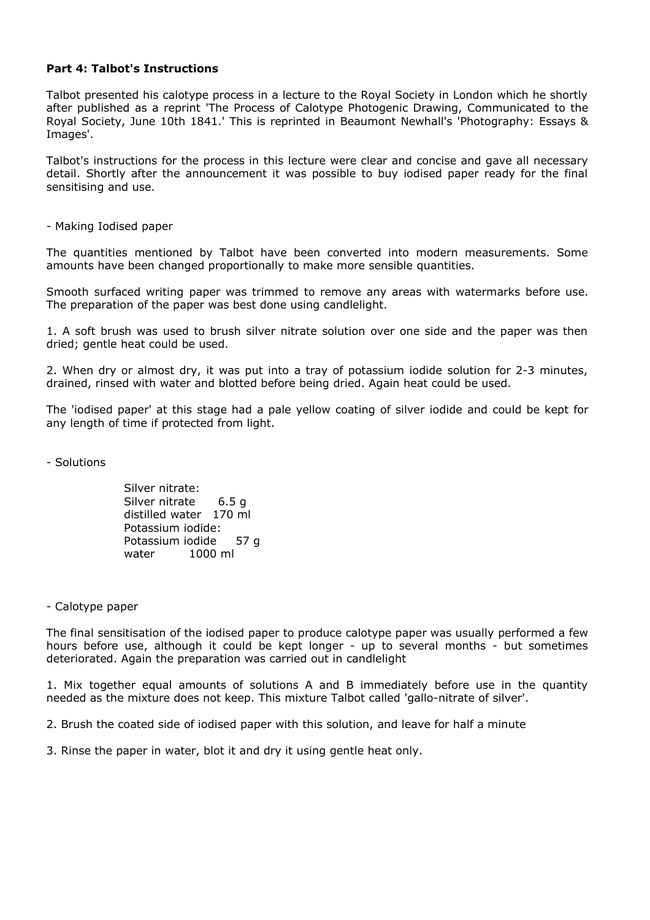## **Part 4: Talbot's Instructions**

Talbot presented his calotype process in a lecture to the Royal Society in London which he shortly after published as a reprint 'The Process of Calotype Photogenic Drawing, Communicated to the Royal Society, June 10th 1841.' This is reprinted in Beaumont Newhall's 'Photography: Essays & Images'.

Talbot's instructions for the process in this lecture were clear and concise and gave all necessary detail. Shortly after the announcement it was possible to buy iodised paper ready for the final sensitising and use.

- Making Iodised paper

The quantities mentioned by Talbot have been converted into modern measurements. Some amounts have been changed proportionally to make more sensible quantities.

Smooth surfaced writing paper was trimmed to remove any areas with watermarks before use. The preparation of the paper was best done using candlelight.

1. A soft brush was used to brush silver nitrate solution over one side and the paper was then dried; gentle heat could be used.

2. When dry or almost dry, it was put into a tray of potassium iodide solution for 2-3 minutes, drained, rinsed with water and blotted before being dried. Again heat could be used.

The 'iodised paper' at this stage had a pale yellow coating of silver iodide and could be kept for any length of time if protected from light.

- Solutions

Silver nitrate: Silver nitrate 6.5 g distilled water 170 ml Potassium iodide: Potassium iodide 57 g water 1000 ml

## - Calotype paper

The final sensitisation of the iodised paper to produce calotype paper was usually performed a few hours before use, although it could be kept longer - up to several months - but sometimes deteriorated. Again the preparation was carried out in candlelight

1. Mix together equal amounts of solutions A and B immediately before use in the quantity needed as the mixture does not keep. This mixture Talbot called 'gallo-nitrate of silver'.

2. Brush the coated side of iodised paper with this solution, and leave for half a minute

3. Rinse the paper in water, blot it and dry it using gentle heat only.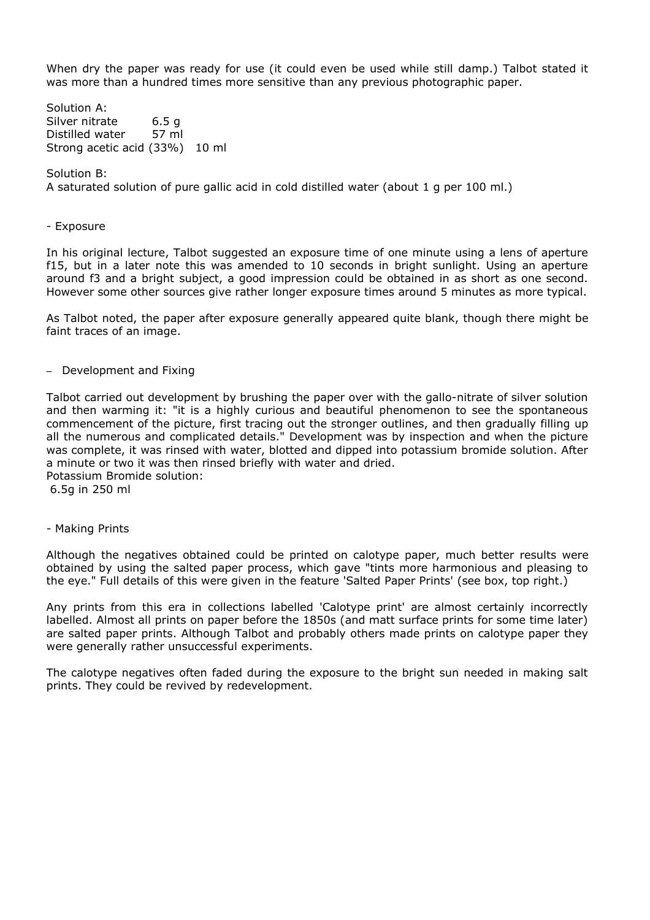When dry the paper was ready for use (it could even be used while still damp.) Talbot stated it was more than a hundred times more sensitive than any previous photographic paper.

Solution A: Silver nitrate 6.5 g Distilled water 57 ml Strong acetic acid (33%) 10 ml

Solution B:

A saturated solution of pure gallic acid in cold distilled water (about 1 g per 100 ml.)

- Exposure

In his original lecture, Talbot suggested an exposure time of one minute using a lens of aperture f15, but in a later note this was amended to 10 seconds in bright sunlight. Using an aperture around f3 and a bright subject, a good impression could be obtained in as short as one second. However some other sources give rather longer exposure times around 5 minutes as more typical.

As Talbot noted, the paper after exposure generally appeared quite blank, though there might be faint traces of an image.

#### – Development and Fixing

Talbot carried out development by brushing the paper over with the gallo-nitrate of silver solution and then warming it: "it is a highly curious and beautiful phenomenon to see the spontaneous commencement of the picture, first tracing out the stronger outlines, and then gradually filling up all the numerous and complicated details." Development was by inspection and when the picture was complete, it was rinsed with water, blotted and dipped into potassium bromide solution. After a minute or two it was then rinsed briefly with water and dried. Potassium Bromide solution:

6.5g in 250 ml

#### - Making Prints

Although the negatives obtained could be printed on calotype paper, much better results were obtained by using the salted paper process, which gave "tints more harmonious and pleasing to the eye." Full details of this were given in the feature 'Salted Paper Prints' (see box, top right.)

Any prints from this era in collections labelled 'Calotype print' are almost certainly incorrectly labelled. Almost all prints on paper before the 1850s (and matt surface prints for some time later) are salted paper prints. Although Talbot and probably others made prints on calotype paper they were generally rather unsuccessful experiments.

The calotype negatives often faded during the exposure to the bright sun needed in making salt prints. They could be revived by redevelopment.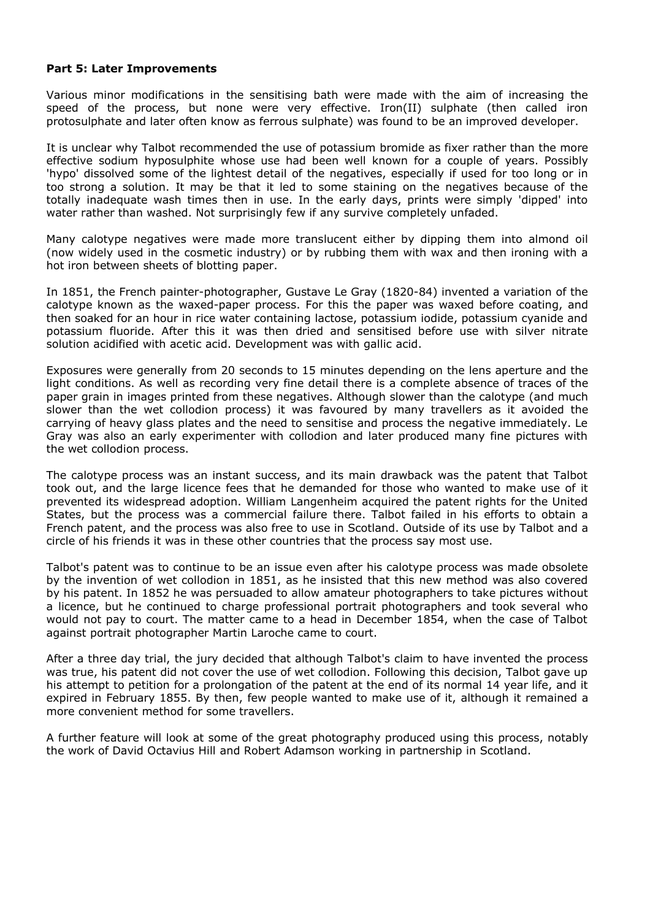## **Part 5: Later Improvements**

Various minor modifications in the sensitising bath were made with the aim of increasing the speed of the process, but none were very effective. Iron(II) sulphate (then called iron protosulphate and later often know as ferrous sulphate) was found to be an improved developer.

It is unclear why Talbot recommended the use of potassium bromide as fixer rather than the more effective sodium hyposulphite whose use had been well known for a couple of years. Possibly 'hypo' dissolved some of the lightest detail of the negatives, especially if used for too long or in too strong a solution. It may be that it led to some staining on the negatives because of the totally inadequate wash times then in use. In the early days, prints were simply 'dipped' into water rather than washed. Not surprisingly few if any survive completely unfaded.

Many calotype negatives were made more translucent either by dipping them into almond oil (now widely used in the cosmetic industry) or by rubbing them with wax and then ironing with a hot iron between sheets of blotting paper.

In 1851, the French painter-photographer, Gustave Le Gray (1820-84) invented a variation of the calotype known as the waxed-paper process. For this the paper was waxed before coating, and then soaked for an hour in rice water containing lactose, potassium iodide, potassium cyanide and potassium fluoride. After this it was then dried and sensitised before use with silver nitrate solution acidified with acetic acid. Development was with gallic acid.

Exposures were generally from 20 seconds to 15 minutes depending on the lens aperture and the light conditions. As well as recording very fine detail there is a complete absence of traces of the paper grain in images printed from these negatives. Although slower than the calotype (and much slower than the wet collodion process) it was favoured by many travellers as it avoided the carrying of heavy glass plates and the need to sensitise and process the negative immediately. Le Gray was also an early experimenter with collodion and later produced many fine pictures with the wet collodion process.

The calotype process was an instant success, and its main drawback was the patent that Talbot took out, and the large licence fees that he demanded for those who wanted to make use of it prevented its widespread adoption. William Langenheim acquired the patent rights for the United States, but the process was a commercial failure there. Talbot failed in his efforts to obtain a French patent, and the process was also free to use in Scotland. Outside of its use by Talbot and a circle of his friends it was in these other countries that the process say most use.

Talbot's patent was to continue to be an issue even after his calotype process was made obsolete by the invention of wet collodion in 1851, as he insisted that this new method was also covered by his patent. In 1852 he was persuaded to allow amateur photographers to take pictures without a licence, but he continued to charge professional portrait photographers and took several who would not pay to court. The matter came to a head in December 1854, when the case of Talbot against portrait photographer Martin Laroche came to court.

After a three day trial, the jury decided that although Talbot's claim to have invented the process was true, his patent did not cover the use of wet collodion. Following this decision, Talbot gave up his attempt to petition for a prolongation of the patent at the end of its normal 14 year life, and it expired in February 1855. By then, few people wanted to make use of it, although it remained a more convenient method for some travellers.

A further feature will look at some of the great photography produced using this process, notably the work of David Octavius Hill and Robert Adamson working in partnership in Scotland.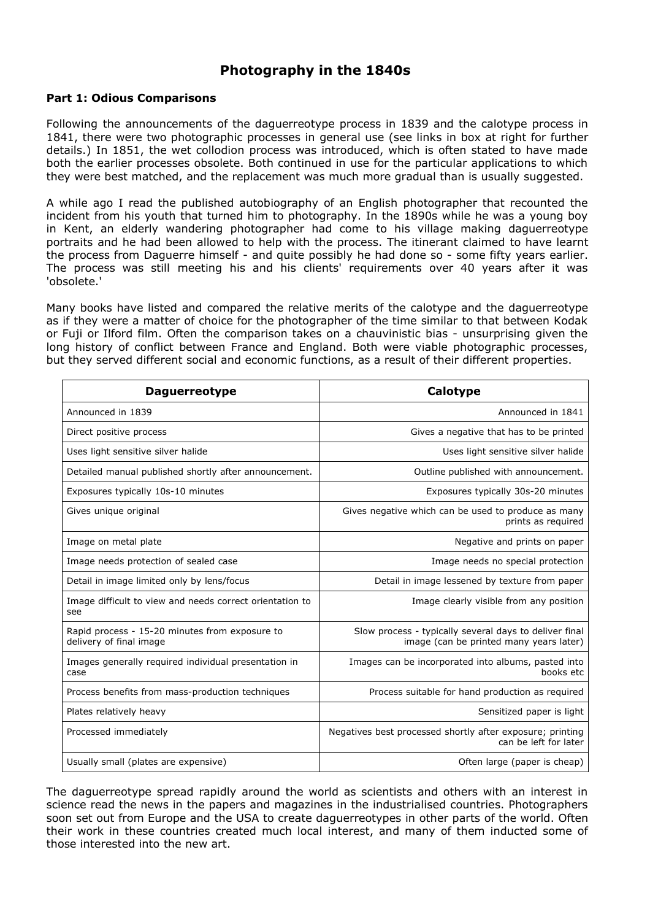# **Photography in the 1840s**

## **Part 1: Odious Comparisons**

Following the announcements of the daguerreotype process in 1839 and the calotype process in 1841, there were two photographic processes in general use (see links in box at right for further details.) In 1851, the wet collodion process was introduced, which is often stated to have made both the earlier processes obsolete. Both continued in use for the particular applications to which they were best matched, and the replacement was much more gradual than is usually suggested.

A while ago I read the published autobiography of an English photographer that recounted the incident from his youth that turned him to photography. In the 1890s while he was a young boy in Kent, an elderly wandering photographer had come to his village making daguerreotype portraits and he had been allowed to help with the process. The itinerant claimed to have learnt the process from Daguerre himself - and quite possibly he had done so - some fifty years earlier. The process was still meeting his and his clients' requirements over 40 years after it was 'obsolete.'

Many books have listed and compared the relative merits of the calotype and the daguerreotype as if they were a matter of choice for the photographer of the time similar to that between Kodak or Fuji or Ilford film. Often the comparison takes on a chauvinistic bias - unsurprising given the long history of conflict between France and England. Both were viable photographic processes, but they served different social and economic functions, as a result of their different properties.

| <b>Daguerreotype</b>                                                      | Calotype                                                                                          |
|---------------------------------------------------------------------------|---------------------------------------------------------------------------------------------------|
| Announced in 1839                                                         | Announced in 1841                                                                                 |
| Direct positive process                                                   | Gives a negative that has to be printed                                                           |
| Uses light sensitive silver halide                                        | Uses light sensitive silver halide                                                                |
| Detailed manual published shortly after announcement.                     | Outline published with announcement.                                                              |
| Exposures typically 10s-10 minutes                                        | Exposures typically 30s-20 minutes                                                                |
| Gives unique original                                                     | Gives negative which can be used to produce as many<br>prints as required                         |
| Image on metal plate                                                      | Negative and prints on paper                                                                      |
| Image needs protection of sealed case                                     | Image needs no special protection                                                                 |
| Detail in image limited only by lens/focus                                | Detail in image lessened by texture from paper                                                    |
| Image difficult to view and needs correct orientation to<br>see           | Image clearly visible from any position                                                           |
| Rapid process - 15-20 minutes from exposure to<br>delivery of final image | Slow process - typically several days to deliver final<br>image (can be printed many years later) |
| Images generally required individual presentation in<br>case              | Images can be incorporated into albums, pasted into<br>books etc                                  |
| Process benefits from mass-production techniques                          | Process suitable for hand production as required                                                  |
| Plates relatively heavy                                                   | Sensitized paper is light                                                                         |
| Processed immediately                                                     | Negatives best processed shortly after exposure; printing<br>can be left for later                |
| Usually small (plates are expensive)                                      | Often large (paper is cheap)                                                                      |

The daguerreotype spread rapidly around the world as scientists and others with an interest in science read the news in the papers and magazines in the industrialised countries. Photographers soon set out from Europe and the USA to create daguerreotypes in other parts of the world. Often their work in these countries created much local interest, and many of them inducted some of those interested into the new art.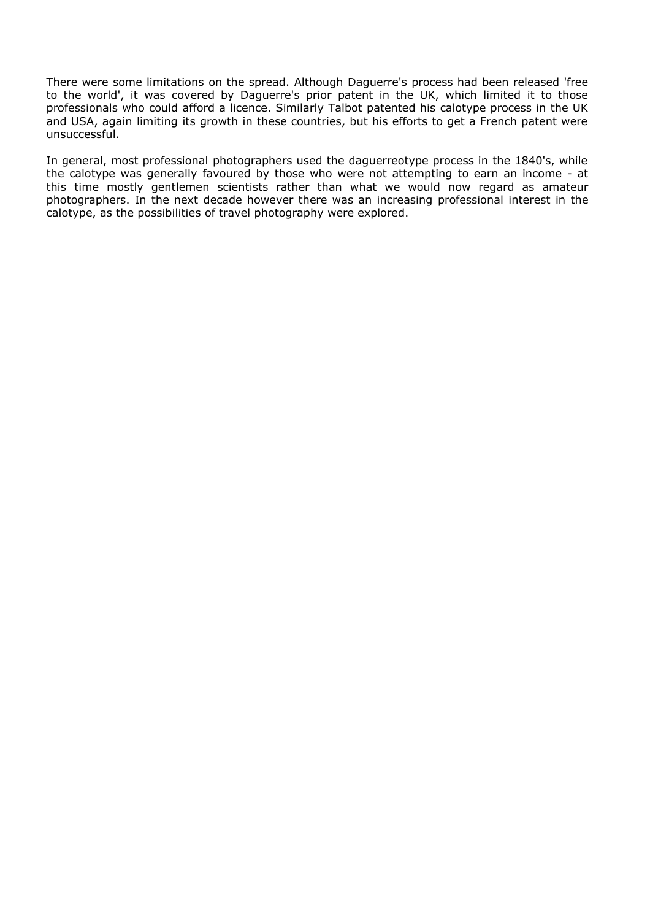There were some limitations on the spread. Although Daguerre's process had been released 'free to the world', it was covered by Daguerre's prior patent in the UK, which limited it to those professionals who could afford a licence. Similarly Talbot patented his calotype process in the UK and USA, again limiting its growth in these countries, but his efforts to get a French patent were unsuccessful.

In general, most professional photographers used the daguerreotype process in the 1840's, while the calotype was generally favoured by those who were not attempting to earn an income - at this time mostly gentlemen scientists rather than what we would now regard as amateur photographers. In the next decade however there was an increasing professional interest in the calotype, as the possibilities of travel photography were explored.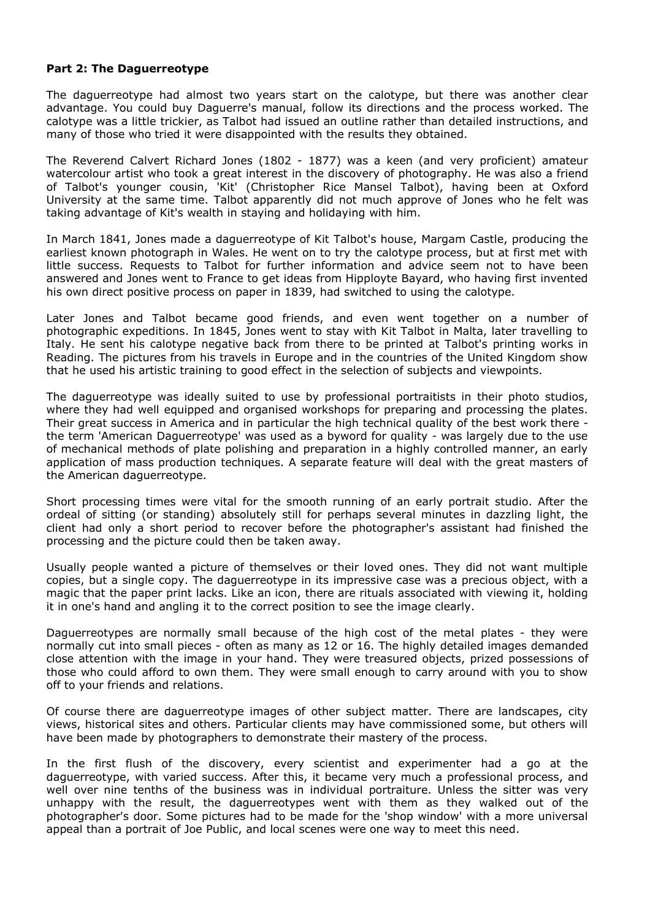## **Part 2: The Daguerreotype**

The daguerreotype had almost two years start on the calotype, but there was another clear advantage. You could buy Daguerre's manual, follow its directions and the process worked. The calotype was a little trickier, as Talbot had issued an outline rather than detailed instructions, and many of those who tried it were disappointed with the results they obtained.

The Reverend Calvert Richard Jones (1802 - 1877) was a keen (and very proficient) amateur watercolour artist who took a great interest in the discovery of photography. He was also a friend of Talbot's younger cousin, 'Kit' (Christopher Rice Mansel Talbot), having been at Oxford University at the same time. Talbot apparently did not much approve of Jones who he felt was taking advantage of Kit's wealth in staying and holidaying with him.

In March 1841, Jones made a daguerreotype of Kit Talbot's house, Margam Castle, producing the earliest known photograph in Wales. He went on to try the calotype process, but at first met with little success. Requests to Talbot for further information and advice seem not to have been answered and Jones went to France to get ideas from Hipployte Bayard, who having first invented his own direct positive process on paper in 1839, had switched to using the calotype.

Later Jones and Talbot became good friends, and even went together on a number of photographic expeditions. In 1845, Jones went to stay with Kit Talbot in Malta, later travelling to Italy. He sent his calotype negative back from there to be printed at Talbot's printing works in Reading. The pictures from his travels in Europe and in the countries of the United Kingdom show that he used his artistic training to good effect in the selection of subjects and viewpoints.

The daguerreotype was ideally suited to use by professional portraitists in their photo studios, where they had well equipped and organised workshops for preparing and processing the plates. Their great success in America and in particular the high technical quality of the best work there the term 'American Daguerreotype' was used as a byword for quality - was largely due to the use of mechanical methods of plate polishing and preparation in a highly controlled manner, an early application of mass production techniques. A separate feature will deal with the great masters of the American daguerreotype.

Short processing times were vital for the smooth running of an early portrait studio. After the ordeal of sitting (or standing) absolutely still for perhaps several minutes in dazzling light, the client had only a short period to recover before the photographer's assistant had finished the processing and the picture could then be taken away.

Usually people wanted a picture of themselves or their loved ones. They did not want multiple copies, but a single copy. The daguerreotype in its impressive case was a precious object, with a magic that the paper print lacks. Like an icon, there are rituals associated with viewing it, holding it in one's hand and angling it to the correct position to see the image clearly.

Daguerreotypes are normally small because of the high cost of the metal plates - they were normally cut into small pieces - often as many as 12 or 16. The highly detailed images demanded close attention with the image in your hand. They were treasured objects, prized possessions of those who could afford to own them. They were small enough to carry around with you to show off to your friends and relations.

Of course there are daguerreotype images of other subject matter. There are landscapes, city views, historical sites and others. Particular clients may have commissioned some, but others will have been made by photographers to demonstrate their mastery of the process.

In the first flush of the discovery, every scientist and experimenter had a go at the daguerreotype, with varied success. After this, it became very much a professional process, and well over nine tenths of the business was in individual portraiture. Unless the sitter was very unhappy with the result, the daguerreotypes went with them as they walked out of the photographer's door. Some pictures had to be made for the 'shop window' with a more universal appeal than a portrait of Joe Public, and local scenes were one way to meet this need.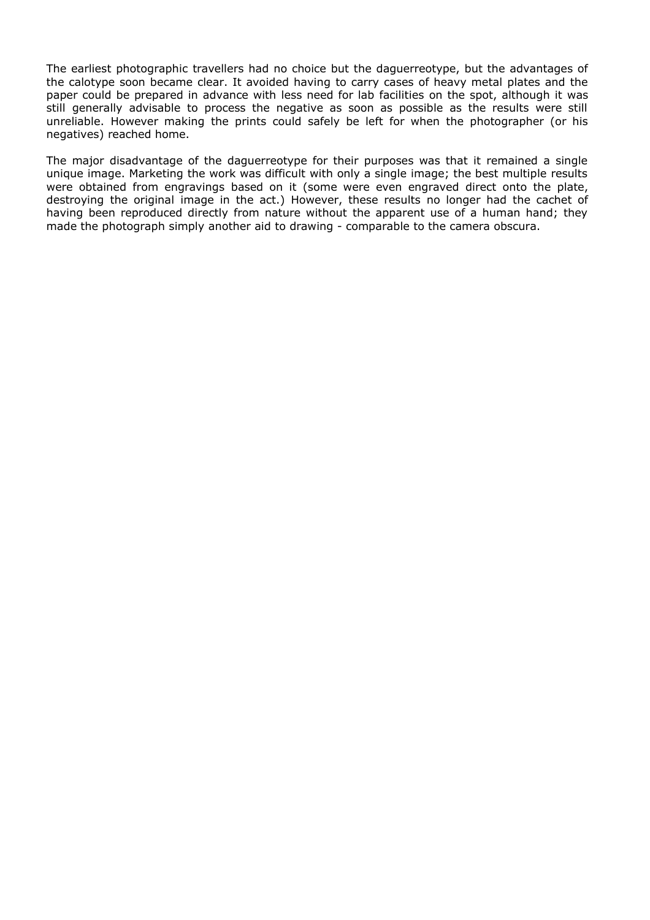The earliest photographic travellers had no choice but the daguerreotype, but the advantages of the calotype soon became clear. It avoided having to carry cases of heavy metal plates and the paper could be prepared in advance with less need for lab facilities on the spot, although it was still generally advisable to process the negative as soon as possible as the results were still unreliable. However making the prints could safely be left for when the photographer (or his negatives) reached home.

The major disadvantage of the daguerreotype for their purposes was that it remained a single unique image. Marketing the work was difficult with only a single image; the best multiple results were obtained from engravings based on it (some were even engraved direct onto the plate, destroying the original image in the act.) However, these results no longer had the cachet of having been reproduced directly from nature without the apparent use of a human hand; they made the photograph simply another aid to drawing - comparable to the camera obscura.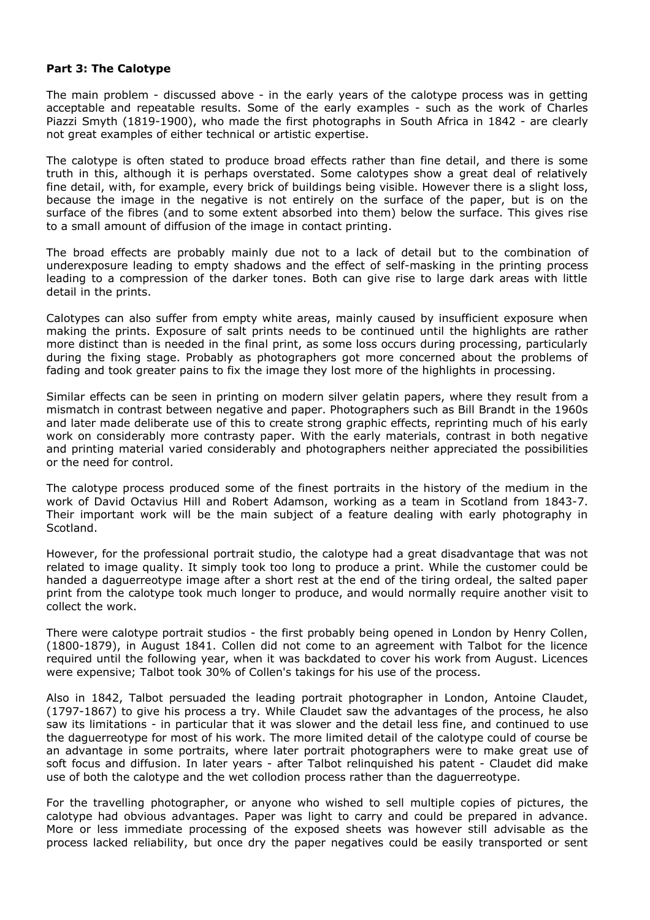## **Part 3: The Calotype**

The main problem - discussed above - in the early years of the calotype process was in getting acceptable and repeatable results. Some of the early examples - such as the work of Charles Piazzi Smyth (1819-1900), who made the first photographs in South Africa in 1842 - are clearly not great examples of either technical or artistic expertise.

The calotype is often stated to produce broad effects rather than fine detail, and there is some truth in this, although it is perhaps overstated. Some calotypes show a great deal of relatively fine detail, with, for example, every brick of buildings being visible. However there is a slight loss, because the image in the negative is not entirely on the surface of the paper, but is on the surface of the fibres (and to some extent absorbed into them) below the surface. This gives rise to a small amount of diffusion of the image in contact printing.

The broad effects are probably mainly due not to a lack of detail but to the combination of underexposure leading to empty shadows and the effect of self-masking in the printing process leading to a compression of the darker tones. Both can give rise to large dark areas with little detail in the prints.

Calotypes can also suffer from empty white areas, mainly caused by insufficient exposure when making the prints. Exposure of salt prints needs to be continued until the highlights are rather more distinct than is needed in the final print, as some loss occurs during processing, particularly during the fixing stage. Probably as photographers got more concerned about the problems of fading and took greater pains to fix the image they lost more of the highlights in processing.

Similar effects can be seen in printing on modern silver gelatin papers, where they result from a mismatch in contrast between negative and paper. Photographers such as Bill Brandt in the 1960s and later made deliberate use of this to create strong graphic effects, reprinting much of his early work on considerably more contrasty paper. With the early materials, contrast in both negative and printing material varied considerably and photographers neither appreciated the possibilities or the need for control.

The calotype process produced some of the finest portraits in the history of the medium in the work of David Octavius Hill and Robert Adamson, working as a team in Scotland from 1843-7. Their important work will be the main subject of a feature dealing with early photography in Scotland.

However, for the professional portrait studio, the calotype had a great disadvantage that was not related to image quality. It simply took too long to produce a print. While the customer could be handed a daguerreotype image after a short rest at the end of the tiring ordeal, the salted paper print from the calotype took much longer to produce, and would normally require another visit to collect the work.

There were calotype portrait studios - the first probably being opened in London by Henry Collen, (1800-1879), in August 1841. Collen did not come to an agreement with Talbot for the licence required until the following year, when it was backdated to cover his work from August. Licences were expensive; Talbot took 30% of Collen's takings for his use of the process.

Also in 1842, Talbot persuaded the leading portrait photographer in London, Antoine Claudet, (1797-1867) to give his process a try. While Claudet saw the advantages of the process, he also saw its limitations - in particular that it was slower and the detail less fine, and continued to use the daguerreotype for most of his work. The more limited detail of the calotype could of course be an advantage in some portraits, where later portrait photographers were to make great use of soft focus and diffusion. In later years - after Talbot relinguished his patent - Claudet did make use of both the calotype and the wet collodion process rather than the daguerreotype.

For the travelling photographer, or anyone who wished to sell multiple copies of pictures, the calotype had obvious advantages. Paper was light to carry and could be prepared in advance. More or less immediate processing of the exposed sheets was however still advisable as the process lacked reliability, but once dry the paper negatives could be easily transported or sent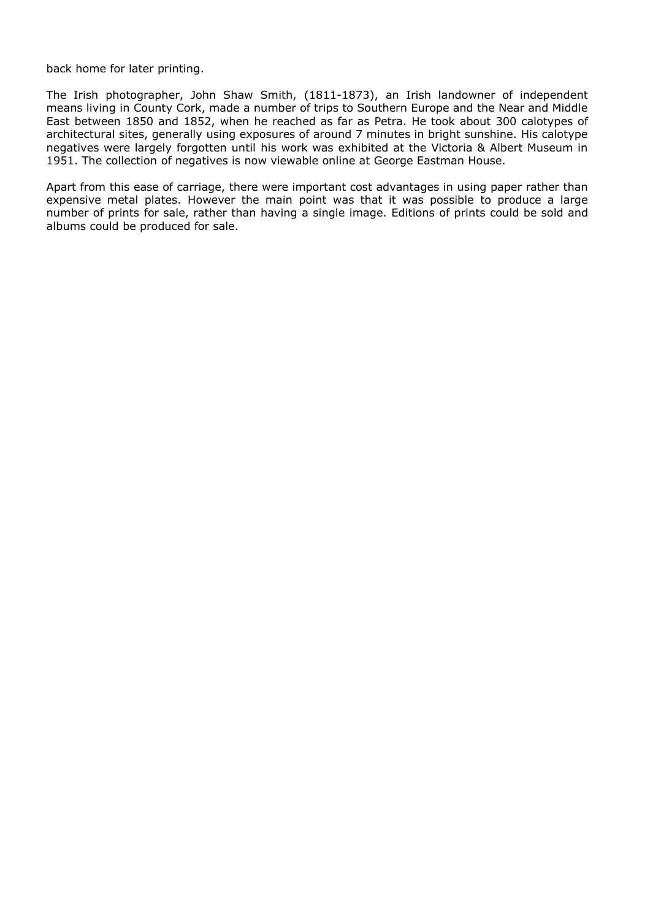back home for later printing.

The Irish photographer, John Shaw Smith, (1811-1873), an Irish landowner of independent means living in County Cork, made a number of trips to Southern Europe and the Near and Middle East between 1850 and 1852, when he reached as far as Petra. He took about 300 calotypes of architectural sites, generally using exposures of around 7 minutes in bright sunshine. His calotype negatives were largely forgotten until his work was exhibited at the Victoria & Albert Museum in 1951. The collection of negatives is now viewable online at George Eastman House.

Apart from this ease of carriage, there were important cost advantages in using paper rather than expensive metal plates. However the main point was that it was possible to produce a large number of prints for sale, rather than having a single image. Editions of prints could be sold and albums could be produced for sale.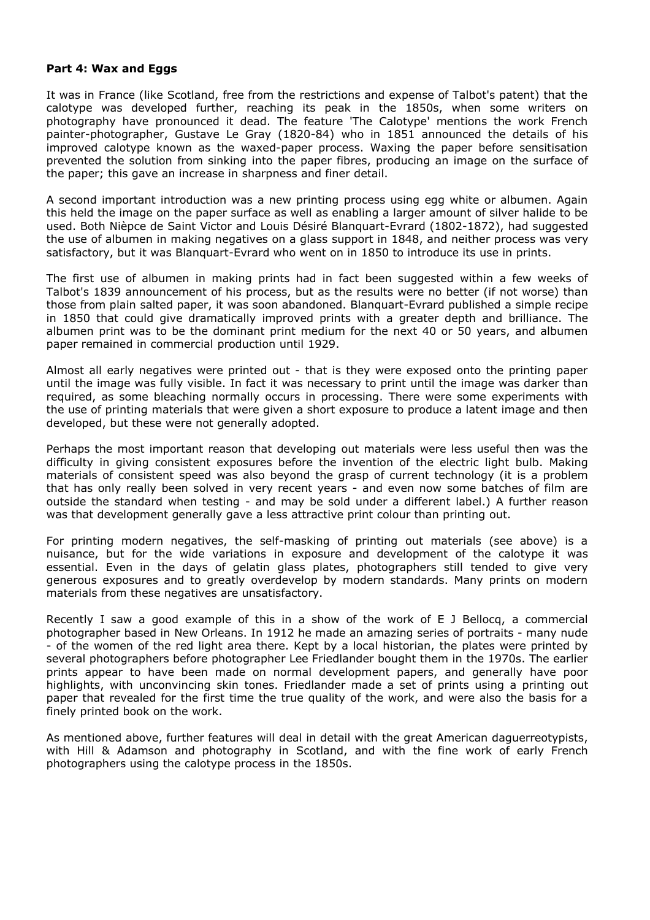#### **Part 4: Wax and Eggs**

It was in France (like Scotland, free from the restrictions and expense of Talbot's patent) that the calotype was developed further, reaching its peak in the 1850s, when some writers on photography have pronounced it dead. The feature 'The Calotype' mentions the work French painter-photographer, Gustave Le Gray (1820-84) who in 1851 announced the details of his improved calotype known as the waxed-paper process. Waxing the paper before sensitisation prevented the solution from sinking into the paper fibres, producing an image on the surface of the paper; this gave an increase in sharpness and finer detail.

A second important introduction was a new printing process using egg white or albumen. Again this held the image on the paper surface as well as enabling a larger amount of silver halide to be used. Both Nièpce de Saint Victor and Louis Désiré Blanquart-Evrard (1802-1872), had suggested the use of albumen in making negatives on a glass support in 1848, and neither process was very satisfactory, but it was Blanquart-Evrard who went on in 1850 to introduce its use in prints.

The first use of albumen in making prints had in fact been suggested within a few weeks of Talbot's 1839 announcement of his process, but as the results were no better (if not worse) than those from plain salted paper, it was soon abandoned. Blanquart-Evrard published a simple recipe in 1850 that could give dramatically improved prints with a greater depth and brilliance. The albumen print was to be the dominant print medium for the next 40 or 50 years, and albumen paper remained in commercial production until 1929.

Almost all early negatives were printed out - that is they were exposed onto the printing paper until the image was fully visible. In fact it was necessary to print until the image was darker than required, as some bleaching normally occurs in processing. There were some experiments with the use of printing materials that were given a short exposure to produce a latent image and then developed, but these were not generally adopted.

Perhaps the most important reason that developing out materials were less useful then was the difficulty in giving consistent exposures before the invention of the electric light bulb. Making materials of consistent speed was also beyond the grasp of current technology (it is a problem that has only really been solved in very recent years - and even now some batches of film are outside the standard when testing - and may be sold under a different label.) A further reason was that development generally gave a less attractive print colour than printing out.

For printing modern negatives, the self-masking of printing out materials (see above) is a nuisance, but for the wide variations in exposure and development of the calotype it was essential. Even in the days of gelatin glass plates, photographers still tended to give very generous exposures and to greatly overdevelop by modern standards. Many prints on modern materials from these negatives are unsatisfactory.

Recently I saw a good example of this in a show of the work of E J Bellocq, a commercial photographer based in New Orleans. In 1912 he made an amazing series of portraits - many nude - of the women of the red light area there. Kept by a local historian, the plates were printed by several photographers before photographer Lee Friedlander bought them in the 1970s. The earlier prints appear to have been made on normal development papers, and generally have poor highlights, with unconvincing skin tones. Friedlander made a set of prints using a printing out paper that revealed for the first time the true quality of the work, and were also the basis for a finely printed book on the work.

As mentioned above, further features will deal in detail with the great American daguerreotypists, with Hill & Adamson and photography in Scotland, and with the fine work of early French photographers using the calotype process in the 1850s.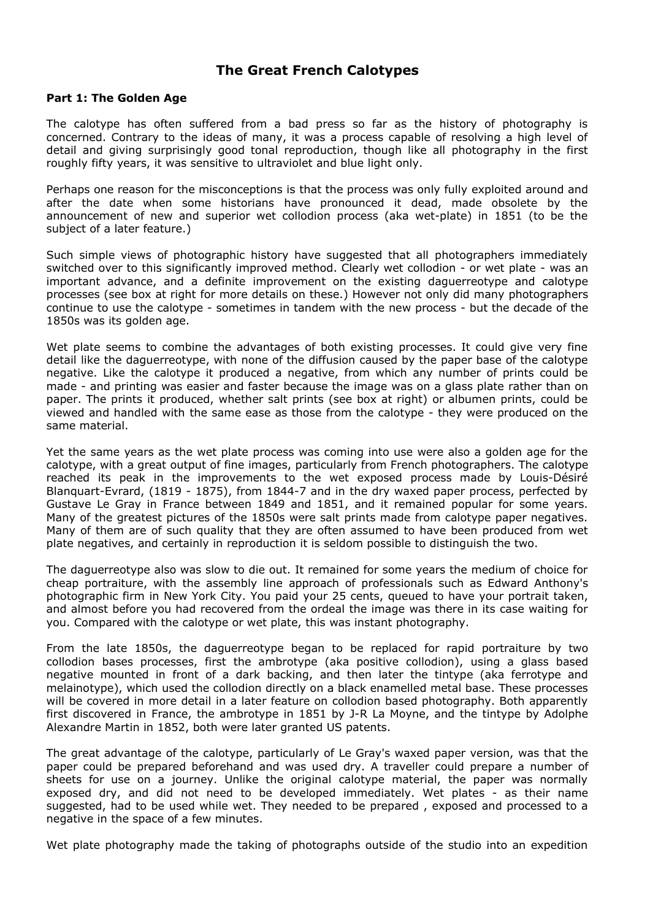## **The Great French Calotypes**

## **Part 1: The Golden Age**

The calotype has often suffered from a bad press so far as the history of photography is concerned. Contrary to the ideas of many, it was a process capable of resolving a high level of detail and giving surprisingly good tonal reproduction, though like all photography in the first roughly fifty years, it was sensitive to ultraviolet and blue light only.

Perhaps one reason for the misconceptions is that the process was only fully exploited around and after the date when some historians have pronounced it dead, made obsolete by the announcement of new and superior wet collodion process (aka wet-plate) in 1851 (to be the subject of a later feature.)

Such simple views of photographic history have suggested that all photographers immediately switched over to this significantly improved method. Clearly wet collodion - or wet plate - was an important advance, and a definite improvement on the existing daguerreotype and calotype processes (see box at right for more details on these.) However not only did many photographers continue to use the calotype - sometimes in tandem with the new process - but the decade of the 1850s was its golden age.

Wet plate seems to combine the advantages of both existing processes. It could give very fine detail like the daguerreotype, with none of the diffusion caused by the paper base of the calotype negative. Like the calotype it produced a negative, from which any number of prints could be made - and printing was easier and faster because the image was on a glass plate rather than on paper. The prints it produced, whether salt prints (see box at right) or albumen prints, could be viewed and handled with the same ease as those from the calotype - they were produced on the same material.

Yet the same years as the wet plate process was coming into use were also a golden age for the calotype, with a great output of fine images, particularly from French photographers. The calotype reached its peak in the improvements to the wet exposed process made by Louis-Désiré Blanquart-Evrard, (1819 - 1875), from 1844-7 and in the dry waxed paper process, perfected by Gustave Le Gray in France between 1849 and 1851, and it remained popular for some years. Many of the greatest pictures of the 1850s were salt prints made from calotype paper negatives. Many of them are of such quality that they are often assumed to have been produced from wet plate negatives, and certainly in reproduction it is seldom possible to distinguish the two.

The daguerreotype also was slow to die out. It remained for some years the medium of choice for cheap portraiture, with the assembly line approach of professionals such as Edward Anthony's photographic firm in New York City. You paid your 25 cents, queued to have your portrait taken, and almost before you had recovered from the ordeal the image was there in its case waiting for you. Compared with the calotype or wet plate, this was instant photography.

From the late 1850s, the daguerreotype began to be replaced for rapid portraiture by two collodion bases processes, first the ambrotype (aka positive collodion), using a glass based negative mounted in front of a dark backing, and then later the tintype (aka ferrotype and melainotype), which used the collodion directly on a black enamelled metal base. These processes will be covered in more detail in a later feature on collodion based photography. Both apparently first discovered in France, the ambrotype in 1851 by J-R La Moyne, and the tintype by Adolphe Alexandre Martin in 1852, both were later granted US patents.

The great advantage of the calotype, particularly of Le Gray's waxed paper version, was that the paper could be prepared beforehand and was used dry. A traveller could prepare a number of sheets for use on a journey. Unlike the original calotype material, the paper was normally exposed dry, and did not need to be developed immediately. Wet plates - as their name suggested, had to be used while wet. They needed to be prepared , exposed and processed to a negative in the space of a few minutes.

Wet plate photography made the taking of photographs outside of the studio into an expedition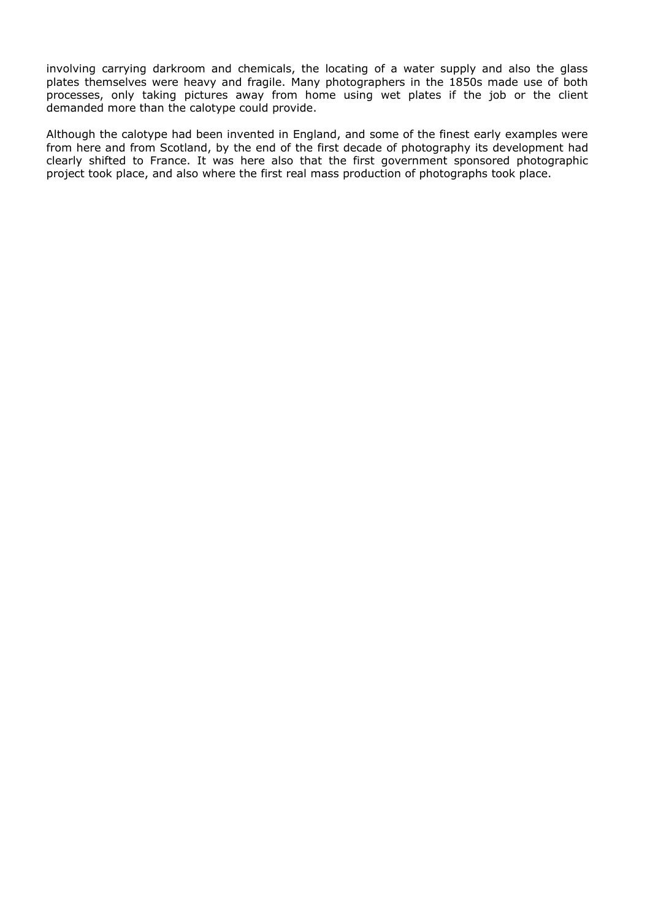involving carrying darkroom and chemicals, the locating of a water supply and also the glass plates themselves were heavy and fragile. Many photographers in the 1850s made use of both processes, only taking pictures away from home using wet plates if the job or the client demanded more than the calotype could provide.

Although the calotype had been invented in England, and some of the finest early examples were from here and from Scotland, by the end of the first decade of photography its development had clearly shifted to France. It was here also that the first government sponsored photographic project took place, and also where the first real mass production of photographs took place.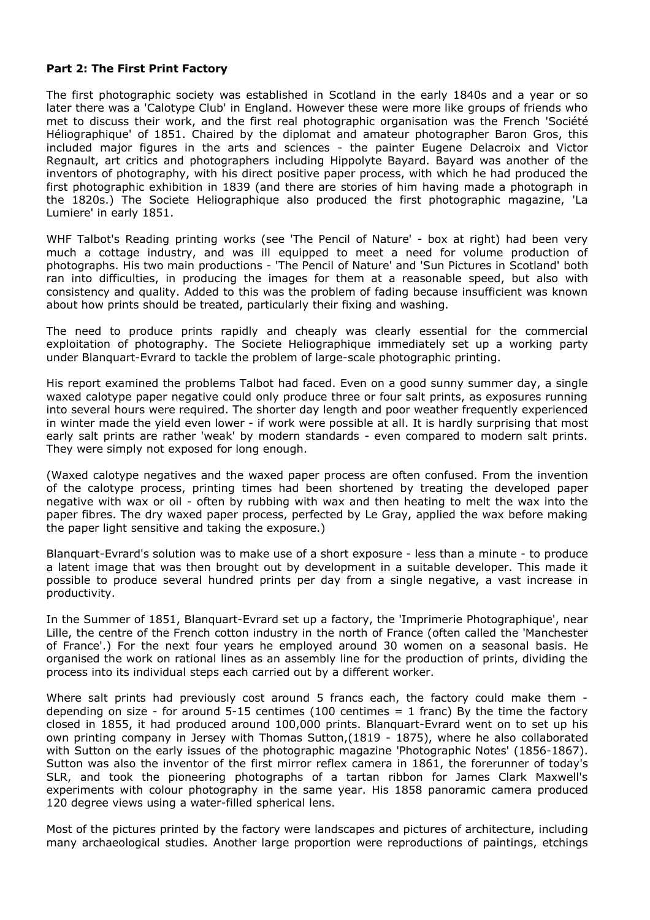## **Part 2: The First Print Factory**

The first photographic society was established in Scotland in the early 1840s and a year or so later there was a 'Calotype Club' in England. However these were more like groups of friends who met to discuss their work, and the first real photographic organisation was the French 'Société Héliographique' of 1851. Chaired by the diplomat and amateur photographer Baron Gros, this included major figures in the arts and sciences - the painter Eugene Delacroix and Victor Regnault, art critics and photographers including Hippolyte Bayard. Bayard was another of the inventors of photography, with his direct positive paper process, with which he had produced the first photographic exhibition in 1839 (and there are stories of him having made a photograph in the 1820s.) The Societe Heliographique also produced the first photographic magazine, 'La Lumiere' in early 1851.

WHF Talbot's Reading printing works (see 'The Pencil of Nature' - box at right) had been very much a cottage industry, and was ill equipped to meet a need for volume production of photographs. His two main productions - 'The Pencil of Nature' and 'Sun Pictures in Scotland' both ran into difficulties, in producing the images for them at a reasonable speed, but also with consistency and quality. Added to this was the problem of fading because insufficient was known about how prints should be treated, particularly their fixing and washing.

The need to produce prints rapidly and cheaply was clearly essential for the commercial exploitation of photography. The Societe Heliographique immediately set up a working party under Blanquart-Evrard to tackle the problem of large-scale photographic printing.

His report examined the problems Talbot had faced. Even on a good sunny summer day, a single waxed calotype paper negative could only produce three or four salt prints, as exposures running into several hours were required. The shorter day length and poor weather frequently experienced in winter made the yield even lower - if work were possible at all. It is hardly surprising that most early salt prints are rather 'weak' by modern standards - even compared to modern salt prints. They were simply not exposed for long enough.

(Waxed calotype negatives and the waxed paper process are often confused. From the invention of the calotype process, printing times had been shortened by treating the developed paper negative with wax or oil - often by rubbing with wax and then heating to melt the wax into the paper fibres. The dry waxed paper process, perfected by Le Gray, applied the wax before making the paper light sensitive and taking the exposure.)

Blanquart-Evrard's solution was to make use of a short exposure - less than a minute - to produce a latent image that was then brought out by development in a suitable developer. This made it possible to produce several hundred prints per day from a single negative, a vast increase in productivity.

In the Summer of 1851, Blanquart-Evrard set up a factory, the 'Imprimerie Photographique', near Lille, the centre of the French cotton industry in the north of France (often called the 'Manchester of France'.) For the next four years he employed around 30 women on a seasonal basis. He organised the work on rational lines as an assembly line for the production of prints, dividing the process into its individual steps each carried out by a different worker.

Where salt prints had previously cost around 5 francs each, the factory could make them depending on size - for around  $5-15$  centimes (100 centimes = 1 franc) By the time the factory closed in 1855, it had produced around 100,000 prints. Blanquart-Evrard went on to set up his own printing company in Jersey with Thomas Sutton,(1819 - 1875), where he also collaborated with Sutton on the early issues of the photographic magazine 'Photographic Notes' (1856-1867). Sutton was also the inventor of the first mirror reflex camera in 1861, the forerunner of today's SLR, and took the pioneering photographs of a tartan ribbon for James Clark Maxwell's experiments with colour photography in the same year. His 1858 panoramic camera produced 120 degree views using a water-filled spherical lens.

Most of the pictures printed by the factory were landscapes and pictures of architecture, including many archaeological studies. Another large proportion were reproductions of paintings, etchings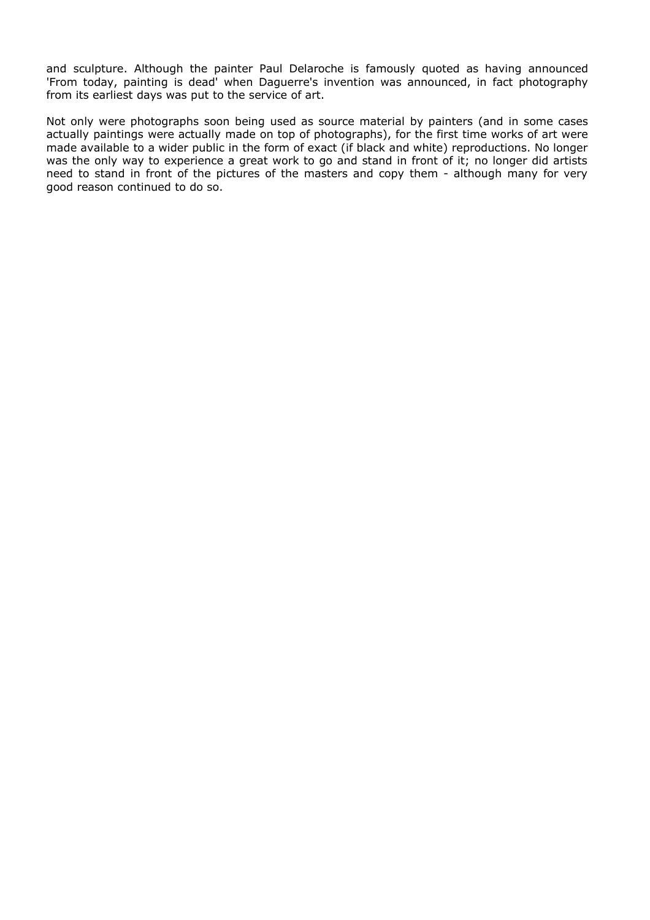and sculpture. Although the painter Paul Delaroche is famously quoted as having announced 'From today, painting is dead' when Daguerre's invention was announced, in fact photography from its earliest days was put to the service of art.

Not only were photographs soon being used as source material by painters (and in some cases actually paintings were actually made on top of photographs), for the first time works of art were made available to a wider public in the form of exact (if black and white) reproductions. No longer was the only way to experience a great work to go and stand in front of it; no longer did artists need to stand in front of the pictures of the masters and copy them - although many for very good reason continued to do so.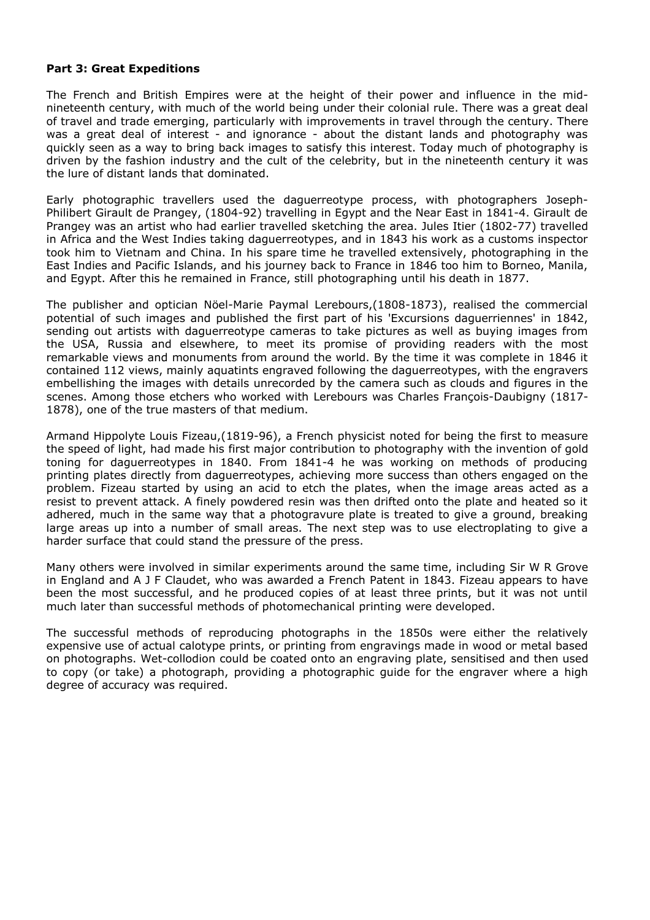## **Part 3: Great Expeditions**

The French and British Empires were at the height of their power and influence in the midnineteenth century, with much of the world being under their colonial rule. There was a great deal of travel and trade emerging, particularly with improvements in travel through the century. There was a great deal of interest - and ignorance - about the distant lands and photography was quickly seen as a way to bring back images to satisfy this interest. Today much of photography is driven by the fashion industry and the cult of the celebrity, but in the nineteenth century it was the lure of distant lands that dominated.

Early photographic travellers used the daguerreotype process, with photographers Joseph-Philibert Girault de Prangey, (1804-92) travelling in Egypt and the Near East in 1841-4. Girault de Prangey was an artist who had earlier travelled sketching the area. Jules Itier (1802-77) travelled in Africa and the West Indies taking daguerreotypes, and in 1843 his work as a customs inspector took him to Vietnam and China. In his spare time he travelled extensively, photographing in the East Indies and Pacific Islands, and his journey back to France in 1846 too him to Borneo, Manila, and Egypt. After this he remained in France, still photographing until his death in 1877.

The publisher and optician Nöel-Marie Paymal Lerebours,(1808-1873), realised the commercial potential of such images and published the first part of his 'Excursions daguerriennes' in 1842, sending out artists with daguerreotype cameras to take pictures as well as buying images from the USA, Russia and elsewhere, to meet its promise of providing readers with the most remarkable views and monuments from around the world. By the time it was complete in 1846 it contained 112 views, mainly aquatints engraved following the daguerreotypes, with the engravers embellishing the images with details unrecorded by the camera such as clouds and figures in the scenes. Among those etchers who worked with Lerebours was Charles François-Daubigny (1817- 1878), one of the true masters of that medium.

Armand Hippolyte Louis Fizeau,(1819-96), a French physicist noted for being the first to measure the speed of light, had made his first major contribution to photography with the invention of gold toning for daguerreotypes in 1840. From 1841-4 he was working on methods of producing printing plates directly from daguerreotypes, achieving more success than others engaged on the problem. Fizeau started by using an acid to etch the plates, when the image areas acted as a resist to prevent attack. A finely powdered resin was then drifted onto the plate and heated so it adhered, much in the same way that a photogravure plate is treated to give a ground, breaking large areas up into a number of small areas. The next step was to use electroplating to give a harder surface that could stand the pressure of the press.

Many others were involved in similar experiments around the same time, including Sir W R Grove in England and A J F Claudet, who was awarded a French Patent in 1843. Fizeau appears to have been the most successful, and he produced copies of at least three prints, but it was not until much later than successful methods of photomechanical printing were developed.

The successful methods of reproducing photographs in the 1850s were either the relatively expensive use of actual calotype prints, or printing from engravings made in wood or metal based on photographs. Wet-collodion could be coated onto an engraving plate, sensitised and then used to copy (or take) a photograph, providing a photographic guide for the engraver where a high degree of accuracy was required.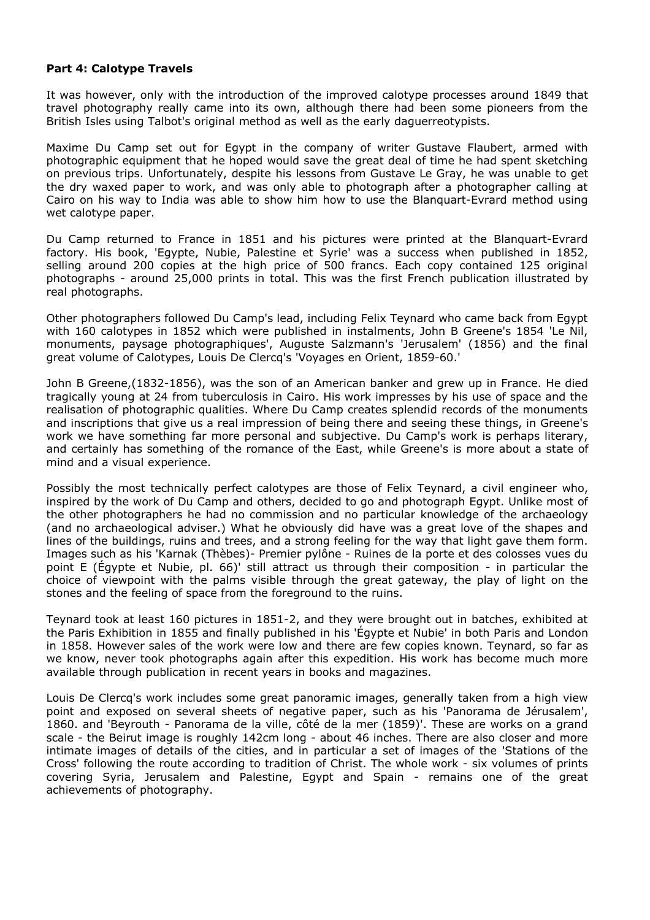## **Part 4: Calotype Travels**

It was however, only with the introduction of the improved calotype processes around 1849 that travel photography really came into its own, although there had been some pioneers from the British Isles using Talbot's original method as well as the early daguerreotypists.

Maxime Du Camp set out for Egypt in the company of writer Gustave Flaubert, armed with photographic equipment that he hoped would save the great deal of time he had spent sketching on previous trips. Unfortunately, despite his lessons from Gustave Le Gray, he was unable to get the dry waxed paper to work, and was only able to photograph after a photographer calling at Cairo on his way to India was able to show him how to use the Blanquart-Evrard method using wet calotype paper.

Du Camp returned to France in 1851 and his pictures were printed at the Blanquart-Evrard factory. His book, 'Egypte, Nubie, Palestine et Syrie' was a success when published in 1852, selling around 200 copies at the high price of 500 francs. Each copy contained 125 original photographs - around 25,000 prints in total. This was the first French publication illustrated by real photographs.

Other photographers followed Du Camp's lead, including Felix Teynard who came back from Egypt with 160 calotypes in 1852 which were published in instalments, John B Greene's 1854 'Le Nil, monuments, paysage photographiques', Auguste Salzmann's 'Jerusalem' (1856) and the final great volume of Calotypes, Louis De Clercq's 'Voyages en Orient, 1859-60.'

John B Greene,(1832-1856), was the son of an American banker and grew up in France. He died tragically young at 24 from tuberculosis in Cairo. His work impresses by his use of space and the realisation of photographic qualities. Where Du Camp creates splendid records of the monuments and inscriptions that give us a real impression of being there and seeing these things, in Greene's work we have something far more personal and subjective. Du Camp's work is perhaps literary, and certainly has something of the romance of the East, while Greene's is more about a state of mind and a visual experience.

Possibly the most technically perfect calotypes are those of Felix Teynard, a civil engineer who, inspired by the work of Du Camp and others, decided to go and photograph Egypt. Unlike most of the other photographers he had no commission and no particular knowledge of the archaeology (and no archaeological adviser.) What he obviously did have was a great love of the shapes and lines of the buildings, ruins and trees, and a strong feeling for the way that light gave them form. Images such as his 'Karnak (Thèbes)- Premier pylône - Ruines de la porte et des colosses vues du point E (Égypte et Nubie, pl. 66)' still attract us through their composition - in particular the choice of viewpoint with the palms visible through the great gateway, the play of light on the stones and the feeling of space from the foreground to the ruins.

Teynard took at least 160 pictures in 1851-2, and they were brought out in batches, exhibited at the Paris Exhibition in 1855 and finally published in his 'Égypte et Nubie' in both Paris and London in 1858. However sales of the work were low and there are few copies known. Teynard, so far as we know, never took photographs again after this expedition. His work has become much more available through publication in recent years in books and magazines.

Louis De Clercq's work includes some great panoramic images, generally taken from a high view point and exposed on several sheets of negative paper, such as his 'Panorama de Jérusalem', 1860. and 'Beyrouth - Panorama de la ville, côté de la mer (1859)'. These are works on a grand scale - the Beirut image is roughly 142cm long - about 46 inches. There are also closer and more intimate images of details of the cities, and in particular a set of images of the 'Stations of the Cross' following the route according to tradition of Christ. The whole work - six volumes of prints covering Syria, Jerusalem and Palestine, Egypt and Spain - remains one of the great achievements of photography.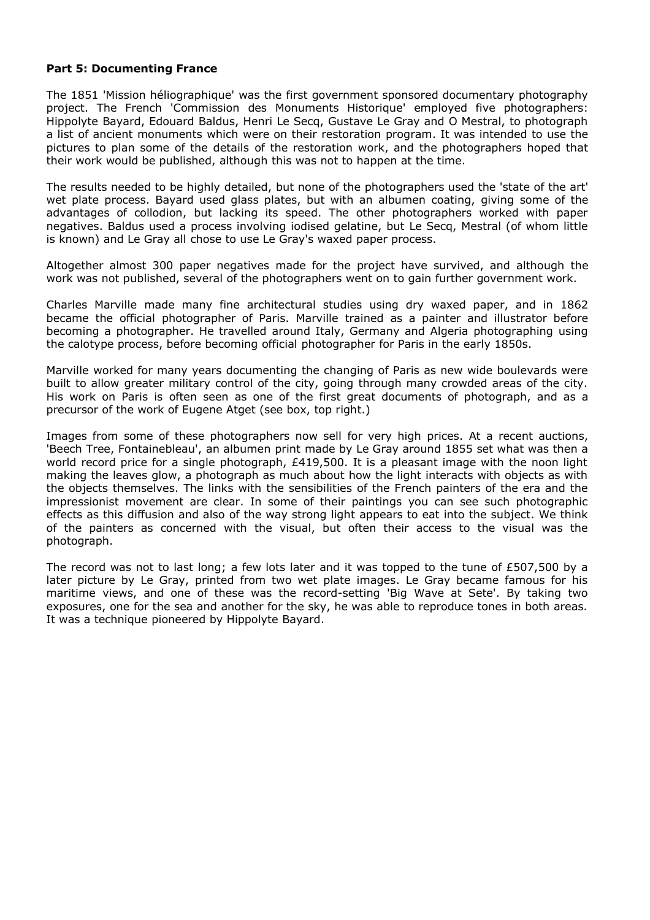## **Part 5: Documenting France**

The 1851 'Mission héliographique' was the first government sponsored documentary photography project. The French 'Commission des Monuments Historique' employed five photographers: Hippolyte Bayard, Edouard Baldus, Henri Le Secq, Gustave Le Gray and O Mestral, to photograph a list of ancient monuments which were on their restoration program. It was intended to use the pictures to plan some of the details of the restoration work, and the photographers hoped that their work would be published, although this was not to happen at the time.

The results needed to be highly detailed, but none of the photographers used the 'state of the art' wet plate process. Bayard used glass plates, but with an albumen coating, giving some of the advantages of collodion, but lacking its speed. The other photographers worked with paper negatives. Baldus used a process involving iodised gelatine, but Le Secq, Mestral (of whom little is known) and Le Gray all chose to use Le Gray's waxed paper process.

Altogether almost 300 paper negatives made for the project have survived, and although the work was not published, several of the photographers went on to gain further government work.

Charles Marville made many fine architectural studies using dry waxed paper, and in 1862 became the official photographer of Paris. Marville trained as a painter and illustrator before becoming a photographer. He travelled around Italy, Germany and Algeria photographing using the calotype process, before becoming official photographer for Paris in the early 1850s.

Marville worked for many years documenting the changing of Paris as new wide boulevards were built to allow greater military control of the city, going through many crowded areas of the city. His work on Paris is often seen as one of the first great documents of photograph, and as a precursor of the work of Eugene Atget (see box, top right.)

Images from some of these photographers now sell for very high prices. At a recent auctions, 'Beech Tree, Fontainebleau', an albumen print made by Le Gray around 1855 set what was then a world record price for a single photograph, £419,500. It is a pleasant image with the noon light making the leaves glow, a photograph as much about how the light interacts with objects as with the objects themselves. The links with the sensibilities of the French painters of the era and the impressionist movement are clear. In some of their paintings you can see such photographic effects as this diffusion and also of the way strong light appears to eat into the subject. We think of the painters as concerned with the visual, but often their access to the visual was the photograph.

The record was not to last long; a few lots later and it was topped to the tune of £507,500 by a later picture by Le Gray, printed from two wet plate images. Le Gray became famous for his maritime views, and one of these was the record-setting 'Big Wave at Sete'. By taking two exposures, one for the sea and another for the sky, he was able to reproduce tones in both areas. It was a technique pioneered by Hippolyte Bayard.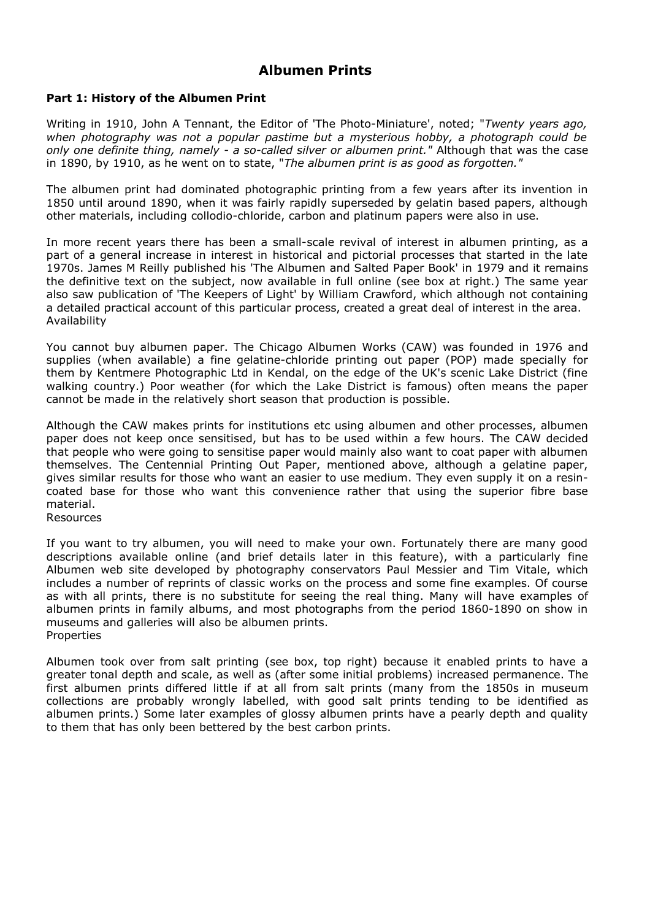## **Albumen Prints**

## **Part 1: History of the Albumen Print**

Writing in 1910, John A Tennant, the Editor of 'The Photo-Miniature', noted; "*Twenty years ago, when photography was not a popular pastime but a mysterious hobby, a photograph could be only one definite thing, namely - a so-called silver or albumen print."* Although that was the case in 1890, by 1910, as he went on to state, "*The albumen print is as good as forgotten."* 

The albumen print had dominated photographic printing from a few years after its invention in 1850 until around 1890, when it was fairly rapidly superseded by gelatin based papers, although other materials, including collodio-chloride, carbon and platinum papers were also in use.

In more recent years there has been a small-scale revival of interest in albumen printing, as a part of a general increase in interest in historical and pictorial processes that started in the late 1970s. James M Reilly published his 'The Albumen and Salted Paper Book' in 1979 and it remains the definitive text on the subject, now available in full online (see box at right.) The same year also saw publication of 'The Keepers of Light' by William Crawford, which although not containing a detailed practical account of this particular process, created a great deal of interest in the area. Availability

You cannot buy albumen paper. The Chicago Albumen Works (CAW) was founded in 1976 and supplies (when available) a fine gelatine-chloride printing out paper (POP) made specially for them by Kentmere Photographic Ltd in Kendal, on the edge of the UK's scenic Lake District (fine walking country.) Poor weather (for which the Lake District is famous) often means the paper cannot be made in the relatively short season that production is possible.

Although the CAW makes prints for institutions etc using albumen and other processes, albumen paper does not keep once sensitised, but has to be used within a few hours. The CAW decided that people who were going to sensitise paper would mainly also want to coat paper with albumen themselves. The Centennial Printing Out Paper, mentioned above, although a gelatine paper, gives similar results for those who want an easier to use medium. They even supply it on a resincoated base for those who want this convenience rather that using the superior fibre base material.

#### Resources

If you want to try albumen, you will need to make your own. Fortunately there are many good descriptions available online (and brief details later in this feature), with a particularly fine Albumen web site developed by photography conservators Paul Messier and Tim Vitale, which includes a number of reprints of classic works on the process and some fine examples. Of course as with all prints, there is no substitute for seeing the real thing. Many will have examples of albumen prints in family albums, and most photographs from the period 1860-1890 on show in museums and galleries will also be albumen prints. Properties

Albumen took over from salt printing (see box, top right) because it enabled prints to have a greater tonal depth and scale, as well as (after some initial problems) increased permanence. The first albumen prints differed little if at all from salt prints (many from the 1850s in museum collections are probably wrongly labelled, with good salt prints tending to be identified as albumen prints.) Some later examples of glossy albumen prints have a pearly depth and quality to them that has only been bettered by the best carbon prints.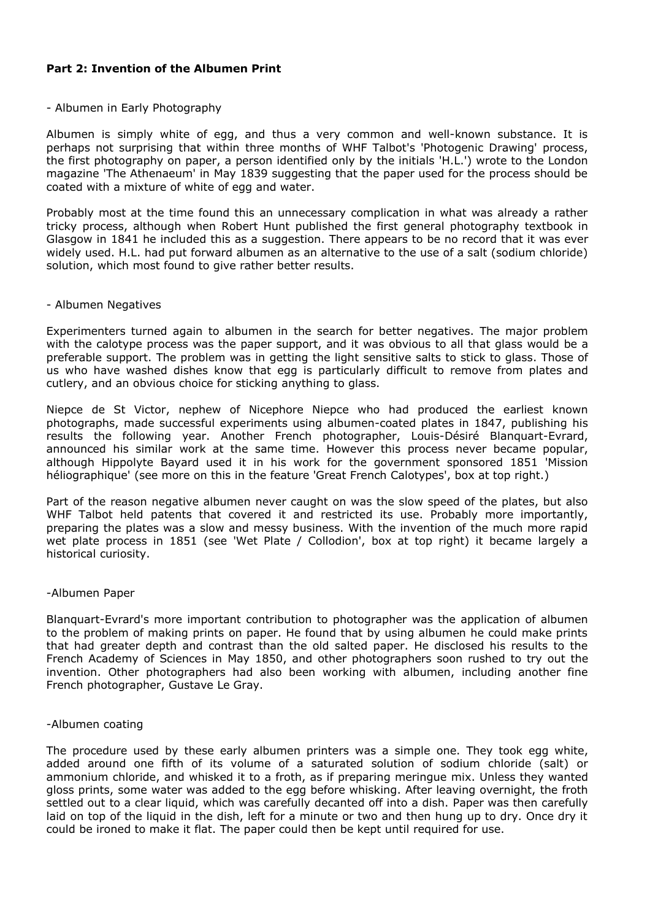## **Part 2: Invention of the Albumen Print**

## - Albumen in Early Photography

Albumen is simply white of egg, and thus a very common and well-known substance. It is perhaps not surprising that within three months of WHF Talbot's 'Photogenic Drawing' process, the first photography on paper, a person identified only by the initials 'H.L.') wrote to the London magazine 'The Athenaeum' in May 1839 suggesting that the paper used for the process should be coated with a mixture of white of egg and water.

Probably most at the time found this an unnecessary complication in what was already a rather tricky process, although when Robert Hunt published the first general photography textbook in Glasgow in 1841 he included this as a suggestion. There appears to be no record that it was ever widely used. H.L. had put forward albumen as an alternative to the use of a salt (sodium chloride) solution, which most found to give rather better results.

#### - Albumen Negatives

Experimenters turned again to albumen in the search for better negatives. The major problem with the calotype process was the paper support, and it was obvious to all that glass would be a preferable support. The problem was in getting the light sensitive salts to stick to glass. Those of us who have washed dishes know that egg is particularly difficult to remove from plates and cutlery, and an obvious choice for sticking anything to glass.

Niepce de St Victor, nephew of Nicephore Niepce who had produced the earliest known photographs, made successful experiments using albumen-coated plates in 1847, publishing his results the following year. Another French photographer, Louis-Désiré Blanquart-Evrard, announced his similar work at the same time. However this process never became popular, although Hippolyte Bayard used it in his work for the government sponsored 1851 'Mission héliographique' (see more on this in the feature 'Great French Calotypes', box at top right.)

Part of the reason negative albumen never caught on was the slow speed of the plates, but also WHF Talbot held patents that covered it and restricted its use. Probably more importantly, preparing the plates was a slow and messy business. With the invention of the much more rapid wet plate process in 1851 (see 'Wet Plate / Collodion', box at top right) it became largely a historical curiosity.

#### -Albumen Paper

Blanquart-Evrard's more important contribution to photographer was the application of albumen to the problem of making prints on paper. He found that by using albumen he could make prints that had greater depth and contrast than the old salted paper. He disclosed his results to the French Academy of Sciences in May 1850, and other photographers soon rushed to try out the invention. Other photographers had also been working with albumen, including another fine French photographer, Gustave Le Gray.

#### -Albumen coating

The procedure used by these early albumen printers was a simple one. They took egg white, added around one fifth of its volume of a saturated solution of sodium chloride (salt) or ammonium chloride, and whisked it to a froth, as if preparing meringue mix. Unless they wanted gloss prints, some water was added to the egg before whisking. After leaving overnight, the froth settled out to a clear liquid, which was carefully decanted off into a dish. Paper was then carefully laid on top of the liquid in the dish, left for a minute or two and then hung up to dry. Once dry it could be ironed to make it flat. The paper could then be kept until required for use.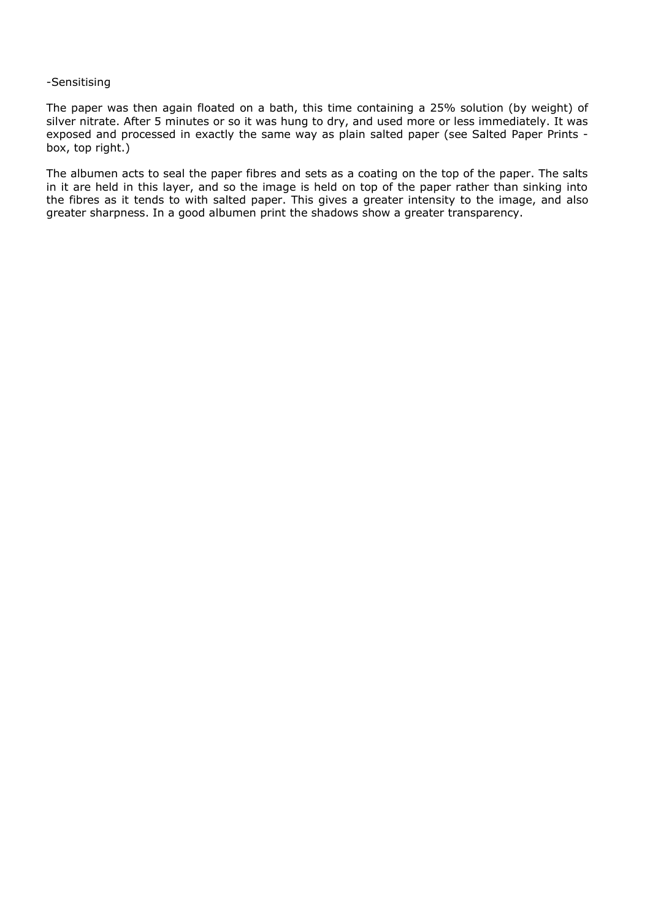#### -Sensitising

The paper was then again floated on a bath, this time containing a 25% solution (by weight) of silver nitrate. After 5 minutes or so it was hung to dry, and used more or less immediately. It was exposed and processed in exactly the same way as plain salted paper (see Salted Paper Prints box, top right.)

The albumen acts to seal the paper fibres and sets as a coating on the top of the paper. The salts in it are held in this layer, and so the image is held on top of the paper rather than sinking into the fibres as it tends to with salted paper. This gives a greater intensity to the image, and also greater sharpness. In a good albumen print the shadows show a greater transparency.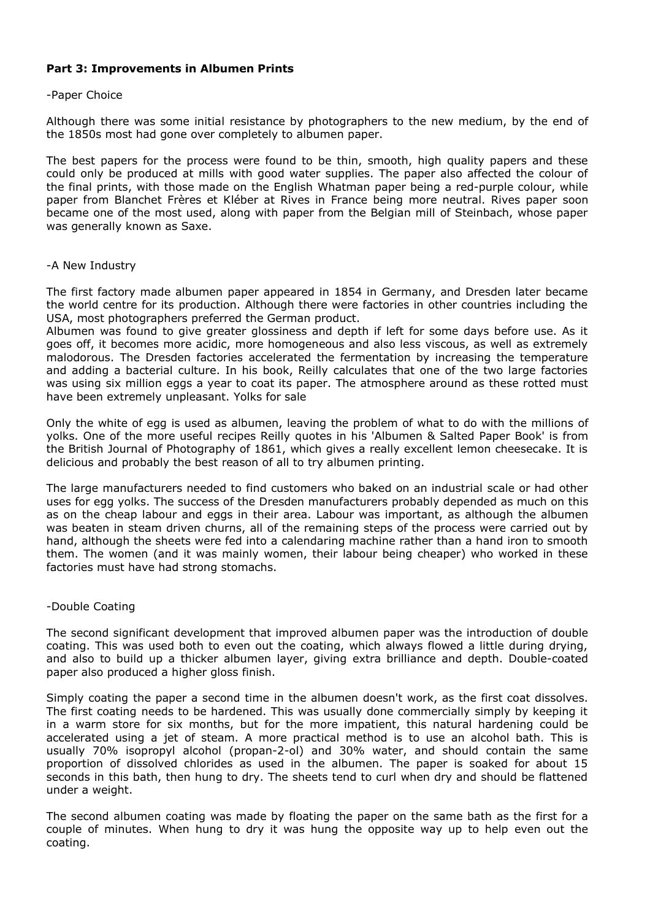## **Part 3: Improvements in Albumen Prints**

#### -Paper Choice

Although there was some initial resistance by photographers to the new medium, by the end of the 1850s most had gone over completely to albumen paper.

The best papers for the process were found to be thin, smooth, high quality papers and these could only be produced at mills with good water supplies. The paper also affected the colour of the final prints, with those made on the English Whatman paper being a red-purple colour, while paper from Blanchet Frères et Kléber at Rives in France being more neutral. Rives paper soon became one of the most used, along with paper from the Belgian mill of Steinbach, whose paper was generally known as Saxe.

#### -A New Industry

The first factory made albumen paper appeared in 1854 in Germany, and Dresden later became the world centre for its production. Although there were factories in other countries including the USA, most photographers preferred the German product.

Albumen was found to give greater glossiness and depth if left for some days before use. As it goes off, it becomes more acidic, more homogeneous and also less viscous, as well as extremely malodorous. The Dresden factories accelerated the fermentation by increasing the temperature and adding a bacterial culture. In his book, Reilly calculates that one of the two large factories was using six million eggs a year to coat its paper. The atmosphere around as these rotted must have been extremely unpleasant. Yolks for sale

Only the white of egg is used as albumen, leaving the problem of what to do with the millions of yolks. One of the more useful recipes Reilly quotes in his 'Albumen & Salted Paper Book' is from the British Journal of Photography of 1861, which gives a really excellent lemon cheesecake. It is delicious and probably the best reason of all to try albumen printing.

The large manufacturers needed to find customers who baked on an industrial scale or had other uses for egg yolks. The success of the Dresden manufacturers probably depended as much on this as on the cheap labour and eggs in their area. Labour was important, as although the albumen was beaten in steam driven churns, all of the remaining steps of the process were carried out by hand, although the sheets were fed into a calendaring machine rather than a hand iron to smooth them. The women (and it was mainly women, their labour being cheaper) who worked in these factories must have had strong stomachs.

## -Double Coating

The second significant development that improved albumen paper was the introduction of double coating. This was used both to even out the coating, which always flowed a little during drying, and also to build up a thicker albumen layer, giving extra brilliance and depth. Double-coated paper also produced a higher gloss finish.

Simply coating the paper a second time in the albumen doesn't work, as the first coat dissolves. The first coating needs to be hardened. This was usually done commercially simply by keeping it in a warm store for six months, but for the more impatient, this natural hardening could be accelerated using a jet of steam. A more practical method is to use an alcohol bath. This is usually 70% isopropyl alcohol (propan-2-ol) and 30% water, and should contain the same proportion of dissolved chlorides as used in the albumen. The paper is soaked for about 15 seconds in this bath, then hung to dry. The sheets tend to curl when dry and should be flattened under a weight.

The second albumen coating was made by floating the paper on the same bath as the first for a couple of minutes. When hung to dry it was hung the opposite way up to help even out the coating.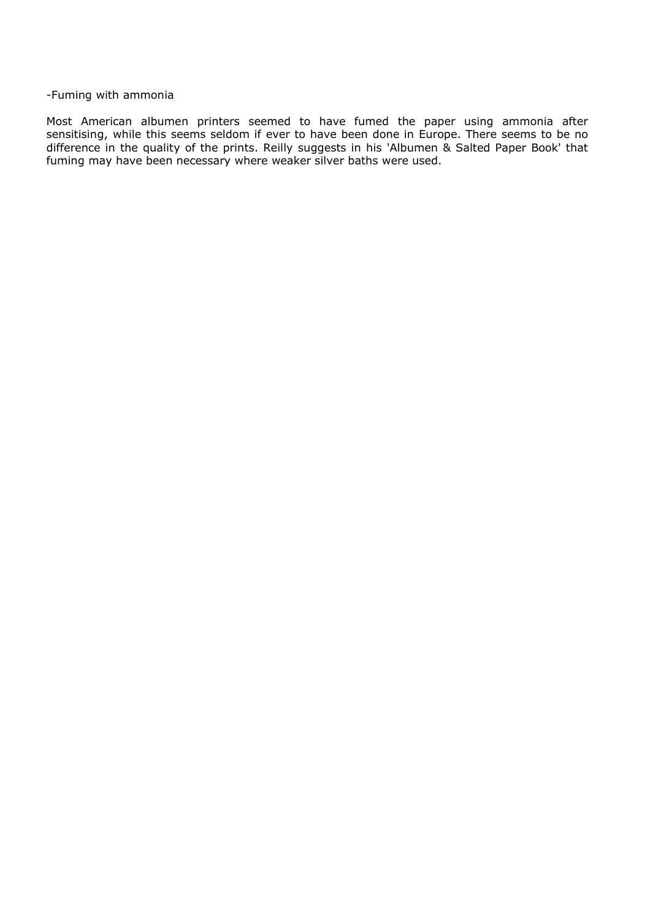-Fuming with ammonia

Most American albumen printers seemed to have fumed the paper using ammonia after sensitising, while this seems seldom if ever to have been done in Europe. There seems to be no difference in the quality of the prints. Reilly suggests in his 'Albumen & Salted Paper Book' that fuming may have been necessary where weaker silver baths were used.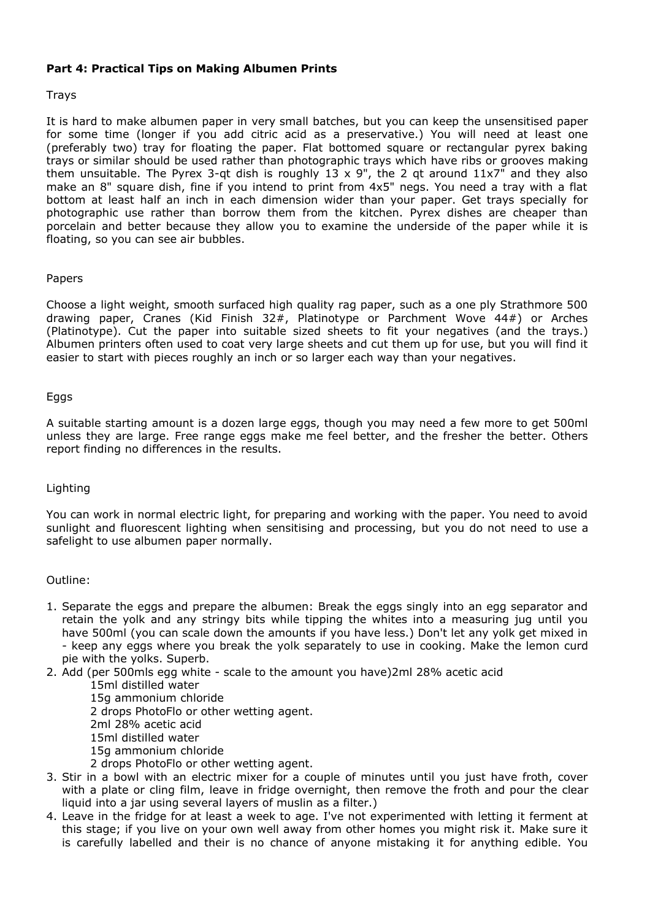## **Part 4: Practical Tips on Making Albumen Prints**

## Trays

It is hard to make albumen paper in very small batches, but you can keep the unsensitised paper for some time (longer if you add citric acid as a preservative.) You will need at least one (preferably two) tray for floating the paper. Flat bottomed square or rectangular pyrex baking trays or similar should be used rather than photographic trays which have ribs or grooves making them unsuitable. The Pyrex 3-qt dish is roughly 13 x 9", the 2 gt around  $11x7$ " and they also make an 8" square dish, fine if you intend to print from 4x5" negs. You need a tray with a flat bottom at least half an inch in each dimension wider than your paper. Get trays specially for photographic use rather than borrow them from the kitchen. Pyrex dishes are cheaper than porcelain and better because they allow you to examine the underside of the paper while it is floating, so you can see air bubbles.

## Papers

Choose a light weight, smooth surfaced high quality rag paper, such as a one ply Strathmore 500 drawing paper, Cranes (Kid Finish 32#, Platinotype or Parchment Wove  $44#$ ) or Arches (Platinotype). Cut the paper into suitable sized sheets to fit your negatives (and the trays.) Albumen printers often used to coat very large sheets and cut them up for use, but you will find it easier to start with pieces roughly an inch or so larger each way than your negatives.

## Eggs

A suitable starting amount is a dozen large eggs, though you may need a few more to get 500ml unless they are large. Free range eggs make me feel better, and the fresher the better. Others report finding no differences in the results.

## Lighting

You can work in normal electric light, for preparing and working with the paper. You need to avoid sunlight and fluorescent lighting when sensitising and processing, but you do not need to use a safelight to use albumen paper normally.

## Outline:

- 1. Separate the eggs and prepare the albumen: Break the eggs singly into an egg separator and retain the yolk and any stringy bits while tipping the whites into a measuring jug until you have 500ml (you can scale down the amounts if you have less.) Don't let any yolk get mixed in - keep any eggs where you break the yolk separately to use in cooking. Make the lemon curd pie with the yolks. Superb.
- 2. Add (per 500mls egg white scale to the amount you have)2ml 28% acetic acid
	- 15ml distilled water
		- 15g ammonium chloride
		- 2 drops PhotoFlo or other wetting agent.
		- 2ml 28% acetic acid
		- 15ml distilled water
		- 15g ammonium chloride
	- 2 drops PhotoFlo or other wetting agent.
- 3. Stir in a bowl with an electric mixer for a couple of minutes until you just have froth, cover with a plate or cling film, leave in fridge overnight, then remove the froth and pour the clear liquid into a jar using several layers of muslin as a filter.)
- 4. Leave in the fridge for at least a week to age. I've not experimented with letting it ferment at this stage; if you live on your own well away from other homes you might risk it. Make sure it is carefully labelled and their is no chance of anyone mistaking it for anything edible. You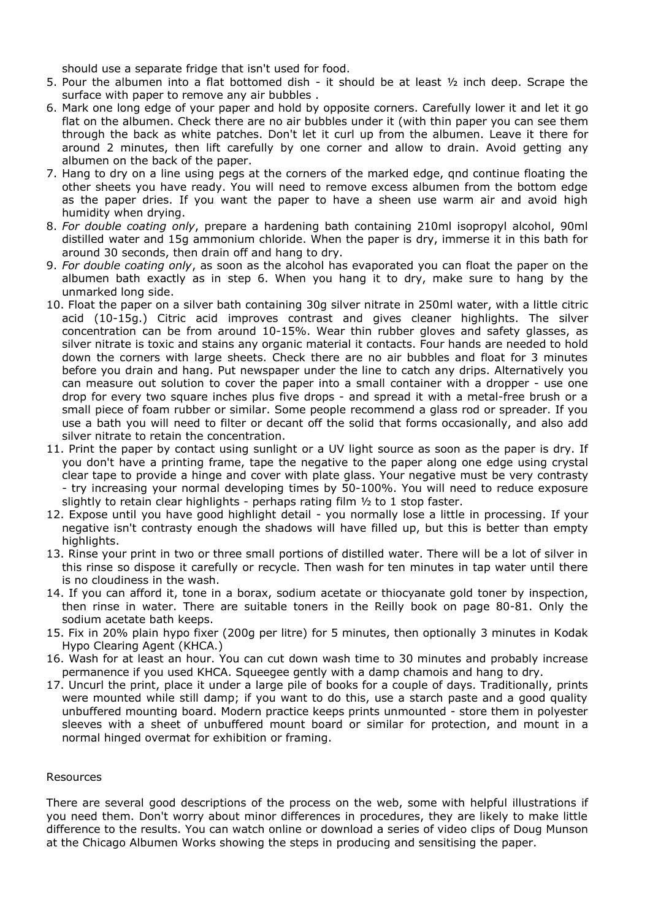should use a separate fridge that isn't used for food.

- 5. Pour the albumen into a flat bottomed dish it should be at least  $\frac{1}{2}$  inch deep. Scrape the surface with paper to remove any air bubbles .
- 6. Mark one long edge of your paper and hold by opposite corners. Carefully lower it and let it go flat on the albumen. Check there are no air bubbles under it (with thin paper you can see them through the back as white patches. Don't let it curl up from the albumen. Leave it there for around 2 minutes, then lift carefully by one corner and allow to drain. Avoid getting any albumen on the back of the paper.
- 7. Hang to dry on a line using pegs at the corners of the marked edge, qnd continue floating the other sheets you have ready. You will need to remove excess albumen from the bottom edge as the paper dries. If you want the paper to have a sheen use warm air and avoid high humidity when drying.
- 8. *For double coating only*, prepare a hardening bath containing 210ml isopropyl alcohol, 90ml distilled water and 15g ammonium chloride. When the paper is dry, immerse it in this bath for around 30 seconds, then drain off and hang to dry.
- 9. *For double coating only*, as soon as the alcohol has evaporated you can float the paper on the albumen bath exactly as in step 6. When you hang it to dry, make sure to hang by the unmarked long side.
- 10. Float the paper on a silver bath containing 30g silver nitrate in 250ml water, with a little citric acid (10-15g.) Citric acid improves contrast and gives cleaner highlights. The silver concentration can be from around 10-15%. Wear thin rubber gloves and safety glasses, as silver nitrate is toxic and stains any organic material it contacts. Four hands are needed to hold down the corners with large sheets. Check there are no air bubbles and float for 3 minutes before you drain and hang. Put newspaper under the line to catch any drips. Alternatively you can measure out solution to cover the paper into a small container with a dropper - use one drop for every two square inches plus five drops - and spread it with a metal-free brush or a small piece of foam rubber or similar. Some people recommend a glass rod or spreader. If you use a bath you will need to filter or decant off the solid that forms occasionally, and also add silver nitrate to retain the concentration.
- 11. Print the paper by contact using sunlight or a UV light source as soon as the paper is dry. If you don't have a printing frame, tape the negative to the paper along one edge using crystal clear tape to provide a hinge and cover with plate glass. Your negative must be very contrasty - try increasing your normal developing times by 50-100%. You will need to reduce exposure slightly to retain clear highlights - perhaps rating film ½ to 1 stop faster.
- 12. Expose until you have good highlight detail you normally lose a little in processing. If your negative isn't contrasty enough the shadows will have filled up, but this is better than empty highlights.
- 13. Rinse your print in two or three small portions of distilled water. There will be a lot of silver in this rinse so dispose it carefully or recycle. Then wash for ten minutes in tap water until there is no cloudiness in the wash.
- 14. If you can afford it, tone in a borax, sodium acetate or thiocyanate gold toner by inspection, then rinse in water. There are suitable toners in the Reilly book on page 80-81. Only the sodium acetate bath keeps.
- 15. Fix in 20% plain hypo fixer (200g per litre) for 5 minutes, then optionally 3 minutes in Kodak Hypo Clearing Agent (KHCA.)
- 16. Wash for at least an hour. You can cut down wash time to 30 minutes and probably increase permanence if you used KHCA. Squeegee gently with a damp chamois and hang to dry.
- 17. Uncurl the print, place it under a large pile of books for a couple of days. Traditionally, prints were mounted while still damp; if you want to do this, use a starch paste and a good quality unbuffered mounting board. Modern practice keeps prints unmounted - store them in polyester sleeves with a sheet of unbuffered mount board or similar for protection, and mount in a normal hinged overmat for exhibition or framing.

#### Resources

There are several good descriptions of the process on the web, some with helpful illustrations if you need them. Don't worry about minor differences in procedures, they are likely to make little difference to the results. You can watch online or download a series of video clips of Doug Munson at the Chicago Albumen Works showing the steps in producing and sensitising the paper.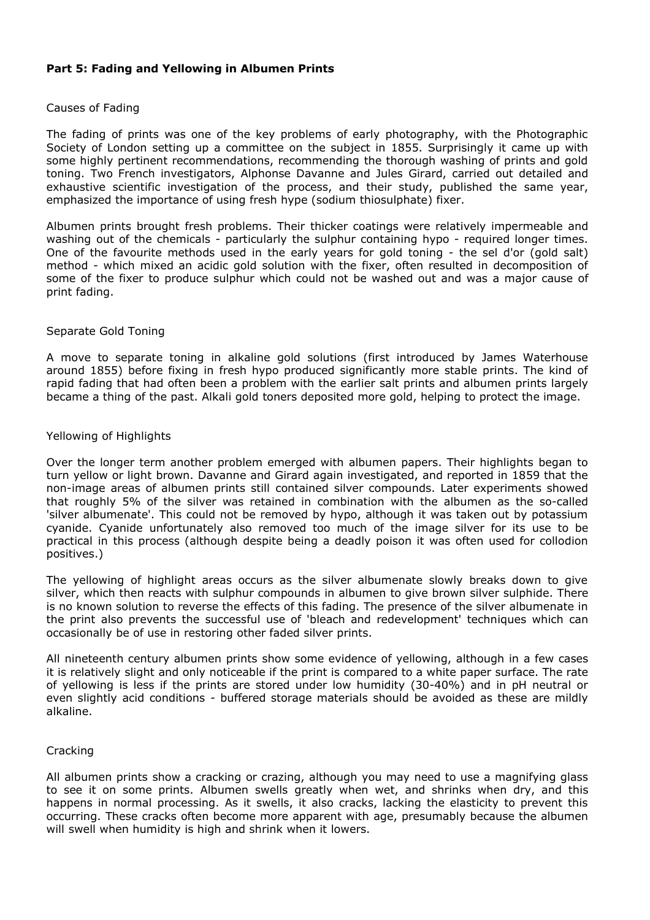## **Part 5: Fading and Yellowing in Albumen Prints**

## Causes of Fading

The fading of prints was one of the key problems of early photography, with the Photographic Society of London setting up a committee on the subject in 1855. Surprisingly it came up with some highly pertinent recommendations, recommending the thorough washing of prints and gold toning. Two French investigators, Alphonse Davanne and Jules Girard, carried out detailed and exhaustive scientific investigation of the process, and their study, published the same year, emphasized the importance of using fresh hype (sodium thiosulphate) fixer.

Albumen prints brought fresh problems. Their thicker coatings were relatively impermeable and washing out of the chemicals - particularly the sulphur containing hypo - required longer times. One of the favourite methods used in the early years for gold toning - the sel d'or (gold salt) method - which mixed an acidic gold solution with the fixer, often resulted in decomposition of some of the fixer to produce sulphur which could not be washed out and was a major cause of print fading.

#### Separate Gold Toning

A move to separate toning in alkaline gold solutions (first introduced by James Waterhouse around 1855) before fixing in fresh hypo produced significantly more stable prints. The kind of rapid fading that had often been a problem with the earlier salt prints and albumen prints largely became a thing of the past. Alkali gold toners deposited more gold, helping to protect the image.

#### Yellowing of Highlights

Over the longer term another problem emerged with albumen papers. Their highlights began to turn yellow or light brown. Davanne and Girard again investigated, and reported in 1859 that the non-image areas of albumen prints still contained silver compounds. Later experiments showed that roughly 5% of the silver was retained in combination with the albumen as the so-called 'silver albumenate'. This could not be removed by hypo, although it was taken out by potassium cyanide. Cyanide unfortunately also removed too much of the image silver for its use to be practical in this process (although despite being a deadly poison it was often used for collodion positives.)

The yellowing of highlight areas occurs as the silver albumenate slowly breaks down to give silver, which then reacts with sulphur compounds in albumen to give brown silver sulphide. There is no known solution to reverse the effects of this fading. The presence of the silver albumenate in the print also prevents the successful use of 'bleach and redevelopment' techniques which can occasionally be of use in restoring other faded silver prints.

All nineteenth century albumen prints show some evidence of yellowing, although in a few cases it is relatively slight and only noticeable if the print is compared to a white paper surface. The rate of yellowing is less if the prints are stored under low humidity (30-40%) and in pH neutral or even slightly acid conditions - buffered storage materials should be avoided as these are mildly alkaline.

## **Cracking**

All albumen prints show a cracking or crazing, although you may need to use a magnifying glass to see it on some prints. Albumen swells greatly when wet, and shrinks when dry, and this happens in normal processing. As it swells, it also cracks, lacking the elasticity to prevent this occurring. These cracks often become more apparent with age, presumably because the albumen will swell when humidity is high and shrink when it lowers.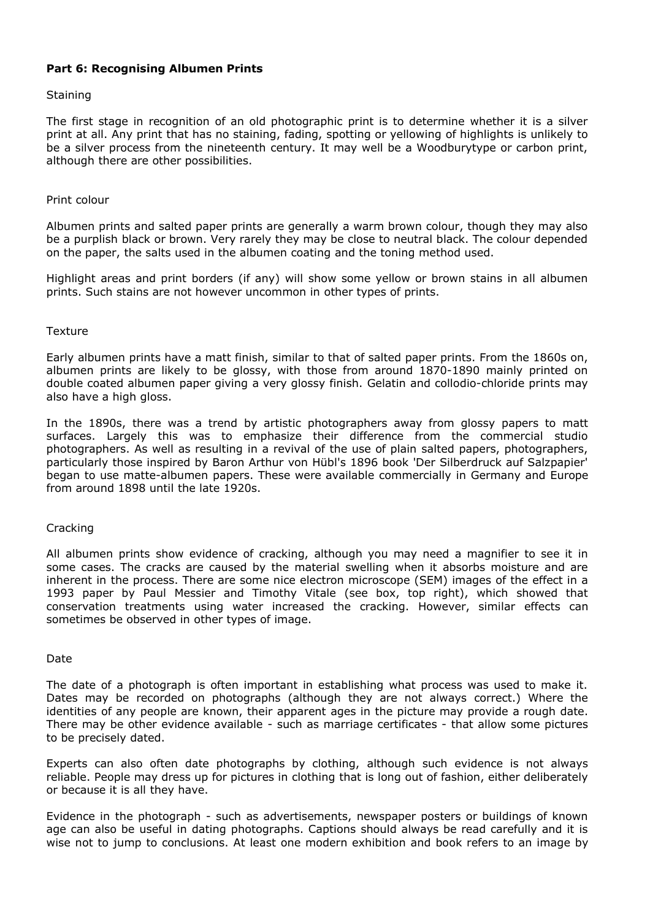## **Part 6: Recognising Albumen Prints**

## **Staining**

The first stage in recognition of an old photographic print is to determine whether it is a silver print at all. Any print that has no staining, fading, spotting or yellowing of highlights is unlikely to be a silver process from the nineteenth century. It may well be a Woodburytype or carbon print, although there are other possibilities.

#### Print colour

Albumen prints and salted paper prints are generally a warm brown colour, though they may also be a purplish black or brown. Very rarely they may be close to neutral black. The colour depended on the paper, the salts used in the albumen coating and the toning method used.

Highlight areas and print borders (if any) will show some yellow or brown stains in all albumen prints. Such stains are not however uncommon in other types of prints.

#### Texture

Early albumen prints have a matt finish, similar to that of salted paper prints. From the 1860s on, albumen prints are likely to be glossy, with those from around 1870-1890 mainly printed on double coated albumen paper giving a very glossy finish. Gelatin and collodio-chloride prints may also have a high gloss.

In the 1890s, there was a trend by artistic photographers away from glossy papers to matt surfaces. Largely this was to emphasize their difference from the commercial studio photographers. As well as resulting in a revival of the use of plain salted papers, photographers, particularly those inspired by Baron Arthur von Hübl's 1896 book 'Der Silberdruck auf Salzpapier' began to use matte-albumen papers. These were available commercially in Germany and Europe from around 1898 until the late 1920s.

#### **Cracking**

All albumen prints show evidence of cracking, although you may need a magnifier to see it in some cases. The cracks are caused by the material swelling when it absorbs moisture and are inherent in the process. There are some nice electron microscope (SEM) images of the effect in a 1993 paper by Paul Messier and Timothy Vitale (see box, top right), which showed that conservation treatments using water increased the cracking. However, similar effects can sometimes be observed in other types of image.

#### Date

The date of a photograph is often important in establishing what process was used to make it. Dates may be recorded on photographs (although they are not always correct.) Where the identities of any people are known, their apparent ages in the picture may provide a rough date. There may be other evidence available - such as marriage certificates - that allow some pictures to be precisely dated.

Experts can also often date photographs by clothing, although such evidence is not always reliable. People may dress up for pictures in clothing that is long out of fashion, either deliberately or because it is all they have.

Evidence in the photograph - such as advertisements, newspaper posters or buildings of known age can also be useful in dating photographs. Captions should always be read carefully and it is wise not to jump to conclusions. At least one modern exhibition and book refers to an image by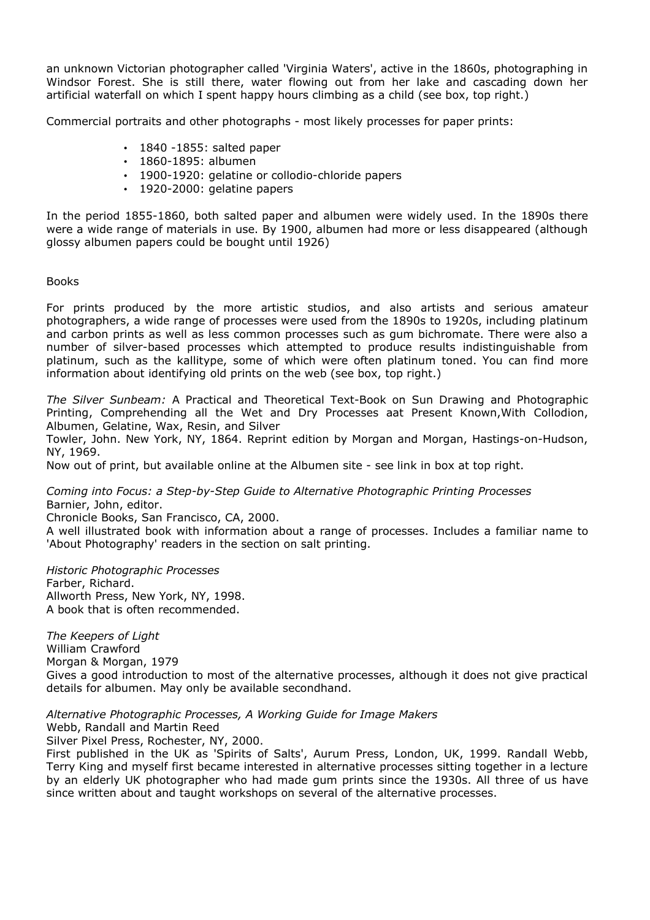an unknown Victorian photographer called 'Virginia Waters', active in the 1860s, photographing in Windsor Forest. She is still there, water flowing out from her lake and cascading down her artificial waterfall on which I spent happy hours climbing as a child (see box, top right.)

Commercial portraits and other photographs - most likely processes for paper prints:

- 1840 -1855: salted paper
- 1860-1895: albumen
- 1900-1920: gelatine or collodio-chloride papers
- 1920-2000: gelatine papers

In the period 1855-1860, both salted paper and albumen were widely used. In the 1890s there were a wide range of materials in use. By 1900, albumen had more or less disappeared (although glossy albumen papers could be bought until 1926)

#### Books

For prints produced by the more artistic studios, and also artists and serious amateur photographers, a wide range of processes were used from the 1890s to 1920s, including platinum and carbon prints as well as less common processes such as gum bichromate. There were also a number of silver-based processes which attempted to produce results indistinguishable from platinum, such as the kallitype, some of which were often platinum toned. You can find more information about identifying old prints on the web (see box, top right.)

*The Silver Sunbeam:* A Practical and Theoretical Text-Book on Sun Drawing and Photographic Printing, Comprehending all the Wet and Dry Processes aat Present Known,With Collodion, Albumen, Gelatine, Wax, Resin, and Silver

Towler, John. New York, NY, 1864. Reprint edition by Morgan and Morgan, Hastings-on-Hudson, NY, 1969.

Now out of print, but available online at the Albumen site - see link in box at top right.

*Coming into Focus: a Step-by-Step Guide to Alternative Photographic Printing Processes* Barnier, John, editor.

Chronicle Books, San Francisco, CA, 2000.

A well illustrated book with information about a range of processes. Includes a familiar name to 'About Photography' readers in the section on salt printing.

*Historic Photographic Processes* Farber, Richard. Allworth Press, New York, NY, 1998. A book that is often recommended.

*The Keepers of Light* William Crawford Morgan & Morgan, 1979 Gives a good introduction to most of the alternative processes, although it does not give practical details for albumen. May only be available secondhand.

*Alternative Photographic Processes, A Working Guide for Image Makers*

Webb, Randall and Martin Reed

Silver Pixel Press, Rochester, NY, 2000.

First published in the UK as 'Spirits of Salts', Aurum Press, London, UK, 1999. Randall Webb, Terry King and myself first became interested in alternative processes sitting together in a lecture by an elderly UK photographer who had made gum prints since the 1930s. All three of us have since written about and taught workshops on several of the alternative processes.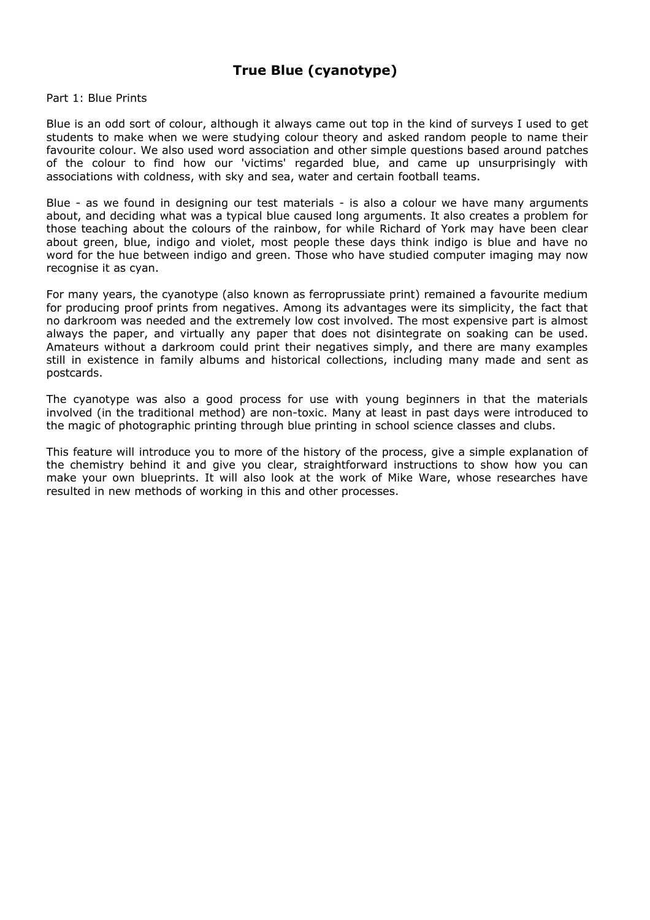# **True Blue (cyanotype)**

Part 1: Blue Prints

Blue is an odd sort of colour, although it always came out top in the kind of surveys I used to get students to make when we were studying colour theory and asked random people to name their favourite colour. We also used word association and other simple questions based around patches of the colour to find how our 'victims' regarded blue, and came up unsurprisingly with associations with coldness, with sky and sea, water and certain football teams.

Blue - as we found in designing our test materials - is also a colour we have many arguments about, and deciding what was a typical blue caused long arguments. It also creates a problem for those teaching about the colours of the rainbow, for while Richard of York may have been clear about green, blue, indigo and violet, most people these days think indigo is blue and have no word for the hue between indigo and green. Those who have studied computer imaging may now recognise it as cyan.

For many years, the cyanotype (also known as ferroprussiate print) remained a favourite medium for producing proof prints from negatives. Among its advantages were its simplicity, the fact that no darkroom was needed and the extremely low cost involved. The most expensive part is almost always the paper, and virtually any paper that does not disintegrate on soaking can be used. Amateurs without a darkroom could print their negatives simply, and there are many examples still in existence in family albums and historical collections, including many made and sent as postcards.

The cyanotype was also a good process for use with young beginners in that the materials involved (in the traditional method) are non-toxic. Many at least in past days were introduced to the magic of photographic printing through blue printing in school science classes and clubs.

This feature will introduce you to more of the history of the process, give a simple explanation of the chemistry behind it and give you clear, straightforward instructions to show how you can make your own blueprints. It will also look at the work of Mike Ware, whose researches have resulted in new methods of working in this and other processes.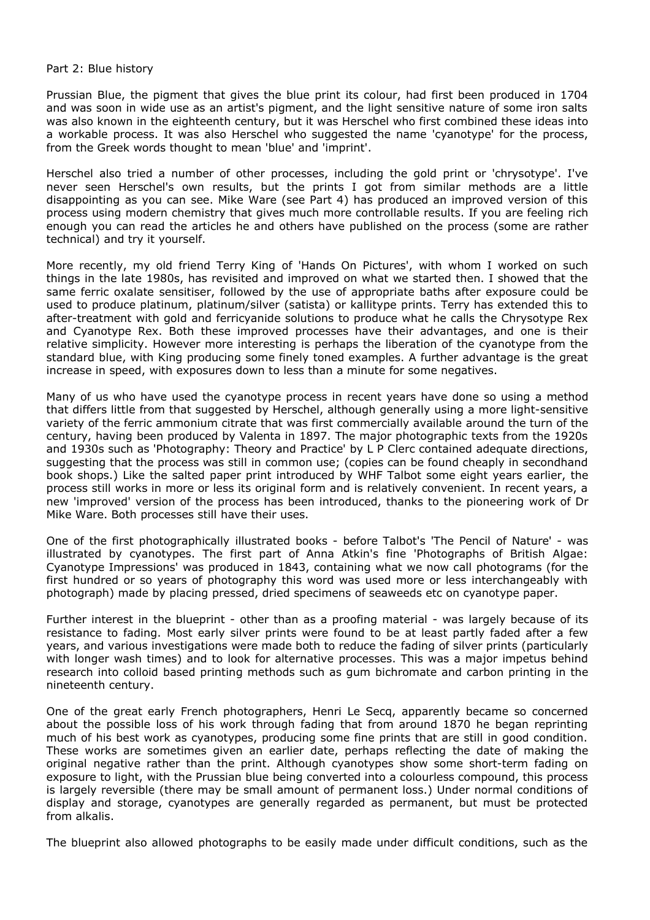#### Part 2: Blue history

Prussian Blue, the pigment that gives the blue print its colour, had first been produced in 1704 and was soon in wide use as an artist's pigment, and the light sensitive nature of some iron salts was also known in the eighteenth century, but it was Herschel who first combined these ideas into a workable process. It was also Herschel who suggested the name 'cyanotype' for the process, from the Greek words thought to mean 'blue' and 'imprint'.

Herschel also tried a number of other processes, including the gold print or 'chrysotype'. I've never seen Herschel's own results, but the prints I got from similar methods are a little disappointing as you can see. Mike Ware (see Part 4) has produced an improved version of this process using modern chemistry that gives much more controllable results. If you are feeling rich enough you can read the articles he and others have published on the process (some are rather technical) and try it yourself.

More recently, my old friend Terry King of 'Hands On Pictures', with whom I worked on such things in the late 1980s, has revisited and improved on what we started then. I showed that the same ferric oxalate sensitiser, followed by the use of appropriate baths after exposure could be used to produce platinum, platinum/silver (satista) or kallitype prints. Terry has extended this to after-treatment with gold and ferricyanide solutions to produce what he calls the Chrysotype Rex and Cyanotype Rex. Both these improved processes have their advantages, and one is their relative simplicity. However more interesting is perhaps the liberation of the cyanotype from the standard blue, with King producing some finely toned examples. A further advantage is the great increase in speed, with exposures down to less than a minute for some negatives.

Many of us who have used the cyanotype process in recent years have done so using a method that differs little from that suggested by Herschel, although generally using a more light-sensitive variety of the ferric ammonium citrate that was first commercially available around the turn of the century, having been produced by Valenta in 1897. The major photographic texts from the 1920s and 1930s such as 'Photography: Theory and Practice' by L P Clerc contained adequate directions, suggesting that the process was still in common use; (copies can be found cheaply in secondhand book shops.) Like the salted paper print introduced by WHF Talbot some eight years earlier, the process still works in more or less its original form and is relatively convenient. In recent years, a new 'improved' version of the process has been introduced, thanks to the pioneering work of Dr Mike Ware. Both processes still have their uses.

One of the first photographically illustrated books - before Talbot's 'The Pencil of Nature' - was illustrated by cyanotypes. The first part of Anna Atkin's fine 'Photographs of British Algae: Cyanotype Impressions' was produced in 1843, containing what we now call photograms (for the first hundred or so years of photography this word was used more or less interchangeably with photograph) made by placing pressed, dried specimens of seaweeds etc on cyanotype paper.

Further interest in the blueprint - other than as a proofing material - was largely because of its resistance to fading. Most early silver prints were found to be at least partly faded after a few years, and various investigations were made both to reduce the fading of silver prints (particularly with longer wash times) and to look for alternative processes. This was a major impetus behind research into colloid based printing methods such as gum bichromate and carbon printing in the nineteenth century.

One of the great early French photographers, Henri Le Secq, apparently became so concerned about the possible loss of his work through fading that from around 1870 he began reprinting much of his best work as cyanotypes, producing some fine prints that are still in good condition. These works are sometimes given an earlier date, perhaps reflecting the date of making the original negative rather than the print. Although cyanotypes show some short-term fading on exposure to light, with the Prussian blue being converted into a colourless compound, this process is largely reversible (there may be small amount of permanent loss.) Under normal conditions of display and storage, cyanotypes are generally regarded as permanent, but must be protected from alkalis.

The blueprint also allowed photographs to be easily made under difficult conditions, such as the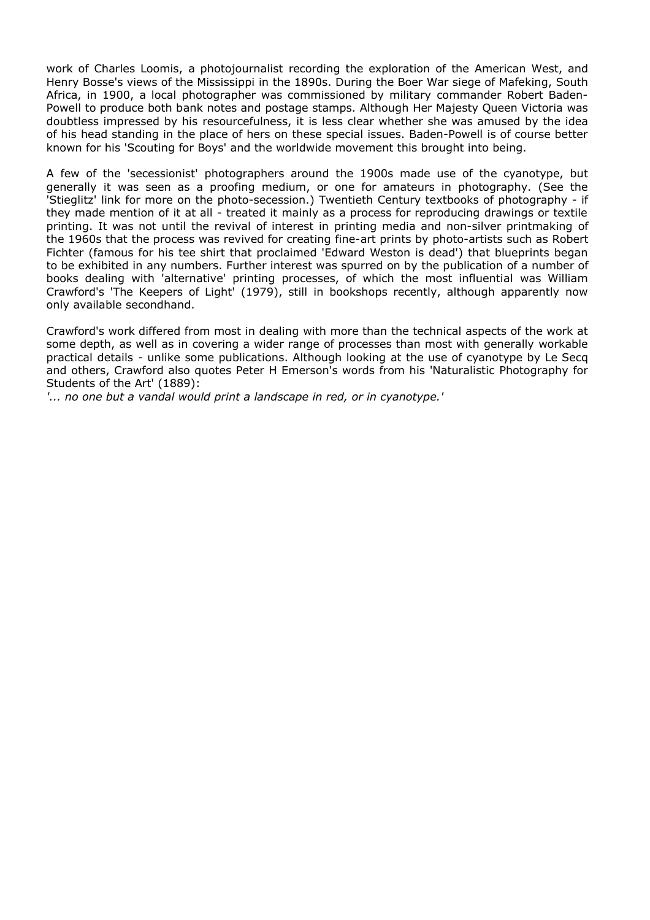work of Charles Loomis, a photojournalist recording the exploration of the American West, and Henry Bosse's views of the Mississippi in the 1890s. During the Boer War siege of Mafeking, South Africa, in 1900, a local photographer was commissioned by military commander Robert Baden-Powell to produce both bank notes and postage stamps. Although Her Majesty Queen Victoria was doubtless impressed by his resourcefulness, it is less clear whether she was amused by the idea of his head standing in the place of hers on these special issues. Baden-Powell is of course better known for his 'Scouting for Boys' and the worldwide movement this brought into being.

A few of the 'secessionist' photographers around the 1900s made use of the cyanotype, but generally it was seen as a proofing medium, or one for amateurs in photography. (See the 'Stieglitz' link for more on the photo-secession.) Twentieth Century textbooks of photography - if they made mention of it at all - treated it mainly as a process for reproducing drawings or textile printing. It was not until the revival of interest in printing media and non-silver printmaking of the 1960s that the process was revived for creating fine-art prints by photo-artists such as Robert Fichter (famous for his tee shirt that proclaimed 'Edward Weston is dead') that blueprints began to be exhibited in any numbers. Further interest was spurred on by the publication of a number of books dealing with 'alternative' printing processes, of which the most influential was William Crawford's 'The Keepers of Light' (1979), still in bookshops recently, although apparently now only available secondhand.

Crawford's work differed from most in dealing with more than the technical aspects of the work at some depth, as well as in covering a wider range of processes than most with generally workable practical details - unlike some publications. Although looking at the use of cyanotype by Le Secq and others, Crawford also quotes Peter H Emerson's words from his 'Naturalistic Photography for Students of the Art' (1889):

*'... no one but a vandal would print a landscape in red, or in cyanotype.'*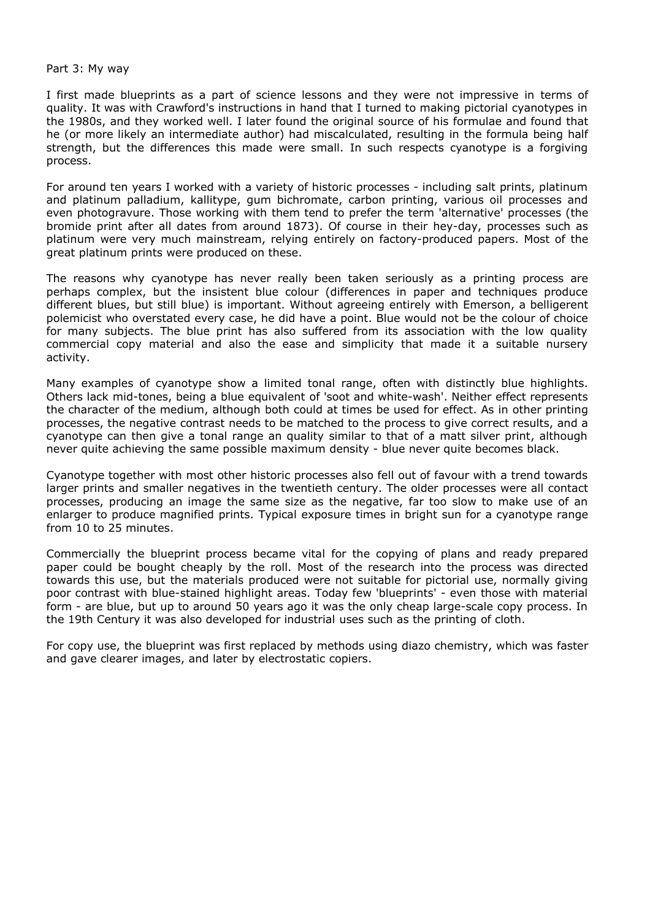### Part 3: My way

I first made blueprints as a part of science lessons and they were not impressive in terms of quality. It was with Crawford's instructions in hand that I turned to making pictorial cyanotypes in the 1980s, and they worked well. I later found the original source of his formulae and found that he (or more likely an intermediate author) had miscalculated, resulting in the formula being half strength, but the differences this made were small. In such respects cyanotype is a forgiving process.

For around ten years I worked with a variety of historic processes - including salt prints, platinum and platinum palladium, kallitype, gum bichromate, carbon printing, various oil processes and even photogravure. Those working with them tend to prefer the term 'alternative' processes (the bromide print after all dates from around 1873). Of course in their hey-day, processes such as platinum were very much mainstream, relying entirely on factory-produced papers. Most of the great platinum prints were produced on these.

The reasons why cyanotype has never really been taken seriously as a printing process are perhaps complex, but the insistent blue colour (differences in paper and techniques produce different blues, but still blue) is important. Without agreeing entirely with Emerson, a belligerent polemicist who overstated every case, he did have a point. Blue would not be the colour of choice for many subjects. The blue print has also suffered from its association with the low quality commercial copy material and also the ease and simplicity that made it a suitable nursery activity.

Many examples of cyanotype show a limited tonal range, often with distinctly blue highlights. Others lack mid-tones, being a blue equivalent of 'soot and white-wash'. Neither effect represents the character of the medium, although both could at times be used for effect. As in other printing processes, the negative contrast needs to be matched to the process to give correct results, and a cyanotype can then give a tonal range an quality similar to that of a matt silver print, although never quite achieving the same possible maximum density - blue never quite becomes black.

Cyanotype together with most other historic processes also fell out of favour with a trend towards larger prints and smaller negatives in the twentieth century. The older processes were all contact processes, producing an image the same size as the negative, far too slow to make use of an enlarger to produce magnified prints. Typical exposure times in bright sun for a cyanotype range from 10 to 25 minutes.

Commercially the blueprint process became vital for the copying of plans and ready prepared paper could be bought cheaply by the roll. Most of the research into the process was directed towards this use, but the materials produced were not suitable for pictorial use, normally giving poor contrast with blue-stained highlight areas. Today few 'blueprints' - even those with material form - are blue, but up to around 50 years ago it was the only cheap large-scale copy process. In the 19th Century it was also developed for industrial uses such as the printing of cloth.

For copy use, the blueprint was first replaced by methods using diazo chemistry, which was faster and gave clearer images, and later by electrostatic copiers.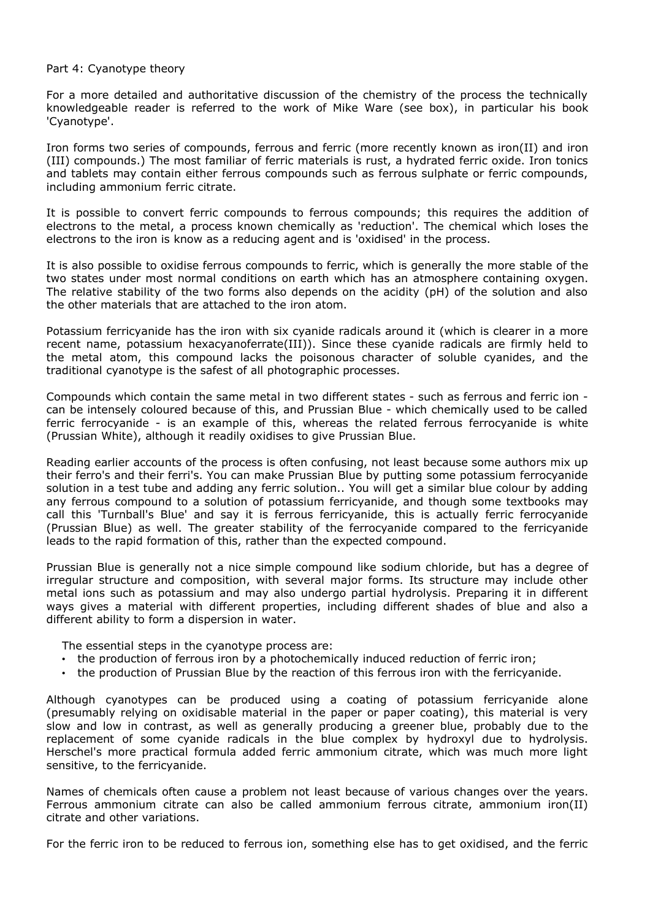## Part 4: Cyanotype theory

For a more detailed and authoritative discussion of the chemistry of the process the technically knowledgeable reader is referred to the work of Mike Ware (see box), in particular his book 'Cyanotype'.

Iron forms two series of compounds, ferrous and ferric (more recently known as iron(II) and iron (III) compounds.) The most familiar of ferric materials is rust, a hydrated ferric oxide. Iron tonics and tablets may contain either ferrous compounds such as ferrous sulphate or ferric compounds, including ammonium ferric citrate.

It is possible to convert ferric compounds to ferrous compounds; this requires the addition of electrons to the metal, a process known chemically as 'reduction'. The chemical which loses the electrons to the iron is know as a reducing agent and is 'oxidised' in the process.

It is also possible to oxidise ferrous compounds to ferric, which is generally the more stable of the two states under most normal conditions on earth which has an atmosphere containing oxygen. The relative stability of the two forms also depends on the acidity (pH) of the solution and also the other materials that are attached to the iron atom.

Potassium ferricyanide has the iron with six cyanide radicals around it (which is clearer in a more recent name, potassium hexacyanoferrate(III)). Since these cyanide radicals are firmly held to the metal atom, this compound lacks the poisonous character of soluble cyanides, and the traditional cyanotype is the safest of all photographic processes.

Compounds which contain the same metal in two different states - such as ferrous and ferric ion can be intensely coloured because of this, and Prussian Blue - which chemically used to be called ferric ferrocyanide - is an example of this, whereas the related ferrous ferrocyanide is white (Prussian White), although it readily oxidises to give Prussian Blue.

Reading earlier accounts of the process is often confusing, not least because some authors mix up their ferro's and their ferri's. You can make Prussian Blue by putting some potassium ferrocyanide solution in a test tube and adding any ferric solution.. You will get a similar blue colour by adding any ferrous compound to a solution of potassium ferricyanide, and though some textbooks may call this 'Turnball's Blue' and say it is ferrous ferricyanide, this is actually ferric ferrocyanide (Prussian Blue) as well. The greater stability of the ferrocyanide compared to the ferricyanide leads to the rapid formation of this, rather than the expected compound.

Prussian Blue is generally not a nice simple compound like sodium chloride, but has a degree of irregular structure and composition, with several major forms. Its structure may include other metal ions such as potassium and may also undergo partial hydrolysis. Preparing it in different ways gives a material with different properties, including different shades of blue and also a different ability to form a dispersion in water.

The essential steps in the cyanotype process are:

- the production of ferrous iron by a photochemically induced reduction of ferric iron;
- the production of Prussian Blue by the reaction of this ferrous iron with the ferricyanide.

Although cyanotypes can be produced using a coating of potassium ferricyanide alone (presumably relying on oxidisable material in the paper or paper coating), this material is very slow and low in contrast, as well as generally producing a greener blue, probably due to the replacement of some cyanide radicals in the blue complex by hydroxyl due to hydrolysis. Herschel's more practical formula added ferric ammonium citrate, which was much more light sensitive, to the ferricyanide.

Names of chemicals often cause a problem not least because of various changes over the years. Ferrous ammonium citrate can also be called ammonium ferrous citrate, ammonium iron(II) citrate and other variations.

For the ferric iron to be reduced to ferrous ion, something else has to get oxidised, and the ferric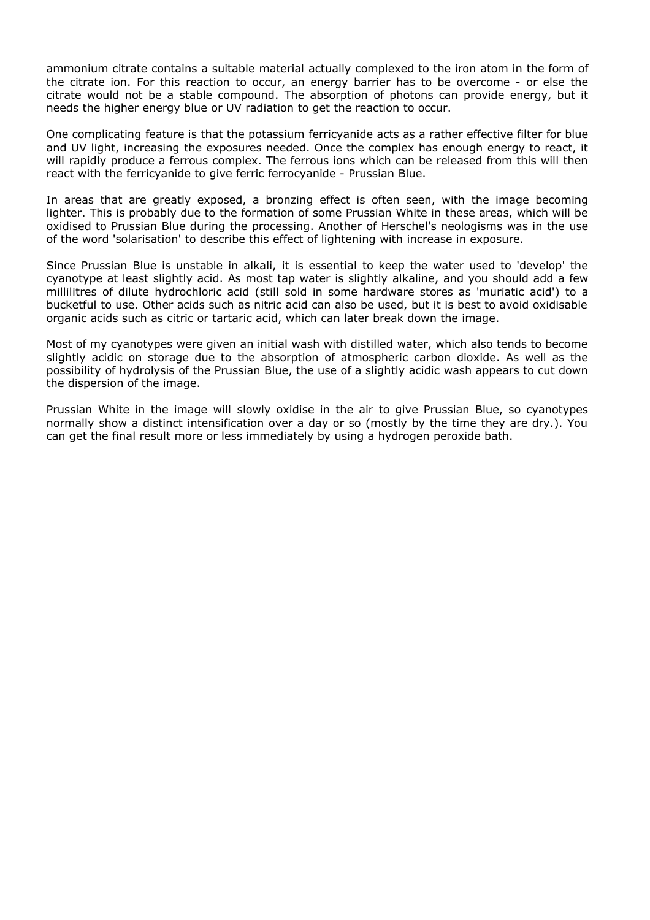ammonium citrate contains a suitable material actually complexed to the iron atom in the form of the citrate ion. For this reaction to occur, an energy barrier has to be overcome - or else the citrate would not be a stable compound. The absorption of photons can provide energy, but it needs the higher energy blue or UV radiation to get the reaction to occur.

One complicating feature is that the potassium ferricyanide acts as a rather effective filter for blue and UV light, increasing the exposures needed. Once the complex has enough energy to react, it will rapidly produce a ferrous complex. The ferrous ions which can be released from this will then react with the ferricyanide to give ferric ferrocyanide - Prussian Blue.

In areas that are greatly exposed, a bronzing effect is often seen, with the image becoming lighter. This is probably due to the formation of some Prussian White in these areas, which will be oxidised to Prussian Blue during the processing. Another of Herschel's neologisms was in the use of the word 'solarisation' to describe this effect of lightening with increase in exposure.

Since Prussian Blue is unstable in alkali, it is essential to keep the water used to 'develop' the cyanotype at least slightly acid. As most tap water is slightly alkaline, and you should add a few millilitres of dilute hydrochloric acid (still sold in some hardware stores as 'muriatic acid') to a bucketful to use. Other acids such as nitric acid can also be used, but it is best to avoid oxidisable organic acids such as citric or tartaric acid, which can later break down the image.

Most of my cyanotypes were given an initial wash with distilled water, which also tends to become slightly acidic on storage due to the absorption of atmospheric carbon dioxide. As well as the possibility of hydrolysis of the Prussian Blue, the use of a slightly acidic wash appears to cut down the dispersion of the image.

Prussian White in the image will slowly oxidise in the air to give Prussian Blue, so cyanotypes normally show a distinct intensification over a day or so (mostly by the time they are dry.). You can get the final result more or less immediately by using a hydrogen peroxide bath.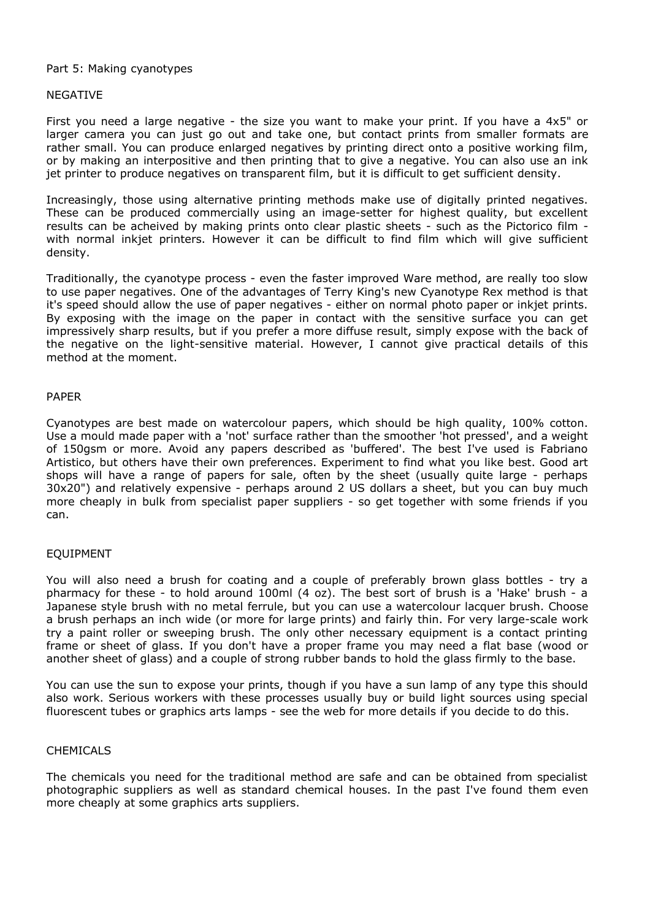## Part 5: Making cyanotypes

## NEGATIVE

First you need a large negative - the size you want to make your print. If you have a 4x5" or larger camera you can just go out and take one, but contact prints from smaller formats are rather small. You can produce enlarged negatives by printing direct onto a positive working film, or by making an interpositive and then printing that to give a negative. You can also use an ink jet printer to produce negatives on transparent film, but it is difficult to get sufficient density.

Increasingly, those using alternative printing methods make use of digitally printed negatives. These can be produced commercially using an image-setter for highest quality, but excellent results can be acheived by making prints onto clear plastic sheets - such as the Pictorico film with normal inkjet printers. However it can be difficult to find film which will give sufficient density.

Traditionally, the cyanotype process - even the faster improved Ware method, are really too slow to use paper negatives. One of the advantages of Terry King's new Cyanotype Rex method is that it's speed should allow the use of paper negatives - either on normal photo paper or inkjet prints. By exposing with the image on the paper in contact with the sensitive surface you can get impressively sharp results, but if you prefer a more diffuse result, simply expose with the back of the negative on the light-sensitive material. However, I cannot give practical details of this method at the moment.

#### PAPER

Cyanotypes are best made on watercolour papers, which should be high quality, 100% cotton. Use a mould made paper with a 'not' surface rather than the smoother 'hot pressed', and a weight of 150gsm or more. Avoid any papers described as 'buffered'. The best I've used is Fabriano Artistico, but others have their own preferences. Experiment to find what you like best. Good art shops will have a range of papers for sale, often by the sheet (usually quite large - perhaps 30x20") and relatively expensive - perhaps around 2 US dollars a sheet, but you can buy much more cheaply in bulk from specialist paper suppliers - so get together with some friends if you can.

#### EQUIPMENT

You will also need a brush for coating and a couple of preferably brown glass bottles - try a pharmacy for these - to hold around 100ml (4 oz). The best sort of brush is a 'Hake' brush - a Japanese style brush with no metal ferrule, but you can use a watercolour lacquer brush. Choose a brush perhaps an inch wide (or more for large prints) and fairly thin. For very large-scale work try a paint roller or sweeping brush. The only other necessary equipment is a contact printing frame or sheet of glass. If you don't have a proper frame you may need a flat base (wood or another sheet of glass) and a couple of strong rubber bands to hold the glass firmly to the base.

You can use the sun to expose your prints, though if you have a sun lamp of any type this should also work. Serious workers with these processes usually buy or build light sources using special fluorescent tubes or graphics arts lamps - see the web for more details if you decide to do this.

#### CHEMICALS

The chemicals you need for the traditional method are safe and can be obtained from specialist photographic suppliers as well as standard chemical houses. In the past I've found them even more cheaply at some graphics arts suppliers.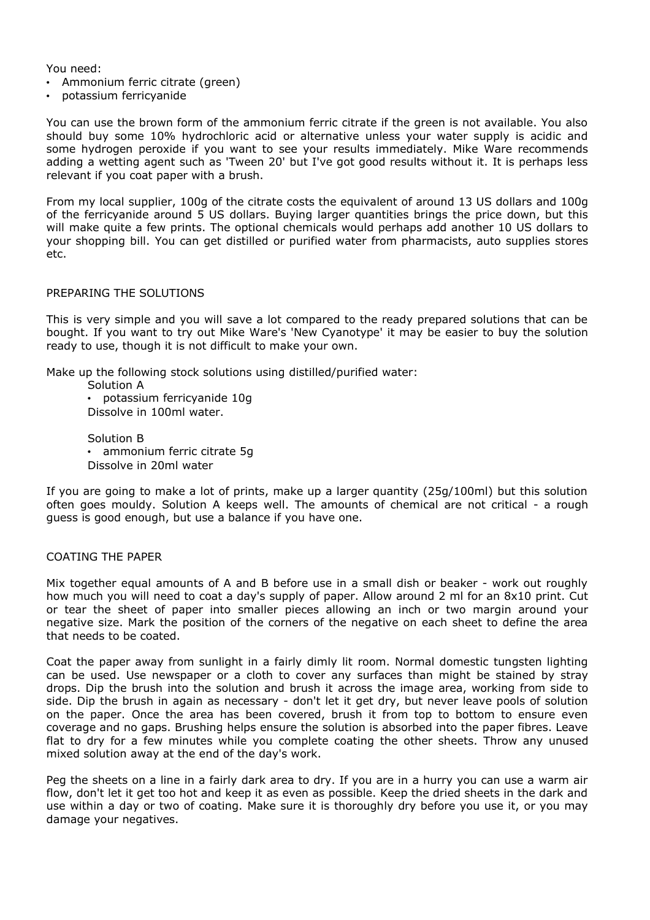You need:

- Ammonium ferric citrate (green)
- potassium ferricyanide

You can use the brown form of the ammonium ferric citrate if the green is not available. You also should buy some 10% hydrochloric acid or alternative unless your water supply is acidic and some hydrogen peroxide if you want to see your results immediately. Mike Ware recommends adding a wetting agent such as 'Tween 20' but I've got good results without it. It is perhaps less relevant if you coat paper with a brush.

From my local supplier, 100g of the citrate costs the equivalent of around 13 US dollars and 100g of the ferricyanide around 5 US dollars. Buying larger quantities brings the price down, but this will make quite a few prints. The optional chemicals would perhaps add another 10 US dollars to your shopping bill. You can get distilled or purified water from pharmacists, auto supplies stores etc.

#### PREPARING THE SOLUTIONS

This is very simple and you will save a lot compared to the ready prepared solutions that can be bought. If you want to try out Mike Ware's 'New Cyanotype' it may be easier to buy the solution ready to use, though it is not difficult to make your own.

Make up the following stock solutions using distilled/purified water:

Solution A

• potassium ferricyanide 10g Dissolve in 100ml water.

Solution B

• ammonium ferric citrate 5g Dissolve in 20ml water

If you are going to make a lot of prints, make up a larger quantity (25g/100ml) but this solution often goes mouldy. Solution A keeps well. The amounts of chemical are not critical - a rough guess is good enough, but use a balance if you have one.

# COATING THE PAPER

Mix together equal amounts of A and B before use in a small dish or beaker - work out roughly how much you will need to coat a day's supply of paper. Allow around 2 ml for an 8x10 print. Cut or tear the sheet of paper into smaller pieces allowing an inch or two margin around your negative size. Mark the position of the corners of the negative on each sheet to define the area that needs to be coated.

Coat the paper away from sunlight in a fairly dimly lit room. Normal domestic tungsten lighting can be used. Use newspaper or a cloth to cover any surfaces than might be stained by stray drops. Dip the brush into the solution and brush it across the image area, working from side to side. Dip the brush in again as necessary - don't let it get dry, but never leave pools of solution on the paper. Once the area has been covered, brush it from top to bottom to ensure even coverage and no gaps. Brushing helps ensure the solution is absorbed into the paper fibres. Leave flat to dry for a few minutes while you complete coating the other sheets. Throw any unused mixed solution away at the end of the day's work.

Peg the sheets on a line in a fairly dark area to dry. If you are in a hurry you can use a warm air flow, don't let it get too hot and keep it as even as possible. Keep the dried sheets in the dark and use within a day or two of coating. Make sure it is thoroughly dry before you use it, or you may damage your negatives.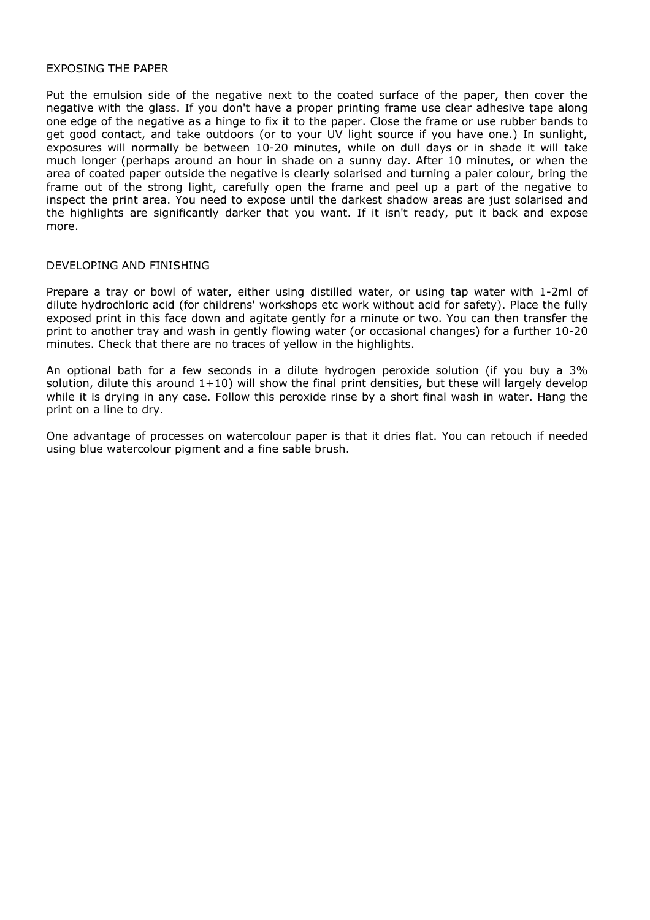### EXPOSING THE PAPER

Put the emulsion side of the negative next to the coated surface of the paper, then cover the negative with the glass. If you don't have a proper printing frame use clear adhesive tape along one edge of the negative as a hinge to fix it to the paper. Close the frame or use rubber bands to get good contact, and take outdoors (or to your UV light source if you have one.) In sunlight, exposures will normally be between 10-20 minutes, while on dull days or in shade it will take much longer (perhaps around an hour in shade on a sunny day. After 10 minutes, or when the area of coated paper outside the negative is clearly solarised and turning a paler colour, bring the frame out of the strong light, carefully open the frame and peel up a part of the negative to inspect the print area. You need to expose until the darkest shadow areas are just solarised and the highlights are significantly darker that you want. If it isn't ready, put it back and expose more.

## DEVELOPING AND FINISHING

Prepare a tray or bowl of water, either using distilled water, or using tap water with 1-2ml of dilute hydrochloric acid (for childrens' workshops etc work without acid for safety). Place the fully exposed print in this face down and agitate gently for a minute or two. You can then transfer the print to another tray and wash in gently flowing water (or occasional changes) for a further 10-20 minutes. Check that there are no traces of yellow in the highlights.

An optional bath for a few seconds in a dilute hydrogen peroxide solution (if you buy a 3% solution, dilute this around 1+10) will show the final print densities, but these will largely develop while it is drying in any case. Follow this peroxide rinse by a short final wash in water. Hang the print on a line to dry.

One advantage of processes on watercolour paper is that it dries flat. You can retouch if needed using blue watercolour pigment and a fine sable brush.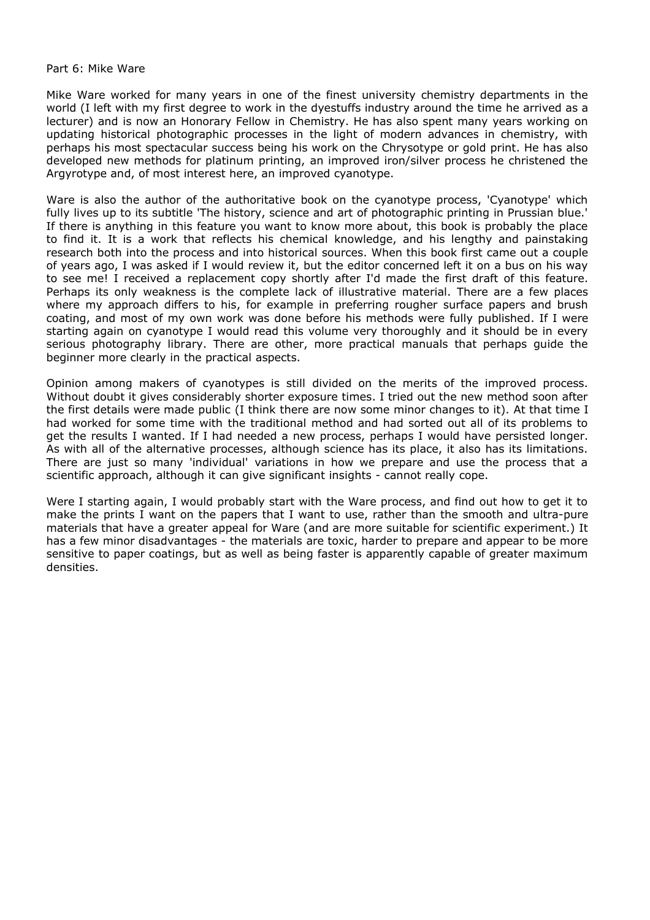### Part 6: Mike Ware

Mike Ware worked for many years in one of the finest university chemistry departments in the world (I left with my first degree to work in the dyestuffs industry around the time he arrived as a lecturer) and is now an Honorary Fellow in Chemistry. He has also spent many years working on updating historical photographic processes in the light of modern advances in chemistry, with perhaps his most spectacular success being his work on the Chrysotype or gold print. He has also developed new methods for platinum printing, an improved iron/silver process he christened the Argyrotype and, of most interest here, an improved cyanotype.

Ware is also the author of the authoritative book on the cyanotype process, 'Cyanotype' which fully lives up to its subtitle 'The history, science and art of photographic printing in Prussian blue.' If there is anything in this feature you want to know more about, this book is probably the place to find it. It is a work that reflects his chemical knowledge, and his lengthy and painstaking research both into the process and into historical sources. When this book first came out a couple of years ago, I was asked if I would review it, but the editor concerned left it on a bus on his way to see me! I received a replacement copy shortly after I'd made the first draft of this feature. Perhaps its only weakness is the complete lack of illustrative material. There are a few places where my approach differs to his, for example in preferring rougher surface papers and brush coating, and most of my own work was done before his methods were fully published. If I were starting again on cyanotype I would read this volume very thoroughly and it should be in every serious photography library. There are other, more practical manuals that perhaps guide the beginner more clearly in the practical aspects.

Opinion among makers of cyanotypes is still divided on the merits of the improved process. Without doubt it gives considerably shorter exposure times. I tried out the new method soon after the first details were made public (I think there are now some minor changes to it). At that time I had worked for some time with the traditional method and had sorted out all of its problems to get the results I wanted. If I had needed a new process, perhaps I would have persisted longer. As with all of the alternative processes, although science has its place, it also has its limitations. There are just so many 'individual' variations in how we prepare and use the process that a scientific approach, although it can give significant insights - cannot really cope.

Were I starting again, I would probably start with the Ware process, and find out how to get it to make the prints I want on the papers that I want to use, rather than the smooth and ultra-pure materials that have a greater appeal for Ware (and are more suitable for scientific experiment.) It has a few minor disadvantages - the materials are toxic, harder to prepare and appear to be more sensitive to paper coatings, but as well as being faster is apparently capable of greater maximum densities.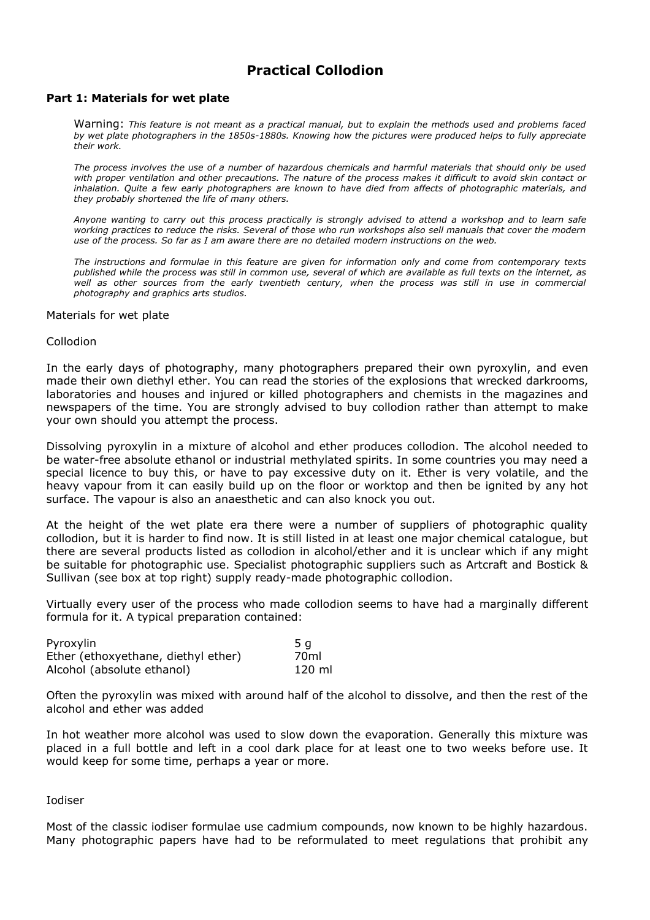# **Practical Collodion**

#### **Part 1: Materials for wet plate**

Warning: This feature is not meant as a practical manual, but to explain the methods used and problems faced by wet plate photographers in the 1850s-1880s. Knowing how the pictures were produced helps to fully appreciate *their work.*

The process involves the use of a number of hazardous chemicals and harmful materials that should only be used with proper ventilation and other precautions. The nature of the process makes it difficult to avoid skin contact or inhalation. Quite a few early photographers are known to have died from affects of photographic materials, and *they probably shortened the life of many others.*

Anyone wanting to carry out this process practically is strongly advised to attend a workshop and to learn safe working practices to reduce the risks. Several of those who run workshops also sell manuals that cover the modern *use of the process. So far as I am aware there are no detailed modern instructions on the web.*

The instructions and formulae in this feature are given for information only and come from contemporary texts published while the process was still in common use, several of which are available as full texts on the internet, as well as other sources from the early twentieth century, when the process was still in use in commercial *photography and graphics arts studios.*

#### Materials for wet plate

## Collodion

In the early days of photography, many photographers prepared their own pyroxylin, and even made their own diethyl ether. You can read the stories of the explosions that wrecked darkrooms, laboratories and houses and injured or killed photographers and chemists in the magazines and newspapers of the time. You are strongly advised to buy collodion rather than attempt to make your own should you attempt the process.

Dissolving pyroxylin in a mixture of alcohol and ether produces collodion. The alcohol needed to be water-free absolute ethanol or industrial methylated spirits. In some countries you may need a special licence to buy this, or have to pay excessive duty on it. Ether is very volatile, and the heavy vapour from it can easily build up on the floor or worktop and then be ignited by any hot surface. The vapour is also an anaesthetic and can also knock you out.

At the height of the wet plate era there were a number of suppliers of photographic quality collodion, but it is harder to find now. It is still listed in at least one major chemical catalogue, but there are several products listed as collodion in alcohol/ether and it is unclear which if any might be suitable for photographic use. Specialist photographic suppliers such as Artcraft and Bostick & Sullivan (see box at top right) supply ready-made photographic collodion.

Virtually every user of the process who made collodion seems to have had a marginally different formula for it. A typical preparation contained:

| Pyroxylin                                                         | 5 a              |
|-------------------------------------------------------------------|------------------|
| Ether (ethoxyethane, diethyl ether)<br>Alcohol (absolute ethanol) | 70ml<br>$120$ ml |

Often the pyroxylin was mixed with around half of the alcohol to dissolve, and then the rest of the alcohol and ether was added

In hot weather more alcohol was used to slow down the evaporation. Generally this mixture was placed in a full bottle and left in a cool dark place for at least one to two weeks before use. It would keep for some time, perhaps a year or more.

#### Iodiser

Most of the classic iodiser formulae use cadmium compounds, now known to be highly hazardous. Many photographic papers have had to be reformulated to meet regulations that prohibit any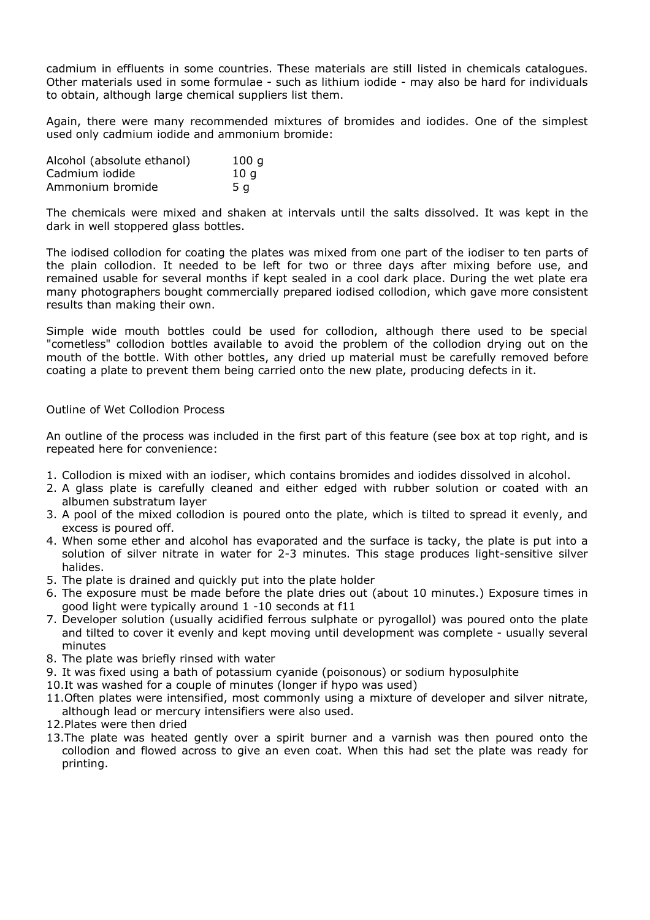cadmium in effluents in some countries. These materials are still listed in chemicals catalogues. Other materials used in some formulae - such as lithium iodide - may also be hard for individuals to obtain, although large chemical suppliers list them.

Again, there were many recommended mixtures of bromides and iodides. One of the simplest used only cadmium iodide and ammonium bromide:

| Alcohol (absolute ethanol) | 100 a |  |
|----------------------------|-------|--|
| Cadmium iodide             | 10 a  |  |
| Ammonium bromide           | 5a    |  |

The chemicals were mixed and shaken at intervals until the salts dissolved. It was kept in the dark in well stoppered glass bottles.

The iodised collodion for coating the plates was mixed from one part of the iodiser to ten parts of the plain collodion. It needed to be left for two or three days after mixing before use, and remained usable for several months if kept sealed in a cool dark place. During the wet plate era many photographers bought commercially prepared iodised collodion, which gave more consistent results than making their own.

Simple wide mouth bottles could be used for collodion, although there used to be special "cometless" collodion bottles available to avoid the problem of the collodion drying out on the mouth of the bottle. With other bottles, any dried up material must be carefully removed before coating a plate to prevent them being carried onto the new plate, producing defects in it.

# Outline of Wet Collodion Process

An outline of the process was included in the first part of this feature (see box at top right, and is repeated here for convenience:

- 1. Collodion is mixed with an iodiser, which contains bromides and iodides dissolved in alcohol.
- 2. A glass plate is carefully cleaned and either edged with rubber solution or coated with an albumen substratum layer
- 3. A pool of the mixed collodion is poured onto the plate, which is tilted to spread it evenly, and excess is poured off.
- 4. When some ether and alcohol has evaporated and the surface is tacky, the plate is put into a solution of silver nitrate in water for 2-3 minutes. This stage produces light-sensitive silver halides.
- 5. The plate is drained and quickly put into the plate holder
- 6. The exposure must be made before the plate dries out (about 10 minutes.) Exposure times in good light were typically around 1 -10 seconds at f11
- 7. Developer solution (usually acidified ferrous sulphate or pyrogallol) was poured onto the plate and tilted to cover it evenly and kept moving until development was complete - usually several minutes
- 8. The plate was briefly rinsed with water
- 9. It was fixed using a bath of potassium cyanide (poisonous) or sodium hyposulphite
- 10.It was washed for a couple of minutes (longer if hypo was used)
- 11.Often plates were intensified, most commonly using a mixture of developer and silver nitrate, although lead or mercury intensifiers were also used.
- 12.Plates were then dried
- 13.The plate was heated gently over a spirit burner and a varnish was then poured onto the collodion and flowed across to give an even coat. When this had set the plate was ready for printing.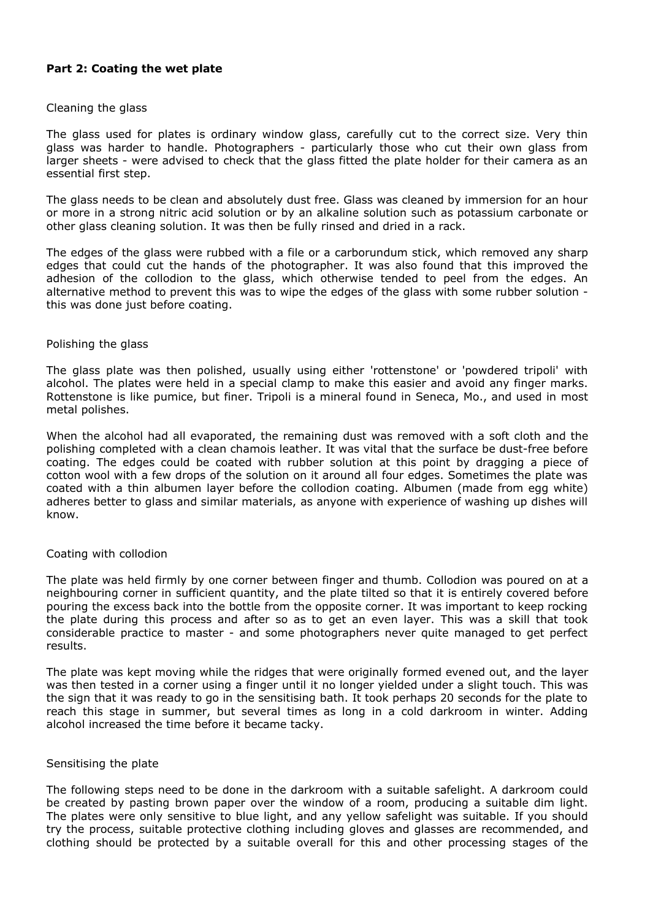# **Part 2: Coating the wet plate**

## Cleaning the glass

The glass used for plates is ordinary window glass, carefully cut to the correct size. Very thin glass was harder to handle. Photographers - particularly those who cut their own glass from larger sheets - were advised to check that the glass fitted the plate holder for their camera as an essential first step.

The glass needs to be clean and absolutely dust free. Glass was cleaned by immersion for an hour or more in a strong nitric acid solution or by an alkaline solution such as potassium carbonate or other glass cleaning solution. It was then be fully rinsed and dried in a rack.

The edges of the glass were rubbed with a file or a carborundum stick, which removed any sharp edges that could cut the hands of the photographer. It was also found that this improved the adhesion of the collodion to the glass, which otherwise tended to peel from the edges. An alternative method to prevent this was to wipe the edges of the glass with some rubber solution this was done just before coating.

### Polishing the glass

The glass plate was then polished, usually using either 'rottenstone' or 'powdered tripoli' with alcohol. The plates were held in a special clamp to make this easier and avoid any finger marks. Rottenstone is like pumice, but finer. Tripoli is a mineral found in Seneca, Mo., and used in most metal polishes.

When the alcohol had all evaporated, the remaining dust was removed with a soft cloth and the polishing completed with a clean chamois leather. It was vital that the surface be dust-free before coating. The edges could be coated with rubber solution at this point by dragging a piece of cotton wool with a few drops of the solution on it around all four edges. Sometimes the plate was coated with a thin albumen layer before the collodion coating. Albumen (made from egg white) adheres better to glass and similar materials, as anyone with experience of washing up dishes will know.

# Coating with collodion

The plate was held firmly by one corner between finger and thumb. Collodion was poured on at a neighbouring corner in sufficient quantity, and the plate tilted so that it is entirely covered before pouring the excess back into the bottle from the opposite corner. It was important to keep rocking the plate during this process and after so as to get an even layer. This was a skill that took considerable practice to master - and some photographers never quite managed to get perfect results.

The plate was kept moving while the ridges that were originally formed evened out, and the layer was then tested in a corner using a finger until it no longer yielded under a slight touch. This was the sign that it was ready to go in the sensitising bath. It took perhaps 20 seconds for the plate to reach this stage in summer, but several times as long in a cold darkroom in winter. Adding alcohol increased the time before it became tacky.

#### Sensitising the plate

The following steps need to be done in the darkroom with a suitable safelight. A darkroom could be created by pasting brown paper over the window of a room, producing a suitable dim light. The plates were only sensitive to blue light, and any yellow safelight was suitable. If you should try the process, suitable protective clothing including gloves and glasses are recommended, and clothing should be protected by a suitable overall for this and other processing stages of the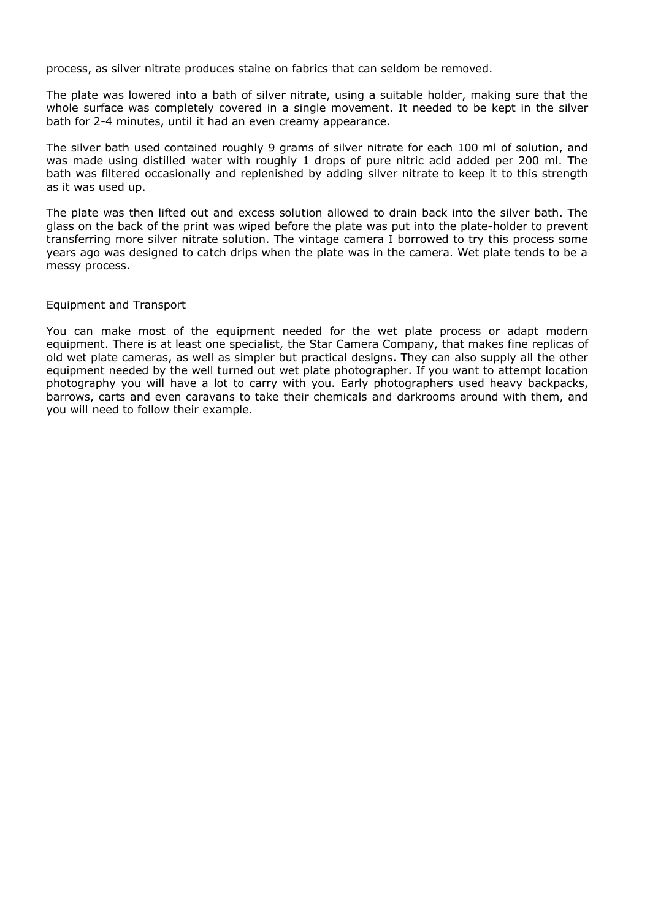process, as silver nitrate produces staine on fabrics that can seldom be removed.

The plate was lowered into a bath of silver nitrate, using a suitable holder, making sure that the whole surface was completely covered in a single movement. It needed to be kept in the silver bath for 2-4 minutes, until it had an even creamy appearance.

The silver bath used contained roughly 9 grams of silver nitrate for each 100 ml of solution, and was made using distilled water with roughly 1 drops of pure nitric acid added per 200 ml. The bath was filtered occasionally and replenished by adding silver nitrate to keep it to this strength as it was used up.

The plate was then lifted out and excess solution allowed to drain back into the silver bath. The glass on the back of the print was wiped before the plate was put into the plate-holder to prevent transferring more silver nitrate solution. The vintage camera I borrowed to try this process some years ago was designed to catch drips when the plate was in the camera. Wet plate tends to be a messy process.

## Equipment and Transport

You can make most of the equipment needed for the wet plate process or adapt modern equipment. There is at least one specialist, the Star Camera Company, that makes fine replicas of old wet plate cameras, as well as simpler but practical designs. They can also supply all the other equipment needed by the well turned out wet plate photographer. If you want to attempt location photography you will have a lot to carry with you. Early photographers used heavy backpacks, barrows, carts and even caravans to take their chemicals and darkrooms around with them, and you will need to follow their example.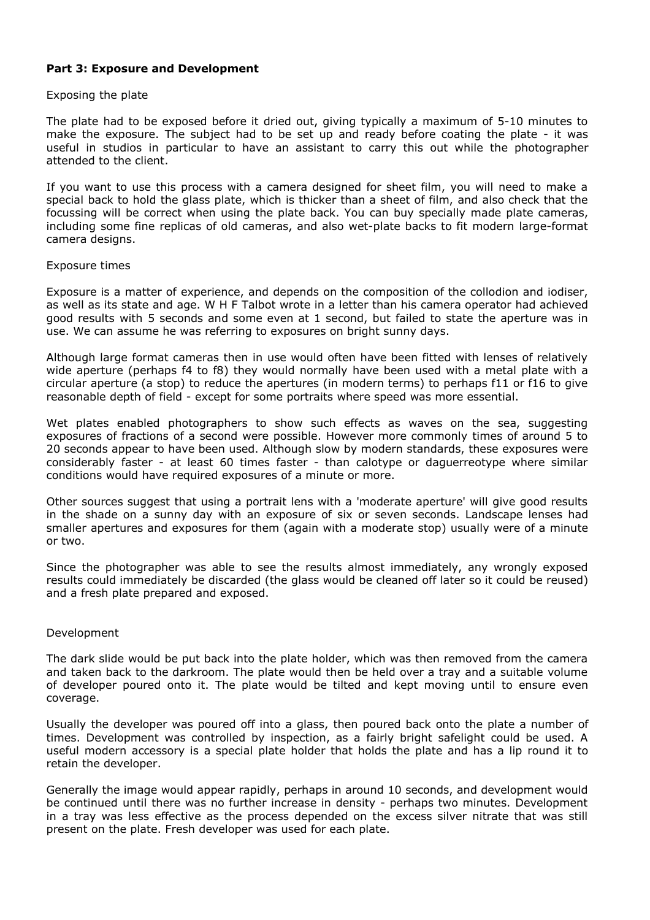# **Part 3: Exposure and Development**

## Exposing the plate

The plate had to be exposed before it dried out, giving typically a maximum of 5-10 minutes to make the exposure. The subject had to be set up and ready before coating the plate - it was useful in studios in particular to have an assistant to carry this out while the photographer attended to the client.

If you want to use this process with a camera designed for sheet film, you will need to make a special back to hold the glass plate, which is thicker than a sheet of film, and also check that the focussing will be correct when using the plate back. You can buy specially made plate cameras, including some fine replicas of old cameras, and also wet-plate backs to fit modern large-format camera designs.

## Exposure times

Exposure is a matter of experience, and depends on the composition of the collodion and iodiser, as well as its state and age. W H F Talbot wrote in a letter than his camera operator had achieved good results with 5 seconds and some even at 1 second, but failed to state the aperture was in use. We can assume he was referring to exposures on bright sunny days.

Although large format cameras then in use would often have been fitted with lenses of relatively wide aperture (perhaps f4 to f8) they would normally have been used with a metal plate with a circular aperture (a stop) to reduce the apertures (in modern terms) to perhaps f11 or f16 to give reasonable depth of field - except for some portraits where speed was more essential.

Wet plates enabled photographers to show such effects as waves on the sea, suggesting exposures of fractions of a second were possible. However more commonly times of around 5 to 20 seconds appear to have been used. Although slow by modern standards, these exposures were considerably faster - at least 60 times faster - than calotype or daguerreotype where similar conditions would have required exposures of a minute or more.

Other sources suggest that using a portrait lens with a 'moderate aperture' will give good results in the shade on a sunny day with an exposure of six or seven seconds. Landscape lenses had smaller apertures and exposures for them (again with a moderate stop) usually were of a minute or two.

Since the photographer was able to see the results almost immediately, any wrongly exposed results could immediately be discarded (the glass would be cleaned off later so it could be reused) and a fresh plate prepared and exposed.

# Development

The dark slide would be put back into the plate holder, which was then removed from the camera and taken back to the darkroom. The plate would then be held over a tray and a suitable volume of developer poured onto it. The plate would be tilted and kept moving until to ensure even coverage.

Usually the developer was poured off into a glass, then poured back onto the plate a number of times. Development was controlled by inspection, as a fairly bright safelight could be used. A useful modern accessory is a special plate holder that holds the plate and has a lip round it to retain the developer.

Generally the image would appear rapidly, perhaps in around 10 seconds, and development would be continued until there was no further increase in density - perhaps two minutes. Development in a tray was less effective as the process depended on the excess silver nitrate that was still present on the plate. Fresh developer was used for each plate.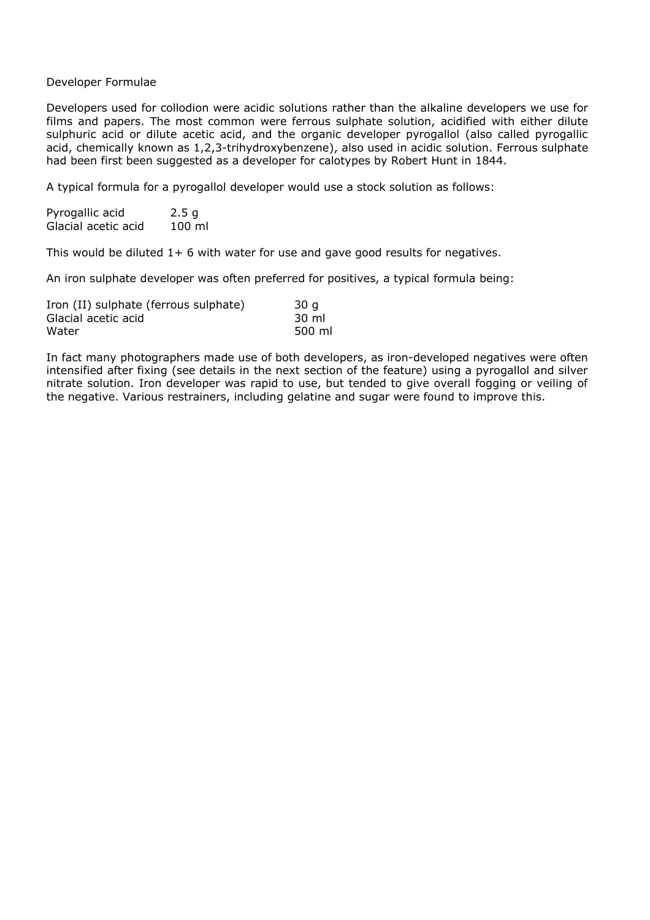### Developer Formulae

Developers used for collodion were acidic solutions rather than the alkaline developers we use for films and papers. The most common were ferrous sulphate solution, acidified with either dilute sulphuric acid or dilute acetic acid, and the organic developer pyrogallol (also called pyrogallic acid, chemically known as 1,2,3-trihydroxybenzene), also used in acidic solution. Ferrous sulphate had been first been suggested as a developer for calotypes by Robert Hunt in 1844.

A typical formula for a pyrogallol developer would use a stock solution as follows:

| Pyrogallic acid     | 2.5 <sub>g</sub> |
|---------------------|------------------|
| Glacial acetic acid | $100$ ml         |

This would be diluted  $1+ 6$  with water for use and gave good results for negatives.

An iron sulphate developer was often preferred for positives, a typical formula being:

| Iron (II) sulphate (ferrous sulphate) | 30 a   |
|---------------------------------------|--------|
| Glacial acetic acid                   | 30 ml  |
| Water                                 | 500 ml |

In fact many photographers made use of both developers, as iron-developed negatives were often intensified after fixing (see details in the next section of the feature) using a pyrogallol and silver nitrate solution. Iron developer was rapid to use, but tended to give overall fogging or veiling of the negative. Various restrainers, including gelatine and sugar were found to improve this.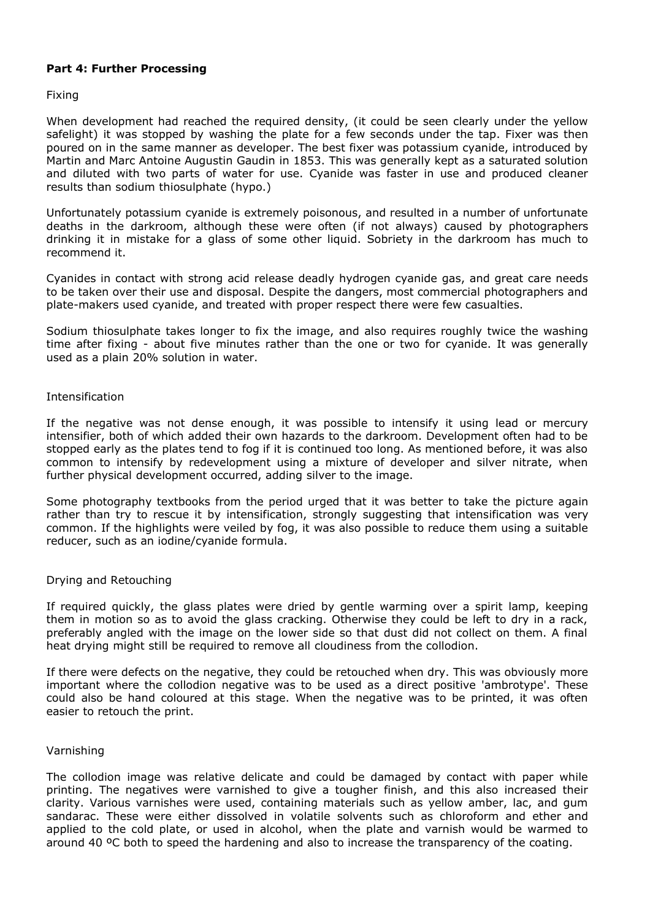# **Part 4: Further Processing**

# Fixing

When development had reached the required density, (it could be seen clearly under the yellow safelight) it was stopped by washing the plate for a few seconds under the tap. Fixer was then poured on in the same manner as developer. The best fixer was potassium cyanide, introduced by Martin and Marc Antoine Augustin Gaudin in 1853. This was generally kept as a saturated solution and diluted with two parts of water for use. Cyanide was faster in use and produced cleaner results than sodium thiosulphate (hypo.)

Unfortunately potassium cyanide is extremely poisonous, and resulted in a number of unfortunate deaths in the darkroom, although these were often (if not always) caused by photographers drinking it in mistake for a glass of some other liquid. Sobriety in the darkroom has much to recommend it.

Cyanides in contact with strong acid release deadly hydrogen cyanide gas, and great care needs to be taken over their use and disposal. Despite the dangers, most commercial photographers and plate-makers used cyanide, and treated with proper respect there were few casualties.

Sodium thiosulphate takes longer to fix the image, and also requires roughly twice the washing time after fixing - about five minutes rather than the one or two for cyanide. It was generally used as a plain 20% solution in water.

# Intensification

If the negative was not dense enough, it was possible to intensify it using lead or mercury intensifier, both of which added their own hazards to the darkroom. Development often had to be stopped early as the plates tend to fog if it is continued too long. As mentioned before, it was also common to intensify by redevelopment using a mixture of developer and silver nitrate, when further physical development occurred, adding silver to the image.

Some photography textbooks from the period urged that it was better to take the picture again rather than try to rescue it by intensification, strongly suggesting that intensification was very common. If the highlights were veiled by fog, it was also possible to reduce them using a suitable reducer, such as an iodine/cyanide formula.

# Drying and Retouching

If required quickly, the glass plates were dried by gentle warming over a spirit lamp, keeping them in motion so as to avoid the glass cracking. Otherwise they could be left to dry in a rack, preferably angled with the image on the lower side so that dust did not collect on them. A final heat drying might still be required to remove all cloudiness from the collodion.

If there were defects on the negative, they could be retouched when dry. This was obviously more important where the collodion negative was to be used as a direct positive 'ambrotype'. These could also be hand coloured at this stage. When the negative was to be printed, it was often easier to retouch the print.

# Varnishing

The collodion image was relative delicate and could be damaged by contact with paper while printing. The negatives were varnished to give a tougher finish, and this also increased their clarity. Various varnishes were used, containing materials such as yellow amber, lac, and gum sandarac. These were either dissolved in volatile solvents such as chloroform and ether and applied to the cold plate, or used in alcohol, when the plate and varnish would be warmed to around 40 ºC both to speed the hardening and also to increase the transparency of the coating.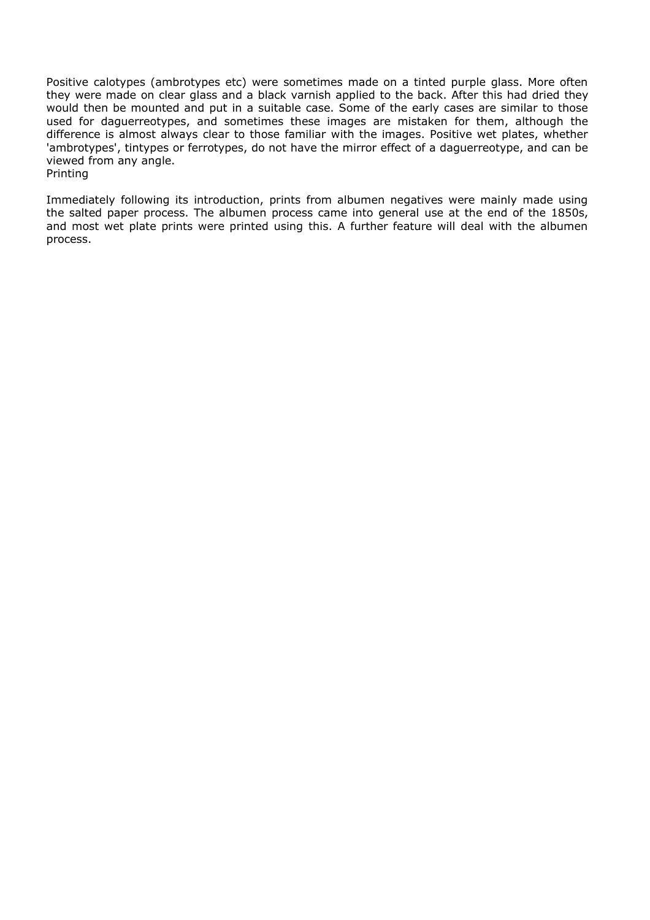Positive calotypes (ambrotypes etc) were sometimes made on a tinted purple glass. More often they were made on clear glass and a black varnish applied to the back. After this had dried they would then be mounted and put in a suitable case. Some of the early cases are similar to those used for daguerreotypes, and sometimes these images are mistaken for them, although the difference is almost always clear to those familiar with the images. Positive wet plates, whether 'ambrotypes', tintypes or ferrotypes, do not have the mirror effect of a daguerreotype, and can be viewed from any angle. Printing

Immediately following its introduction, prints from albumen negatives were mainly made using the salted paper process. The albumen process came into general use at the end of the 1850s, and most wet plate prints were printed using this. A further feature will deal with the albumen process.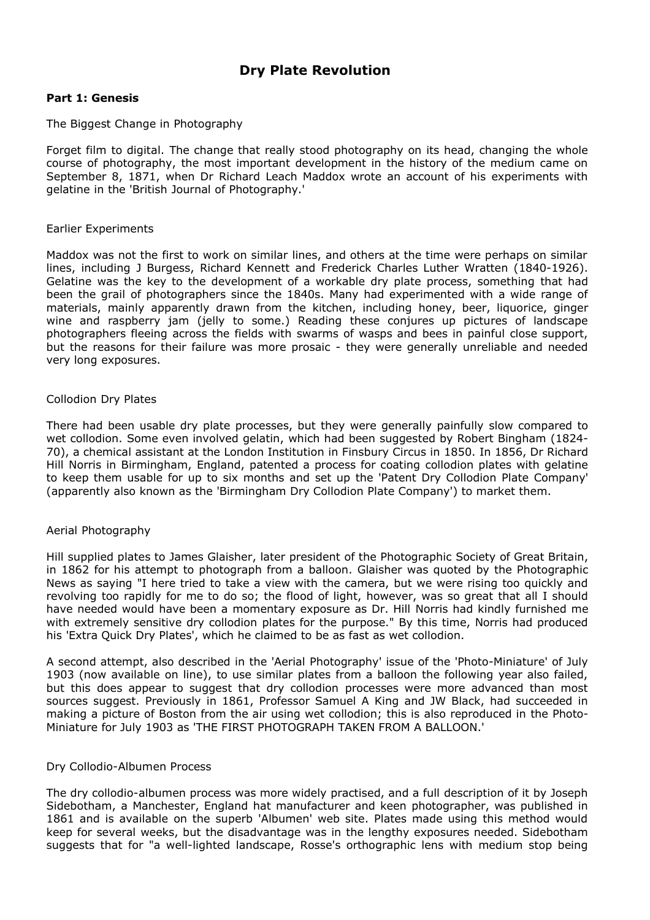# **Dry Plate Revolution**

# **Part 1: Genesis**

## The Biggest Change in Photography

Forget film to digital. The change that really stood photography on its head, changing the whole course of photography, the most important development in the history of the medium came on September 8, 1871, when Dr Richard Leach Maddox wrote an account of his experiments with gelatine in the 'British Journal of Photography.'

# Earlier Experiments

Maddox was not the first to work on similar lines, and others at the time were perhaps on similar lines, including J Burgess, Richard Kennett and Frederick Charles Luther Wratten (1840-1926). Gelatine was the key to the development of a workable dry plate process, something that had been the grail of photographers since the 1840s. Many had experimented with a wide range of materials, mainly apparently drawn from the kitchen, including honey, beer, liquorice, ginger wine and raspberry jam (jelly to some.) Reading these conjures up pictures of landscape photographers fleeing across the fields with swarms of wasps and bees in painful close support, but the reasons for their failure was more prosaic - they were generally unreliable and needed very long exposures.

## Collodion Dry Plates

There had been usable dry plate processes, but they were generally painfully slow compared to wet collodion. Some even involved gelatin, which had been suggested by Robert Bingham (1824- 70), a chemical assistant at the London Institution in Finsbury Circus in 1850. In 1856, Dr Richard Hill Norris in Birmingham, England, patented a process for coating collodion plates with gelatine to keep them usable for up to six months and set up the 'Patent Dry Collodion Plate Company' (apparently also known as the 'Birmingham Dry Collodion Plate Company') to market them.

#### Aerial Photography

Hill supplied plates to James Glaisher, later president of the Photographic Society of Great Britain, in 1862 for his attempt to photograph from a balloon. Glaisher was quoted by the Photographic News as saying "I here tried to take a view with the camera, but we were rising too quickly and revolving too rapidly for me to do so; the flood of light, however, was so great that all I should have needed would have been a momentary exposure as Dr. Hill Norris had kindly furnished me with extremely sensitive dry collodion plates for the purpose." By this time, Norris had produced his 'Extra Quick Dry Plates', which he claimed to be as fast as wet collodion.

A second attempt, also described in the 'Aerial Photography' issue of the 'Photo-Miniature' of July 1903 (now available on line), to use similar plates from a balloon the following year also failed, but this does appear to suggest that dry collodion processes were more advanced than most sources suggest. Previously in 1861, Professor Samuel A King and JW Black, had succeeded in making a picture of Boston from the air using wet collodion; this is also reproduced in the Photo-Miniature for July 1903 as 'THE FIRST PHOTOGRAPH TAKEN FROM A BALLOON.'

#### Dry Collodio-Albumen Process

The dry collodio-albumen process was more widely practised, and a full description of it by Joseph Sidebotham, a Manchester, England hat manufacturer and keen photographer, was published in 1861 and is available on the superb 'Albumen' web site. Plates made using this method would keep for several weeks, but the disadvantage was in the lengthy exposures needed. Sidebotham suggests that for "a well-lighted landscape, Rosse's orthographic lens with medium stop being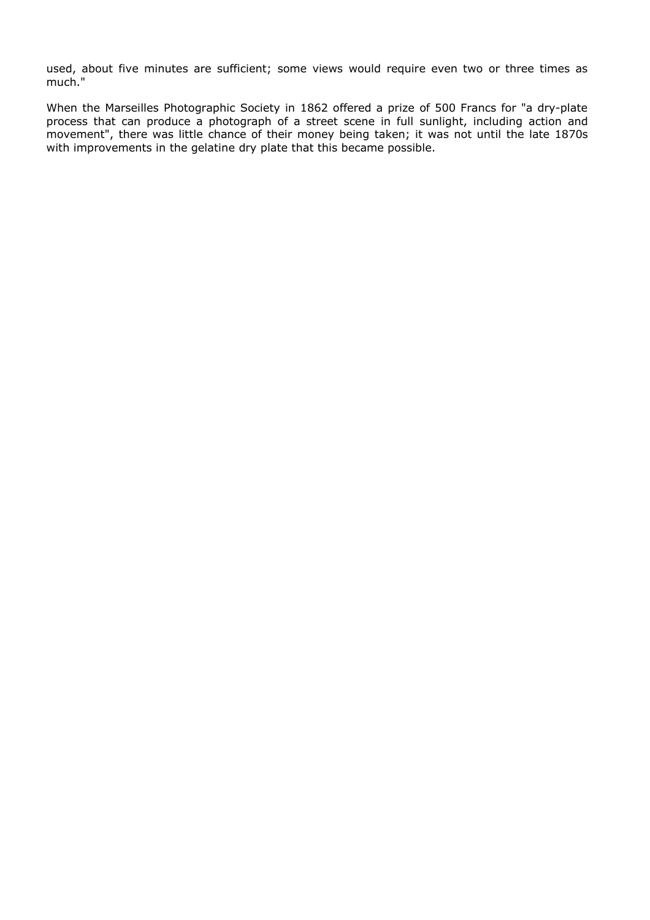used, about five minutes are sufficient; some views would require even two or three times as much."

When the Marseilles Photographic Society in 1862 offered a prize of 500 Francs for "a dry-plate process that can produce a photograph of a street scene in full sunlight, including action and movement", there was little chance of their money being taken; it was not until the late 1870s with improvements in the gelatine dry plate that this became possible.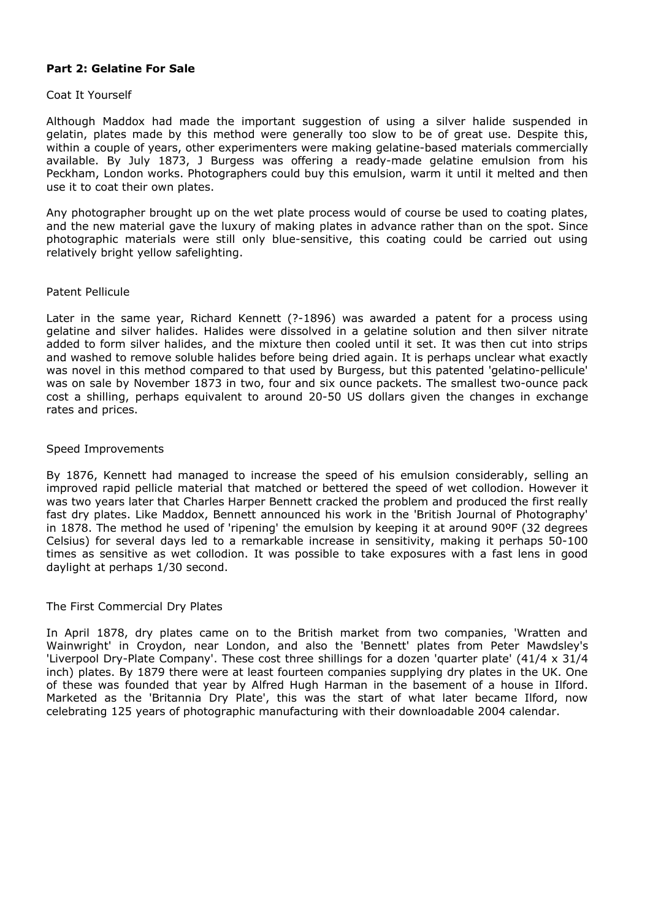# **Part 2: Gelatine For Sale**

### Coat It Yourself

Although Maddox had made the important suggestion of using a silver halide suspended in gelatin, plates made by this method were generally too slow to be of great use. Despite this, within a couple of years, other experimenters were making gelatine-based materials commercially available. By July 1873, J Burgess was offering a ready-made gelatine emulsion from his Peckham, London works. Photographers could buy this emulsion, warm it until it melted and then use it to coat their own plates.

Any photographer brought up on the wet plate process would of course be used to coating plates, and the new material gave the luxury of making plates in advance rather than on the spot. Since photographic materials were still only blue-sensitive, this coating could be carried out using relatively bright yellow safelighting.

## Patent Pellicule

Later in the same year, Richard Kennett (?-1896) was awarded a patent for a process using gelatine and silver halides. Halides were dissolved in a gelatine solution and then silver nitrate added to form silver halides, and the mixture then cooled until it set. It was then cut into strips and washed to remove soluble halides before being dried again. It is perhaps unclear what exactly was novel in this method compared to that used by Burgess, but this patented 'gelatino-pellicule' was on sale by November 1873 in two, four and six ounce packets. The smallest two-ounce pack cost a shilling, perhaps equivalent to around 20-50 US dollars given the changes in exchange rates and prices.

## Speed Improvements

By 1876, Kennett had managed to increase the speed of his emulsion considerably, selling an improved rapid pellicle material that matched or bettered the speed of wet collodion. However it was two years later that Charles Harper Bennett cracked the problem and produced the first really fast dry plates. Like Maddox, Bennett announced his work in the 'British Journal of Photography' in 1878. The method he used of 'ripening' the emulsion by keeping it at around 90ºF (32 degrees Celsius) for several days led to a remarkable increase in sensitivity, making it perhaps 50-100 times as sensitive as wet collodion. It was possible to take exposures with a fast lens in good daylight at perhaps 1/30 second.

# The First Commercial Dry Plates

In April 1878, dry plates came on to the British market from two companies, 'Wratten and Wainwright' in Croydon, near London, and also the 'Bennett' plates from Peter Mawdsley's 'Liverpool Dry-Plate Company'. These cost three shillings for a dozen 'quarter plate' (41/4 x 31/4 inch) plates. By 1879 there were at least fourteen companies supplying dry plates in the UK. One of these was founded that year by Alfred Hugh Harman in the basement of a house in Ilford. Marketed as the 'Britannia Dry Plate', this was the start of what later became Ilford, now celebrating 125 years of photographic manufacturing with their downloadable 2004 calendar.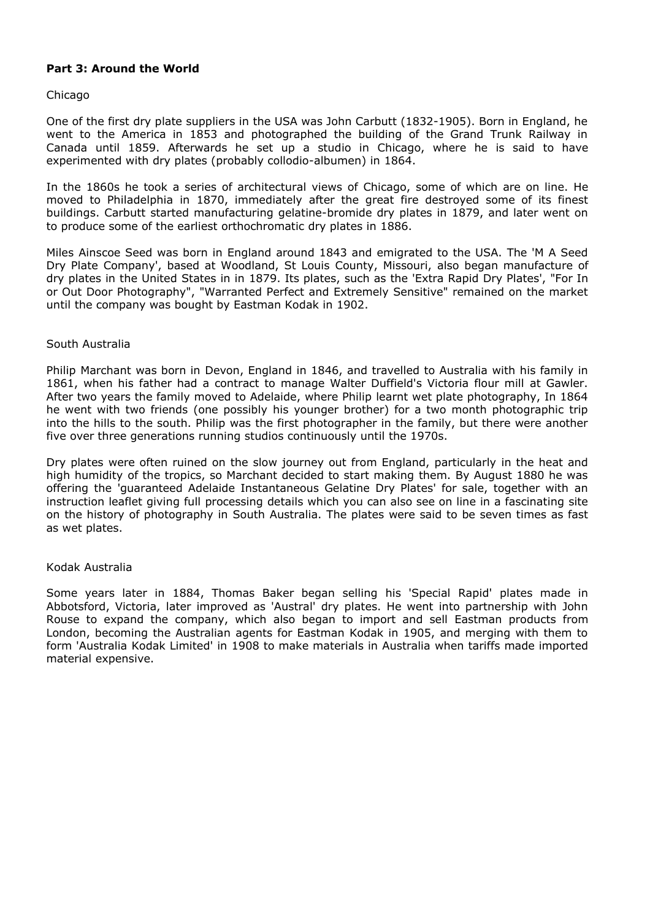# **Part 3: Around the World**

# Chicago

One of the first dry plate suppliers in the USA was John Carbutt (1832-1905). Born in England, he went to the America in 1853 and photographed the building of the Grand Trunk Railway in Canada until 1859. Afterwards he set up a studio in Chicago, where he is said to have experimented with dry plates (probably collodio-albumen) in 1864.

In the 1860s he took a series of architectural views of Chicago, some of which are on line. He moved to Philadelphia in 1870, immediately after the great fire destroyed some of its finest buildings. Carbutt started manufacturing gelatine-bromide dry plates in 1879, and later went on to produce some of the earliest orthochromatic dry plates in 1886.

Miles Ainscoe Seed was born in England around 1843 and emigrated to the USA. The 'M A Seed Dry Plate Company', based at Woodland, St Louis County, Missouri, also began manufacture of dry plates in the United States in in 1879. Its plates, such as the 'Extra Rapid Dry Plates', "For In or Out Door Photography", "Warranted Perfect and Extremely Sensitive" remained on the market until the company was bought by Eastman Kodak in 1902.

## South Australia

Philip Marchant was born in Devon, England in 1846, and travelled to Australia with his family in 1861, when his father had a contract to manage Walter Duffield's Victoria flour mill at Gawler. After two years the family moved to Adelaide, where Philip learnt wet plate photography, In 1864 he went with two friends (one possibly his younger brother) for a two month photographic trip into the hills to the south. Philip was the first photographer in the family, but there were another five over three generations running studios continuously until the 1970s.

Dry plates were often ruined on the slow journey out from England, particularly in the heat and high humidity of the tropics, so Marchant decided to start making them. By August 1880 he was offering the 'guaranteed Adelaide Instantaneous Gelatine Dry Plates' for sale, together with an instruction leaflet giving full processing details which you can also see on line in a fascinating site on the history of photography in South Australia. The plates were said to be seven times as fast as wet plates.

# Kodak Australia

Some years later in 1884, Thomas Baker began selling his 'Special Rapid' plates made in Abbotsford, Victoria, later improved as 'Austral' dry plates. He went into partnership with John Rouse to expand the company, which also began to import and sell Eastman products from London, becoming the Australian agents for Eastman Kodak in 1905, and merging with them to form 'Australia Kodak Limited' in 1908 to make materials in Australia when tariffs made imported material expensive.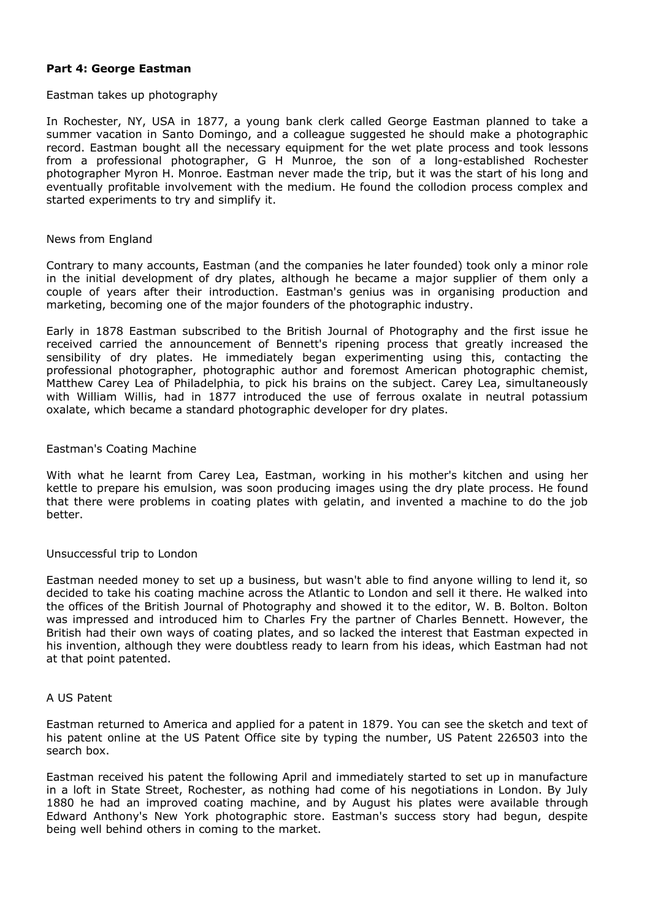# **Part 4: George Eastman**

#### Eastman takes up photography

In Rochester, NY, USA in 1877, a young bank clerk called George Eastman planned to take a summer vacation in Santo Domingo, and a colleague suggested he should make a photographic record. Eastman bought all the necessary equipment for the wet plate process and took lessons from a professional photographer, G H Munroe, the son of a long-established Rochester photographer Myron H. Monroe. Eastman never made the trip, but it was the start of his long and eventually profitable involvement with the medium. He found the collodion process complex and started experiments to try and simplify it.

#### News from England

Contrary to many accounts, Eastman (and the companies he later founded) took only a minor role in the initial development of dry plates, although he became a major supplier of them only a couple of years after their introduction. Eastman's genius was in organising production and marketing, becoming one of the major founders of the photographic industry.

Early in 1878 Eastman subscribed to the British Journal of Photography and the first issue he received carried the announcement of Bennett's ripening process that greatly increased the sensibility of dry plates. He immediately began experimenting using this, contacting the professional photographer, photographic author and foremost American photographic chemist, Matthew Carey Lea of Philadelphia, to pick his brains on the subject. Carey Lea, simultaneously with William Willis, had in 1877 introduced the use of ferrous oxalate in neutral potassium oxalate, which became a standard photographic developer for dry plates.

## Eastman's Coating Machine

With what he learnt from Carey Lea, Eastman, working in his mother's kitchen and using her kettle to prepare his emulsion, was soon producing images using the dry plate process. He found that there were problems in coating plates with gelatin, and invented a machine to do the job better.

#### Unsuccessful trip to London

Eastman needed money to set up a business, but wasn't able to find anyone willing to lend it, so decided to take his coating machine across the Atlantic to London and sell it there. He walked into the offices of the British Journal of Photography and showed it to the editor, W. B. Bolton. Bolton was impressed and introduced him to Charles Fry the partner of Charles Bennett. However, the British had their own ways of coating plates, and so lacked the interest that Eastman expected in his invention, although they were doubtless ready to learn from his ideas, which Eastman had not at that point patented.

#### A US Patent

Eastman returned to America and applied for a patent in 1879. You can see the sketch and text of his patent online at the US Patent Office site by typing the number, US Patent 226503 into the search box.

Eastman received his patent the following April and immediately started to set up in manufacture in a loft in State Street, Rochester, as nothing had come of his negotiations in London. By July 1880 he had an improved coating machine, and by August his plates were available through Edward Anthony's New York photographic store. Eastman's success story had begun, despite being well behind others in coming to the market.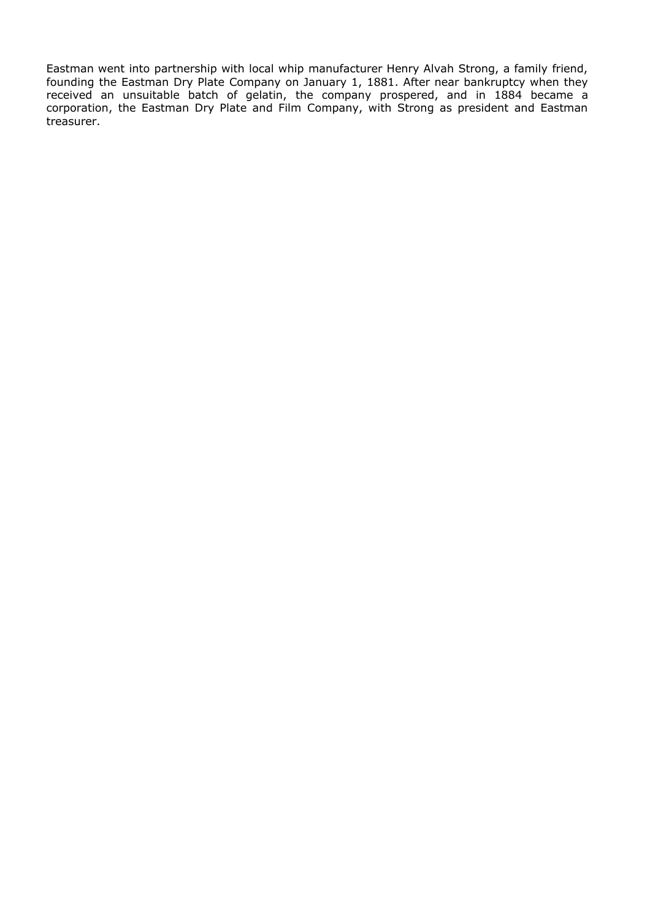Eastman went into partnership with local whip manufacturer Henry Alvah Strong, a family friend, founding the Eastman Dry Plate Company on January 1, 1881. After near bankruptcy when they received an unsuitable batch of gelatin, the company prospered, and in 1884 became a corporation, the Eastman Dry Plate and Film Company, with Strong as president and Eastman treasurer.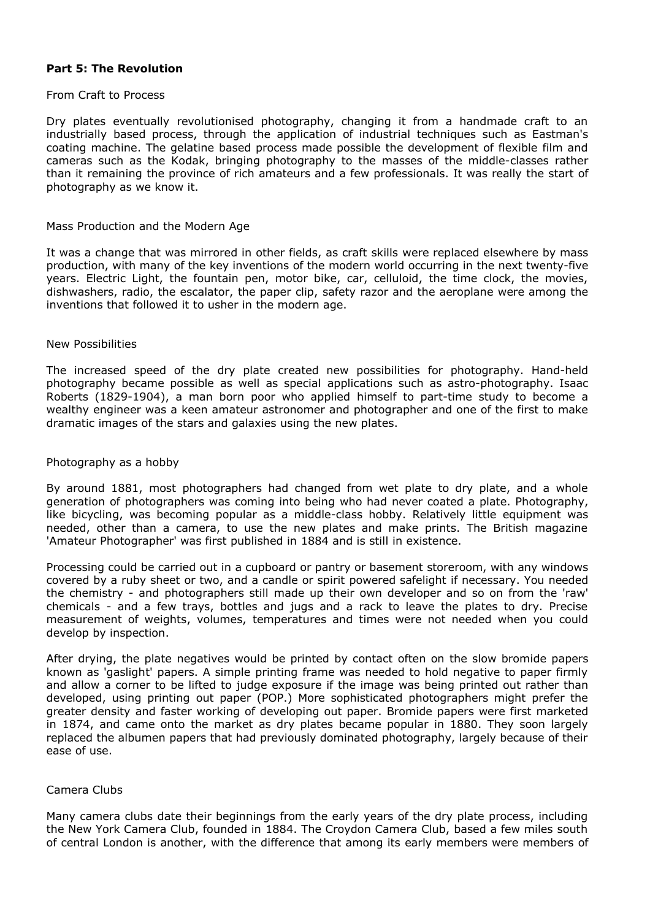# **Part 5: The Revolution**

#### From Craft to Process

Dry plates eventually revolutionised photography, changing it from a handmade craft to an industrially based process, through the application of industrial techniques such as Eastman's coating machine. The gelatine based process made possible the development of flexible film and cameras such as the Kodak, bringing photography to the masses of the middle-classes rather than it remaining the province of rich amateurs and a few professionals. It was really the start of photography as we know it.

#### Mass Production and the Modern Age

It was a change that was mirrored in other fields, as craft skills were replaced elsewhere by mass production, with many of the key inventions of the modern world occurring in the next twenty-five years. Electric Light, the fountain pen, motor bike, car, celluloid, the time clock, the movies, dishwashers, radio, the escalator, the paper clip, safety razor and the aeroplane were among the inventions that followed it to usher in the modern age.

#### New Possibilities

The increased speed of the dry plate created new possibilities for photography. Hand-held photography became possible as well as special applications such as astro-photography. Isaac Roberts (1829-1904), a man born poor who applied himself to part-time study to become a wealthy engineer was a keen amateur astronomer and photographer and one of the first to make dramatic images of the stars and galaxies using the new plates.

#### Photography as a hobby

By around 1881, most photographers had changed from wet plate to dry plate, and a whole generation of photographers was coming into being who had never coated a plate. Photography, like bicycling, was becoming popular as a middle-class hobby. Relatively little equipment was needed, other than a camera, to use the new plates and make prints. The British magazine 'Amateur Photographer' was first published in 1884 and is still in existence.

Processing could be carried out in a cupboard or pantry or basement storeroom, with any windows covered by a ruby sheet or two, and a candle or spirit powered safelight if necessary. You needed the chemistry - and photographers still made up their own developer and so on from the 'raw' chemicals - and a few trays, bottles and jugs and a rack to leave the plates to dry. Precise measurement of weights, volumes, temperatures and times were not needed when you could develop by inspection.

After drying, the plate negatives would be printed by contact often on the slow bromide papers known as 'gaslight' papers. A simple printing frame was needed to hold negative to paper firmly and allow a corner to be lifted to judge exposure if the image was being printed out rather than developed, using printing out paper (POP.) More sophisticated photographers might prefer the greater density and faster working of developing out paper. Bromide papers were first marketed in 1874, and came onto the market as dry plates became popular in 1880. They soon largely replaced the albumen papers that had previously dominated photography, largely because of their ease of use.

## Camera Clubs

Many camera clubs date their beginnings from the early years of the dry plate process, including the New York Camera Club, founded in 1884. The Croydon Camera Club, based a few miles south of central London is another, with the difference that among its early members were members of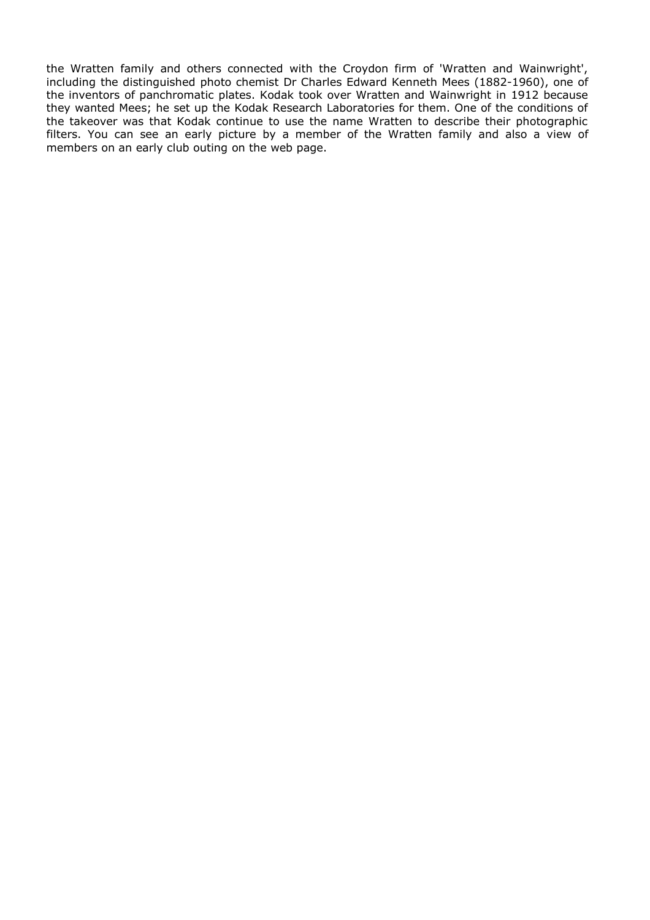the Wratten family and others connected with the Croydon firm of 'Wratten and Wainwright', including the distinguished photo chemist Dr Charles Edward Kenneth Mees (1882-1960), one of the inventors of panchromatic plates. Kodak took over Wratten and Wainwright in 1912 because they wanted Mees; he set up the Kodak Research Laboratories for them. One of the conditions of the takeover was that Kodak continue to use the name Wratten to describe their photographic filters. You can see an early picture by a member of the Wratten family and also a view of members on an early club outing on the web page.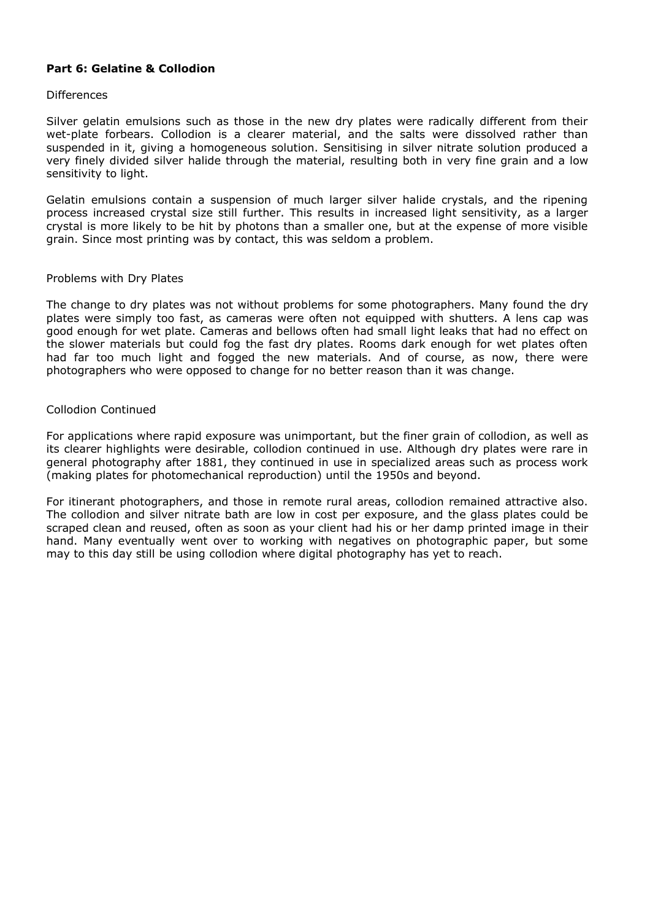# **Part 6: Gelatine & Collodion**

## **Differences**

Silver gelatin emulsions such as those in the new dry plates were radically different from their wet-plate forbears. Collodion is a clearer material, and the salts were dissolved rather than suspended in it, giving a homogeneous solution. Sensitising in silver nitrate solution produced a very finely divided silver halide through the material, resulting both in very fine grain and a low sensitivity to light.

Gelatin emulsions contain a suspension of much larger silver halide crystals, and the ripening process increased crystal size still further. This results in increased light sensitivity, as a larger crystal is more likely to be hit by photons than a smaller one, but at the expense of more visible grain. Since most printing was by contact, this was seldom a problem.

#### Problems with Dry Plates

The change to dry plates was not without problems for some photographers. Many found the dry plates were simply too fast, as cameras were often not equipped with shutters. A lens cap was good enough for wet plate. Cameras and bellows often had small light leaks that had no effect on the slower materials but could fog the fast dry plates. Rooms dark enough for wet plates often had far too much light and fogged the new materials. And of course, as now, there were photographers who were opposed to change for no better reason than it was change.

## Collodion Continued

For applications where rapid exposure was unimportant, but the finer grain of collodion, as well as its clearer highlights were desirable, collodion continued in use. Although dry plates were rare in general photography after 1881, they continued in use in specialized areas such as process work (making plates for photomechanical reproduction) until the 1950s and beyond.

For itinerant photographers, and those in remote rural areas, collodion remained attractive also. The collodion and silver nitrate bath are low in cost per exposure, and the glass plates could be scraped clean and reused, often as soon as your client had his or her damp printed image in their hand. Many eventually went over to working with negatives on photographic paper, but some may to this day still be using collodion where digital photography has yet to reach.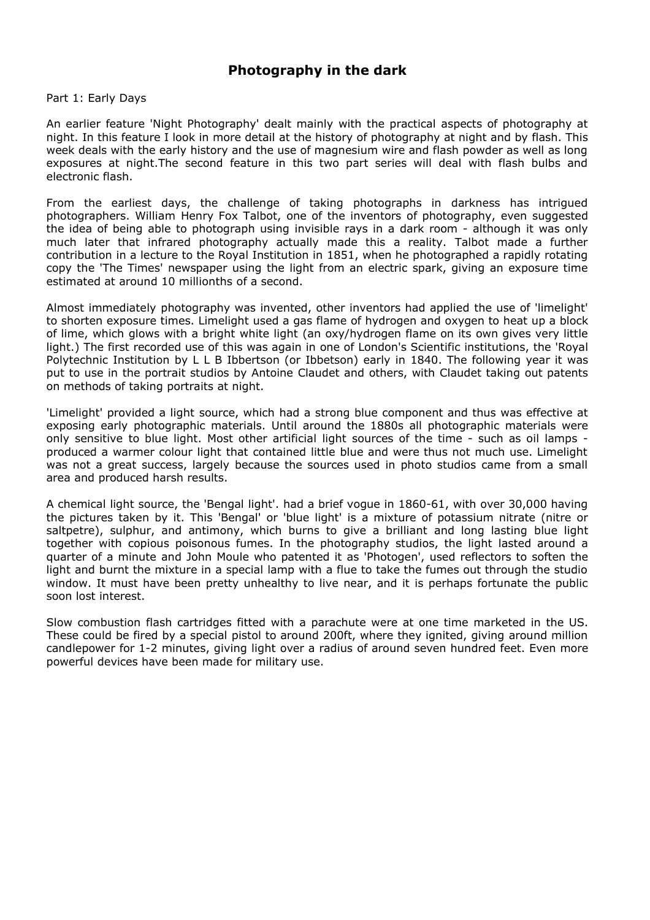# **Photography in the dark**

# Part 1: Early Days

An earlier feature 'Night Photography' dealt mainly with the practical aspects of photography at night. In this feature I look in more detail at the history of photography at night and by flash. This week deals with the early history and the use of magnesium wire and flash powder as well as long exposures at night.The second feature in this two part series will deal with flash bulbs and electronic flash.

From the earliest days, the challenge of taking photographs in darkness has intrigued photographers. William Henry Fox Talbot, one of the inventors of photography, even suggested the idea of being able to photograph using invisible rays in a dark room - although it was only much later that infrared photography actually made this a reality. Talbot made a further contribution in a lecture to the Royal Institution in 1851, when he photographed a rapidly rotating copy the 'The Times' newspaper using the light from an electric spark, giving an exposure time estimated at around 10 millionths of a second.

Almost immediately photography was invented, other inventors had applied the use of 'limelight' to shorten exposure times. Limelight used a gas flame of hydrogen and oxygen to heat up a block of lime, which glows with a bright white light (an oxy/hydrogen flame on its own gives very little light.) The first recorded use of this was again in one of London's Scientific institutions, the 'Royal Polytechnic Institution by L L B Ibbertson (or Ibbetson) early in 1840. The following year it was put to use in the portrait studios by Antoine Claudet and others, with Claudet taking out patents on methods of taking portraits at night.

'Limelight' provided a light source, which had a strong blue component and thus was effective at exposing early photographic materials. Until around the 1880s all photographic materials were only sensitive to blue light. Most other artificial light sources of the time - such as oil lamps produced a warmer colour light that contained little blue and were thus not much use. Limelight was not a great success, largely because the sources used in photo studios came from a small area and produced harsh results.

A chemical light source, the 'Bengal light'. had a brief vogue in 1860-61, with over 30,000 having the pictures taken by it. This 'Bengal' or 'blue light' is a mixture of potassium nitrate (nitre or saltpetre), sulphur, and antimony, which burns to give a brilliant and long lasting blue light together with copious poisonous fumes. In the photography studios, the light lasted around a quarter of a minute and John Moule who patented it as 'Photogen', used reflectors to soften the light and burnt the mixture in a special lamp with a flue to take the fumes out through the studio window. It must have been pretty unhealthy to live near, and it is perhaps fortunate the public soon lost interest.

Slow combustion flash cartridges fitted with a parachute were at one time marketed in the US. These could be fired by a special pistol to around 200ft, where they ignited, giving around million candlepower for 1-2 minutes, giving light over a radius of around seven hundred feet. Even more powerful devices have been made for military use.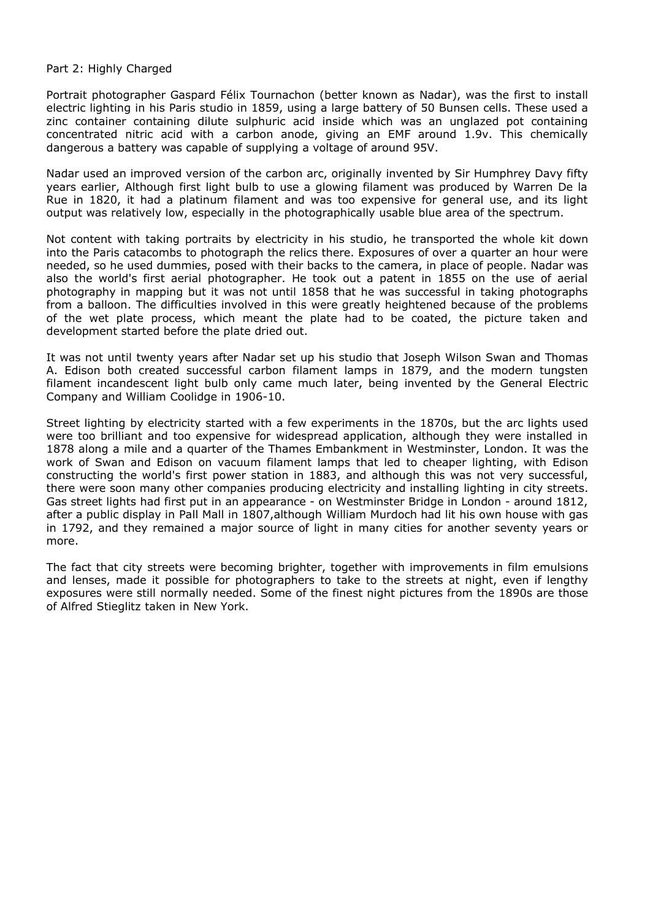### Part 2: Highly Charged

Portrait photographer Gaspard Félix Tournachon (better known as Nadar), was the first to install electric lighting in his Paris studio in 1859, using a large battery of 50 Bunsen cells. These used a zinc container containing dilute sulphuric acid inside which was an unglazed pot containing concentrated nitric acid with a carbon anode, giving an EMF around 1.9v. This chemically dangerous a battery was capable of supplying a voltage of around 95V.

Nadar used an improved version of the carbon arc, originally invented by Sir Humphrey Davy fifty years earlier, Although first light bulb to use a glowing filament was produced by Warren De la Rue in 1820, it had a platinum filament and was too expensive for general use, and its light output was relatively low, especially in the photographically usable blue area of the spectrum.

Not content with taking portraits by electricity in his studio, he transported the whole kit down into the Paris catacombs to photograph the relics there. Exposures of over a quarter an hour were needed, so he used dummies, posed with their backs to the camera, in place of people. Nadar was also the world's first aerial photographer. He took out a patent in 1855 on the use of aerial photography in mapping but it was not until 1858 that he was successful in taking photographs from a balloon. The difficulties involved in this were greatly heightened because of the problems of the wet plate process, which meant the plate had to be coated, the picture taken and development started before the plate dried out.

It was not until twenty years after Nadar set up his studio that Joseph Wilson Swan and Thomas A. Edison both created successful carbon filament lamps in 1879, and the modern tungsten filament incandescent light bulb only came much later, being invented by the General Electric Company and William Coolidge in 1906-10.

Street lighting by electricity started with a few experiments in the 1870s, but the arc lights used were too brilliant and too expensive for widespread application, although they were installed in 1878 along a mile and a quarter of the Thames Embankment in Westminster, London. It was the work of Swan and Edison on vacuum filament lamps that led to cheaper lighting, with Edison constructing the world's first power station in 1883, and although this was not very successful, there were soon many other companies producing electricity and installing lighting in city streets. Gas street lights had first put in an appearance - on Westminster Bridge in London - around 1812, after a public display in Pall Mall in 1807,although William Murdoch had lit his own house with gas in 1792, and they remained a major source of light in many cities for another seventy years or more.

The fact that city streets were becoming brighter, together with improvements in film emulsions and lenses, made it possible for photographers to take to the streets at night, even if lengthy exposures were still normally needed. Some of the finest night pictures from the 1890s are those of Alfred Stieglitz taken in New York.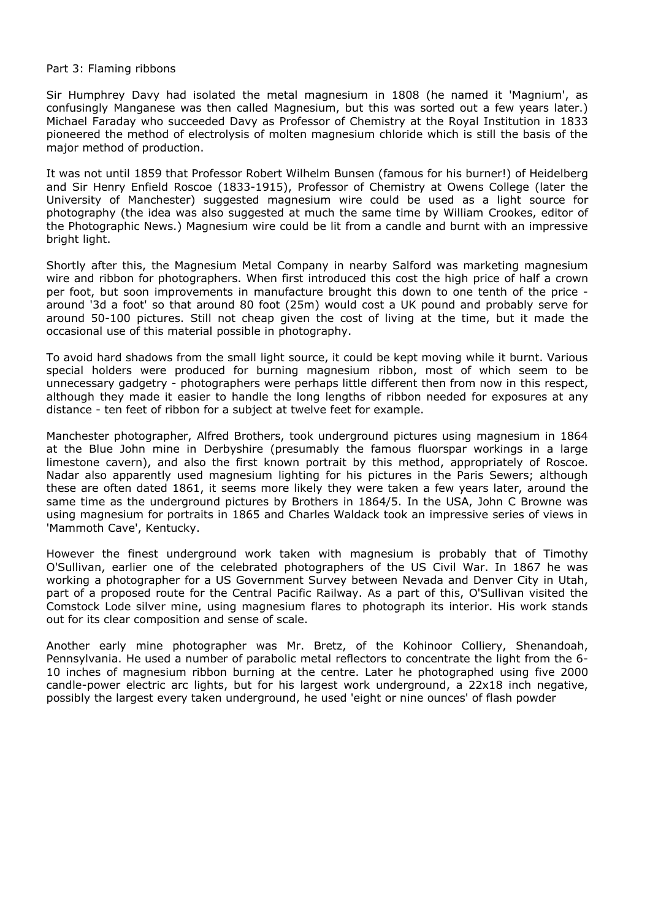### Part 3: Flaming ribbons

Sir Humphrey Davy had isolated the metal magnesium in 1808 (he named it 'Magnium', as confusingly Manganese was then called Magnesium, but this was sorted out a few years later.) Michael Faraday who succeeded Davy as Professor of Chemistry at the Royal Institution in 1833 pioneered the method of electrolysis of molten magnesium chloride which is still the basis of the major method of production.

It was not until 1859 that Professor Robert Wilhelm Bunsen (famous for his burner!) of Heidelberg and Sir Henry Enfield Roscoe (1833-1915), Professor of Chemistry at Owens College (later the University of Manchester) suggested magnesium wire could be used as a light source for photography (the idea was also suggested at much the same time by William Crookes, editor of the Photographic News.) Magnesium wire could be lit from a candle and burnt with an impressive bright light.

Shortly after this, the Magnesium Metal Company in nearby Salford was marketing magnesium wire and ribbon for photographers. When first introduced this cost the high price of half a crown per foot, but soon improvements in manufacture brought this down to one tenth of the price around '3d a foot' so that around 80 foot (25m) would cost a UK pound and probably serve for around 50-100 pictures. Still not cheap given the cost of living at the time, but it made the occasional use of this material possible in photography.

To avoid hard shadows from the small light source, it could be kept moving while it burnt. Various special holders were produced for burning magnesium ribbon, most of which seem to be unnecessary gadgetry - photographers were perhaps little different then from now in this respect, although they made it easier to handle the long lengths of ribbon needed for exposures at any distance - ten feet of ribbon for a subject at twelve feet for example.

Manchester photographer, Alfred Brothers, took underground pictures using magnesium in 1864 at the Blue John mine in Derbyshire (presumably the famous fluorspar workings in a large limestone cavern), and also the first known portrait by this method, appropriately of Roscoe. Nadar also apparently used magnesium lighting for his pictures in the Paris Sewers; although these are often dated 1861, it seems more likely they were taken a few years later, around the same time as the underground pictures by Brothers in 1864/5. In the USA, John C Browne was using magnesium for portraits in 1865 and Charles Waldack took an impressive series of views in 'Mammoth Cave', Kentucky.

However the finest underground work taken with magnesium is probably that of Timothy O'Sullivan, earlier one of the celebrated photographers of the US Civil War. In 1867 he was working a photographer for a US Government Survey between Nevada and Denver City in Utah, part of a proposed route for the Central Pacific Railway. As a part of this, O'Sullivan visited the Comstock Lode silver mine, using magnesium flares to photograph its interior. His work stands out for its clear composition and sense of scale.

Another early mine photographer was Mr. Bretz, of the Kohinoor Colliery, Shenandoah, Pennsylvania. He used a number of parabolic metal reflectors to concentrate the light from the 6- 10 inches of magnesium ribbon burning at the centre. Later he photographed using five 2000 candle-power electric arc lights, but for his largest work underground, a 22x18 inch negative, possibly the largest every taken underground, he used 'eight or nine ounces' of flash powder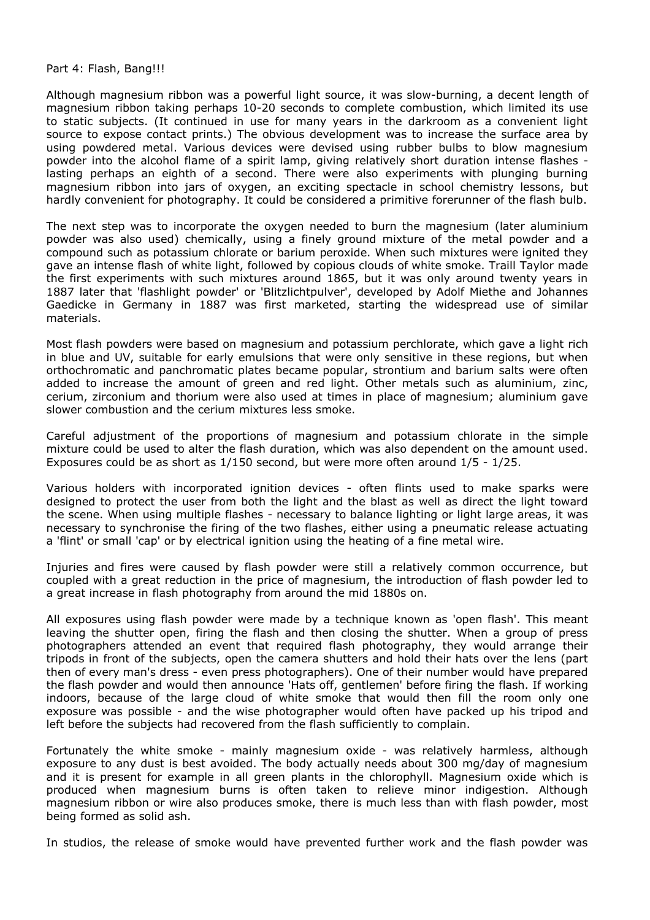Part 4: Flash, Bang!!!

Although magnesium ribbon was a powerful light source, it was slow-burning, a decent length of magnesium ribbon taking perhaps 10-20 seconds to complete combustion, which limited its use to static subjects. (It continued in use for many years in the darkroom as a convenient light source to expose contact prints.) The obvious development was to increase the surface area by using powdered metal. Various devices were devised using rubber bulbs to blow magnesium powder into the alcohol flame of a spirit lamp, giving relatively short duration intense flashes lasting perhaps an eighth of a second. There were also experiments with plunging burning magnesium ribbon into jars of oxygen, an exciting spectacle in school chemistry lessons, but hardly convenient for photography. It could be considered a primitive forerunner of the flash bulb.

The next step was to incorporate the oxygen needed to burn the magnesium (later aluminium powder was also used) chemically, using a finely ground mixture of the metal powder and a compound such as potassium chlorate or barium peroxide. When such mixtures were ignited they gave an intense flash of white light, followed by copious clouds of white smoke. Traill Taylor made the first experiments with such mixtures around 1865, but it was only around twenty years in 1887 later that 'flashlight powder' or 'Blitzlichtpulver', developed by Adolf Miethe and Johannes Gaedicke in Germany in 1887 was first marketed, starting the widespread use of similar materials.

Most flash powders were based on magnesium and potassium perchlorate, which gave a light rich in blue and UV, suitable for early emulsions that were only sensitive in these regions, but when orthochromatic and panchromatic plates became popular, strontium and barium salts were often added to increase the amount of green and red light. Other metals such as aluminium, zinc, cerium, zirconium and thorium were also used at times in place of magnesium; aluminium gave slower combustion and the cerium mixtures less smoke.

Careful adjustment of the proportions of magnesium and potassium chlorate in the simple mixture could be used to alter the flash duration, which was also dependent on the amount used. Exposures could be as short as 1/150 second, but were more often around 1/5 - 1/25.

Various holders with incorporated ignition devices - often flints used to make sparks were designed to protect the user from both the light and the blast as well as direct the light toward the scene. When using multiple flashes - necessary to balance lighting or light large areas, it was necessary to synchronise the firing of the two flashes, either using a pneumatic release actuating a 'flint' or small 'cap' or by electrical ignition using the heating of a fine metal wire.

Injuries and fires were caused by flash powder were still a relatively common occurrence, but coupled with a great reduction in the price of magnesium, the introduction of flash powder led to a great increase in flash photography from around the mid 1880s on.

All exposures using flash powder were made by a technique known as 'open flash'. This meant leaving the shutter open, firing the flash and then closing the shutter. When a group of press photographers attended an event that required flash photography, they would arrange their tripods in front of the subjects, open the camera shutters and hold their hats over the lens (part then of every man's dress - even press photographers). One of their number would have prepared the flash powder and would then announce 'Hats off, gentlemen' before firing the flash. If working indoors, because of the large cloud of white smoke that would then fill the room only one exposure was possible - and the wise photographer would often have packed up his tripod and left before the subjects had recovered from the flash sufficiently to complain.

Fortunately the white smoke - mainly magnesium oxide - was relatively harmless, although exposure to any dust is best avoided. The body actually needs about 300 mg/day of magnesium and it is present for example in all green plants in the chlorophyll. Magnesium oxide which is produced when magnesium burns is often taken to relieve minor indigestion. Although magnesium ribbon or wire also produces smoke, there is much less than with flash powder, most being formed as solid ash.

In studios, the release of smoke would have prevented further work and the flash powder was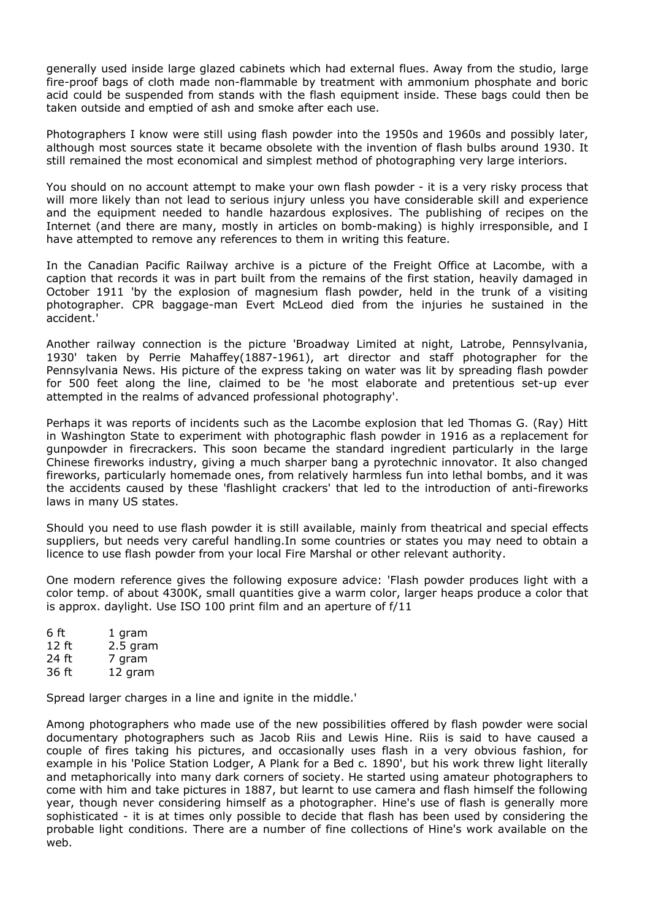generally used inside large glazed cabinets which had external flues. Away from the studio, large fire-proof bags of cloth made non-flammable by treatment with ammonium phosphate and boric acid could be suspended from stands with the flash equipment inside. These bags could then be taken outside and emptied of ash and smoke after each use.

Photographers I know were still using flash powder into the 1950s and 1960s and possibly later, although most sources state it became obsolete with the invention of flash bulbs around 1930. It still remained the most economical and simplest method of photographing very large interiors.

You should on no account attempt to make your own flash powder - it is a very risky process that will more likely than not lead to serious injury unless you have considerable skill and experience and the equipment needed to handle hazardous explosives. The publishing of recipes on the Internet (and there are many, mostly in articles on bomb-making) is highly irresponsible, and I have attempted to remove any references to them in writing this feature.

In the Canadian Pacific Railway archive is a picture of the Freight Office at Lacombe, with a caption that records it was in part built from the remains of the first station, heavily damaged in October 1911 'by the explosion of magnesium flash powder, held in the trunk of a visiting photographer. CPR baggage-man Evert McLeod died from the injuries he sustained in the accident.'

Another railway connection is the picture 'Broadway Limited at night, Latrobe, Pennsylvania, 1930' taken by Perrie Mahaffey(1887-1961), art director and staff photographer for the Pennsylvania News. His picture of the express taking on water was lit by spreading flash powder for 500 feet along the line, claimed to be 'he most elaborate and pretentious set-up ever attempted in the realms of advanced professional photography'.

Perhaps it was reports of incidents such as the Lacombe explosion that led Thomas G. (Ray) Hitt in Washington State to experiment with photographic flash powder in 1916 as a replacement for gunpowder in firecrackers. This soon became the standard ingredient particularly in the large Chinese fireworks industry, giving a much sharper bang a pyrotechnic innovator. It also changed fireworks, particularly homemade ones, from relatively harmless fun into lethal bombs, and it was the accidents caused by these 'flashlight crackers' that led to the introduction of anti-fireworks laws in many US states.

Should you need to use flash powder it is still available, mainly from theatrical and special effects suppliers, but needs very careful handling.In some countries or states you may need to obtain a licence to use flash powder from your local Fire Marshal or other relevant authority.

One modern reference gives the following exposure advice: 'Flash powder produces light with a color temp. of about 4300K, small quantities give a warm color, larger heaps produce a color that is approx. daylight. Use ISO 100 print film and an aperture of f/11

6 ft 1 gram<br>12 ft 2.5 gray  $2.5$  gram 24 ft 7 gram 36 ft 12 gram

Spread larger charges in a line and ignite in the middle.'

Among photographers who made use of the new possibilities offered by flash powder were social documentary photographers such as Jacob Riis and Lewis Hine. Riis is said to have caused a couple of fires taking his pictures, and occasionally uses flash in a very obvious fashion, for example in his 'Police Station Lodger, A Plank for a Bed c. 1890', but his work threw light literally and metaphorically into many dark corners of society. He started using amateur photographers to come with him and take pictures in 1887, but learnt to use camera and flash himself the following year, though never considering himself as a photographer. Hine's use of flash is generally more sophisticated - it is at times only possible to decide that flash has been used by considering the probable light conditions. There are a number of fine collections of Hine's work available on the web.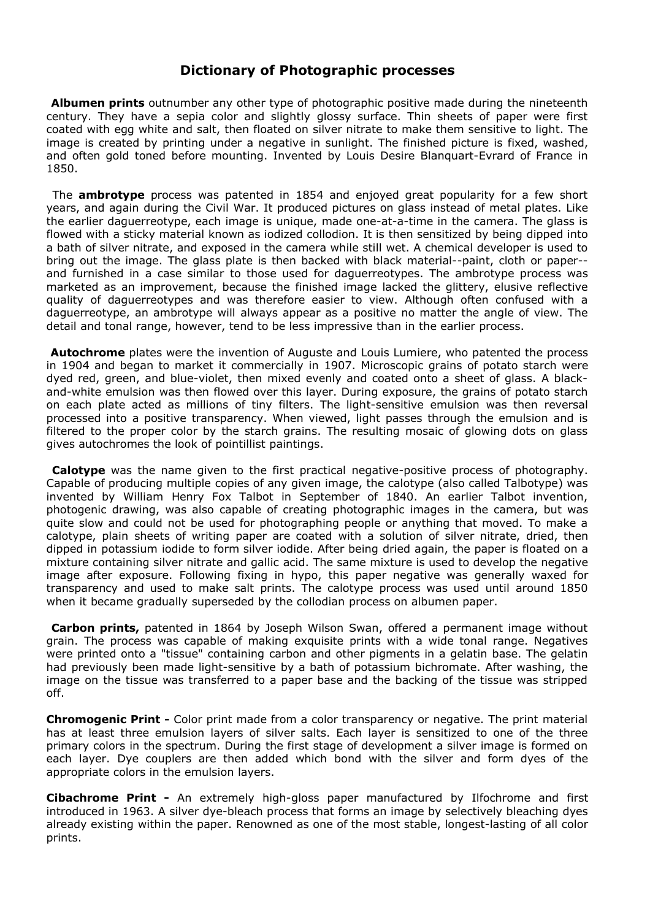# **Dictionary of Photographic processes**

**Albumen prints** outnumber any other type of photographic positive made during the nineteenth century. They have a sepia color and slightly glossy surface. Thin sheets of paper were first coated with egg white and salt, then floated on silver nitrate to make them sensitive to light. The image is created by printing under a negative in sunlight. The finished picture is fixed, washed, and often gold toned before mounting. Invented by Louis Desire Blanquart-Evrard of France in 1850.

The **ambrotype** process was patented in 1854 and enjoyed great popularity for a few short years, and again during the Civil War. It produced pictures on glass instead of metal plates. Like the earlier daguerreotype, each image is unique, made one-at-a-time in the camera. The glass is flowed with a sticky material known as iodized collodion. It is then sensitized by being dipped into a bath of silver nitrate, and exposed in the camera while still wet. A chemical developer is used to bring out the image. The glass plate is then backed with black material--paint, cloth or paper- and furnished in a case similar to those used for daguerreotypes. The ambrotype process was marketed as an improvement, because the finished image lacked the glittery, elusive reflective quality of daguerreotypes and was therefore easier to view. Although often confused with a daguerreotype, an ambrotype will always appear as a positive no matter the angle of view. The detail and tonal range, however, tend to be less impressive than in the earlier process.

**Autochrome** plates were the invention of Auguste and Louis Lumiere, who patented the process in 1904 and began to market it commercially in 1907. Microscopic grains of potato starch were dyed red, green, and blue-violet, then mixed evenly and coated onto a sheet of glass. A blackand-white emulsion was then flowed over this layer. During exposure, the grains of potato starch on each plate acted as millions of tiny filters. The light-sensitive emulsion was then reversal processed into a positive transparency. When viewed, light passes through the emulsion and is filtered to the proper color by the starch grains. The resulting mosaic of glowing dots on glass gives autochromes the look of pointillist paintings.

**Calotype** was the name given to the first practical negative-positive process of photography. Capable of producing multiple copies of any given image, the calotype (also called Talbotype) was invented by William Henry Fox Talbot in September of 1840. An earlier Talbot invention, photogenic drawing, was also capable of creating photographic images in the camera, but was quite slow and could not be used for photographing people or anything that moved. To make a calotype, plain sheets of writing paper are coated with a solution of silver nitrate, dried, then dipped in potassium iodide to form silver iodide. After being dried again, the paper is floated on a mixture containing silver nitrate and gallic acid. The same mixture is used to develop the negative image after exposure. Following fixing in hypo, this paper negative was generally waxed for transparency and used to make salt prints. The calotype process was used until around 1850 when it became gradually superseded by the collodian process on albumen paper.

**Carbon prints,** patented in 1864 by Joseph Wilson Swan, offered a permanent image without grain. The process was capable of making exquisite prints with a wide tonal range. Negatives were printed onto a "tissue" containing carbon and other pigments in a gelatin base. The gelatin had previously been made light-sensitive by a bath of potassium bichromate. After washing, the image on the tissue was transferred to a paper base and the backing of the tissue was stripped off.

**Chromogenic Print -** Color print made from a color transparency or negative. The print material has at least three emulsion layers of silver salts. Each layer is sensitized to one of the three primary colors in the spectrum. During the first stage of development a silver image is formed on each layer. Dye couplers are then added which bond with the silver and form dyes of the appropriate colors in the emulsion layers.

**Cibachrome Print -** An extremely high-gloss paper manufactured by Ilfochrome and first introduced in 1963. A silver dye-bleach process that forms an image by selectively bleaching dyes already existing within the paper. Renowned as one of the most stable, longest-lasting of all color prints.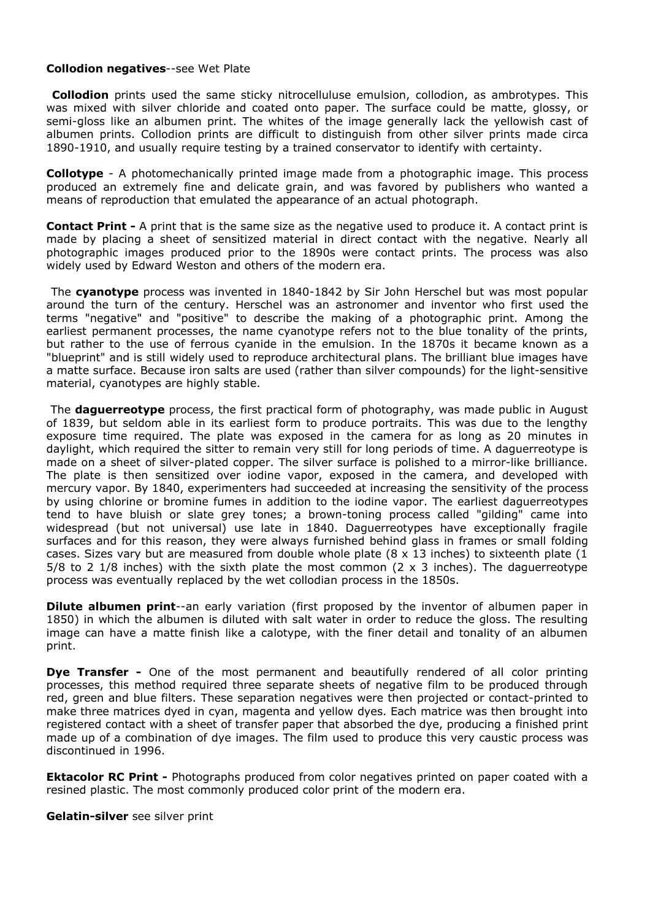## **Collodion negatives**--see Wet Plate

**Collodion** prints used the same sticky nitrocelluluse emulsion, collodion, as ambrotypes. This was mixed with silver chloride and coated onto paper. The surface could be matte, glossy, or semi-gloss like an albumen print. The whites of the image generally lack the yellowish cast of albumen prints. Collodion prints are difficult to distinguish from other silver prints made circa 1890-1910, and usually require testing by a trained conservator to identify with certainty.

**Collotype** - A photomechanically printed image made from a photographic image. This process produced an extremely fine and delicate grain, and was favored by publishers who wanted a means of reproduction that emulated the appearance of an actual photograph.

**Contact Print -** A print that is the same size as the negative used to produce it. A contact print is made by placing a sheet of sensitized material in direct contact with the negative. Nearly all photographic images produced prior to the 1890s were contact prints. The process was also widely used by Edward Weston and others of the modern era.

The **cyanotype** process was invented in 1840-1842 by Sir John Herschel but was most popular around the turn of the century. Herschel was an astronomer and inventor who first used the terms "negative" and "positive" to describe the making of a photographic print. Among the earliest permanent processes, the name cyanotype refers not to the blue tonality of the prints, but rather to the use of ferrous cyanide in the emulsion. In the 1870s it became known as a "blueprint" and is still widely used to reproduce architectural plans. The brilliant blue images have a matte surface. Because iron salts are used (rather than silver compounds) for the light-sensitive material, cyanotypes are highly stable.

The **daguerreotype** process, the first practical form of photography, was made public in August of 1839, but seldom able in its earliest form to produce portraits. This was due to the lengthy exposure time required. The plate was exposed in the camera for as long as 20 minutes in daylight, which required the sitter to remain very still for long periods of time. A daguerreotype is made on a sheet of silver-plated copper. The silver surface is polished to a mirror-like brilliance. The plate is then sensitized over iodine vapor, exposed in the camera, and developed with mercury vapor. By 1840, experimenters had succeeded at increasing the sensitivity of the process by using chlorine or bromine fumes in addition to the iodine vapor. The earliest daguerreotypes tend to have bluish or slate grey tones; a brown-toning process called "gilding" came into widespread (but not universal) use late in 1840. Daguerreotypes have exceptionally fragile surfaces and for this reason, they were always furnished behind glass in frames or small folding cases. Sizes vary but are measured from double whole plate  $(8 \times 13$  inches) to sixteenth plate  $(1$ 5/8 to 2 1/8 inches) with the sixth plate the most common  $(2 \times 3 \text{ inches})$ . The daguerreotype process was eventually replaced by the wet collodian process in the 1850s.

**Dilute albumen print**--an early variation (first proposed by the inventor of albumen paper in 1850) in which the albumen is diluted with salt water in order to reduce the gloss. The resulting image can have a matte finish like a calotype, with the finer detail and tonality of an albumen print.

**Dye Transfer -** One of the most permanent and beautifully rendered of all color printing processes, this method required three separate sheets of negative film to be produced through red, green and blue filters. These separation negatives were then projected or contact-printed to make three matrices dyed in cyan, magenta and yellow dyes. Each matrice was then brought into registered contact with a sheet of transfer paper that absorbed the dye, producing a finished print made up of a combination of dye images. The film used to produce this very caustic process was discontinued in 1996.

**Ektacolor RC Print -** Photographs produced from color negatives printed on paper coated with a resined plastic. The most commonly produced color print of the modern era.

**Gelatin-silver** see silver print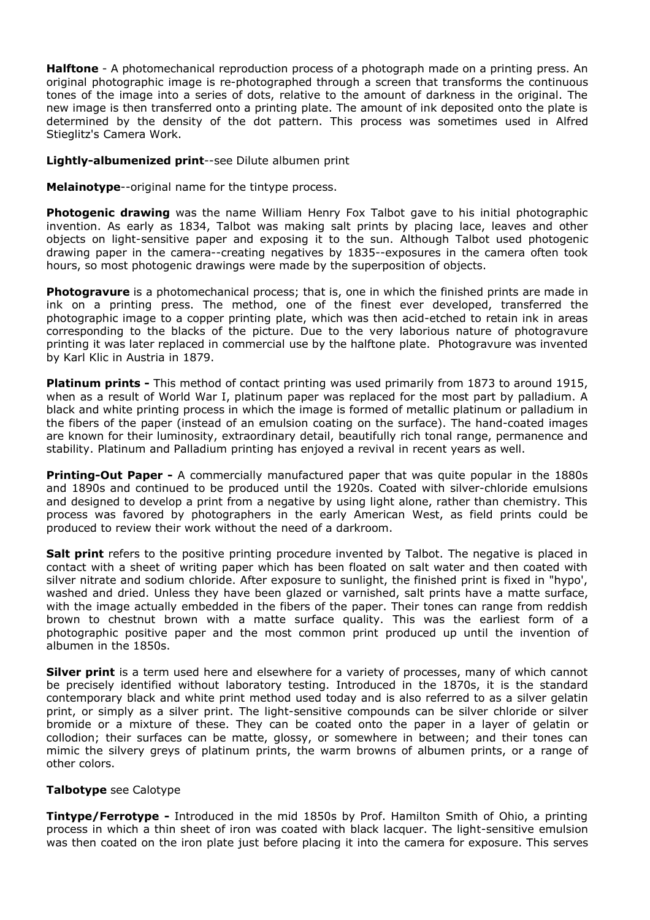**Halftone** - A photomechanical reproduction process of a photograph made on a printing press. An original photographic image is re-photographed through a screen that transforms the continuous tones of the image into a series of dots, relative to the amount of darkness in the original. The new image is then transferred onto a printing plate. The amount of ink deposited onto the plate is determined by the density of the dot pattern. This process was sometimes used in Alfred Stieglitz's Camera Work.

# **Lightly-albumenized print**--see Dilute albumen print

**Melainotype**--original name for the tintype process.

**Photogenic drawing** was the name William Henry Fox Talbot gave to his initial photographic invention. As early as 1834, Talbot was making salt prints by placing lace, leaves and other objects on light-sensitive paper and exposing it to the sun. Although Talbot used photogenic drawing paper in the camera--creating negatives by 1835--exposures in the camera often took hours, so most photogenic drawings were made by the superposition of objects.

**Photogravure** is a photomechanical process; that is, one in which the finished prints are made in ink on a printing press. The method, one of the finest ever developed, transferred the photographic image to a copper printing plate, which was then acid-etched to retain ink in areas corresponding to the blacks of the picture. Due to the very laborious nature of photogravure printing it was later replaced in commercial use by the halftone plate. Photogravure was invented by Karl Klic in Austria in 1879.

**Platinum prints -** This method of contact printing was used primarily from 1873 to around 1915, when as a result of World War I, platinum paper was replaced for the most part by palladium. A black and white printing process in which the image is formed of metallic platinum or palladium in the fibers of the paper (instead of an emulsion coating on the surface). The hand-coated images are known for their luminosity, extraordinary detail, beautifully rich tonal range, permanence and stability. Platinum and Palladium printing has enjoyed a revival in recent years as well.

**Printing-Out Paper -** A commercially manufactured paper that was quite popular in the 1880s and 1890s and continued to be produced until the 1920s. Coated with silver-chloride emulsions and designed to develop a print from a negative by using light alone, rather than chemistry. This process was favored by photographers in the early American West, as field prints could be produced to review their work without the need of a darkroom.

**Salt print** refers to the positive printing procedure invented by Talbot. The negative is placed in contact with a sheet of writing paper which has been floated on salt water and then coated with silver nitrate and sodium chloride. After exposure to sunlight, the finished print is fixed in "hypo', washed and dried. Unless they have been glazed or varnished, salt prints have a matte surface, with the image actually embedded in the fibers of the paper. Their tones can range from reddish brown to chestnut brown with a matte surface quality. This was the earliest form of a photographic positive paper and the most common print produced up until the invention of albumen in the 1850s.

**Silver print** is a term used here and elsewhere for a variety of processes, many of which cannot be precisely identified without laboratory testing. Introduced in the 1870s, it is the standard contemporary black and white print method used today and is also referred to as a silver gelatin print, or simply as a silver print. The light-sensitive compounds can be silver chloride or silver bromide or a mixture of these. They can be coated onto the paper in a layer of gelatin or collodion; their surfaces can be matte, glossy, or somewhere in between; and their tones can mimic the silvery greys of platinum prints, the warm browns of albumen prints, or a range of other colors.

# **Talbotype** see Calotype

**Tintype/Ferrotype -** Introduced in the mid 1850s by Prof. Hamilton Smith of Ohio, a printing process in which a thin sheet of iron was coated with black lacquer. The light-sensitive emulsion was then coated on the iron plate just before placing it into the camera for exposure. This serves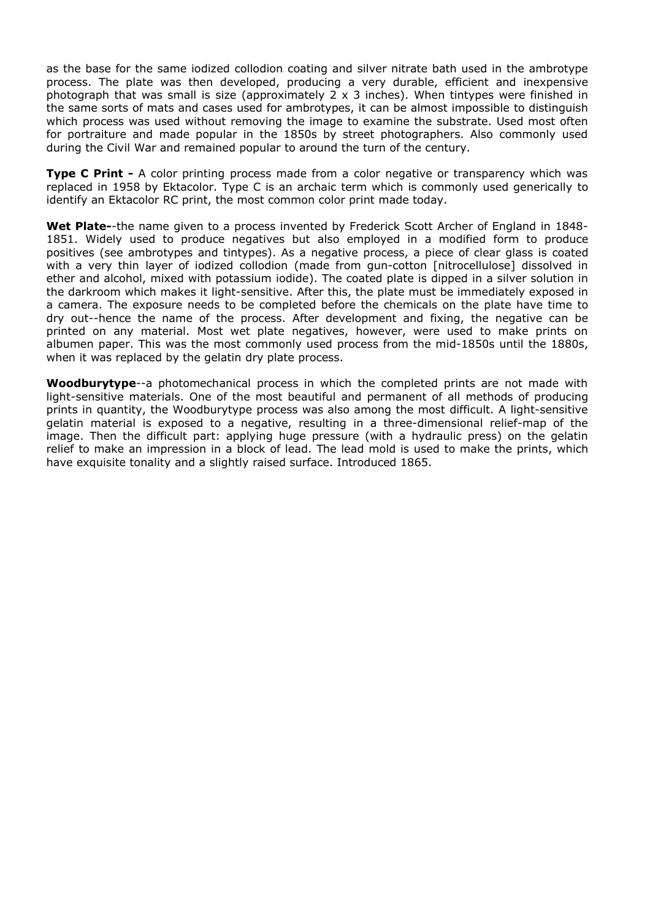as the base for the same iodized collodion coating and silver nitrate bath used in the ambrotype process. The plate was then developed, producing a very durable, efficient and inexpensive photograph that was small is size (approximately  $2 \times 3$  inches). When tintypes were finished in the same sorts of mats and cases used for ambrotypes, it can be almost impossible to distinguish which process was used without removing the image to examine the substrate. Used most often for portraiture and made popular in the 1850s by street photographers. Also commonly used during the Civil War and remained popular to around the turn of the century.

**Type C Print -** A color printing process made from a color negative or transparency which was replaced in 1958 by Ektacolor. Type C is an archaic term which is commonly used generically to identify an Ektacolor RC print, the most common color print made today.

**Wet Plate-**-the name given to a process invented by Frederick Scott Archer of England in 1848- 1851. Widely used to produce negatives but also employed in a modified form to produce positives (see ambrotypes and tintypes). As a negative process, a piece of clear glass is coated with a very thin layer of iodized collodion (made from gun-cotton [nitrocellulose] dissolved in ether and alcohol, mixed with potassium iodide). The coated plate is dipped in a silver solution in the darkroom which makes it light-sensitive. After this, the plate must be immediately exposed in a camera. The exposure needs to be completed before the chemicals on the plate have time to dry out--hence the name of the process. After development and fixing, the negative can be printed on any material. Most wet plate negatives, however, were used to make prints on albumen paper. This was the most commonly used process from the mid-1850s until the 1880s, when it was replaced by the gelatin dry plate process.

**Woodburytype**--a photomechanical process in which the completed prints are not made with light-sensitive materials. One of the most beautiful and permanent of all methods of producing prints in quantity, the Woodburytype process was also among the most difficult. A light-sensitive gelatin material is exposed to a negative, resulting in a three-dimensional relief-map of the image. Then the difficult part: applying huge pressure (with a hydraulic press) on the gelatin relief to make an impression in a block of lead. The lead mold is used to make the prints, which have exquisite tonality and a slightly raised surface. Introduced 1865.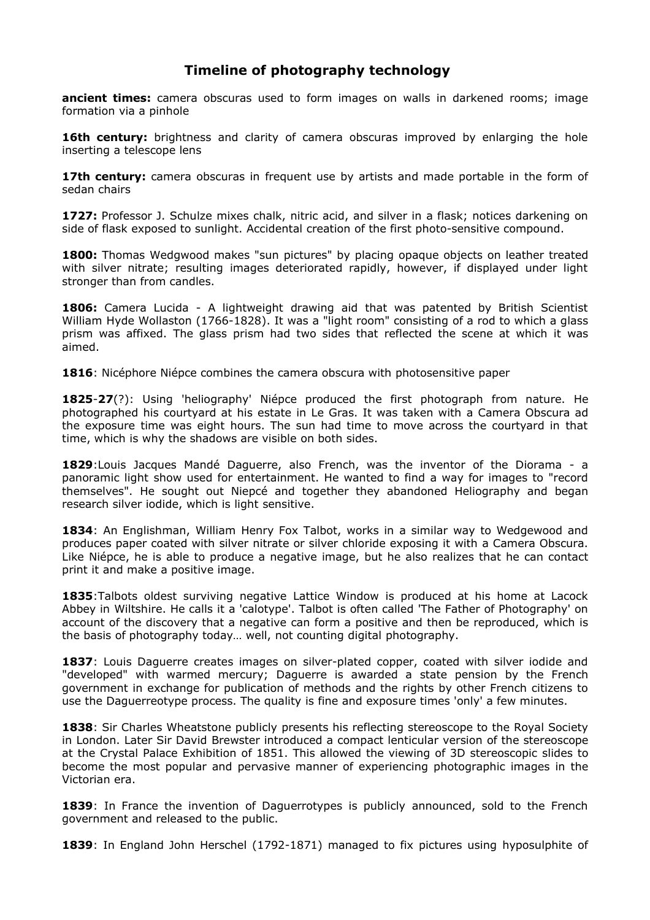# **Timeline of photography technology**

**ancient times:** camera obscuras used to form images on walls in darkened rooms; image formation via a pinhole

16th century: brightness and clarity of camera obscuras improved by enlarging the hole inserting a telescope lens

**17th century:** camera obscuras in frequent use by artists and made portable in the form of sedan chairs

1727: Professor J. Schulze mixes chalk, nitric acid, and silver in a flask; notices darkening on side of flask exposed to sunlight. Accidental creation of the first photo-sensitive compound.

**1800:** Thomas Wedgwood makes "sun pictures" by placing opaque objects on leather treated with silver nitrate; resulting images deteriorated rapidly, however, if displayed under light stronger than from candles.

**1806:** Camera Lucida - A lightweight drawing aid that was patented by British Scientist William Hyde Wollaston (1766-1828). It was a "light room" consisting of a rod to which a glass prism was affixed. The glass prism had two sides that reflected the scene at which it was aimed.

**1816**: Nicéphore Niépce combines the camera obscura with photosensitive paper

**1825**-**27**(?): Using 'heliography' Niépce produced the first photograph from nature. He photographed his courtyard at his estate in Le Gras. It was taken with a Camera Obscura ad the exposure time was eight hours. The sun had time to move across the courtyard in that time, which is why the shadows are visible on both sides.

**1829**:Louis Jacques Mandé Daguerre, also French, was the inventor of the Diorama - a panoramic light show used for entertainment. He wanted to find a way for images to "record themselves". He sought out Niepcé and together they abandoned Heliography and began research silver iodide, which is light sensitive.

**1834**: An Englishman, William Henry Fox Talbot, works in a similar way to Wedgewood and produces paper coated with silver nitrate or silver chloride exposing it with a Camera Obscura. Like Niépce, he is able to produce a negative image, but he also realizes that he can contact print it and make a positive image.

**1835**:Talbots oldest surviving negative Lattice Window is produced at his home at Lacock Abbey in Wiltshire. He calls it a 'calotype'. Talbot is often called 'The Father of Photography' on account of the discovery that a negative can form a positive and then be reproduced, which is the basis of photography today… well, not counting digital photography.

**1837**: Louis Daguerre creates images on silver-plated copper, coated with silver iodide and "developed" with warmed mercury; Daguerre is awarded a state pension by the French government in exchange for publication of methods and the rights by other French citizens to use the Daguerreotype process. The quality is fine and exposure times 'only' a few minutes.

**1838**: Sir Charles Wheatstone publicly presents his reflecting stereoscope to the Royal Society in London. Later Sir David Brewster introduced a compact lenticular version of the stereoscope at the Crystal Palace Exhibition of 1851. This allowed the viewing of 3D stereoscopic slides to become the most popular and pervasive manner of experiencing photographic images in the Victorian era.

1839: In France the invention of Daguerrotypes is publicly announced, sold to the French government and released to the public.

**1839**: In England John Herschel (1792-1871) managed to fix pictures using hyposulphite of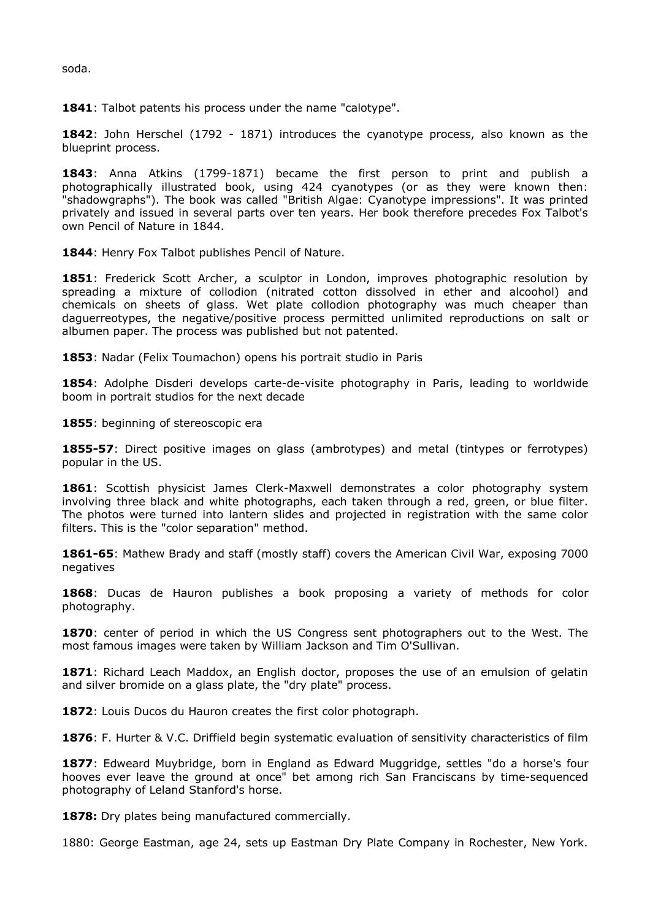soda.

**1841**: Talbot patents his process under the name "calotype".

**1842**: John Herschel (1792 - 1871) introduces the cyanotype process, also known as the blueprint process.

**1843**: Anna Atkins (1799-1871) became the first person to print and publish a photographically illustrated book, using 424 cyanotypes (or as they were known then: "shadowgraphs"). The book was called "British Algae: Cyanotype impressions". It was printed privately and issued in several parts over ten years. Her book therefore precedes Fox Talbot's own Pencil of Nature in 1844.

**1844**: Henry Fox Talbot publishes Pencil of Nature.

**1851**: Frederick Scott Archer, a sculptor in London, improves photographic resolution by spreading a mixture of collodion (nitrated cotton dissolved in ether and alcoohol) and chemicals on sheets of glass. Wet plate collodion photography was much cheaper than daguerreotypes, the negative/positive process permitted unlimited reproductions on salt or albumen paper. The process was published but not patented.

**1853**: Nadar (Felix Toumachon) opens his portrait studio in Paris

**1854**: Adolphe Disderi develops carte-de-visite photography in Paris, leading to worldwide boom in portrait studios for the next decade

1855: beginning of stereoscopic era

**1855-57**: Direct positive images on glass (ambrotypes) and metal (tintypes or ferrotypes) popular in the US.

**1861**: Scottish physicist James Clerk-Maxwell demonstrates a color photography system involving three black and white photographs, each taken through a red, green, or blue filter. The photos were turned into lantern slides and projected in registration with the same color filters. This is the "color separation" method.

**1861-65**: Mathew Brady and staff (mostly staff) covers the American Civil War, exposing 7000 negatives

**1868**: Ducas de Hauron publishes a book proposing a variety of methods for color photography.

**1870**: center of period in which the US Congress sent photographers out to the West. The most famous images were taken by William Jackson and Tim O'Sullivan.

**1871**: Richard Leach Maddox, an English doctor, proposes the use of an emulsion of gelatin and silver bromide on a glass plate, the "dry plate" process.

**1872**: Louis Ducos du Hauron creates the first color photograph.

**1876**: F. Hurter & V.C. Driffield begin systematic evaluation of sensitivity characteristics of film

**1877**: Edweard Muybridge, born in England as Edward Muggridge, settles "do a horse's four hooves ever leave the ground at once" bet among rich San Franciscans by time-sequenced photography of Leland Stanford's horse.

1878: Dry plates being manufactured commercially.

1880: George Eastman, age 24, sets up Eastman Dry Plate Company in Rochester, New York.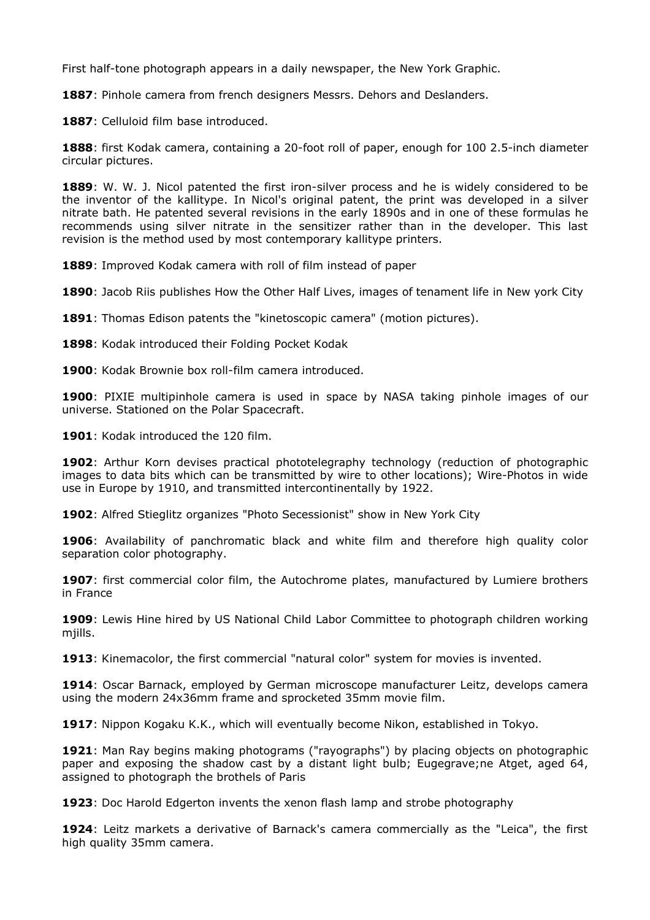First half-tone photograph appears in a daily newspaper, the New York Graphic.

**1887**: Pinhole camera from french designers Messrs. Dehors and Deslanders.

**1887**: Celluloid film base introduced.

**1888**: first Kodak camera, containing a 20-foot roll of paper, enough for 100 2.5-inch diameter circular pictures.

**1889**: W. W. J. Nicol patented the first iron-silver process and he is widely considered to be the inventor of the kallitype. In Nicol's original patent, the print was developed in a silver nitrate bath. He patented several revisions in the early 1890s and in one of these formulas he recommends using silver nitrate in the sensitizer rather than in the developer. This last revision is the method used by most contemporary kallitype printers.

**1889**: Improved Kodak camera with roll of film instead of paper

**1890**: Jacob Riis publishes How the Other Half Lives, images of tenament life in New york City

**1891**: Thomas Edison patents the "kinetoscopic camera" (motion pictures).

**1898**: Kodak introduced their Folding Pocket Kodak

**1900**: Kodak Brownie box roll-film camera introduced.

**1900**: PIXIE multipinhole camera is used in space by NASA taking pinhole images of our universe. Stationed on the Polar Spacecraft.

**1901**: Kodak introduced the 120 film.

**1902**: Arthur Korn devises practical phototelegraphy technology (reduction of photographic images to data bits which can be transmitted by wire to other locations); Wire-Photos in wide use in Europe by 1910, and transmitted intercontinentally by 1922.

**1902**: Alfred Stieglitz organizes "Photo Secessionist" show in New York City

**1906**: Availability of panchromatic black and white film and therefore high quality color separation color photography.

**1907**: first commercial color film, the Autochrome plates, manufactured by Lumiere brothers in France

**1909**: Lewis Hine hired by US National Child Labor Committee to photograph children working mjills.

**1913**: Kinemacolor, the first commercial "natural color" system for movies is invented.

**1914**: Oscar Barnack, employed by German microscope manufacturer Leitz, develops camera using the modern 24x36mm frame and sprocketed 35mm movie film.

**1917**: Nippon Kogaku K.K., which will eventually become Nikon, established in Tokyo.

**1921**: Man Ray begins making photograms ("rayographs") by placing objects on photographic paper and exposing the shadow cast by a distant light bulb; Eugegrave;ne Atget, aged 64, assigned to photograph the brothels of Paris

**1923**: Doc Harold Edgerton invents the xenon flash lamp and strobe photography

**1924**: Leitz markets a derivative of Barnack's camera commercially as the "Leica", the first high quality 35mm camera.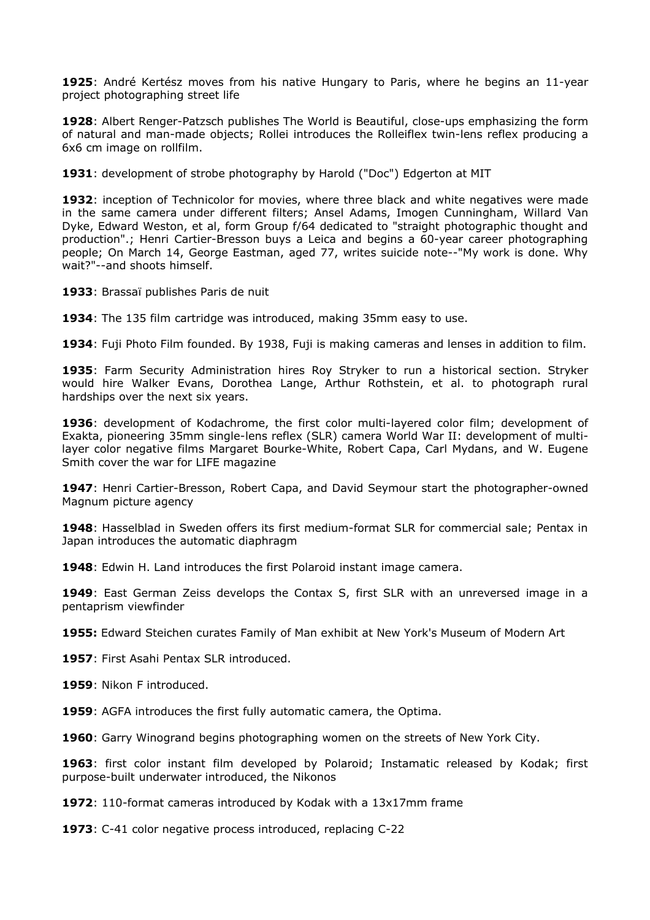**1925**: André Kertész moves from his native Hungary to Paris, where he begins an 11-year project photographing street life

**1928**: Albert Renger-Patzsch publishes The World is Beautiful, close-ups emphasizing the form of natural and man-made objects; Rollei introduces the Rolleiflex twin-lens reflex producing a 6x6 cm image on rollfilm.

**1931**: development of strobe photography by Harold ("Doc") Edgerton at MIT

**1932**: inception of Technicolor for movies, where three black and white negatives were made in the same camera under different filters; Ansel Adams, Imogen Cunningham, Willard Van Dyke, Edward Weston, et al, form Group f/64 dedicated to "straight photographic thought and production".; Henri Cartier-Bresson buys a Leica and begins a 60-year career photographing people; On March 14, George Eastman, aged 77, writes suicide note--"My work is done. Why wait?"--and shoots himself.

**1933**: Brassaï publishes Paris de nuit

**1934**: The 135 film cartridge was introduced, making 35mm easy to use.

**1934**: Fuji Photo Film founded. By 1938, Fuji is making cameras and lenses in addition to film.

**1935**: Farm Security Administration hires Roy Stryker to run a historical section. Stryker would hire Walker Evans, Dorothea Lange, Arthur Rothstein, et al. to photograph rural hardships over the next six years.

**1936**: development of Kodachrome, the first color multi-layered color film; development of Exakta, pioneering 35mm single-lens reflex (SLR) camera World War II: development of multilayer color negative films Margaret Bourke-White, Robert Capa, Carl Mydans, and W. Eugene Smith cover the war for LIFE magazine

**1947**: Henri Cartier-Bresson, Robert Capa, and David Seymour start the photographer-owned Magnum picture agency

**1948**: Hasselblad in Sweden offers its first medium-format SLR for commercial sale; Pentax in Japan introduces the automatic diaphragm

**1948**: Edwin H. Land introduces the first Polaroid instant image camera.

**1949**: East German Zeiss develops the Contax S, first SLR with an unreversed image in a pentaprism viewfinder

**1955:** Edward Steichen curates Family of Man exhibit at New York's Museum of Modern Art

**1957**: First Asahi Pentax SLR introduced.

**1959**: Nikon F introduced.

**1959**: AGFA introduces the first fully automatic camera, the Optima.

**1960**: Garry Winogrand begins photographing women on the streets of New York City.

**1963**: first color instant film developed by Polaroid; Instamatic released by Kodak; first purpose-built underwater introduced, the Nikonos

**1972**: 110-format cameras introduced by Kodak with a 13x17mm frame

**1973**: C-41 color negative process introduced, replacing C-22